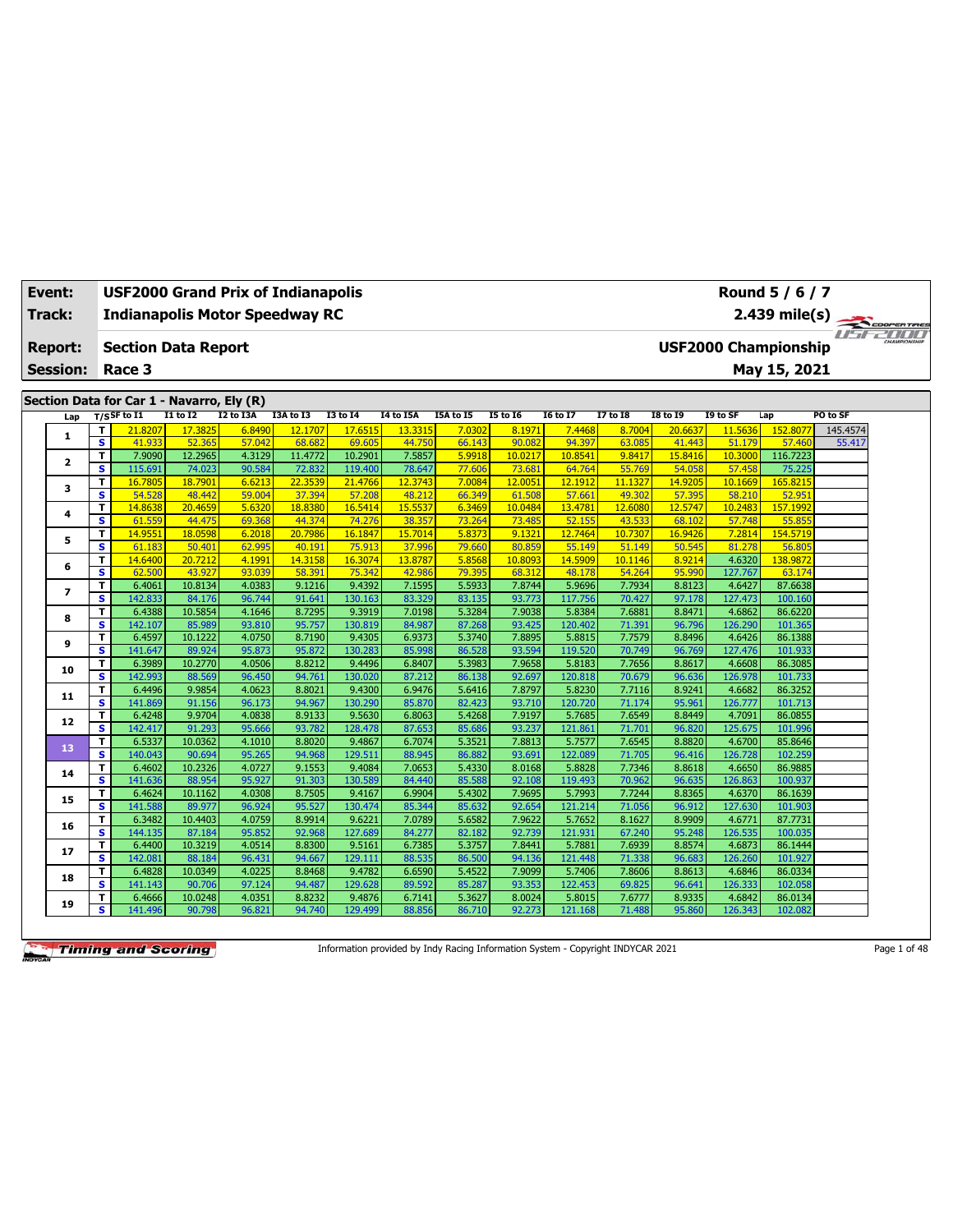| Event:<br>Track: |                 |                         | <b>USF2000 Grand Prix of Indianapolis</b><br><b>Indianapolis Motor Speedway RC</b> |                   |                  |                   |                    |                  |                  |                   |                   |                  |                   |                   | Round 5 / 6 / 7<br>2.439 mile(s) | COOPERTIRES |  |
|------------------|-----------------|-------------------------|------------------------------------------------------------------------------------|-------------------|------------------|-------------------|--------------------|------------------|------------------|-------------------|-------------------|------------------|-------------------|-------------------|----------------------------------|-------------|--|
|                  | <b>Report:</b>  |                         | <b>Section Data Report</b>                                                         |                   |                  |                   |                    |                  |                  |                   |                   |                  |                   |                   | <b>USF2000 Championship</b>      | 1515-2000   |  |
|                  | <b>Session:</b> |                         | Race 3                                                                             |                   |                  |                   |                    |                  |                  |                   |                   |                  |                   |                   | May 15, 2021                     |             |  |
|                  |                 |                         |                                                                                    |                   |                  |                   |                    |                  |                  |                   |                   |                  |                   |                   |                                  |             |  |
|                  |                 |                         | Section Data for Car 1 - Navarro, Ely (R)                                          |                   |                  |                   |                    |                  |                  |                   |                   |                  |                   |                   |                                  |             |  |
|                  | Lap             |                         | $T/S$ SF to I1                                                                     | <b>I1 to I2</b>   | I2 to I3A        | I3A to I3         | <b>I3 to 14</b>    | I4 to I5A        | I5A to I5        | <b>15 to 16</b>   | <b>16 to 17</b>   | 17 to 18         | <b>18 to 19</b>   | I9 to SF          | Lap                              | PO to SF    |  |
|                  | 1               | T                       | 21.8207                                                                            | 17.3825           | 6.8490           | 12.1707           | 17.6515            | 13.3315          | 7.0302           | 8.1971            | 7.4468            | 8.7004           | 20,6637           | 11.5636           | 152.8077                         | 145.4574    |  |
|                  |                 | $\overline{\mathbf{s}}$ | 41.933                                                                             | 52.365            | 57.042           | 68.682            | 69.605             | 44.750           | 66.143           | 90.082            | 94.397            | 63.085           | 41,443            | 51.179            | 57,460                           | 55.417      |  |
|                  | 2               | T<br>s                  | 7.9090<br>115.691                                                                  | 12.2965<br>74.023 | 4.3129<br>90.584 | 11.4772<br>72.832 | 10.2901<br>119.400 | 7.5857<br>78.647 | 5.9918<br>77.606 | 10.0217<br>73.681 | 10.8541<br>64.764 | 9.8417<br>55.769 | 15,8416<br>54.058 | 10.3000<br>57.458 | 116.7223<br>75.225               |             |  |
|                  |                 | T                       | 16.7805                                                                            | 18.7901           | 6.6213           | 22.3539           | 21.4766            | 12.3743          | 7.0084           | 12,0051           | 12.1912           | 11.1327          | 14.9205           | 10.1669           | 165.8215                         |             |  |
|                  | 3               | $\overline{\mathbf{s}}$ | 54.528                                                                             | 48,442            | 59.004           | 37.394            | 57.208             | 48.212           | 66.349           | 61.508            | 57.661            | 49.302           | 57.395            | 58.210            | 52.951                           |             |  |
|                  |                 | T                       | 14.8638                                                                            | 20.4659           | 5.6320           | 18.8380           | 16.5414            | 15.5537          | 6.3469           | 10.0484           | 13.4781           | 12.6080          | 12.5747           | 10.2483           | 157.1992                         |             |  |
|                  | 4               | $\overline{\mathbf{s}}$ | 61.559                                                                             | 44.475            | 69.368           | 44.374            | 74.276             | 38.357           | 73.264           | 73.485            | 52.155            | 43.533           | 68.102            | 57.748            | 55.855                           |             |  |
|                  | 5               | T                       | 14.9551                                                                            | 18.0598           | 6.2018           | 20.7986           | 16.1847            | 15.7014          | 5.8373           | 9.1321            | 12.7464           | 10.7307          | 16,9426           | 7.2814            | 154.5719                         |             |  |
|                  |                 | s                       | 61.183                                                                             | 50.401            | 62.995           | 40.191            | 75,913             | 37,996           | 79.660           | 80.859            | 55.149            | 51.149           | 50.545            | 81.278            | 56.805                           |             |  |
|                  | 6               | T                       | 14.6400                                                                            | 20.7212           | 4.1991           | 14.3158           | 16,3074            | 13.8787          | 5.8568           | 10.8093           | 14.5909           | 10.1146          | 8.9214            | 4.6320            | 138.9872                         |             |  |
|                  |                 | $\overline{\mathbf{s}}$ | 62.500                                                                             | 43.927            | 93.039           | 58.391            | 75.342             | 42.986           | 79.395           | 68.312            | 48.178            | 54.264           | 95.990            | 127.767           | 63.174                           |             |  |
|                  | 7               | T.                      | 6.4061                                                                             | 10.8134           | 4.0383           | 9.1216            | 9.4392             | 7.1595           | 5.5933           | 7.8744            | 5.9696            | 7.7934           | 8.8123            | 4.6427            | 87.6638                          |             |  |
|                  |                 | s                       | 142.833                                                                            | 84.176            | 96.744           | 91.641            | 130.163            | 83.329           | 83.135           | 93.773            | 117.756           | 70.427           | 97.178            | 127.473           | 100.160                          |             |  |
|                  | 8               | T<br>s                  | 6.4388<br>142.107                                                                  | 10.5854<br>85.989 | 4.1646<br>93.810 | 8.7295<br>95.757  | 9.3919<br>130.819  | 7.0198           | 5.3284<br>87.268 | 7.9038<br>93.425  | 5.8384<br>120.402 | 7.6881<br>71.391 | 8.8471            | 4.6862<br>126.290 | 86.6220<br>101.365               |             |  |
|                  |                 | T                       | 6.4597                                                                             | 10.1222           | 4.0750           | 8.7190            | 9.4305             | 84.987<br>6.9373 | 5.3740           | 7.8895            | 5.8815            | 7.7579           | 96.796<br>8.8496  | 4.6426            | 86.1388                          |             |  |
|                  | 9               | s                       | 141.647                                                                            | 89.924            | 95.873           | 95.872            | 130.283            | 85.998           | 86.528           | 93.594            | 119.520           | 70.749           | 96.769            | 127.476           | 101.933                          |             |  |
|                  |                 | T                       | 6.3989                                                                             | 10.2770           | 4.0506           | 8.8212            | 9.4496             | 6.8407           | 5.3983           | 7.9658            | 5.8183            | 7.7656           | 8.8617            | 4.6608            | 86.3085                          |             |  |
|                  | 10              | $\overline{\mathbf{s}}$ | 142.993                                                                            | 88.569            | 96.450           | 94.761            | 130.020            | 87.212           | 86.138           | 92.697            | 120.818           | 70.679           | 96.636            | 126.978           | 101.733                          |             |  |
|                  |                 | T                       | 6.4496                                                                             | 9.9854            | 4.0623           | 8.8021            | 9.4300             | 6.9476           | 5.6416           | 7.8797            | 5.8230            | 7.7116           | 8.9241            | 4.6682            | 86.3252                          |             |  |
|                  | 11              | $\overline{\mathbf{s}}$ | 141.869                                                                            | 91.156            | 96.173           | 94.967            | 130.290            | 85.870           | 82.423           | 93.710            | 120.720           | 71.174           | 95.961            | 126.777           | 101.713                          |             |  |
|                  | 12              | T                       | 6.4248                                                                             | 9.9704            | 4.0838           | 8.9133            | 9.5630             | 6.8063           | 5.4268           | 7.9197            | 5.7685            | 7.6549           | 8.8449            | 4.7091            | 86.0855                          |             |  |
|                  |                 | s                       | 142.417                                                                            | 91.293            | 95.666           | 93.782            | 128.478            | 87.653           | 85.686           | 93.237            | 121.861           | 71.701           | 96.820            | 125.675           | 101.996                          |             |  |
|                  | 13              | T.                      | 6.5337                                                                             | 10.0362           | 4.1010           | 8.8020            | 9.4867             | 6.7074           | 5.3521           | 7.8813            | 5.7577            | 7.6545           | 8.8820            | 4.6700            | 85.8646                          |             |  |
|                  |                 | s.                      | 140.043                                                                            | 90.694            | 95.265<br>4.0727 | 94.968            | 129.51:            | 88.945           | 86.882           | 93.691<br>8.0168  | 122.089           | 71.705<br>7.7346 | 96.416            | 126,728           | 102.259                          |             |  |
|                  | 14              | T.<br>s                 | 6.4602<br>141.636                                                                  | 10.2326<br>88.954 | 95.927           | 9.1553<br>91.303  | 9.4084<br>130.589  | 7.0653<br>84.440 | 5.4330<br>85.588 | 92.108            | 5.8828<br>119.493 | 70.962           | 8.8618<br>96.635  | 4.6650<br>126.863 | 86.9885<br>100.937               |             |  |
|                  |                 | T.                      | 6.4624                                                                             | 10.1162           | 4.0308           | 8.7505            | 9.4167             | 6.9904           | 5.4302           | 7.9695            | 5.7993            | 7.7244           | 8.8365            | 4.6370            | 86.1639                          |             |  |
|                  | 15              | $\overline{\mathbf{s}}$ | 141.588                                                                            | 89.977            | 96.924           | 95.527            | 130.474            | 85.344           | 85.632           | 92.654            | 121.214           | 71.056           | 96.912            | 127.630           | 101.903                          |             |  |
|                  |                 | T.                      | 6.3482                                                                             | 10.4403           | 4.0759           | 8.9914            | 9.6221             | 7.0789           | 5.6582           | 7.9622            | 5.7652            | 8.1627           | 8.9909            | 4.6771            | 87.7731                          |             |  |
|                  | 16              | S                       | 144.135                                                                            | 87.184            | 95.852           | 92.968            | 127.689            | 84.277           | 82.182           | 92.739            | 121.931           | 67.240           | 95.248            | 126.535           | 100.035                          |             |  |
|                  |                 | T                       | 6.4400                                                                             | 10.3219           | 4.0514           | 8.8300            | 9.5161             | 6.7385           | 5.3757           | 7.8441            | 5.7881            | 7.6939           | 8.8574            | 4.6873            | 86.1444                          |             |  |
|                  | 17              | s                       | 142.081                                                                            | 88.184            | 96.431           | 94.667            | 129.111            | 88.535           | 86.500           | 94.136            | 121.448           | 71.338           | 96.683            | 126.260           | 101.927                          |             |  |
|                  | 18              | T                       | 6.4828                                                                             | 10.0349           | 4.0225           | 8.8468            | 9.4782             | 6.6590           | 5.4522           | 7.9099            | 5.7406            | 7.8606           | 8.8613            | 4.6846            | 86.0334                          |             |  |
|                  |                 | S                       | 141.143                                                                            | 90.706            | 97.124           | 94.487            | 129.628            | 89.592           | 85.287           | 93.353            | 122.453           | 69.825           | 96.641            | 126.333           | 102.058                          |             |  |
|                  | 19              | T                       | 6.4666                                                                             | 10.0248           | 4.0351           | 8.8232            | 9.4876             | 6.7141           | 5.3627           | 8.0024            | 5.8015            | 7.6777           | 8.9335            | 4.6842            | 86.0134                          |             |  |
|                  |                 | s                       | 141.496                                                                            | 90.798            | 96.821           | 94.740            | 129.499            | 88.856           | 86.710           | 92.273            | 121.168           | 71.488           | 95.860            | 126.343           | 102.082                          |             |  |

Information provided by Indy Racing Information System - Copyright INDYCAR 2021 Page 1 of 48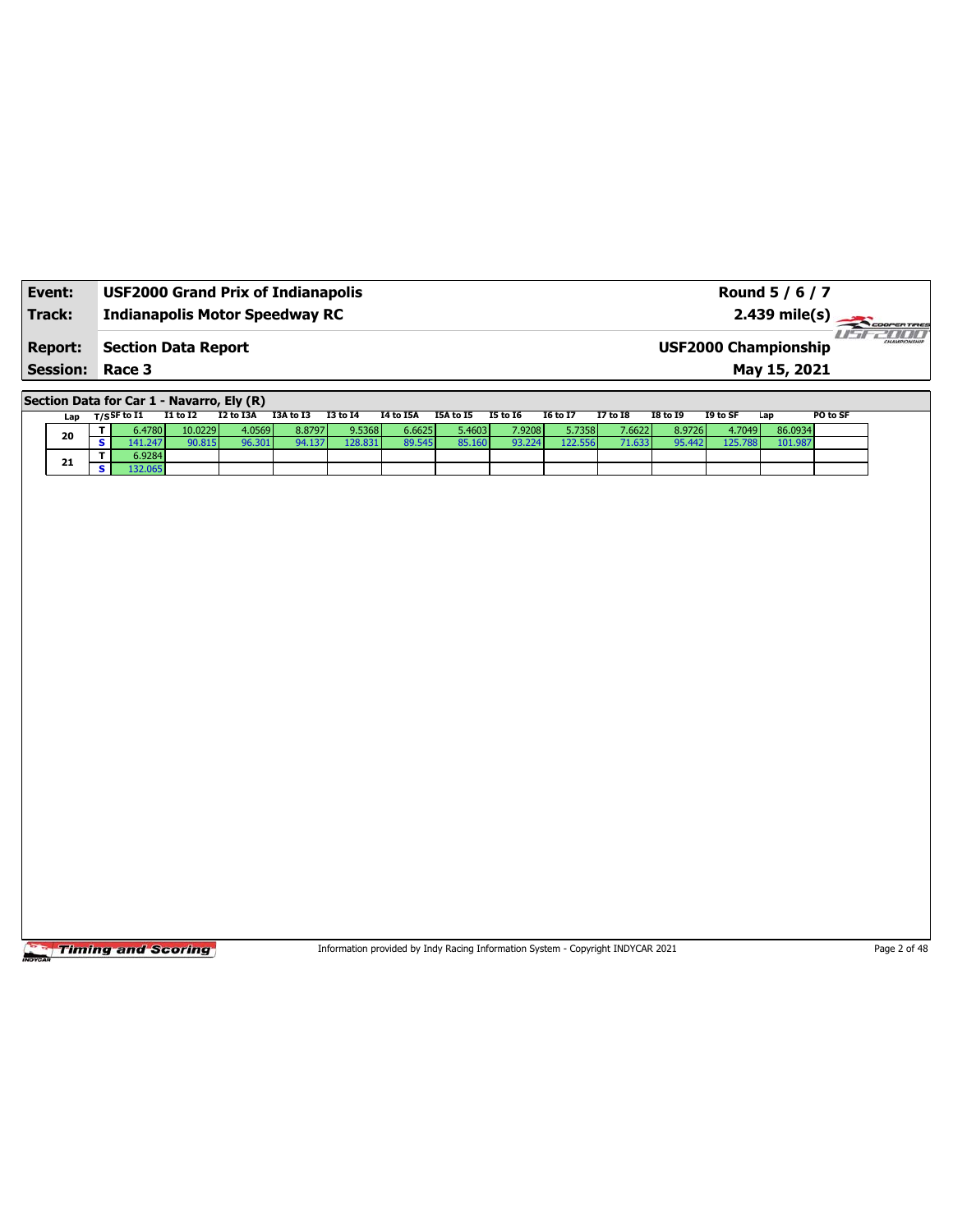| Event:          | <b>USF2000 Grand Prix of Indianapolis</b> | Round 5 / 6 / 7                                                 |
|-----------------|-------------------------------------------|-----------------------------------------------------------------|
| Track:          | <b>Indianapolis Motor Speedway RC</b>     | $2.439$ mile(s) $\overbrace{\hspace{2cm}}$ coorer Time          |
| <b>Report:</b>  | <b>Section Data Report</b>                | 7 10 10 1<br><b>CHAMPIONSHIP</b><br><b>USF2000 Championship</b> |
| <b>Session:</b> | Race 3                                    | May 15, 2021                                                    |

**Section Data for Car 1 - Navarro, Ely (R)**

| Lap | $T/S$ SF to I1  | <b>I1 to I2</b> | I2 to I3A | I3A to I3 | <b>I3 to 14</b> | I4 to I5A | I5A to I5 | I5 to 16 | <b>I6 to I7</b> | 17 to 18 | <b>I8 to 19</b> | I9 to SF | Lap     | PO to SF |
|-----|-----------------|-----------------|-----------|-----------|-----------------|-----------|-----------|----------|-----------------|----------|-----------------|----------|---------|----------|
|     | 6.4780 <b>l</b> | 10.0229         | 4.0569    | 8.87971   | 9.5368          | 6.6625    | 5.4603 l  | 7.9208   | 5.7358          | 7.6622   | 8.9726          | 4.7049   | 86.0934 |          |
| 20  | 41.247          | 90.815          | 96.301    | 94.137    | 128.831         | 89.545    | 85.160    | 93.224   | 122.556         |          | 95.442          | 125.788  | 101.987 |          |
| 21  | 6.9284          |                 |           |           |                 |           |           |          |                 |          |                 |          |         |          |
|     | 32.065          |                 |           |           |                 |           |           |          |                 |          |                 |          |         |          |

**Timing and Scoring** 

Information provided by Indy Racing Information System - Copyright INDYCAR 2021 Page 2 of 48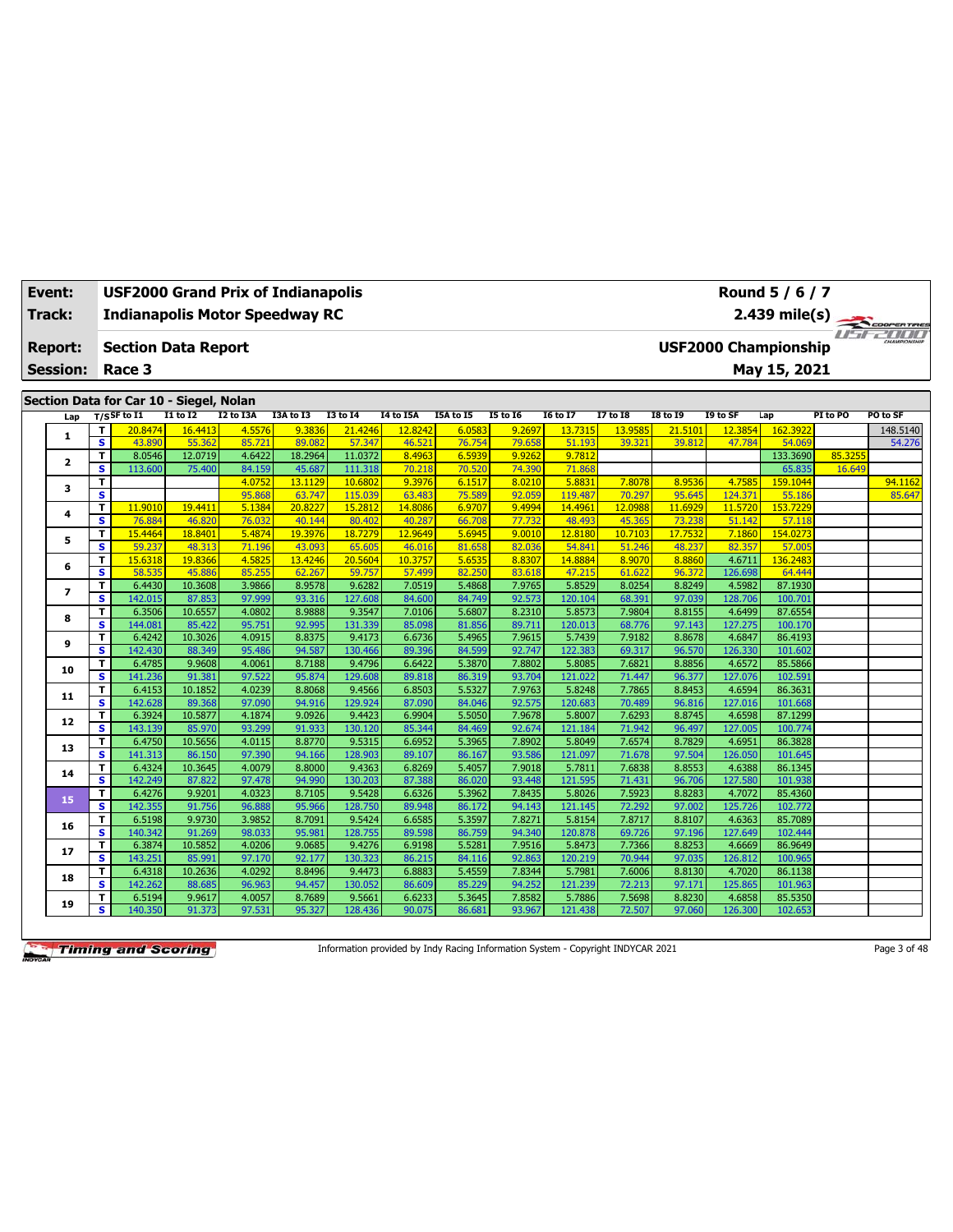| Event:<br>Track: |                         | <b>USF2000 Grand Prix of Indianapolis</b><br><b>Indianapolis Motor Speedway RC</b> |                   |                  |                   |                   |                   |                  |                  |                   |                   |                   |                             | Round 5 / 6 / 7<br>2.439 mile(s) |          |              |
|------------------|-------------------------|------------------------------------------------------------------------------------|-------------------|------------------|-------------------|-------------------|-------------------|------------------|------------------|-------------------|-------------------|-------------------|-----------------------------|----------------------------------|----------|--------------|
|                  |                         |                                                                                    |                   |                  |                   |                   |                   |                  |                  |                   |                   |                   |                             |                                  |          | COOPER TIRES |
| <b>Report:</b>   |                         | <b>Section Data Report</b>                                                         |                   |                  |                   |                   |                   |                  |                  |                   |                   |                   | <b>USF2000 Championship</b> |                                  |          | ust 2000     |
| <b>Session:</b>  |                         | Race 3                                                                             |                   |                  |                   |                   |                   |                  |                  |                   |                   |                   |                             | May 15, 2021                     |          |              |
|                  |                         |                                                                                    |                   |                  |                   |                   |                   |                  |                  |                   |                   |                   |                             |                                  |          |              |
|                  |                         | Section Data for Car 10 - Siegel, Nolan                                            |                   |                  |                   |                   |                   |                  |                  |                   |                   |                   |                             |                                  |          |              |
| Lap              |                         | $T/S$ SF to I1                                                                     | $I1$ to $I2$      | I2 to I3A        | I3A to I3         | <b>I3 to 14</b>   | <b>14 to 15A</b>  | <b>I5A to 15</b> | <b>15 to 16</b>  | <b>16 to 17</b>   | 17 to 18          | <b>I8 to 19</b>   | I9 to SF                    | Lap                              | PI to PO | PO to SF     |
| 1                | T                       | 20.8474                                                                            | 16.4413           | 4.5576           | 9.3836            | 21.4246           | 12.8242           | 6.058            | 9.2697           | 13.7315           | 13.9585           | 21.5101           | 12.3854                     | 162.392                          |          | 148.5140     |
|                  | $\overline{\mathbf{s}}$ | 43.890                                                                             | 55.362            | 85.721           | 89.082            | 57.347            | 46.521            | 76.754           | 79.658           | 51.193            | 39.321            | 39.812            | 47.784                      | 54.069                           |          | 54.276       |
| $\overline{2}$   | T.                      | 8.0546                                                                             | 12.0719           | 4.6422           | 18.2964           | 11.0372           | 8.4963            | 6.593            | 9.9262           | 9.7812            |                   |                   |                             | 133.3690                         | 85.325   |              |
|                  | s.                      | 113.600                                                                            | 75.400            | 84.159           | 45.687            | 111.318           | 70.218            | 70.520           | 74.390           | 71.868            |                   |                   |                             | 65.835                           | 16.649   |              |
| 3                | т                       |                                                                                    |                   | 4.0752           | 13.1129           | 10,6802           | 9.3976            | 6.1517           | 8.0210           | 5.883             | 7.8078            | 8.9536            | 4.7585                      | 159.1044                         |          | 94.1162      |
|                  | s                       | 11.9010                                                                            |                   | 95.868           | 63.747<br>20,8227 | 115.039           | 63.483            | 75.589           | 92.059           | 119.487           | 70.297            | 95.645            | 124.371                     | 55.186<br>153.7229               |          | 85.647       |
| 4                | т<br>s                  | 76.884                                                                             | 19.4411<br>46.820 | 5.1384<br>76.032 | 40.144            | 15.2812<br>80,402 | 14.8086<br>40.287 | 6.9707<br>66.708 | 9.4994<br>77.732 | 14.496<br>48.493  | 12.0988<br>45.365 | 11.6929<br>73.238 | 11.5720<br>51.142           | 57.118                           |          |              |
|                  | т                       | 15.4464                                                                            | 18.8401           | 5.4874           | 19.3976           | 18,7279           | 12.9649           | 5.6945           | 9.0010           | 12,8180           | 10.7103           | 17.7532           | 7.1860                      | 154.0273                         |          |              |
| 5                | s                       | 59.237                                                                             | 48.313            | 71.196           | 43.093            | 65.605            | 46.016            | 81.658           | 82.036           | 54.841            | 51.246            | 48.237            | 82.357                      | 57.005                           |          |              |
|                  | т                       | 15.6318                                                                            | 19.8366           | 4.5825           | 13.4246           | 20.5604           | 10.3757           | 5.6535           | 8.8307           | 14.8884           | 8.9070            | 8.8860            | 4.6711                      | 136.2483                         |          |              |
| 6                | $\overline{\mathbf{s}}$ | 58.535                                                                             | 45.886            | 85.255           | 62.267            | 59.757            | 57.499            | 82.250           | 83.618           | 47.215            | 61.622            | 96.372            | 126.698                     | 64.444                           |          |              |
|                  | т                       | 6.4430                                                                             | 10.3608           | 3.9866           | 8.9578            | 9.6282            | 7.0519            | 5.4868           | 7.9765           | 5.8529            | 8.0254            | 8.8249            | 4.5982                      | 87.1930                          |          |              |
| $\overline{ }$   | s                       | 142.015                                                                            | 87.853            | 97.999           | 93.316            | 127.608           | 84.600            | 84.749           | 92.573           | 120.104           | 68.391            | 97.039            | 128.706                     | 100.701                          |          |              |
| 8                | T                       | 6.3506                                                                             | 10.6557           | 4.0802           | 8.9888            | 9.3547            | 7.0106            | 5.6807           | 8.2310           | 5.8573            | 7.9804            | 8.8155            | 4.6499                      | 87.6554                          |          |              |
|                  | s                       | 144.081                                                                            | 85.422            | 95.751           | 92.995            | 131.339           | 85.098            | 81.856           | 89.711           | 120.013           | 68.776            | 97.143            | 127.275                     | 100.170                          |          |              |
| 9                | т                       | 6.4242                                                                             | 10.3026           | 4.0915           | 8.8375            | 9.4173            | 6.6736            | 5.4965           | 7.9615           | 5.7439            | 7.9182            | 8.8678            | 4.6847                      | 86.4193                          |          |              |
|                  | s.                      | 142.430                                                                            | 88.349            | 95.486           | 94.587            | 130.466           | 89.396            | 84.599           | 92.747           | 122.383           | 69.317            | 96.570            | 126.330                     | 101.602                          |          |              |
| 10               | T                       | 6.4785                                                                             | 9.9608            | 4.0061           | 8.7188            | 9.4796            | 6.6422            | 5.3870           | 7.8802           | 5.8085            | 7.6821            | 8.8856            | 4.6572                      | 85.5866                          |          |              |
|                  | s.                      | 141.236                                                                            | 91.381            | 97.522           | 95.874            | 129,608           | 89.818            | 86.319           | 93.704           | 121.022           | 71.447            | 96.377            | 127.076                     | 102.591                          |          |              |
| 11               | T<br>s.                 | 6.4153                                                                             | 10.1852           | 4.0239           | 8.8068            | 9.4566            | 6.8503            | 5.5327           | 7.9763           | 5.8248            | 7.7865            | 8.8453            | 4.6594                      | 86.3631                          |          |              |
|                  | т                       | 142.628<br>6.3924                                                                  | 89.368<br>10.5877 | 97.090<br>4.1874 | 94.916<br>9.0926  | 129.924<br>9.4423 | 87.090<br>6.9904  | 84.046<br>5.5050 | 92.575<br>7.9678 | 120.683<br>5.8007 | 70.489<br>7.6293  | 96.816<br>8.8745  | 127.016<br>4.6598           | 101.668<br>87.1299               |          |              |
| 12               | s                       | 143.139                                                                            | 85.970            | 93.299           | 91.933            | 130.120           | 85.344            | 84.469           | 92.674           | 121.184           | 71.942            | 96.497            | 127.005                     | 100.774                          |          |              |
|                  | T                       | 6.4750                                                                             | 10.5656           | 4.0115           | 8.8770            | 9.5315            | 6.6952            | 5.3965           | 7.8902           | 5.8049            | 7.6574            | 8.7829            | 4.6951                      | 86.3828                          |          |              |
| 13               | s                       | 141.313                                                                            | 86.150            | 97.390           | 94.166            | 128.903           | 89.107            | 86.167           | 93.586           | 121.097           | 71.678            | 97.504            | 126.050                     | 101.645                          |          |              |
|                  | T                       | 6.4324                                                                             | 10.3645           | 4.0079           | 8.8000            | 9.4363            | 6.8269            | 5.4057           | 7.9018           | 5.7811            | 7.6838            | 8.8553            | 4.6388                      | 86.1345                          |          |              |
| 14               | s                       | 142.249                                                                            | 87.822            | 97.478           | 94.990            | 130.203           | 87.388            | 86.020           | 93.448           | 121.595           | 71.431            | 96.706            | 127.580                     | 101.938                          |          |              |
| 15               | T                       | 6.4276                                                                             | 9.9201            | 4.0323           | 8.7105            | 9.5428            | 6.6326            | 5.3962           | 7.8435           | 5.8026            | 7.5923            | 8.8283            | 4.7072                      | 85.4360                          |          |              |
|                  | s                       | 142.355                                                                            | 91.756            | 96.888           | 95.966            | 128.750           | 89.948            | 86.172           | 94.143           | 121.145           | 72.292            | 97.002            | 125.726                     | 102.772                          |          |              |
| 16               | T                       | 6.5198                                                                             | 9.9730            | 3.9852           | 8.7091            | 9.5424            | 6.6585            | 5.3597           | 7.8271           | 5.8154            | 7.8717            | 8.8107            | 4.6363                      | 85.7089                          |          |              |
|                  | s.                      | 140.342                                                                            | 91.269            | 98.033           | 95.981            | 128.755           | 89.598            | 86.759           | 94.340           | 120.878           | 69.726            | 97.196            | 127.649                     | 102.444                          |          |              |
| 17               | T                       | 6.3874                                                                             | 10.5852           | 4.0206           | 9.0685            | 9.4276            | 6.9198            | 5.5281           | 7.9516           | 5.8473            | 7.7366            | 8.8253            | 4.6669                      | 86.9649                          |          |              |
|                  | s.                      | 143.251                                                                            | 85.991            | 97.170           | 92.177            | 130.323           | 86.215            | 84.116           | 92.863           | 120.219           | 70.944            | 97.035            | 126.812                     | 100.965                          |          |              |
| 18               | T<br>s                  | 6.4318<br>142.262                                                                  | 10.2636<br>88.685 | 4.0292<br>96.963 | 8.8496<br>94.457  | 9.4473<br>130.052 | 6.8883<br>86.609  | 5.4559<br>85.229 | 7.8344<br>94.252 | 5.7981<br>121.239 | 7.6006<br>72.213  | 8.8130<br>97.171  | 4.7020<br>125.865           | 86.1138<br>101.963               |          |              |
|                  | T                       | 6.5194                                                                             | 9.9617            | 4.0057           | 8.7689            | 9.5661            | 6.6233            | 5.3645           | 7.8582           | 5.7886            | 7.5698            | 8.8230            | 4.6858                      | 85.5350                          |          |              |
| 19               | s                       | 140.350                                                                            | 91.373            | 97.531           | 95.327            | 128.436           | 90.075            | 86.681           | 93.967           | 121.438           | 72.507            | 97.060            | 126.300                     | 102.653                          |          |              |
|                  |                         |                                                                                    |                   |                  |                   |                   |                   |                  |                  |                   |                   |                   |                             |                                  |          |              |

Information provided by Indy Racing Information System - Copyright INDYCAR 2021 Page 3 of 48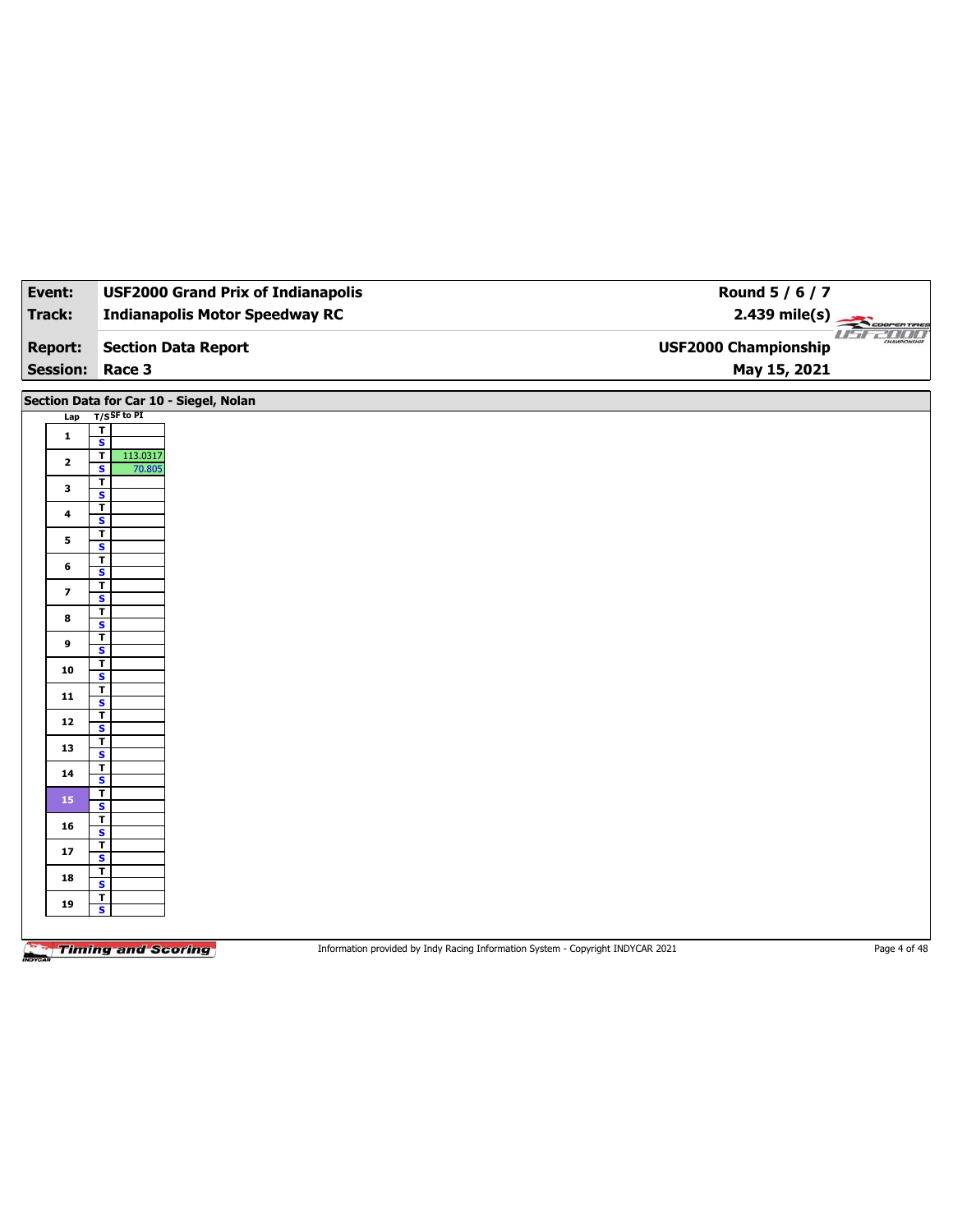| Event:                  | <b>USF2000 Grand Prix of Indianapolis</b>          | Round 5 / 6 / 7                                                                 |                 |
|-------------------------|----------------------------------------------------|---------------------------------------------------------------------------------|-----------------|
| <b>Track:</b>           | <b>Indianapolis Motor Speedway RC</b>              | $2.439$ mile(s)                                                                 | COOPERTIRES     |
| <b>Report:</b>          | <b>Section Data Report</b>                         | <b>USF2000 Championship</b>                                                     | <i>USE 2000</i> |
| <b>Session:</b>         | Race 3                                             | May 15, 2021                                                                    |                 |
|                         | Section Data for Car 10 - Siegel, Nolan            |                                                                                 |                 |
| Lap                     | $T/S$ SF to PI                                     |                                                                                 |                 |
| 1                       | $\mathbf T$<br>$\mathbf{s}$                        |                                                                                 |                 |
|                         | 113.0317<br>$\mathbf{T}$                           |                                                                                 |                 |
| $\mathbf{2}$            | $\mathbf{s}$<br>70.805                             |                                                                                 |                 |
| 3                       | $\overline{\mathbf{r}}$<br>$\overline{\mathbf{s}}$ |                                                                                 |                 |
| $\overline{\mathbf{4}}$ | $\mathbf{T}$                                       |                                                                                 |                 |
|                         | $\overline{\mathbf{s}}$<br>$\overline{\mathbf{I}}$ |                                                                                 |                 |
| 5                       | $\overline{\mathbf{s}}$                            |                                                                                 |                 |
| 6                       | $\overline{\mathbf{r}}$<br>S                       |                                                                                 |                 |
| $\overline{\mathbf{z}}$ | $\overline{\mathsf{r}}$                            |                                                                                 |                 |
|                         | $\overline{\mathbf{s}}$<br>$\overline{\mathbf{r}}$ |                                                                                 |                 |
| 8                       | S                                                  |                                                                                 |                 |
| 9                       | $\mathbf T$<br>$\overline{\mathbf{s}}$             |                                                                                 |                 |
| 10                      | $\overline{\mathbf{r}}$                            |                                                                                 |                 |
|                         | S                                                  |                                                                                 |                 |
| $11$                    | $rac{1}{s}$                                        |                                                                                 |                 |
| 12                      | $\overline{\mathbf{r}}$<br>$\overline{\mathbf{s}}$ |                                                                                 |                 |
| 13                      | $rac{1}{s}$                                        |                                                                                 |                 |
|                         | $\overline{\mathbf{r}}$                            |                                                                                 |                 |
| 14                      | $\overline{\mathbf{s}}$                            |                                                                                 |                 |
| 15                      | $\overline{\mathbf{r}}$<br>$\overline{\mathbf{s}}$ |                                                                                 |                 |
|                         | T                                                  |                                                                                 |                 |
| 16                      | $\overline{\mathbf{s}}$                            |                                                                                 |                 |
| $17$                    | $\overline{1}$<br>$\overline{\mathbf{s}}$          |                                                                                 |                 |
| 18                      | $\overline{\mathbf{r}}$                            |                                                                                 |                 |
|                         | $\overline{\mathbf{s}}$<br>$\mathbf{r}$            |                                                                                 |                 |
| 19                      | $\overline{\mathbf{s}}$                            |                                                                                 |                 |
|                         |                                                    |                                                                                 |                 |
|                         | <b>Timing and Scoring</b>                          | Information provided by Indy Racing Information System - Copyright INDYCAR 2021 | Page 4 of 48    |

mov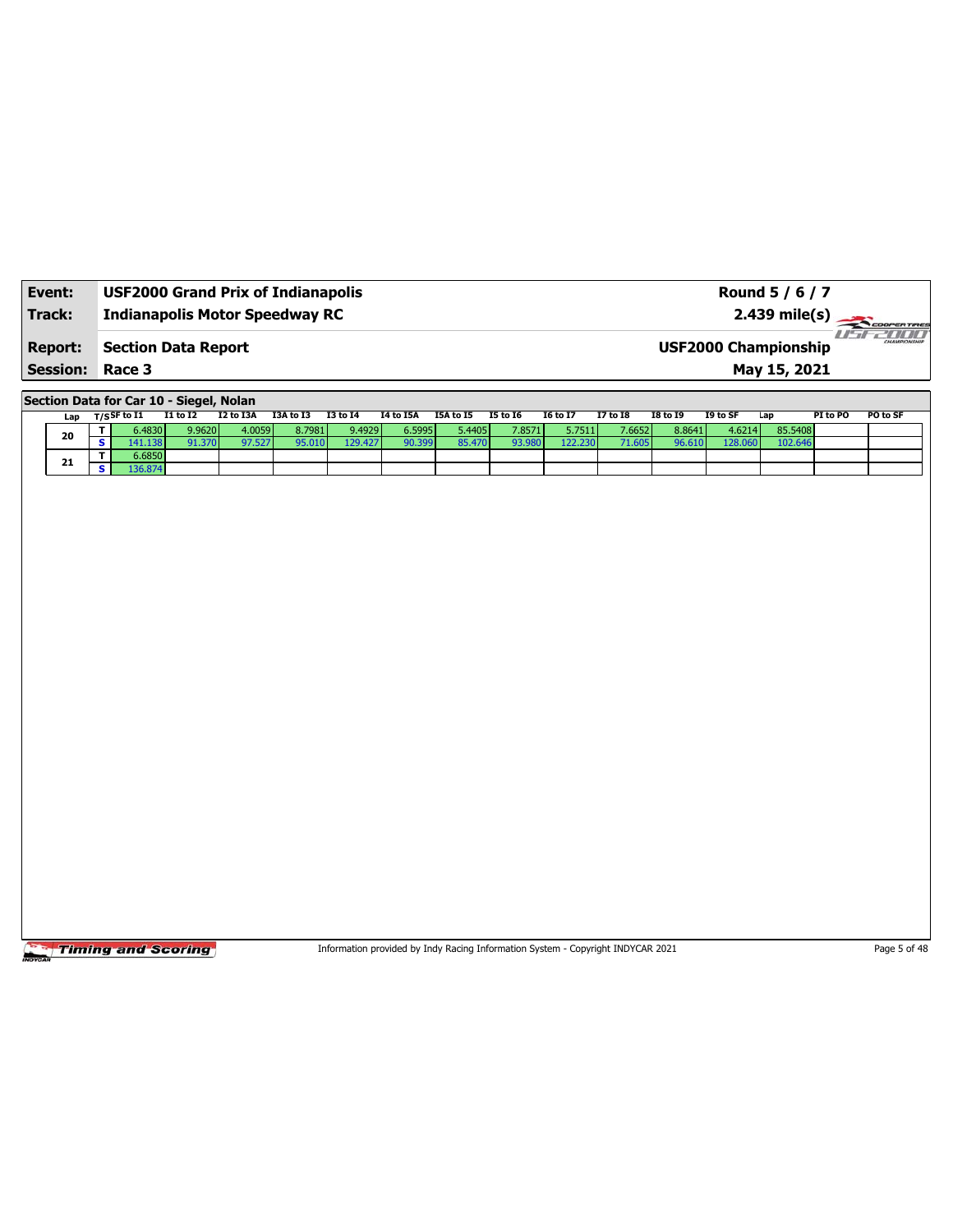| Event:                 | <b>USF2000 Grand Prix of Indianapolis</b> | Round 5 / 6 / 7                                         |
|------------------------|-------------------------------------------|---------------------------------------------------------|
| Track:                 | <b>Indianapolis Motor Speedway RC</b>     | $2.439$ mile(s) $\frac{1}{2.200$ COOPER TIRES<br>usraum |
| <b>Report:</b>         | Section Data Report                       | CHAMPIONSHIP<br><b>USF2000 Championship</b>             |
| <b>Session: Race 3</b> |                                           | May 15, 2021                                            |

**Section Data for Car 10 - Siegel, Nolan**

| Lap | T/S <sup>SF to I1</sup> | I1 to I2 | I2 to I3A | I3A to I3 | <b>I3 to 14</b> | 14 to 15A | I5A to I5 | <b>I5 to 16</b> | I6 to I7 | <b>I7 to I8</b> | <b>I8 to I9</b> | I9 to SF | Lap     | PI to PO | PO to SF |
|-----|-------------------------|----------|-----------|-----------|-----------------|-----------|-----------|-----------------|----------|-----------------|-----------------|----------|---------|----------|----------|
| 20  | 0.4830                  | 9.9620   | 4.0059    | 8.7981    | 9.4929          | 6.5995    | 5.4405    | 7.8571          | 5.7511   | 7.6652          | 8.8641          | 4.6214   | 85.5408 |          |          |
|     | $-41.138$               | 91.370   | 97.527    | 20        | 29.427          | 90.399    | 85.470    | 93.980          | 22.230   |                 |                 |          | 102.646 |          |          |
| 21  | 6.6850                  |          |           |           |                 |           |           |                 |          |                 |                 |          |         |          |          |
|     | .36.874'                |          |           |           |                 |           |           |                 |          |                 |                 |          |         |          |          |

Timing and Scoring

Information provided by Indy Racing Information System - Copyright INDYCAR 2021 Page 5 of 48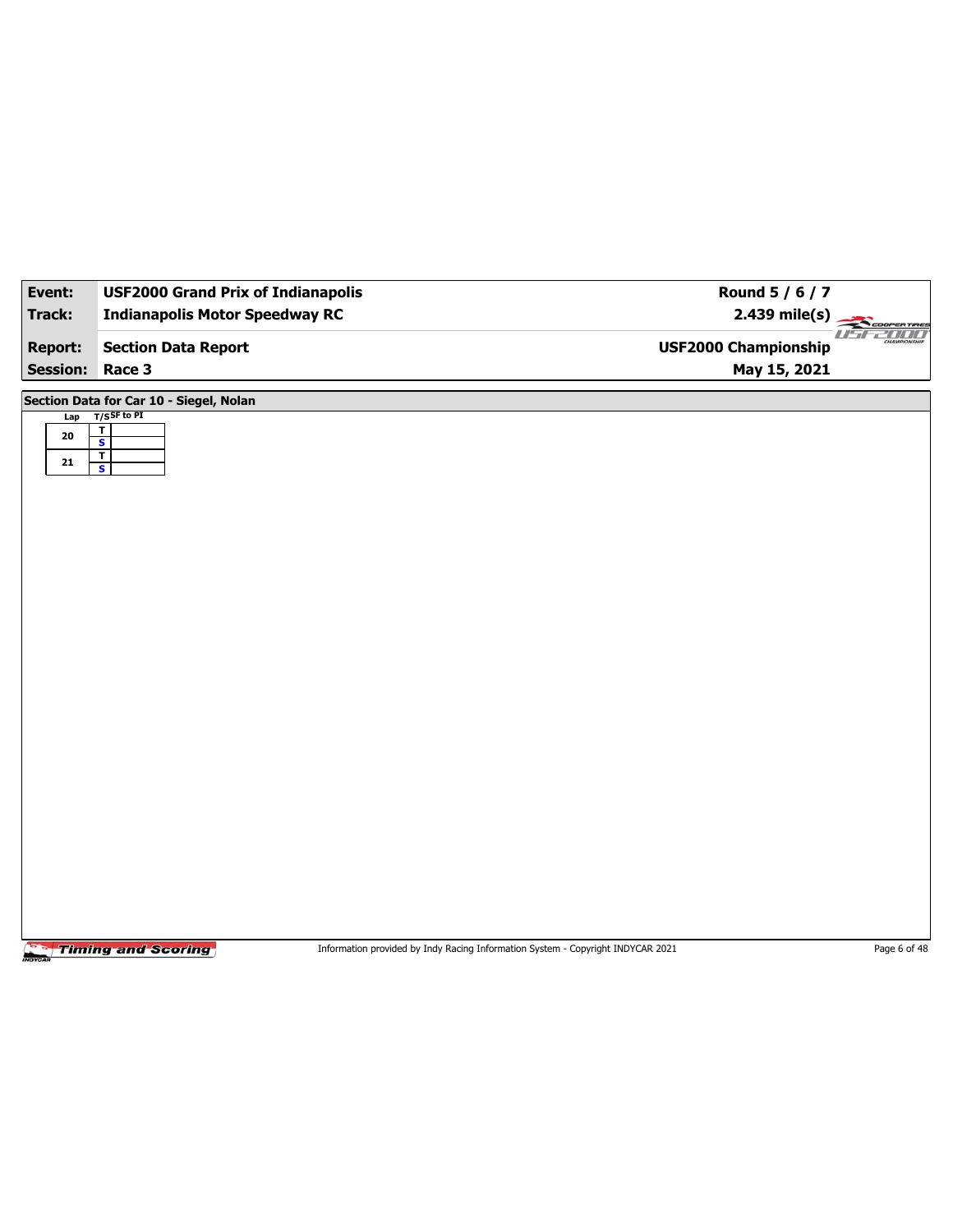| Event:          | <b>USF2000 Grand Prix of Indianapolis</b>          | Round 5 / 6 / 7                                                     |
|-----------------|----------------------------------------------------|---------------------------------------------------------------------|
| <b>Track:</b>   | <b>Indianapolis Motor Speedway RC</b>              | $2.439$ mile(s)<br>COOPERTIRES                                      |
| <b>Report:</b>  | <b>Section Data Report</b>                         | <b>ZOOO</b><br>1 I T<br>CHAMPSONSHIP<br><b>USF2000 Championship</b> |
| <b>Session:</b> | Race 3                                             | May 15, 2021                                                        |
|                 | Section Data for Car 10 - Siegel, Nolan            |                                                                     |
| ${\bf 20}$      | Lap T/SSF to PI<br>$\overline{\mathbf{r}}$         |                                                                     |
| ${\bf 21}$      | $\overline{\mathbf{s}}$<br>$\overline{\mathbf{r}}$ |                                                                     |
|                 | $\mathbf{s}$                                       |                                                                     |
|                 |                                                    |                                                                     |
|                 |                                                    |                                                                     |
|                 |                                                    |                                                                     |
|                 |                                                    |                                                                     |
|                 |                                                    |                                                                     |
|                 |                                                    |                                                                     |
|                 |                                                    |                                                                     |
|                 |                                                    |                                                                     |
|                 |                                                    |                                                                     |
|                 |                                                    |                                                                     |
|                 |                                                    |                                                                     |
|                 |                                                    |                                                                     |
|                 |                                                    |                                                                     |
|                 |                                                    |                                                                     |
|                 |                                                    |                                                                     |
|                 |                                                    |                                                                     |
|                 |                                                    |                                                                     |

Information provided by Indy Racing Information System - Copyright INDYCAR 2021 Page 6 of 48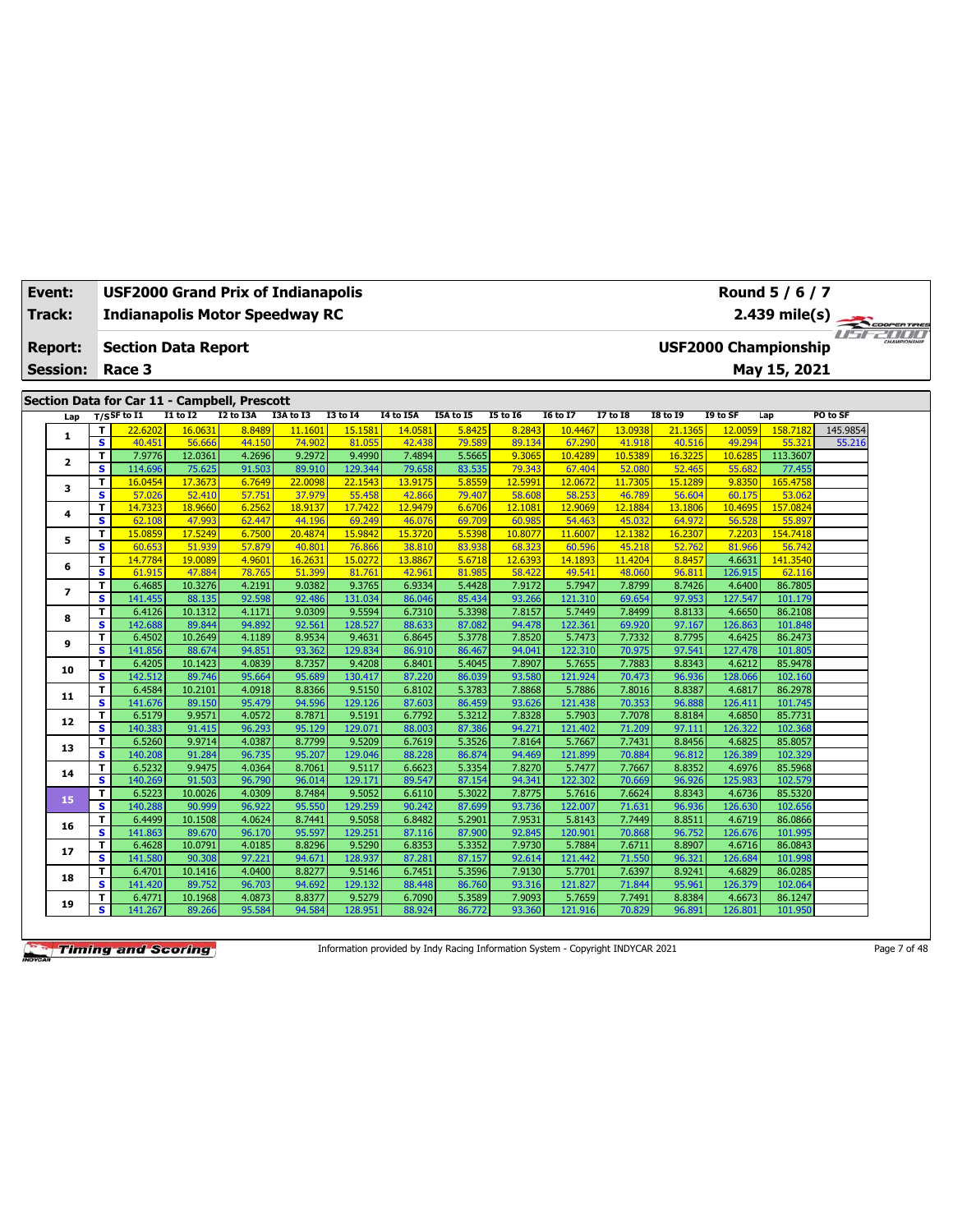| Event:<br>Track: |                              | <b>USF2000 Grand Prix of Indianapolis</b><br><b>Indianapolis Motor Speedway RC</b> |                   |                                     |                   |                   |                   |                  |                   |                   |                   |                   |                             | Round 5 / 6 / 7<br>2.439 mile(s) |          | COOPERTIRES           |
|------------------|------------------------------|------------------------------------------------------------------------------------|-------------------|-------------------------------------|-------------------|-------------------|-------------------|------------------|-------------------|-------------------|-------------------|-------------------|-----------------------------|----------------------------------|----------|-----------------------|
| <b>Report:</b>   |                              | <b>Section Data Report</b>                                                         |                   |                                     |                   |                   |                   |                  |                   |                   |                   |                   | <b>USF2000 Championship</b> |                                  |          | <b>Fiftee All III</b> |
| <b>Session:</b>  |                              | Race 3                                                                             |                   |                                     |                   |                   |                   |                  |                   |                   |                   |                   |                             | May 15, 2021                     |          |                       |
|                  |                              |                                                                                    |                   |                                     |                   |                   |                   |                  |                   |                   |                   |                   |                             |                                  |          |                       |
|                  |                              | Section Data for Car 11 - Campbell, Prescott                                       |                   |                                     |                   |                   |                   |                  |                   |                   |                   |                   |                             |                                  |          |                       |
| Lap              |                              | $T/S$ SF to I1                                                                     | I1 to I2          | $\overline{12}$ to $\overline{13A}$ | I3A to I3         | <b>I3 to 14</b>   | <b>I4 to I5A</b>  | I5A to I5        | <b>I5 to 16</b>   | <b>I6 to I7</b>   | <b>17 to 18</b>   | <b>I8 to 19</b>   | I9 to SF                    | Lap                              | PO to SF |                       |
| 1                | T                            | 22.6202                                                                            | 16.0631           | 8.8489                              | 11.1601           | 15.1581           | 14.0581           | 5.8425           | 8.2843            | 10.4467           | 13.093            | 21.1365           | 12.0059                     | 158.7182                         | 145.9854 |                       |
|                  | $\overline{\mathbf{s}}$      | 40.451                                                                             | 56.666            | 44.150                              | 74.902            | 81.055            | 42.438            | 79.589           | 89.134            | 67.290            | 41.918            | 40.516            | 49.294                      | 55.321                           | 55.216   |                       |
| $\mathbf{z}$     | T                            | 7.9776                                                                             | 12.0361           | 4.2696                              | 9.2972            | 9.4990            | 7.4894            | 5.5665           | 9.3065            | 10.4289           | 10.538            | 16.3225           | 10.628                      | 113.3607                         |          |                       |
|                  | $\overline{\mathbf{s}}$      | 114.696                                                                            | 75.625            | 91.503                              | 89.910            | 129.344           | 79.658            | 83.535           | 79.343            | 67.404            | 52.080            | 52.465            | 55.682                      | 77.455                           |          |                       |
| з                | т<br>$\overline{\mathbf{s}}$ | 16.0454<br>57.026                                                                  | 17.3673           | 6.7649<br>57.75                     | 22,0098<br>37,979 | 22.1543<br>55.458 | 13.9175           | 5.8559           | 12.599            | 12.0672<br>58.253 | 11.7305<br>46.789 | 15.1289           | 9.8350                      | 165.4758<br>53.062               |          |                       |
|                  | T                            | 14.7323                                                                            | 52.410<br>18.9660 | 6.2562                              | 18.9137           | 17.742            | 42.866<br>12.9479 | 79.407<br>6.6706 | 58.608<br>12.1081 | 12.9069           | 12.1884           | 56.604<br>13.1806 | 60.175<br>10.4695           | 157.0824                         |          |                       |
| 4                | S                            | 62.108                                                                             | 47.993            | 62.447                              | 44.196            | 69.249            | 46.076            | 69.709           | 60.985            | 54.463            | 45.032            | 64.972            | 56.528                      | 55.897                           |          |                       |
|                  | T                            | 15.0859                                                                            | 17.5249           | 6.7500                              | 20.4874           | 15.9842           | 15.3720           | 5.5398           | 10.8077           | 11.6007           | 12.1382           | 16.2307           | 7.2203                      | 154.7418                         |          |                       |
| 5                | $\overline{\mathbf{s}}$      | 60.653                                                                             | 51.939            | 57.879                              | 40.801            | 76.866            | 38.810            | 83.938           | 68.323            | 60.596            | 45.218            | 52.762            | 81.966                      | 56.742                           |          |                       |
|                  | T                            | 14.7784                                                                            | 19.0089           | 4.9601                              | 16.2631           | 15.0272           | 13.8867           | 5.6718           | 12.6393           | 14.1893           | 11.4204           | 8.8457            | 4.6631                      | 141.3540                         |          |                       |
| 6                | $\overline{\mathbf{s}}$      | 61.915                                                                             | 47.884            | 78.765                              | 51,399            | 81.761            | 42.961            | 81.985           | 58.422            | 49.541            | 48.060            | 96.811            | 126.915                     | 62.116                           |          |                       |
|                  | T                            | 6.4685                                                                             | 10.3276           | 4.2191                              | 9.0382            | 9.3765            | 6.9334            | 5.4428           | 7.9172            | 5.7947            | 7.8799            | 8.7426            | 4.6400                      | 86.7805                          |          |                       |
| $\overline{ }$   | s                            | 141.455                                                                            | 88.135            | 92.598                              | 92.486            | 131.034           | 86.046            | 85.434           | 93.266            | 121.310           | 69.654            | 97.953            | 127.547                     | 101.179                          |          |                       |
|                  | T                            | 6.4126                                                                             | 10.1312           | 4.1171                              | 9.0309            | 9.5594            | 6.7310            | 5.3398           | 7.8157            | 5.7449            | 7.8499            | 8.8133            | 4.6650                      | 86.2108                          |          |                       |
| 8                | s                            | 142.688                                                                            | 89.844            | 94.892                              | 92.561            | 128.527           | 88.633            | 87.082           | 94.478            | 122.361           | 69.920            | 97.167            | 126.863                     | 101.848                          |          |                       |
|                  | T                            | 6.4502                                                                             | 10.2649           | 4.1189                              | 8.9534            | 9.4631            | 6.8645            | 5.3778           | 7.8520            | 5.7473            | 7.7332            | 8.7795            | 4.6425                      | 86.2473                          |          |                       |
| 9                | s                            | 141.856                                                                            | 88.674            | 94.851                              | 93.362            | 129.834           | 86.910            | 86.467           | 94.041            | 122.310           | 70.97             | 97.541            | 127.478                     | 101.805                          |          |                       |
|                  | T                            | 6.4205                                                                             | 10.1423           | 4.0839                              | 8.7357            | 9.4208            | 6.8401            | 5.4045           | 7.8907            | 5.7655            | 7.7883            | 8.8343            | 4.6212                      | 85.9478                          |          |                       |
| 10               | s                            | 142.512                                                                            | 89.746            | 95.664                              | 95.689            | 130.417           | 87.220            | 86.039           | 93.580            | 121.924           | 70.473            | 96.936            | 128.066                     | 102.160                          |          |                       |
| 11               | T.                           | 6.4584                                                                             | 10.2101           | 4.0918                              | 8.8366            | 9.5150            | 6.8102            | 5.3783           | 7.8868            | 5.7886            | 7.8016            | 8.8387            | 4.6817                      | 86.2978                          |          |                       |
|                  | s                            | 141.676                                                                            | 89.150            | 95.479                              | 94.596            | 129.126           | 87.603            | 86.459           | 93.626            | 121.438           | 70.353            | 96.888            | 126.411                     | 101.745                          |          |                       |
| 12               | T.                           | 6.5179                                                                             | 9.9571            | 4.0572                              | 8.7871            | 9.5191            | 6.7792            | 5.3212           | 7.8328            | 5.7903            | 7.7078            | 8.8184            | 4.6850                      | 85.7731                          |          |                       |
|                  | $\overline{\mathbf{s}}$      | 140.383                                                                            | 91.415            | 96.293                              | 95.129            | 129.07:           | 88.003            | 87.386           | 94.271            | 121.402           | 71.209            | 97.111            | 126.322                     | 102.368                          |          |                       |
| 13               | T.                           | 6.5260                                                                             | 9.9714            | 4.0387                              | 8.7799            | 9.5209            | 6.7619            | 5.3526           | 7.8164            | 5.7667            | 7.7431            | 8.8456            | 4.6825                      | 85.8057                          |          |                       |
|                  | $\overline{\mathbf{s}}$      | 140.208                                                                            | 91.284            | 96.735                              | 95.207            | 129.046           | 88.228            | 86.874           | 94.469            | 121.899           | 70.884            | 96.812            | 126.389                     | 102.329                          |          |                       |
| 14               | T.                           | 6.5232                                                                             | 9.9475            | 4.0364                              | 8.7061            | 9.5117            | 6.6623            | 5.3354           | 7.8270            | 5.7477            | 7.7667            | 8.8352            | 4.6976                      | 85.5968                          |          |                       |
|                  | s                            | 140.269                                                                            | 91.503            | 96.790                              | 96.014            | 129.171           | 89.547            | 87.154           | 94.341            | 122.302           | 70.669            | 96.926            | 125.983                     | 102.579                          |          |                       |
| 15               | T<br>s.                      | 6.5223                                                                             | 10.0026           | 4.0309                              | 8.7484            | 9.5052            | 6.6110            | 5.3022           | 7.8775            | 5.7616<br>122.007 | 7.6624            | 8.8343            | 4.6736                      | 85.5320                          |          |                       |
|                  |                              | 140.288                                                                            | 90.999<br>10.1508 | 96.922<br>4.0624                    | 95.550<br>8.7441  | 129.259<br>9.5058 | 90.242            | 87.699<br>5.2901 | 93.736<br>7.9531  | 5.8143            | 71.631<br>7.7449  | 96.936            | 126.630<br>4.6719           | 102.656<br>86.0866               |          |                       |
| 16               | T.<br>s.                     | 6.4499<br>141.863                                                                  | 89.670            | 96.170                              | 95.597            | 129.251           | 6.8482<br>87.116  | 87.900           | 92.845            | 120.901           | 70.868            | 8.8511<br>96.752  | 126.676                     | 101.995                          |          |                       |
|                  | T.                           | 6.4628                                                                             | 10.0791           | 4.0185                              | 8.8296            | 9.5290            | 6.8353            | 5.3352           | 7.9730            | 5.7884            | 7.6711            | 8.8907            | 4.6716                      | 86.0843                          |          |                       |
| 17               | s                            | 141.580                                                                            | 90.308            | 97.221                              | 94.671            | 128.937           | 87.281            | 87.157           | 92.614            | 121.442           | 71.550            | 96.321            | 126.684                     | 101.998                          |          |                       |
|                  | T                            | 6.4701                                                                             | 10.1416           | 4.0400                              | 8.8277            | 9.5146            | 6.7451            | 5.3596           | 7.9130            | 5.7701            | 7.6397            | 8.9241            | 4.6829                      | 86.0285                          |          |                       |
| 18               | s                            | 141.420                                                                            | 89.752            | 96.703                              | 94.692            | 129.132           | 88.448            | 86.760           | 93.316            | 121.827           | 71.844            | 95.961            | 126.379                     | 102.064                          |          |                       |
|                  | T                            | 6.4771                                                                             | 10.1968           | 4.0873                              | 8.8377            | 9.5279            | 6.7090            | 5.3589           | 7.9093            | 5.7659            | 7.7491            | 8.8384            | 4.6673                      | 86.1247                          |          |                       |
| 19               | s                            | 141.267                                                                            | 89.266            | 95.584                              | 94.584            | 128.951           | 88.924            | 86.772           | 93.360            | 121.916           | 70.829            | 96.891            | 126.801                     | 101.950                          |          |                       |

Information provided by Indy Racing Information System - Copyright INDYCAR 2021 Page 7 of 48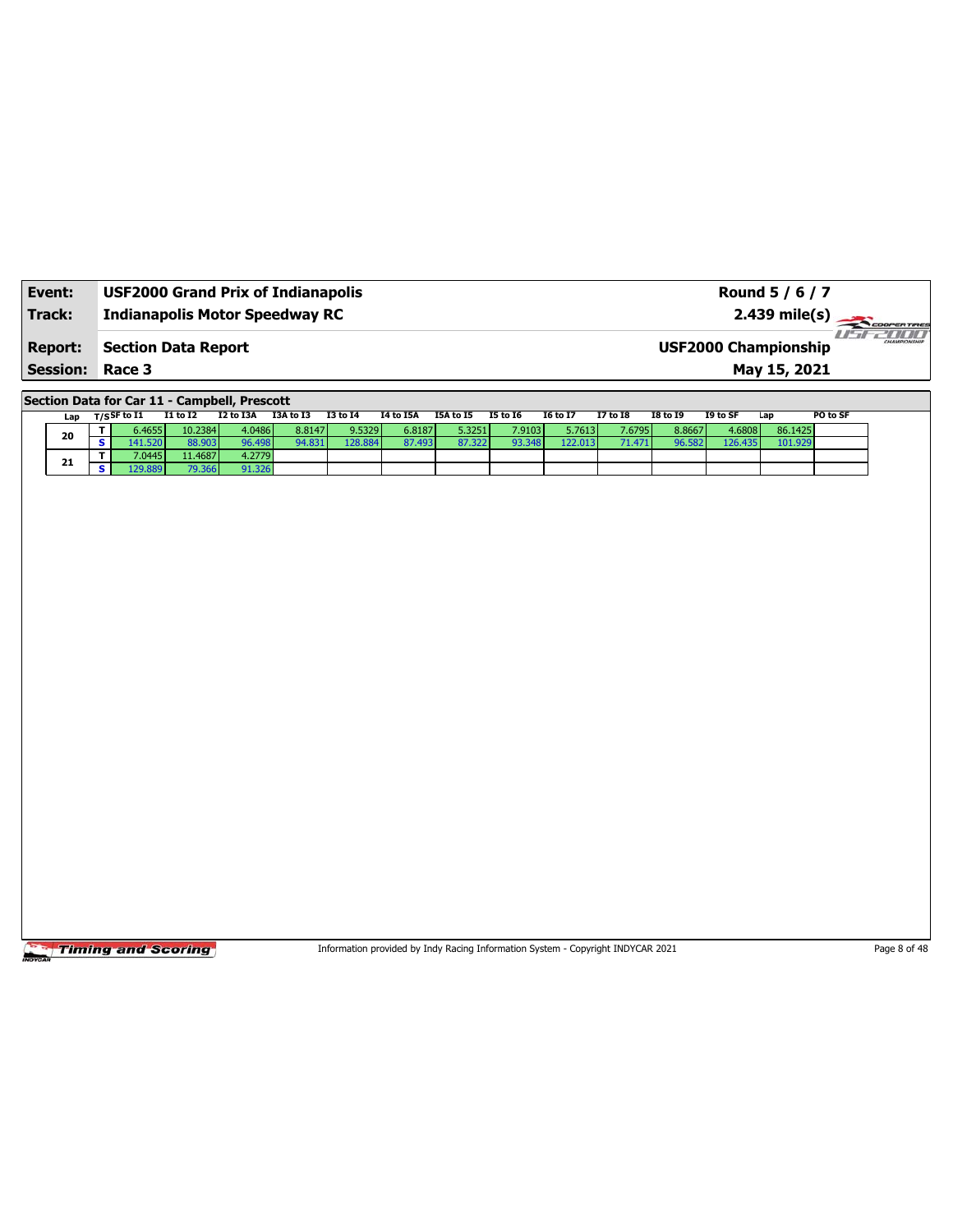| Event:                                   | <b>USF2000 Grand Prix of Indianapolis</b> | Round 5 / 6 / 7                             |                        |
|------------------------------------------|-------------------------------------------|---------------------------------------------|------------------------|
| Track:                                   | <b>Indianapolis Motor Speedway RC</b>     | $2.439 \text{ mile(s)}$                     | 711111<br>CHAMPIONSHIP |
| <b>Report:</b><br><b>Session: Race 3</b> | <b>Section Data Report</b>                | <b>USF2000 Championship</b><br>May 15, 2021 |                        |

**Section Data for Car 11 - Campbell, Prescott**

| Lap | $T/S$ SF to I1 | I1 to I2 | I2 to I3A | I3A to I3 | <b>I3 to 14</b> | <b>I4 to I5A</b> | I5A to I5 | <b>I5 to 16</b> | <b>16 to 17</b> | <b>I7 to I8</b> | <b>I8 to I9</b> | I9 to SF | Lap     | PO to SF |
|-----|----------------|----------|-----------|-----------|-----------------|------------------|-----------|-----------------|-----------------|-----------------|-----------------|----------|---------|----------|
|     | 5.4655         | 10.2384  | 4.0486    | 8.8147    | 9.5329          | 6.8187           | 5.3251    | 7.9103          | 5.7613          | 7.6795          | 8.8667          | 4.6808   | 86.1425 |          |
| 20  | .1.520         | 38.903   | 96.498    | 4.831     | 128.884         | 87.493           | 87.322    | 93.348          | 122.013         |                 | 96.582          | 126.435  | 101.929 |          |
|     | 7.0445         | 11.4687  | 4.2779    |           |                 |                  |           |                 |                 |                 |                 |          |         |          |
| 21  |                | 79.366   | 91.326    |           |                 |                  |           |                 |                 |                 |                 |          |         |          |

Timing and Scoring

Information provided by Indy Racing Information System - Copyright INDYCAR 2021 Page 8 of 48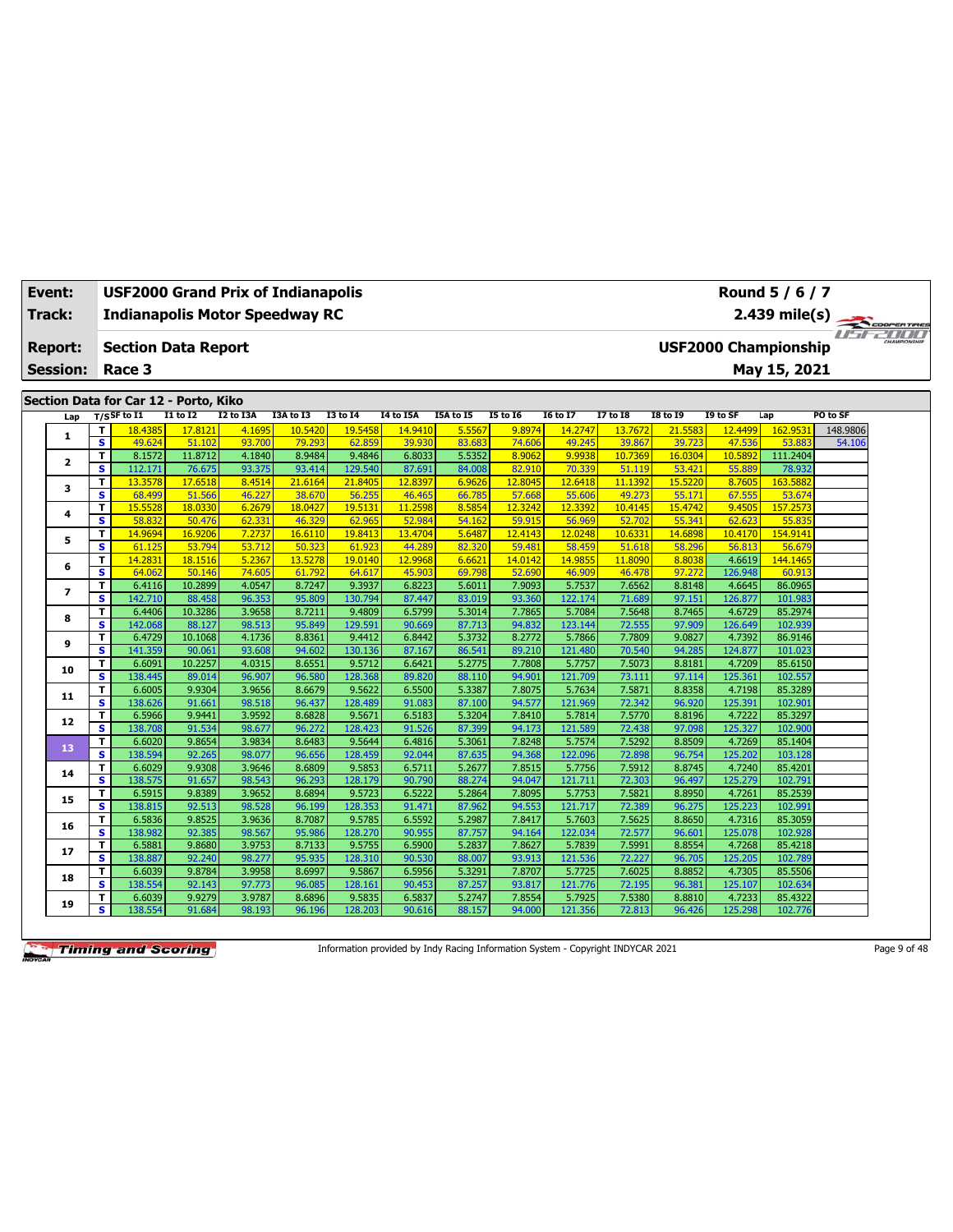| Event:          |                              | <b>USF2000 Grand Prix of Indianapolis</b> |                         |                     |                      |                   |                             |                     |                           |                            |                            |                            |                     | Round 5 / 6 / 7             |                    |
|-----------------|------------------------------|-------------------------------------------|-------------------------|---------------------|----------------------|-------------------|-----------------------------|---------------------|---------------------------|----------------------------|----------------------------|----------------------------|---------------------|-----------------------------|--------------------|
| Track:          |                              | <b>Indianapolis Motor Speedway RC</b>     |                         |                     |                      |                   |                             |                     |                           |                            |                            |                            |                     | $2.439$ mile(s)             | COOPERTIRES        |
|                 |                              |                                           |                         |                     |                      |                   |                             |                     |                           |                            |                            |                            |                     |                             | <b>ISEZIOLI</b>    |
| <b>Report:</b>  |                              | <b>Section Data Report</b>                |                         |                     |                      |                   |                             |                     |                           |                            |                            |                            |                     | <b>USF2000 Championship</b> |                    |
| <b>Session:</b> |                              | Race 3                                    |                         |                     |                      |                   |                             |                     |                           |                            |                            |                            |                     | May 15, 2021                |                    |
|                 |                              |                                           |                         |                     |                      |                   |                             |                     |                           |                            |                            |                            |                     |                             |                    |
|                 |                              | Section Data for Car 12 - Porto, Kiko     |                         |                     |                      |                   |                             |                     |                           |                            |                            |                            |                     |                             |                    |
| Lap             | T                            | $T/S$ SF to I1<br>18.4385                 | $I1$ to $I2$<br>17,8121 | I2 to I3A<br>4.1695 | I3A to I3<br>10.5420 | <b>I3 to 14</b>   | <b>I4 to I5A</b><br>14.9410 | I5A to I5<br>5.5567 | <b>I5 to 16</b><br>9.8974 | <b>I6 to I7</b><br>14.2747 | <b>I7 to 18</b><br>13,7672 | <b>I8 to 19</b><br>21.5583 | I9 to SF<br>12.4499 | Lap<br>162.9531             | PO to SF           |
| 1               | $\overline{\mathbf{s}}$      | 49.624                                    | 51.102                  | 93.700              | 79.293               | 19.5458<br>62.859 | 39.930                      | 83.683              | 74.606                    | 49.245                     | 39.867                     | 39.723                     | 47.536              | 53.883                      | 148.9806<br>54.106 |
|                 | $\overline{\mathsf{r}}$      | 8.1572                                    | 11.8712                 | 4.1840              | 8.9484               | 9.4846            | 6.8033                      | 5.5352              | 8.9062                    | 9.9938                     | 10.7369                    | 16.0304                    | 10.5892             | 111.2404                    |                    |
| $\mathbf{z}$    | s                            | 112.171                                   | 76.675                  | 93.375              | 93.414               | 129.540           | 87.691                      | 84.008              | 82.910                    | 70.339                     | 51.119                     | 53.421                     | 55.889              | 78.932                      |                    |
|                 | $\mathbf T$                  | 13.3578                                   | 17.6518                 | 8.4514              | 21.6164              | 21,8405           | 12.8397                     | 6.9626              | 12.8045                   | 12.6418                    | 11.1392                    | 15,5220                    | 8.7605              | 163.5882                    |                    |
| з               | s                            | 68.499                                    | 51.566                  | 46.227              | 38.670               | 56.25             | 46.465                      | 66.785              | 57.668                    | 55.606                     | 49.273                     | 55.17                      | 67.555              | 53.674                      |                    |
| 4               | $\mathbf T$                  | 15.5528                                   | 18.0330                 | 6.2679              | 18.0427              | 19.513:           | 11.2598                     | 8.5854              | 12.3242                   | 12.3392                    | 10.4145                    | 15.4742                    | 9.4505              | 157.2573                    |                    |
|                 | $\overline{\mathbf{s}}$      | 58.832                                    | 50.476                  | 62.331              | 46.329               | 62.965            | 52.984                      | 54.162              | 59.915                    | 56.969                     | 52.702                     | 55.341                     | 62.623              | 55.835                      |                    |
| 5               | $\mathbf T$                  | 14.9694                                   | 16.9206                 | 7.2737              | 16.6110              | 19.8413           | 13.4704                     | 5.6487              | 12.4143                   | 12.0248                    | 10.6331                    | 14.6898                    | 10.4170             | 154.9141                    |                    |
|                 | $\overline{\mathbf{s}}$      | 61.125                                    | 53.794                  | 53.712              | 50.323               | 61.923            | 44.289                      | 82.320              | 59.481                    | 58.459                     | 51.618                     | 58.296                     | 56.813              | 56.679                      |                    |
| 6               | T.                           | 14.2831                                   | 18.1516                 | 5.2367              | 13.5278              | 19.0140           | 12.9968                     | 6.6621              | 14.0142                   | 14.985!                    | 11.8090                    | 8.8038                     | 4.6619              | 144.1465                    |                    |
|                 | S                            | 64.062                                    | 50.146                  | 74.605              | 61.792               | 64.61             | 45.903                      | 69.798              | 52.690                    | 46.909                     | 46.478                     | 97.272                     | 126.948             | 60.913                      |                    |
| 7               | T<br>s                       | 6.4116<br>142.710                         | 10.2899<br>88.458       | 4.0547<br>96.353    | 8.7247<br>95.809     | 9.3937<br>130.794 | 6.8223<br>87.447            | 5.6011<br>83.019    | 7.9093<br>93.360          | 5.7537<br>122.174          | 7.6562<br>71.689           | 8.8148                     | 4.6645<br>126.877   | 86.0965<br>101.983          |                    |
|                 | T                            | 6.4406                                    | 10.3286                 | 3.9658              | 8.7211               | 9.4809            | 6.5799                      | 5.3014              | 7.7865                    | 5.7084                     | 7.5648                     | 97.151<br>8.7465           | 4.6729              | 85.2974                     |                    |
| 8               | s                            | 142.068                                   | 88.127                  | 98.513              | 95.849               | 129.591           | 90.669                      | 87.713              | 94.832                    | 123.144                    | 72.555                     | 97.909                     | 126.649             | 102.939                     |                    |
|                 | T                            | 6.4729                                    | 10.1068                 | 4.1736              | 8.8361               | 9.4412            | 6.8442                      | 5.3732              | 8.2772                    | 5.7866                     | 7.7809                     | 9.0827                     | 4.7392              | 86.9146                     |                    |
| 9               | s                            | 141.359                                   | 90.061                  | 93.608              | 94.602               | 130.136           | 87.167                      | 86.541              | 89.210                    | 121.480                    | 70.540                     | 94.285                     | 124.877             | 101.023                     |                    |
|                 | T                            | 6.6091                                    | 10.2257                 | 4.0315              | 8.6551               | 9.5712            | 6.6421                      | 5.2775              | 7.7808                    | 5.7757                     | 7.5073                     | 8.8181                     | 4.7209              | 85.6150                     |                    |
| 10              | $\overline{\mathbf{s}}$      | 138.445                                   | 89.014                  | 96.907              | 96.580               | 128.368           | 89.820                      | 88.110              | 94.901                    | 121.709                    | 73.111                     | 97.114                     | 125.361             | 102.557                     |                    |
|                 | T.                           | 6.6005                                    | 9.9304                  | 3.9656              | 8.6679               | 9.5622            | 6.5500                      | 5.3387              | 7.8075                    | 5.7634                     | 7.5871                     | 8.8358                     | 4.7198              | 85.3289                     |                    |
| 11              | $\overline{\mathbf{s}}$      | 138.626                                   | 91.661                  | 98.518              | 96.437               | 128.489           | 91.083                      | 87.100              | 94.577                    | 121.969                    | 72.342                     | 96.920                     | 125.391             | 102.901                     |                    |
|                 | T                            | 6.5966                                    | 9.9441                  | 3.9592              | 8.6828               | 9.5671            | 6.5183                      | 5.3204              | 7.8410                    | 5.7814                     | 7.5770                     | 8.8196                     | 4.7222              | 85.3297                     |                    |
| 12              | s                            | 138.708                                   | 91.534                  | 98.677              | 96.272               | 128.423           | 91.526                      | 87.399              | 94.173                    | 121.589                    | 72.438                     | 97.098                     | 125.327             | 102.900                     |                    |
| 13              | T                            | 6.6020                                    | 9.8654                  | 3.9834              | 8.6483               | 9.5644            | 6.4816                      | 5.3061              | 7.8248                    | 5.7574                     | 7.5292                     | 8.8509                     | 4.7269              | 85.1404                     |                    |
|                 | s                            | 138.594                                   | 92.265                  | 98.077              | 96.656               | 128.459           | 92.044                      | 87.635              | 94.368                    | 122.096                    | 72.898                     | 96.754                     | 125.202             | 103.128                     |                    |
| 14              | T                            | 6.6029                                    | 9.9308                  | 3.9646              | 8.6809               | 9.5853            | 6.5711                      | 5.2677              | 7.8515                    | 5.7756                     | 7.5912                     | 8.8745                     | 4.7240              | 85.4201                     |                    |
|                 | $\overline{\mathbf{s}}$      | 138.575                                   | 91.657                  | 98.543              | 96.293               | 128.179           | 90.790                      | 88.274              | 94.047                    | 121.711                    | 72.303                     | 96.497                     | 125.279             | 102.791                     |                    |
| 15              | $\mathbf T$                  | 6.5915                                    | 9.8389                  | 3.9652              | 8.6894               | 9.5723            | 6.5222                      | 5.2864              | 7.8095                    | 5.7753                     | 7.5821                     | 8.8950                     | 4.7261              | 85.2539                     |                    |
|                 | s                            | 138.815                                   | 92.513                  | 98.528              | 96.199               | 128.353           | 91.471                      | 87.962              | 94.553                    | 121.717                    | 72.389                     | 96.275                     | 125.223             | 102.991                     |                    |
| 16              | T<br>$\overline{\mathbf{s}}$ | 6.5836                                    | 9.8525                  | 3.9636<br>98.567    | 8.7087               | 9.5785            | 6.5592                      | 5.2987              | 7.8417                    | 5.7603                     | 7.5625                     | 8.8650                     | 4.7316              | 85.3059<br>102.928          |                    |
|                 | T.                           | 138.982<br>6.5881                         | 92.385<br>9.8680        | 3.9753              | 95.986<br>8.7133     | 128.270<br>9.5755 | 90.955<br>6.5900            | 87.757<br>5.2837    | 94.164<br>7.8627          | 122.034<br>5.7839          | 72.577<br>7.5991           | 96.601<br>8.8554           | 125.078<br>4.7268   | 85.4218                     |                    |
| 17              | $\overline{\mathbf{s}}$      | 138.887                                   | 92.240                  | 98.277              | 95.935               | 128.310           | 90.530                      | 88.007              | 93.913                    | 121.536                    | 72.227                     | 96.705                     | 125.205             | 102.789                     |                    |
|                 | T.                           | 6.6039                                    | 9.8784                  | 3.9958              | 8.6997               | 9.5867            | 6.5956                      | 5.3291              | 7.8707                    | 5.7725                     | 7.6025                     | 8.8852                     | 4.7305              | 85.5506                     |                    |
| 18              | s                            | 138.554                                   | 92.143                  | 97.773              | 96.085               | 128.161           | 90.453                      | 87.257              | 93.817                    | 121.776                    | 72.195                     | 96.381                     | 125.107             | 102.634                     |                    |
|                 | т                            | 6.6039                                    | 9.9279                  | 3.9787              | 8.6896               | 9.5835            | 6.5837                      | 5.2747              | 7.8554                    | 5.7925                     | 7.5380                     | 8.8810                     | 4.7233              | 85.4322                     |                    |
| 19              | s                            | 138.554                                   | 91.684                  | 98.193              | 96.196               | 128.203           | 90.616                      | 88.157              | 94.000                    | 121.356                    | 72.813                     | 96.426                     | 125.298             | 102.776                     |                    |

Information provided by Indy Racing Information System - Copyright INDYCAR 2021 Page 9 of 48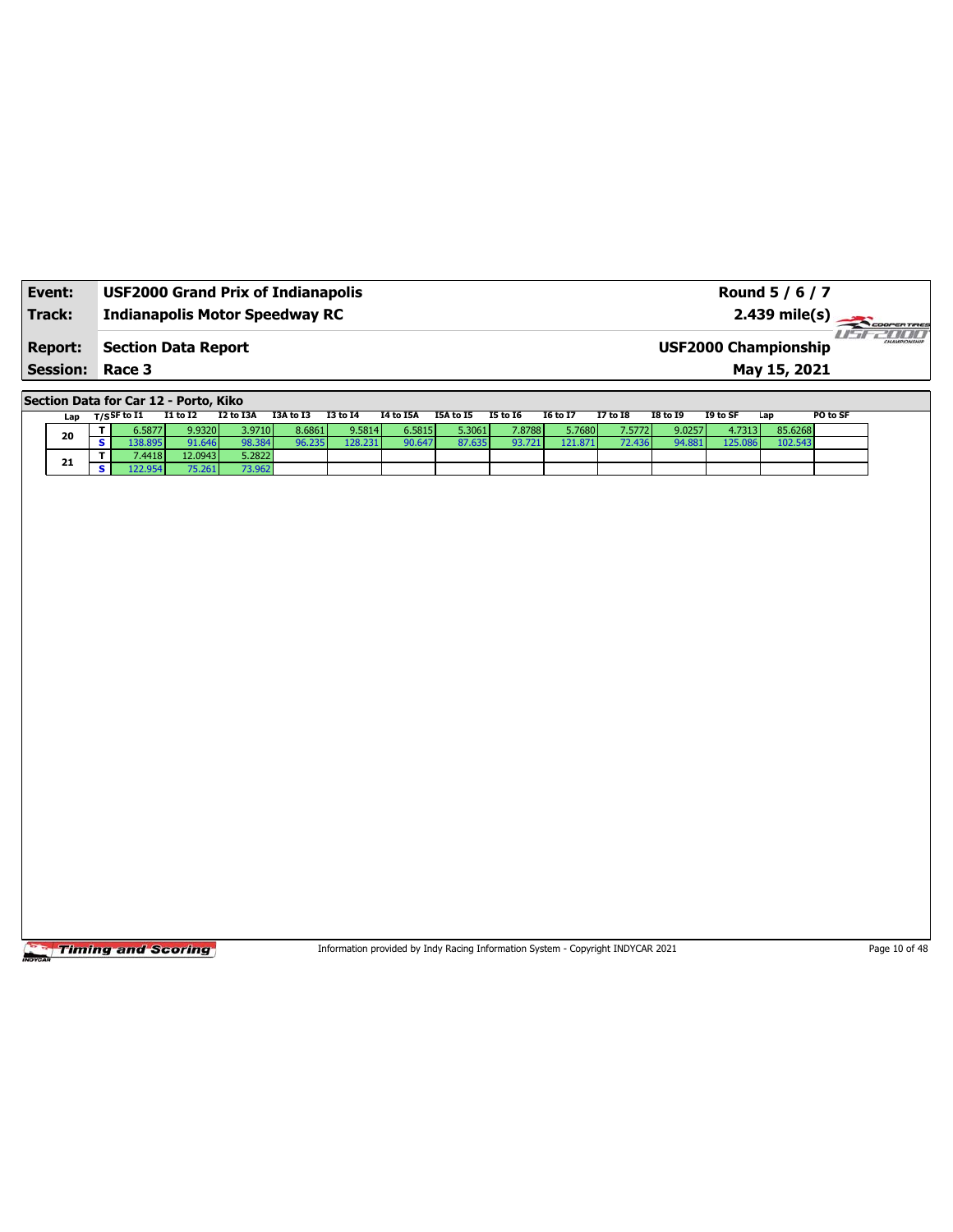| Event:                 | <b>USF2000 Grand Prix of Indianapolis</b> | Round 5 / 6 / 7                                                |
|------------------------|-------------------------------------------|----------------------------------------------------------------|
| <b>Track:</b>          | <b>Indianapolis Motor Speedway RC</b>     | $2.439$ mile(s) $\overbrace{\hspace{2cm}}$ coorer Time         |
| <b>Report:</b>         | Section Data Report                       | 7 10 10 1<br><b>HAMPSONSHIP</b><br><b>USF2000 Championship</b> |
| <b>Session: Race 3</b> |                                           | May 15, 2021                                                   |

**Section Data for Car 12 - Porto, Kiko**

| Lap |  | T/S <sup>SF to I1</sup> | <b>I1 to I2</b> | I2 to I3A | I3A to I3 | <b>I3 to I4</b> | I4 to I5A | I5A to I5 | <b>I5 to 16</b> | <b>16 to 17</b> | <b>I7 to I8</b> | I8 to 19 | I9 to SF | Lap     | PO to SF |
|-----|--|-------------------------|-----------------|-----------|-----------|-----------------|-----------|-----------|-----------------|-----------------|-----------------|----------|----------|---------|----------|
| 20  |  | 5.5877                  | 9.9320          | 3.9710    | 8.6861    | 9.5814          | 6.5815    | 5.3061    | 7.8788          | 5.7680          | 7.5772          | 9.0257   | 4.7313   | 85.6268 |          |
|     |  | 38.895                  | 91.646          | 98.384    | 6.235     | 128.231         | 90.647    | 87.635    | 93.721          | 121.871         | 72.436          | 94.881   | 125.086  | 102.543 |          |
| 21  |  | 7.4418                  | 12.0943         | 5.2822    |           |                 |           |           |                 |                 |                 |          |          |         |          |
|     |  |                         | 75.261          | 73.962    |           |                 |           |           |                 |                 |                 |          |          |         |          |

**Timing and Scoring** 

Information provided by Indy Racing Information System - Copyright INDYCAR 2021 Page 10 of 48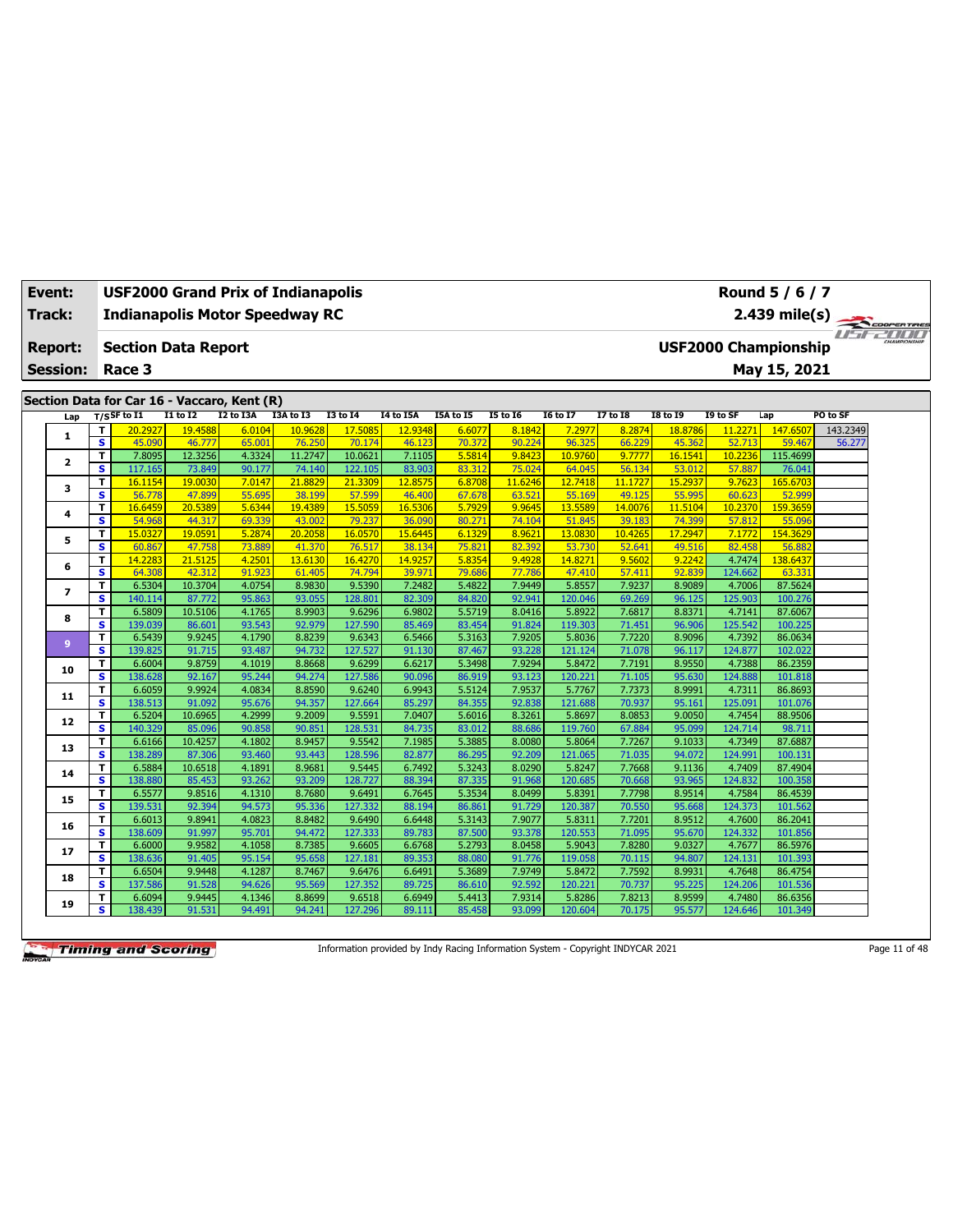| Event:          | USF2000 Grand Prix of Indianapolis                 |                   |                  |                   |                   |                   |                  |                  |                   |                   |                   |                   | Round 5 / 6 / 7             |                                    |  |
|-----------------|----------------------------------------------------|-------------------|------------------|-------------------|-------------------|-------------------|------------------|------------------|-------------------|-------------------|-------------------|-------------------|-----------------------------|------------------------------------|--|
| Track:          | <b>Indianapolis Motor Speedway RC</b>              |                   |                  |                   |                   |                   |                  |                  |                   |                   |                   |                   | $2.439$ mile(s)             | COOPERTIRES                        |  |
| <b>Report:</b>  | <b>Section Data Report</b>                         |                   |                  |                   |                   |                   |                  |                  |                   |                   |                   |                   | <b>USF2000 Championship</b> | <i>I'n a community of the USUA</i> |  |
|                 |                                                    |                   |                  |                   |                   |                   |                  |                  |                   |                   |                   |                   |                             |                                    |  |
| <b>Session:</b> | Race 3                                             |                   |                  |                   |                   |                   |                  |                  |                   |                   |                   |                   | May 15, 2021                |                                    |  |
|                 | Section Data for Car 16 - Vaccaro, Kent (R)        |                   |                  |                   |                   |                   |                  |                  |                   |                   |                   |                   |                             |                                    |  |
| Lap             | $T/S$ SF to I1                                     | <b>I1 to I2</b>   | I2 to I3A        | I3A to I3         | <b>I3 to 14</b>   | <b>I4 to I5A</b>  | I5A to I5        | <b>I5 to 16</b>  | <b>I6 to I7</b>   | <b>I7 to 18</b>   | <b>I8 to 19</b>   | I9 to SF          | Lap                         | PO to SF                           |  |
|                 | T<br>20.2927                                       | 19.4588           | 6.0104           | 10.9628           | 17.5085           | 12.9348           | 6.6077           | 8.1842           | 7.2977            | 8.2874            | 18.8786           | 11.2271           | 147,6507                    | 143.2349                           |  |
| 1               | $\overline{\mathbf{s}}$<br>45.090                  | 46.777            | 65.001           | 76.250            | 70.174            | 46.123            | 70.372           | 90.224           | 96.325            | 66.229            | 45.362            | 52.713            | 59.467                      | 56.277                             |  |
| $\mathbf{z}$    | 7.8095<br>T                                        | 12.3256           | 4.3324           | 11.2747           | 10.0621           | 7.1105            | 5.5814           | 9.8423           | 10.9760           | 9.7777            | 16.1541           | 10.2236           | 115.4699                    |                                    |  |
|                 | s<br>117.165                                       | 73.849            | 90.177           | 74.140            | 122.105           | 83.903            | 83.312           | 75.024           | 64.045            | 56.134            | 53.012            | 57.887            | 76.041                      |                                    |  |
| з               | T<br>16.1154<br>$\overline{\mathbf{s}}$            | 19.0030           | 7.0147           | 21.8829           | 21.3309           | 12.8575           | 6.8708           | 11.6246          | 12.7418           | 11.1727           | 15.2937           | 9.7623            | 165.6703                    |                                    |  |
|                 | 56,778<br>16.6459<br>T.                            | 47.899<br>20.5389 | 55.695<br>5.6344 | 38.199<br>19.4389 | 57.599<br>15.5059 | 46,400<br>16.5306 | 67.678<br>5.7929 | 63.521<br>9.9645 | 55.169<br>13.5589 | 49.125<br>14.0076 | 55.995<br>11.5104 | 60.623<br>10.2370 | 52.999<br>159.3659          |                                    |  |
| 4               | S<br>54.968                                        | 44.317            | 69.339           | 43.002            | 79.237            | 36.090            | 80.27            | 74.104           | 51.845            | 39.183            | 74.399            | 57.812            | 55.096                      |                                    |  |
|                 | T<br>15,0327                                       | 19.0591           | 5.2874           | 20.2058           | 16.0570           | 15.6445           | 6.1329           | 8.9621           | 13.0830           | 10.4265           | 17.2947           | 7.1772            | 154.3629                    |                                    |  |
| 5               | $\overline{\mathbf{s}}$<br>60.867                  | 47.758            | 73,889           | 41.370            | 76.517            | 38.134            | 75.821           | 82.392           | 53.730            | 52.641            | 49.516            | 82.458            | 56.882                      |                                    |  |
|                 | T<br>14.2283                                       | 21.5125           | 4.2501           | 13.6130           | 16.4270           | 14.9257           | 5.8354           | 9.4928           | 14.8271           | 9.5602            | 9.2242            | 4.7474            | 138.6437                    |                                    |  |
| 6               | $\overline{\mathbf{s}}$<br>64.308                  | 42.312            | 91.923           | 61.405            | 74.794            | 39.971            | 79.686           | 77.786           | 47.410            | 57.411            | 92.839            | 124.662           | 63.331                      |                                    |  |
|                 | T.<br>6.5304                                       | 10.3704           | 4.0754           | 8.9830            | 9.5390            | 7.2482            | 5.4822           | 7.9449           | 5.8557            | 7.9237            | 8.9089            | 4.7006            | 87.5624                     |                                    |  |
| 7               | s<br>140.114                                       | 87.772            | 95.863           | 93.055            | 128.801           | 82.309            | 84.820           | 92.941           | 120.046           | 69.269            | 96.125            | 125.903           | 100.276                     |                                    |  |
| 8               | T.<br>6.5809                                       | 10.5106           | 4.1765           | 8.9903            | 9.6296            | 6.9802            | 5.5719           | 8.0416           | 5.8922            | 7.6817            | 8.8371            | 4.7141            | 87.6067                     |                                    |  |
|                 | S<br>139.039                                       | 86.601            | 93.543           | 92.979            | 127.590           | 85.469            | 83.454           | 91.824           | 119.303           | 71.451            | 96.906            | 125.542           | 100.225                     |                                    |  |
| 9               | T.<br>6.5439                                       | 9.9245            | 4.1790           | 8.8239            | 9.6343            | 6.5466            | 5.3163           | 7.9205           | 5.8036            | 7.7220            | 8.9096            | 4.7392            | 86.0634                     |                                    |  |
|                 | s.<br>139.825                                      | 91.715            | 93.487           | 94.732            | 127.527           | 91.130            | 87.467           | 93.228           | 121.124           | 71.078            | 96.117            | 124.877           | 102.022                     |                                    |  |
| 10              | T.<br>6.6004                                       | 9.8759            | 4.1019           | 8.8668            | 9.6299            | 6.6217            | 5.3498           | 7.9294           | 5.8472            | 7.7191            | 8.9550            | 4.7388            | 86.2359                     |                                    |  |
|                 | s.<br>138.628                                      | 92.167            | 95.244           | 94.274            | 127.586           | 90.096            | 86.919           | 93.123           | 120.221           | 71.105            | 95.630            | 124.888           | 101.818                     |                                    |  |
| 11              | 6.6059<br>T.                                       | 9.9924            | 4.0834           | 8.8590            | 9.6240            | 6.9943            | 5.5124           | 7.9537           | 5.7767            | 7.7373            | 8.9991            | 4.7311            | 86.8693                     |                                    |  |
|                 | $\overline{\mathbf{s}}$<br>138.513                 | 91.092            | 95.676           | 94.357            | 127.664           | 85.297            | 84.355           | 92.838           | 121.688           | 70.937            | 95.161            | 125.091           | 101.076                     |                                    |  |
| 12              | 6.5204<br>T.<br>$\overline{\mathbf{s}}$<br>140.329 | 10.6965<br>85.096 | 4.2999<br>90.858 | 9.2009<br>90.851  | 9.5591<br>128.531 | 7.0407<br>84.735  | 5.6016<br>83.012 | 8.3261<br>88.686 | 5.8697<br>119.760 | 8.0853<br>67.884  | 9.0050<br>95.099  | 4.7454<br>124.714 | 88.9506<br>98.711           |                                    |  |
|                 | 6.6166<br>T.                                       | 10.4257           | 4.1802           | 8.9457            | 9.5542            | 7.1985            | 5.3885           | 8.0080           | 5.8064            | 7.7267            | 9.1033            | 4.7349            | 87,6887                     |                                    |  |
| 13              | s<br>138.289                                       | 87.306            | 93.460           | 93.443            | 128.596           | 82.877            | 86.295           | 92.209           | 121.065           | 71.035            | 94.072            | 124.991           | 100.131                     |                                    |  |
|                 | 6.5884<br>т                                        | 10.6518           | 4.1891           | 8.9681            | 9.5445            | 6.7492            | 5.3243           | 8.0290           | 5.8247            | 7.7668            | 9.1136            | 4.7409            | 87.4904                     |                                    |  |
| 14              | s<br>138.880                                       | 85.453            | 93.262           | 93.209            | 128.727           | 88.394            | 87.335           | 91.968           | 120.685           | 70.668            | 93.965            | 124.832           | 100.358                     |                                    |  |
|                 | 6.5577<br>T                                        | 9.8516            | 4.1310           | 8.7680            | 9.6491            | 6.7645            | 5.3534           | 8.0499           | 5.8391            | 7.7798            | 8.9514            | 4.7584            | 86.4539                     |                                    |  |
| 15              | s.<br>139.531                                      | 92.394            | 94.573           | 95.336            | 127.332           | 88.194            | 86.861           | 91.729           | 120.387           | 70.550            | 95.668            | 124.373           | 101.562                     |                                    |  |
|                 | T<br>6.6013                                        | 9.8941            | 4.0823           | 8.8482            | 9.6490            | 6.6448            | 5.3143           | 7.9077           | 5.8311            | 7.7201            | 8.9512            | 4.7600            | 86.2041                     |                                    |  |
| 16              | $\overline{\mathbf{s}}$<br>138.609                 | 91.997            | 95.701           | 94.472            | 127.333           | 89.783            | 87.500           | 93.378           | 120.553           | 71.095            | 95.670            | 124.332           | 101.856                     |                                    |  |
| 17              | 6.6000<br>T                                        | 9.9582            | 4.1058           | 8.7385            | 9.6605            | 6.6768            | 5.2793           | 8.0458           | 5.9043            | 7.8280            | 9.0327            | 4.7677            | 86.5976                     |                                    |  |
|                 | $\overline{\mathbf{s}}$<br>138.636                 | 91.405            | 95.154           | 95.658            | 127.181           | 89.353            | 88.080           | 91.776           | 119.058           | 70.115            | 94.807            | 124.131           | 101.393                     |                                    |  |
| 18              | 6.6504<br>T.                                       | 9.9448            | 4.1287           | 8.7467            | 9.6476            | 6.6491            | 5.3689           | 7.9749           | 5.8472            | 7.7592            | 8.9931            | 4.7648            | 86.4754                     |                                    |  |
|                 | s<br>137.586                                       | 91.528            | 94.626           | 95.569            | 127.352           | 89.725            | 86.610           | 92.592           | 120.221           | 70.737            | 95.225            | 124.206           | 101.536                     |                                    |  |
| 19              | T.<br>6.6094                                       | 9.9445            | 4.1346           | 8.8699            | 9.6518            | 6.6949            | 5.4413           | 7.9314           | 5.8286            | 7.8213            | 8.9599            | 4.7480            | 86.6356                     |                                    |  |
|                 | s<br>138.439                                       | 91.531            | 94.491           | 94.241            | 127.296           | 89.111            | 85.458           | 93.099           | 120.604           | 70.175            | 95.577            | 124.646           | 101.349                     |                                    |  |

Information provided by Indy Racing Information System - Copyright INDYCAR 2021 Page 11 of 48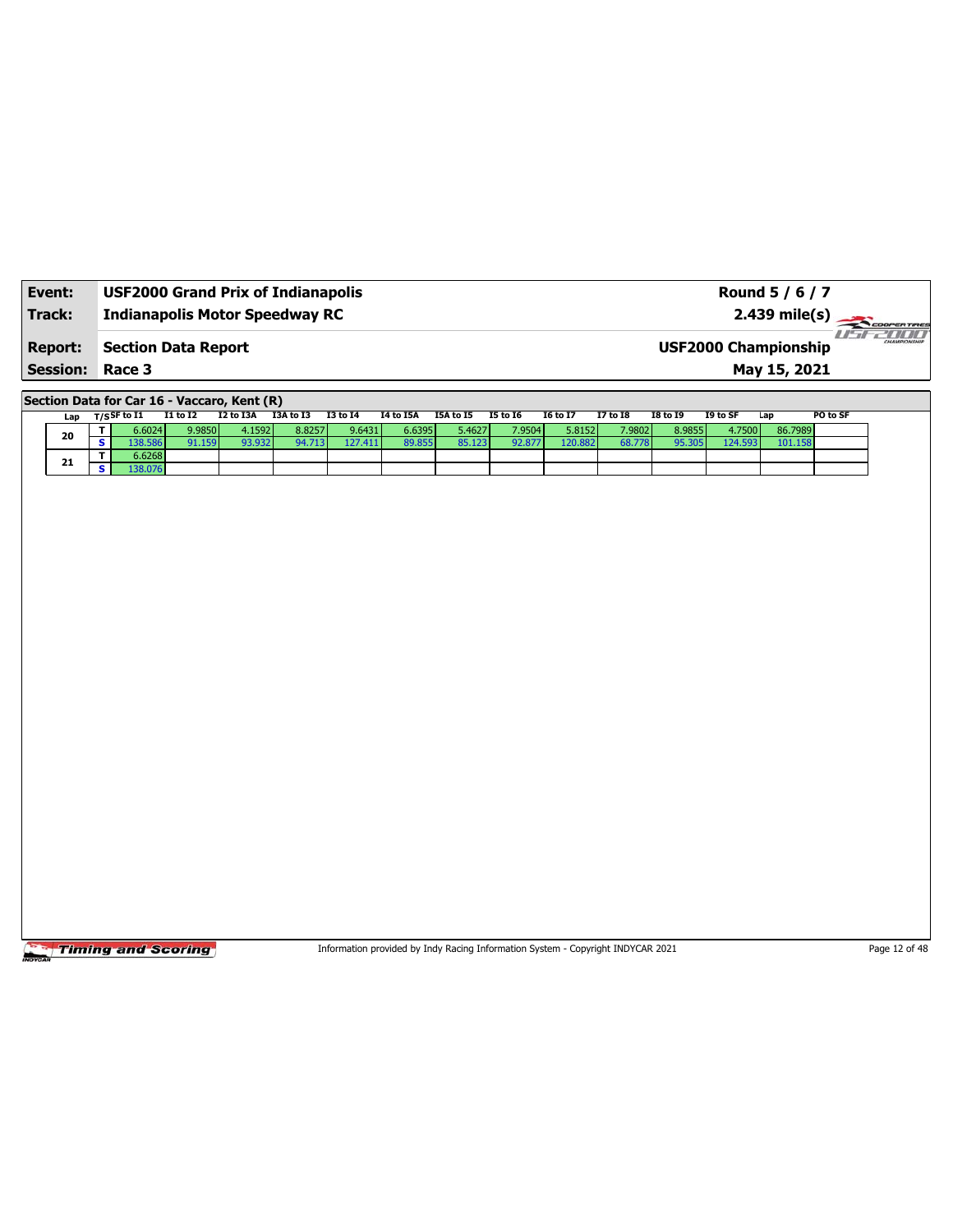| Event:                 | <b>USF2000 Grand Prix of Indianapolis</b> | Round 5 / 6 / 7                                        |
|------------------------|-------------------------------------------|--------------------------------------------------------|
| Track:                 | <b>Indianapolis Motor Speedway RC</b>     |                                                        |
| <b>Report:</b>         | <b>Section Data Report</b>                | -171717<br>CHAMPIONSHIP<br><b>USF2000 Championship</b> |
| <b>Session: Race 3</b> |                                           | May 15, 2021                                           |

**Section Data for Car 16 - Vaccaro, Kent (R)**

| Lap | ד / SF to I1 | <b>I1 to I2</b> | I2 to I3A | I3A to I3 | I3 to I4 | I4 to I5A | I5A to I5 | I5 to 16 | I6 to I7 | <b>I7 to I8</b> | <b>I8 to I9</b> | I9 to SF | Lap     | PO to SF |
|-----|--------------|-----------------|-----------|-----------|----------|-----------|-----------|----------|----------|-----------------|-----------------|----------|---------|----------|
| 20  | 6.6024       | 9.9850          | 4.1592    | 8.8257    | 9.6431   | 6.6395    | 5.4627    | 7.9504   | 5.8152   | 7.9802          | 8.9855          | 4.7500   | 86.7989 |          |
|     | 38.586       | 91.159          | 93.932    | 94.713    | 127.411  | 89.855    | 85.123    | 92.877   | 120.882  | 68.778          | 95.305          | 124.593  | 101.158 |          |
| 21  | 6.6268       |                 |           |           |          |           |           |          |          |                 |                 |          |         |          |
|     | .38.076      |                 |           |           |          |           |           |          |          |                 |                 |          |         |          |

**Timing and Scoring** 

Information provided by Indy Racing Information System - Copyright INDYCAR 2021 Page 12 of 48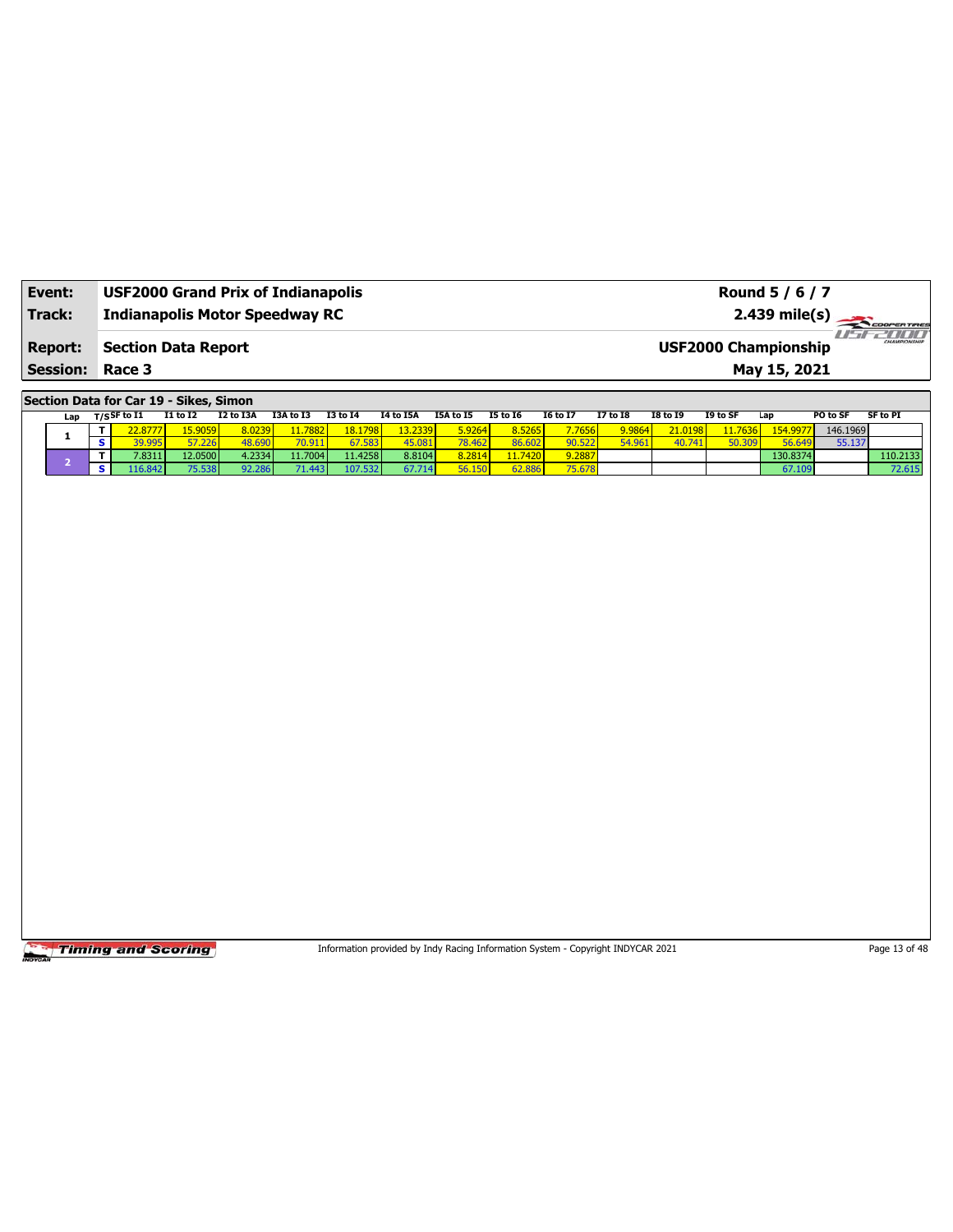| Event:          | <b>USF2000 Grand Prix of Indianapolis</b> | Round 5 / 6 / 7                                        |
|-----------------|-------------------------------------------|--------------------------------------------------------|
| Track:          | <b>Indianapolis Motor Speedway RC</b>     | $2.439 \text{ mile(s)}$                                |
| <b>Report:</b>  | <b>Section Data Report</b>                | $-1100$<br>CHAMPIONSHIP<br><b>USF2000 Championship</b> |
| <b>Session:</b> | Race 3                                    | May 15, 2021                                           |

**Section Data for Car 19 - Sikes, Simon**

| Lap | T/S <sup>SF to I1</sup> | <b>I1 to I2</b>         | I2 to I3A | I3A to I3    | <b>I3 to 14</b> | <b>I4 to I5A</b> | I5A to I5 | <b>15 to 16</b> | <b>16 to 17</b> | 17 to 18 | <b>I8 to I9</b> | I9 to SF      | Lap      | PO to SF | <b>SF to PI</b> |
|-----|-------------------------|-------------------------|-----------|--------------|-----------------|------------------|-----------|-----------------|-----------------|----------|-----------------|---------------|----------|----------|-----------------|
|     | 2.8777'                 | ∡5.9059 <mark>/</mark>  | 8.0239    | 11.7882      | 18.1798         | 2.2339           | 5.9264    | 3.5265          | 7.7656          | 9.9864   | 21.0198         | 1.7636        | 154.9977 | 146.1969 |                 |
|     | 39.995                  | <b>T7 226.</b><br>$-66$ | 18.690    | <b>U.J.L</b> | 7.583.          | 45.08            | 78.462    | 36.602          | 0.522           | 54.961   | 40.741          | <b>50.300</b> | 56.649   | 55.137   |                 |
|     | 7.8311                  | 12.0500                 | 4.2334    | 11.7004      | 11.4258         | 8.8104           | 8.2814    | $-1.7420$       | 9.2887          |          |                 |               | 130.8374 |          | 110.2133        |
|     |                         | 75.538                  | 92.286    | $-1.443$     | 107.532         | 67.714           | 56.150    | 52.886          | 75.678          |          |                 |               | 67.109   |          | 72.615          |

**Timing and Scoring** 

Information provided by Indy Racing Information System - Copyright INDYCAR 2021 Page 13 of 48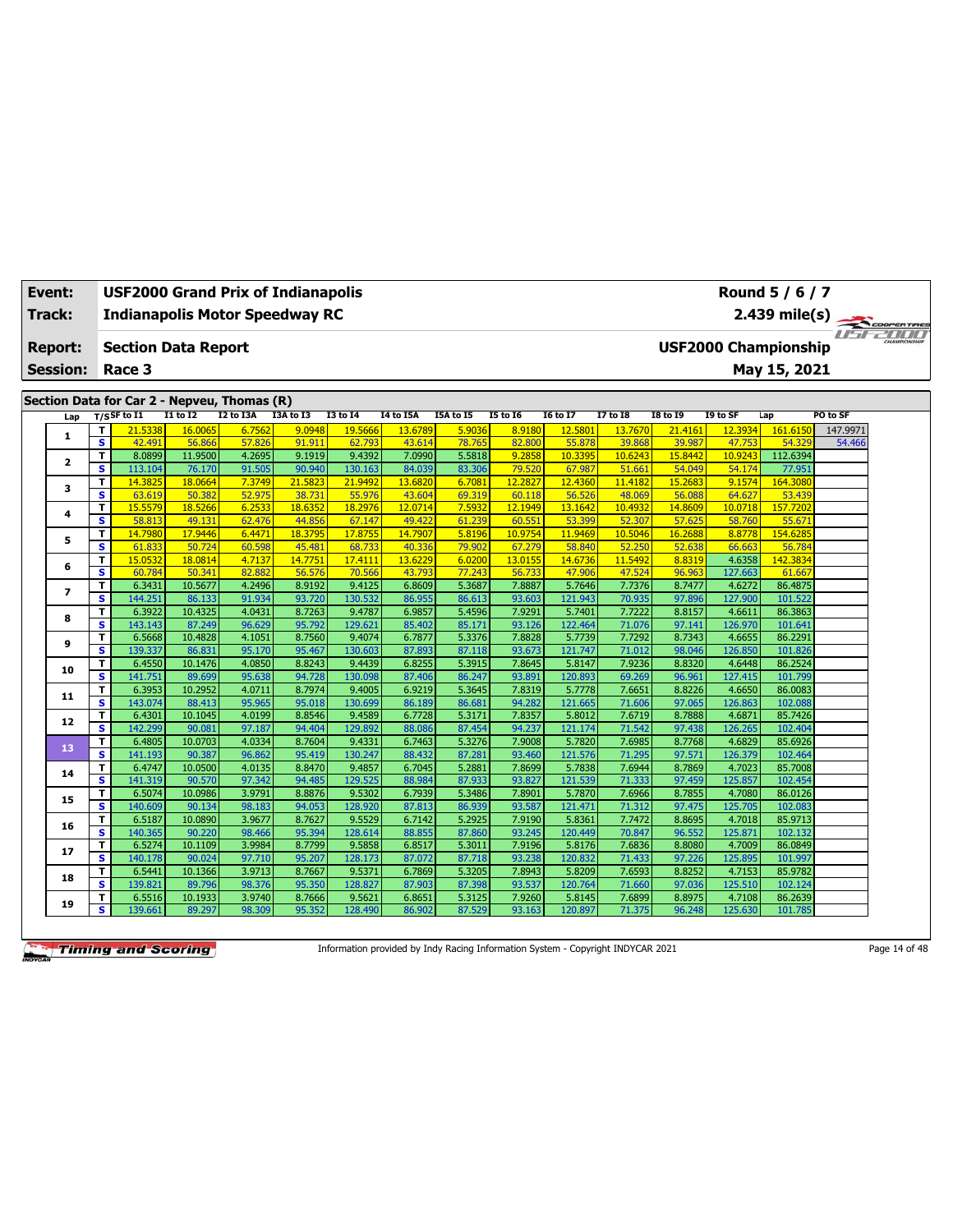| <b>Event:</b>   |              |                                                   | <b>USF2000 Grand Prix of Indianapolis</b>   |                  |                  |                   |                  |                  |                  |                   |                   |                   |                   | Round 5 / 6 / 7             |          |             |
|-----------------|--------------|---------------------------------------------------|---------------------------------------------|------------------|------------------|-------------------|------------------|------------------|------------------|-------------------|-------------------|-------------------|-------------------|-----------------------------|----------|-------------|
| Track:          |              |                                                   | <b>Indianapolis Motor Speedway RC</b>       |                  |                  |                   |                  |                  |                  |                   |                   |                   |                   | $2.439$ mile(s)             |          | COOPERTIRES |
| <b>Report:</b>  |              |                                                   | <b>Section Data Report</b>                  |                  |                  |                   |                  |                  |                  |                   |                   |                   |                   | <b>USF2000 Championship</b> |          |             |
| <b>Session:</b> |              | Race 3                                            |                                             |                  |                  |                   |                  |                  |                  |                   |                   |                   |                   | May 15, 2021                |          |             |
|                 |              |                                                   |                                             |                  |                  |                   |                  |                  |                  |                   |                   |                   |                   |                             |          |             |
|                 |              |                                                   | Section Data for Car 2 - Nepveu, Thomas (R) |                  |                  |                   |                  |                  |                  |                   |                   |                   |                   |                             |          |             |
|                 | Lap          | $T/S$ SF to $I1$                                  | $I1$ to $I2$                                | I2 to I3A        | I3A to I3        | <b>I3 to 14</b>   | <b>I4 to I5A</b> | I5A to I5        | <b>I5 to 16</b>  | <b>I6 to I7</b>   | <b>I7 to I8</b>   | <b>I8 to 19</b>   | I9 to SF          | Lap                         | PO to SF |             |
| $\mathbf{1}$    |              | т<br>21.5338                                      | 16.0065                                     | 6.7562           | 9.0948           | 19.5666           | 13.6789          | 5.9036           | 8.9180           | 12.5801           | 13.7670           | 21.4161           | 12.3934           | 161.6150                    | 147.9971 |             |
|                 |              | $\overline{\mathbf{s}}$<br>42.491<br>T.<br>8.0899 | 56.866                                      | 57.826<br>4.2695 | 91.911<br>9.1919 | 62.793<br>9.4392  | 43.614           | 78.765<br>5.5818 | 82,800<br>9.2858 | 55.878<br>10.3395 | 39.868            | 39.987            | 47.753<br>10.9243 | 54.329<br>112.6394          | 54.466   |             |
|                 | $\mathbf{2}$ | s<br>113.104                                      | 11.9500<br>76.170                           | 91.505           | 90.940           | 130.163           | 7.0990<br>84.039 | 83.306           | 79.520           | 67.987            | 10.6243<br>51.661 | 15.8442<br>54.049 | 54.174            | 77.951                      |          |             |
|                 |              | T<br>14.3825                                      | 18.0664                                     | 7.3749           | 21,5823          | 21,9492           | 13,6820          | 6.7081           | 12.2827          | 12.4360           | 11.4182           | 15,2683           | 9.1574            | 164.3080                    |          |             |
| 3               |              | s.<br>63.619                                      | 50.382                                      | 52.975           | 38.731           | 55.976            | 43.604           | 69.319           | 60.118           | 56.526            | 48.069            | 56.088            | 64.627            | 53.439                      |          |             |
|                 |              | T<br>15,5579                                      | 18.5266                                     | 6.2533           | 18.6352          | 18.2976           | 12.0714          | 7.5932           | 12.1949          | 13,1642           | 10.493            | 14,8609           | 10.0718           | 157.7202                    |          |             |
| 4               |              | S.<br>58.813                                      | 49.131                                      | 62.476           | 44.856           | 67.147            | 49.422           | 61.239           | 60.551           | 53.399            | 52.307            | 57.625            | 58.760            | 55.671                      |          |             |
|                 |              | т<br>14,7980                                      | 17.9446                                     | 6.4471           | 18.3795          | 17,8755           | 14.7907          | 5.8196           | 10.9754          | 11,9469           | 10.504            | 16.2688           | 8.8778            | 154.628                     |          |             |
| 5               |              | $\overline{\mathbf{s}}$<br>61.833                 | 50.724                                      | 60.598           | 45.481           | 68.733            | 40.336           | 79.902           | 67.279           | 58.840            | 52.250            | 52.638            | 66.663            | 56.784                      |          |             |
| 6               |              | т<br>15.0532                                      | 18.0814                                     | 4.7137           | 14.7751          | 17.4111           | 13.6229          | 6.0200           | 13.0155          | 14.6736           | 11.549            | 8.8319            | 4.6358            | 142.3834                    |          |             |
|                 |              | S<br>60.784                                       | 50.341                                      | 82.882           | 56.576           | 70.566            | 43.793           | 77.243           | 56.733           | 47.906            | 47.524            | 96.963            | 127.663           | 61.667                      |          |             |
| 7               |              | т<br>6.3431                                       | 10.5677                                     | 4.2496           | 8.9192           | 9.4125            | 6.8609           | 5.3687           | 7.8887           | 5.7646            | 7.7376            | 8.7477            | 4.6272            | 86.4875                     |          |             |
|                 |              | $\overline{\mathbf{s}}$<br>144.251                | 86.133                                      | 91.934           | 93.720           | 130.532           | 86.955           | 86.613           | 93.603           | 121.943           | 70.935            | 97.896            | 127.900           | 101.522                     |          |             |
| 8               |              | 6.3922<br>т                                       | 10.4325                                     | 4.0431           | 8.7263           | 9.4787            | 6.9857           | 5.4596           | 7.9291           | 5.7401            | 7.7222            | 8.8157            | 4.6611            | 86.3863                     |          |             |
|                 |              | $\overline{\mathbf{s}}$<br>143.143                | 87.249                                      | 96.629           | 95.792           | 129.621           | 85.402           | 85.171           | 93.126           | 122.464           | 71.076            | 97.141            | 126.970           | 101.641                     |          |             |
| 9               |              | 6.5668<br>т                                       | 10.4828                                     | 4.1051           | 8.7560           | 9.4074            | 6.7877           | 5.3376           | 7.8828           | 5.7739            | 7.7292            | 8.7343            | 4.6655            | 86.2291                     |          |             |
|                 |              | s.<br>139.337                                     | 86.831                                      | 95.170           | 95.467           | 130.603           | 87.893           | 87.118           | 93.673           | 121.747           | 71.012            | 98.046            | 126.850           | 101.826                     |          |             |
| 10              |              | 6.4550<br>T                                       | 10.1476                                     | 4.0850           | 8.8243           | 9.4439            | 6.8255           | 5.3915           | 7.8645           | 5.8147            | 7.9236            | 8.8320            | 4.6448            | 86.2524                     |          |             |
|                 |              | s.<br>141.751                                     | 89.699                                      | 95.638           | 94.728           | 130.098           | 87,406           | 86.247           | 93.891           | 120.893           | 69.269            | 96.961            | 127.415           | 101.799                     |          |             |
| 11              |              | 6.3953<br>T                                       | 10.2952                                     | 4.0711           | 8.7974           | 9.4005            | 6.9219           | 5.3645           | 7.8319           | 5.7778            | 7.6651            | 8.8226            | 4.6650            | 86.0083                     |          |             |
|                 |              | s<br>143.074                                      | 88.413                                      | 95.965           | 95.018           | 130.699           | 86.189           | 86.681           | 94.282           | 121.665           | 71,606            | 97.065            | 126.863           | 102.088                     |          |             |
| 12              |              | 6.4301<br>T<br>s<br>142.299                       | 10.1045<br>90.081                           | 4.0199<br>97.187 | 8.8546<br>94.404 | 9.4589<br>129.892 | 6.7728<br>88.086 | 5.3171<br>87.454 | 7.8357<br>94.237 | 5.8012<br>121.174 | 7.6719<br>71.542  | 8.7888<br>97.438  | 4.6871<br>126.265 | 85.7426<br>102.404          |          |             |
|                 |              | T<br>6.4805                                       | 10.0703                                     | 4.0334           | 8.7604           | 9.4331            | 6.7463           | 5.3276           | 7.9008           | 5.7820            | 7.6985            | 8.7768            | 4.6829            | 85.6926                     |          |             |
| 13              |              | $\overline{\mathbf{s}}$<br>141.193                | 90.387                                      | 96.862           | 95.419           | 130.247           | 88.432           | 87.281           | 93.460           | 121.576           | 71.295            | 97.571            | 126.379           | 102.464                     |          |             |
|                 |              | 6.4747<br>т                                       | 10.0500                                     | 4.0135           | 8.8470           | 9.4857            | 6.7045           | 5.2881           | 7.8699           | 5.7838            | 7.6944            | 8.7869            | 4.7023            | 85.7008                     |          |             |
| 14              |              | $\overline{\mathbf{s}}$<br>141.319                | 90.570                                      | 97.342           | 94.485           | 129.525           | 88.984           | 87.933           | 93.827           | 121.539           | 71.333            | 97.459            | 125.857           | 102.454                     |          |             |
|                 |              | 6.5074<br>T                                       | 10.0986                                     | 3.9791           | 8.8876           | 9.5302            | 6.7939           | 5.3486           | 7.8901           | 5.7870            | 7.6966            | 8.7855            | 4.7080            | 86.0126                     |          |             |
| 15              |              | s<br>140.609                                      | 90.134                                      | 98.183           | 94.053           | 128.920           | 87.813           | 86.939           | 93.587           | 121.471           | 71.312            | 97.475            | 125.705           | 102.083                     |          |             |
|                 |              | T.<br>6.5187                                      | 10.0890                                     | 3.9677           | 8.7627           | 9.5529            | 6.7142           | 5.2925           | 7.9190           | 5.8361            | 7.7472            | 8.8695            | 4.7018            | 85.9713                     |          |             |
| 16              |              | s<br>140.365                                      | 90.220                                      | 98.466           | 95.394           | 128.614           | 88.855           | 87.860           | 93.245           | 120.449           | 70.847            | 96.552            | 125.871           | 102.132                     |          |             |
|                 |              | T.<br>6.5274                                      | 10.1109                                     | 3.9984           | 8.7799           | 9.5858            | 6.8517           | 5.3011           | 7.9196           | 5.8176            | 7.6836            | 8.8080            | 4.7009            | 86.0849                     |          |             |
| 17              |              | S.<br>140.178                                     | 90.024                                      | 97.710           | 95.207           | 128.173           | 87.072           | 87.718           | 93.238           | 120.832           | 71.433            | 97.226            | 125.895           | 101.997                     |          |             |
| 18              |              | T<br>6.5441                                       | 10.1366                                     | 3.9713           | 8.7667           | 9.5371            | 6.7869           | 5.3205           | 7.8943           | 5.8209            | 7.6593            | 8.8252            | 4.7153            | 85.9782                     |          |             |
|                 |              | s<br>139.821                                      | 89.796                                      | 98.376           | 95.350           | 128.827           | 87.903           | 87.398           | 93.537           | 120.764           | 71.660            | 97.036            | 125.510           | 102.124                     |          |             |
| 19              |              | T<br>6.5516                                       | 10.1933                                     | 3.9740           | 8.7666           | 9.5621            | 6.8651           | 5.3125           | 7.9260           | 5.8145            | 7.6899            | 8.8975            | 4.7108            | 86.2639                     |          |             |
|                 |              | S.<br>139.661                                     | 89.297                                      | 98.309           | 95.352           | 128.490           | 86.902           | 87.529           | 93.163           | 120.897           | 71.375            | 96.248            | 125.630           | 101.785                     |          |             |

Information provided by Indy Racing Information System - Copyright INDYCAR 2021 Page 14 of 48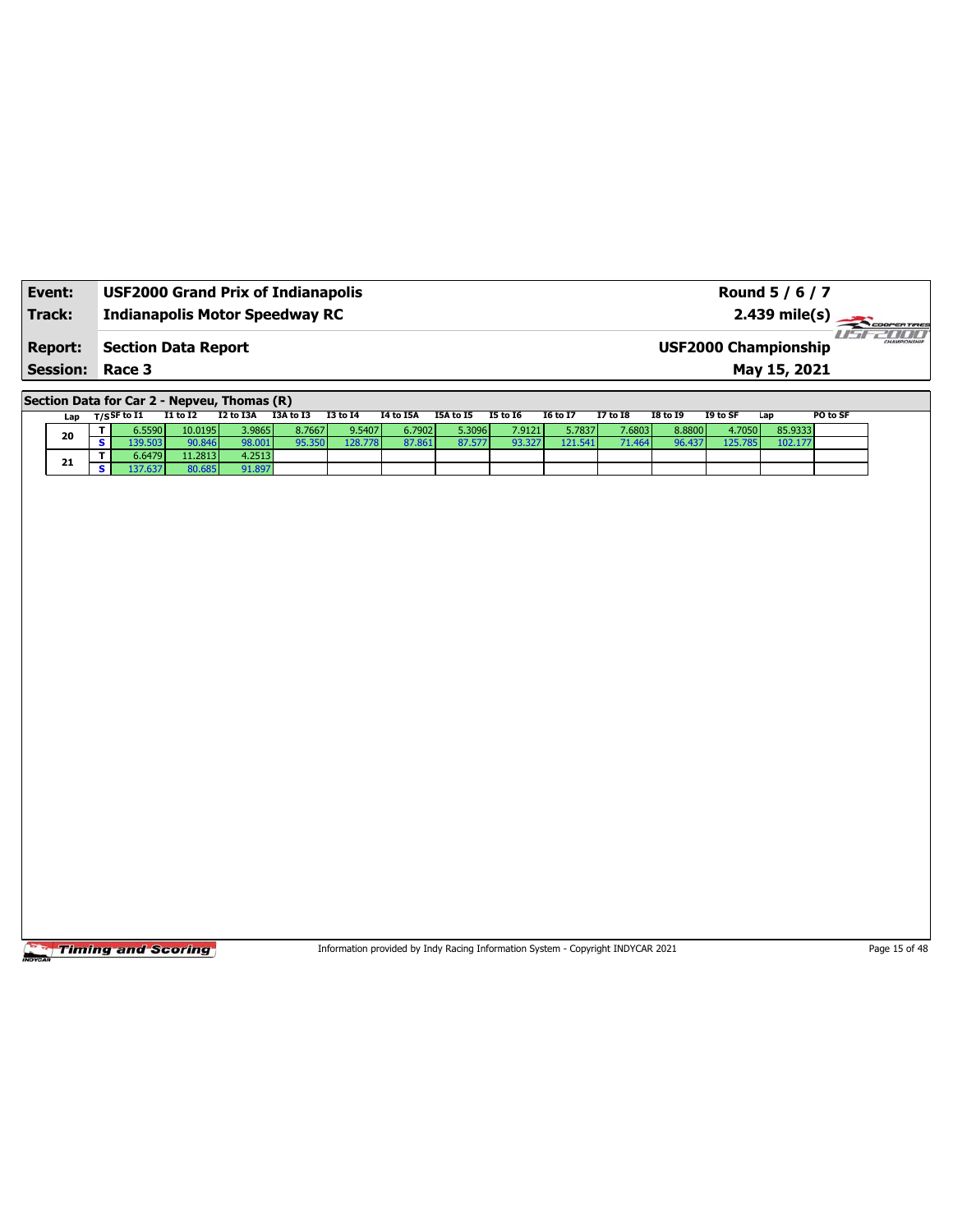| Event:                 | <b>USF2000 Grand Prix of Indianapolis</b> | Round 5 / 6 / 7                                        |
|------------------------|-------------------------------------------|--------------------------------------------------------|
| Track:                 | <b>Indianapolis Motor Speedway RC</b>     | $2.439 \text{ mile(s)}$                                |
| <b>Report:</b>         | <b>Section Data Report</b>                | -777777<br>CHAMPIONSHIP<br><b>USF2000 Championship</b> |
| <b>Session: Race 3</b> |                                           | May 15, 2021                                           |

**Section Data for Car 2 - Nepveu, Thomas (R)**

| Lap | $_{\rm T/S}$ SF to I1 | I1 to I2 | I2 to I3A | I3A to I3 | I3 to I4 | I4 to I5A | I5A to I5 | <b>I5 to 16</b> | <b>I6 to I7</b> | <b>I7 to I8</b> | <b>I8 to 19</b> | I9 to SF | Lap     | PO to SF |
|-----|-----------------------|----------|-----------|-----------|----------|-----------|-----------|-----------------|-----------------|-----------------|-----------------|----------|---------|----------|
| 20  | ا 5.5590.             | 10.0195  | 3.9865    | 8.7667    | 9.5407   | 6.7902    | 5.3096 l  | 7.9121          | 5.7837 <b>I</b> | 7.6803          | 8.8800          | 4.7050   | 85.9333 |          |
|     | 39.503                | 90.846   | 98.001    | 95.350    | 128.778  | 87.861    |           | 93.327          | 121.541         |                 | 96.437          | 125.785  | 102.177 |          |
| 21  | 6.6479                | 11.2813  | 4.2513    |           |          |           |           |                 |                 |                 |                 |          |         |          |
|     | 37.637                | 30.685   | 91.897    |           |          |           |           |                 |                 |                 |                 |          |         |          |

**Timing and Scoring** 

Information provided by Indy Racing Information System - Copyright INDYCAR 2021 Page 15 of 48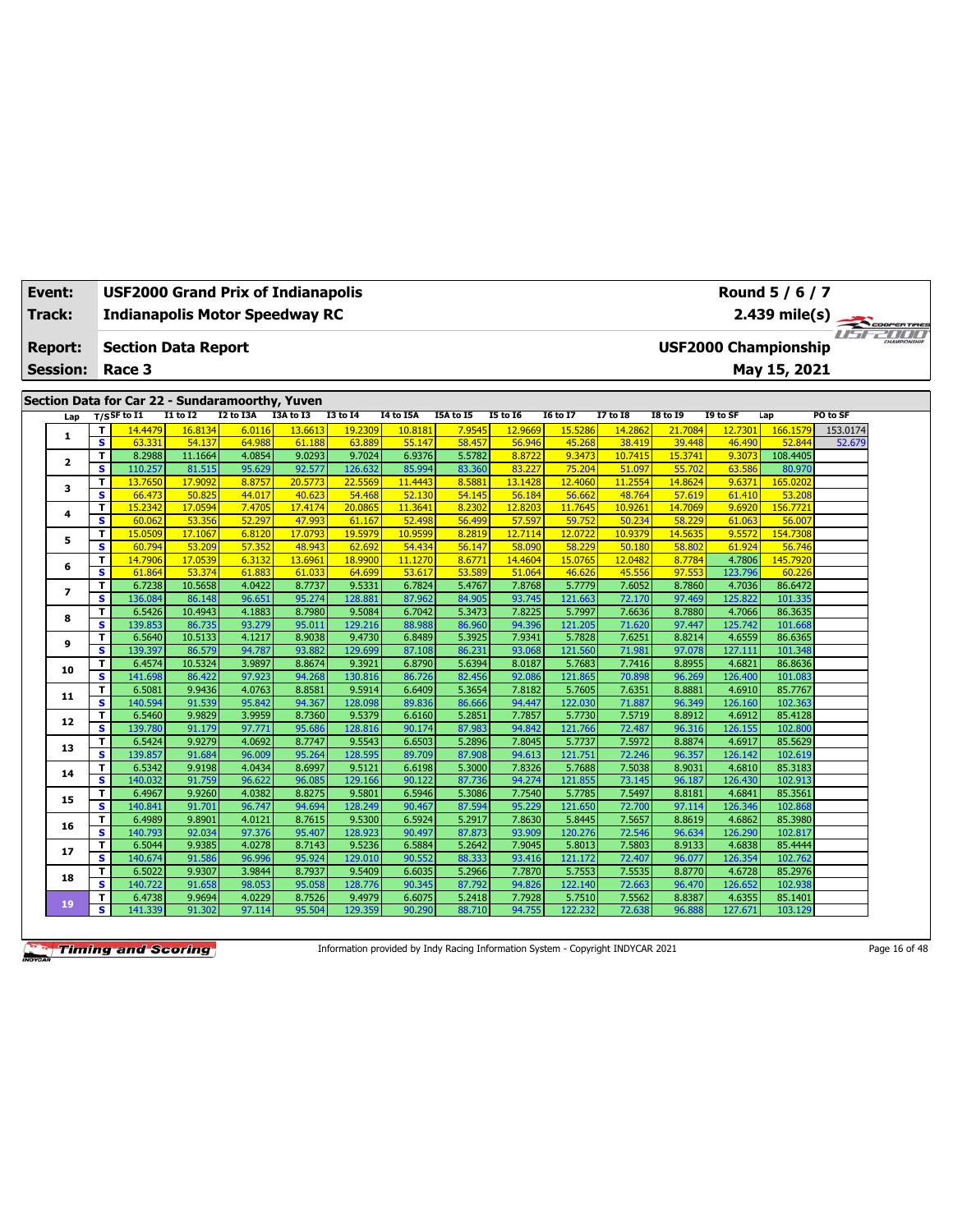| Event:          | USF2000 Grand Prix of Indianapolis              |                   |                  |                   |                   |                   |                  |                   |                   |                   |                   |                   | Round 5 / 6 / 7             |          |                                    |
|-----------------|-------------------------------------------------|-------------------|------------------|-------------------|-------------------|-------------------|------------------|-------------------|-------------------|-------------------|-------------------|-------------------|-----------------------------|----------|------------------------------------|
| Track:          | <b>Indianapolis Motor Speedway RC</b>           |                   |                  |                   |                   |                   |                  |                   |                   |                   |                   |                   | $2.439$ mile(s)             |          | COOPERTIRES                        |
| <b>Report:</b>  | <b>Section Data Report</b>                      |                   |                  |                   |                   |                   |                  |                   |                   |                   |                   |                   | <b>USF2000 Championship</b> |          | <i>I'n a community of the USUA</i> |
|                 |                                                 |                   |                  |                   |                   |                   |                  |                   |                   |                   |                   |                   |                             |          |                                    |
| <b>Session:</b> | Race 3                                          |                   |                  |                   |                   |                   |                  |                   |                   |                   |                   |                   | May 15, 2021                |          |                                    |
|                 | Section Data for Car 22 - Sundaramoorthy, Yuven |                   |                  |                   |                   |                   |                  |                   |                   |                   |                   |                   |                             |          |                                    |
| Lap             | $T/S$ SF to I1                                  | <b>I1 to I2</b>   | I2 to I3A        | I3A to I3         | <b>I3 to 14</b>   | I4 to I5A         | I5A to I5        | <b>I5 to 16</b>   | <b>16 to 17</b>   | $17$ to $18$      | <b>I8 to 19</b>   | I9 to SF          | Lap                         | PO to SF |                                    |
|                 | T<br>14.4479                                    | 16.8134           | 6.0116           | 13.6613           | 19.2309           | 10.8181           | 7.9545           | 12.9669           | 15.5286           | 14.2862           | 21.7084           | 12.7301           | 166.1579                    | 153.0174 |                                    |
| 1               | $\overline{\mathbf{s}}$<br>63.331               | 54.137            | 64.988           | 61.188            | 63.889            | 55.147            | 58.457           | 56.946            | 45.268            | 38.419            | 39.448            | 46.490            | 52.844                      | 52.679   |                                    |
| 2               | T<br>8.2988                                     | 11.1664           | 4.0854           | 9.0293            | 9.7024            | 6.9376            | 5.5782           | 8.8722            | 9.3473            | 10.7415           | 15.3741           | 9.3073            | 108.4405                    |          |                                    |
|                 | $\overline{\mathbf{s}}$<br>110.257              | 81.515            | 95.629           | 92.577            | 126.632           | 85.994            | 83.360           | 83.227            | 75.204            | 51.097            | 55.702            | 63.586            | 80.970                      |          |                                    |
| 3               | T<br>13.7650                                    | 17.9092           | 8.8757           | 20.5773           | 22.5569           | 11.4443           | 8.5881           | 13.1428           | 12.4060           | 11.2554           | 14.8624           | 9.6371            | 165.020                     |          |                                    |
|                 | s<br>66.473                                     | 50.825            | 44.017<br>7.4705 | 40.623            | 54.468            | 52.130            | 54.145           | 56.184<br>12,8203 | 56.662            | 48.764            | 57.619            | 61.410            | 53.208                      |          |                                    |
| 4               | 15.2342<br>T<br>s<br>60.062                     | 17.0594<br>53.356 | 52.297           | 17,4174<br>47.993 | 20.0865<br>61.167 | 11.3641<br>52.498 | 8.2302<br>56,499 | 57.597            | 11.7645<br>59.752 | 10.9261<br>50.234 | 14,7069<br>58.229 | 9.6920<br>61.063  | 156,7721<br>56.007          |          |                                    |
|                 | 15.0509<br>T                                    | 17.1067           | 6.8120           | 17.0793           | 19.5979           | 10.9599           | 8.2819           | 12.7114           | 12.0722           | 10.9379           | 14.5635           | 9.5572            | 154.7308                    |          |                                    |
| 5               | s<br>60.794                                     | 53.209            | 57.352           | 48.943            | 62.692            | 54.434            | 56.147           | 58,090            | 58.229            | 50.180            | 58.802            | 61.924            | 56.746                      |          |                                    |
|                 | T<br>14.7906                                    | 17.0539           | 6.3132           | 13.6961           | 18.9900           | 11.1270           | 8.6771           | 14.4604           | 15,0765           | 12.0482           | 8.7784            | 4.7806            | 145.7920                    |          |                                    |
| 6               | s<br>61.864                                     | 53.374            | 61.883           | 61.033            | 64.699            | 53.617            | 53.589           | 51.064            | 46.626            | 45.556            | 97.553            | 123.796           | 60.226                      |          |                                    |
|                 | T<br>6.7238                                     | 10.5658           | 4.0422           | 8.7737            | 9.5331            | 6.7824            | 5.4767           | 7.8768            | 5.7779            | 7.6052            | 8.7860            | 4.7036            | 86.6472                     |          |                                    |
| $\overline{ }$  | 136.084<br>s                                    | 86.148            | 96.651           | 95.274            | 128.881           | 87.962            | 84.905           | 93.745            | 121.663           | 72.170            | 97.469            | 125.822           | 101.335                     |          |                                    |
|                 | T<br>6.5426                                     | 10.4943           | 4.1883           | 8.7980            | 9.5084            | 6.7042            | 5.3473           | 7.8225            | 5.7997            | 7.6636            | 8.7880            | 4.7066            | 86.3635                     |          |                                    |
| 8               | s<br>139.853                                    | 86.735            | 93.279           | 95.011            | 129.216           | 88.988            | 86.960           | 94.396            | 121.205           | 71.620            | 97.447            | 125.742           | 101.668                     |          |                                    |
|                 | T<br>6.5640                                     | 10.5133           | 4.1217           | 8.9038            | 9.4730            | 6.8489            | 5.3925           | 7.9341            | 5.7828            | 7.6251            | 8.8214            | 4.6559            | 86.6365                     |          |                                    |
| 9               | s<br>139.397                                    | 86.579            | 94.787           | 93.882            | 129.699           | 87.108            | 86.231           | 93.068            | 121.560           | 71.981            | 97.078            | 127.111           | 101.348                     |          |                                    |
| 10              | T<br>6.4574                                     | 10.5324           | 3.9897           | 8.8674            | 9.3921            | 6.8790            | 5.6394           | 8.0187            | 5.7683            | 7.7416            | 8.8955            | 4.6821            | 86.8636                     |          |                                    |
|                 | s<br>141.698                                    | 86.422            | 97.923           | 94.268            | 130.816           | 86.726            | 82.456           | 92.086            | 121.865           | 70.898            | 96.269            | 126.400           | 101.083                     |          |                                    |
| 11              | T<br>6.5081                                     | 9.9436            | 4.0763           | 8.8581            | 9.5914            | 6.6409            | 5.3654           | 7.8182            | 5.7605            | 7.6351            | 8.8881            | 4.6910            | 85.7767                     |          |                                    |
|                 | s<br>140.594                                    | 91.539            | 95.842           | 94.367            | 128.098           | 89.836            | 86.666           | 94.447            | 122.030           | 71.887            | 96.349            | 126.160           | 102.363                     |          |                                    |
| 12              | 6.5460<br>т                                     | 9.9829            | 3.9959           | 8.7360            | 9.5379            | 6.6160            | 5.2851           | 7.7857            | 5.7730            | 7.5719            | 8.8912            | 4.6912            | 85.4128                     |          |                                    |
|                 | s<br>139.780                                    | 91.179            | 97.771           | 95.686            | 128.816           | 90.174            | 87.983           | 94.842            | 121.766           | 72.487            | 96.316            | 126.155           | 102.800                     |          |                                    |
| 13              | 6.5424<br>T<br>139.857<br>s                     | 9.9279            | 4.0692<br>96.009 | 8.7747            | 9.5543<br>128.595 | 6.6503            | 5.2896<br>87.908 | 7.8045<br>94.613  | 5.7737            | 7.5972<br>72.246  | 8.8874<br>96.357  | 4.6917            | 85.5629<br>102.619          |          |                                    |
|                 | 6.5342<br>т                                     | 91.684<br>9.9198  | 4.0434           | 95.264<br>8.6997  | 9.5121            | 89.709<br>6.6198  | 5.3000           | 7.8326            | 121.751<br>5.7688 | 7.5038            | 8.9031            | 126.142<br>4.6810 | 85.3183                     |          |                                    |
| 14              | S<br>140.032                                    | 91.759            | 96.622           | 96.085            | 129.166           | 90.122            | 87.736           | 94.274            | 121.855           | 73.145            | 96.187            | 126.430           | 102.913                     |          |                                    |
|                 | 6.4967<br>T                                     | 9.9260            | 4.0382           | 8.8275            | 9.5801            | 6.5946            | 5.3086           | 7.7540            | 5.7785            | 7.5497            | 8.8181            | 4.6841            | 85.3561                     |          |                                    |
| 15              | $\overline{\mathbf{s}}$<br>140.841              | 91.701            | 96.747           | 94.694            | 128.249           | 90.467            | 87.594           | 95.229            | 121.650           | 72.700            | 97.114            | 126.346           | 102.868                     |          |                                    |
|                 | T<br>6.4989                                     | 9.8901            | 4.0121           | 8.7615            | 9.5300            | 6.5924            | 5.2917           | 7.8630            | 5.8445            | 7.5657            | 8.8619            | 4.6862            | 85.3980                     |          |                                    |
| 16              | s<br>140.793                                    | 92.034            | 97.376           | 95.407            | 128.923           | 90.497            | 87.873           | 93.909            | 120.276           | 72.546            | 96.634            | 126.290           | 102.817                     |          |                                    |
|                 | 6.5044<br>T                                     | 9.9385            | 4.0278           | 8.7143            | 9.5236            | 6.5884            | 5.2642           | 7.9045            | 5.8013            | 7.5803            | 8.9133            | 4.6838            | 85.4444                     |          |                                    |
| 17              | $\overline{\mathbf{s}}$<br>140.674              | 91.586            | 96.996           | 95.924            | 129.010           | 90.552            | 88.333           | 93.416            | 121.172           | 72.407            | 96.077            | 126.354           | 102.762                     |          |                                    |
| 18              | 6.5022<br>т                                     | 9.9307            | 3.9844           | 8.7937            | 9.5409            | 6.6035            | 5.2966           | 7.7870            | 5.7553            | 7.5535            | 8.8770            | 4.6728            | 85.2976                     |          |                                    |
|                 | s<br>140.722                                    | 91.658            | 98.053           | 95.058            | 128.776           | 90.345            | 87.792           | 94.826            | 122.140           | 72.663            | 96.470            | 126.652           | 102.938                     |          |                                    |
| 19              | 6.4738<br>T                                     | 9.9694            | 4.0229           | 8.7526            | 9.4979            | 6.6075            | 5.2418           | 7.7928            | 5.7510            | 7.5562            | 8.8387            | 4.6355            | 85.1401                     |          |                                    |
|                 | s<br>141.339                                    | 91.302            | 97.114           | 95.504            | 129.359           | 90.290            | 88.710           | 94.755            | 122.232           | 72.638            | 96.888            | 127.671           | 103.129                     |          |                                    |

Information provided by Indy Racing Information System - Copyright INDYCAR 2021 Page 16 of 48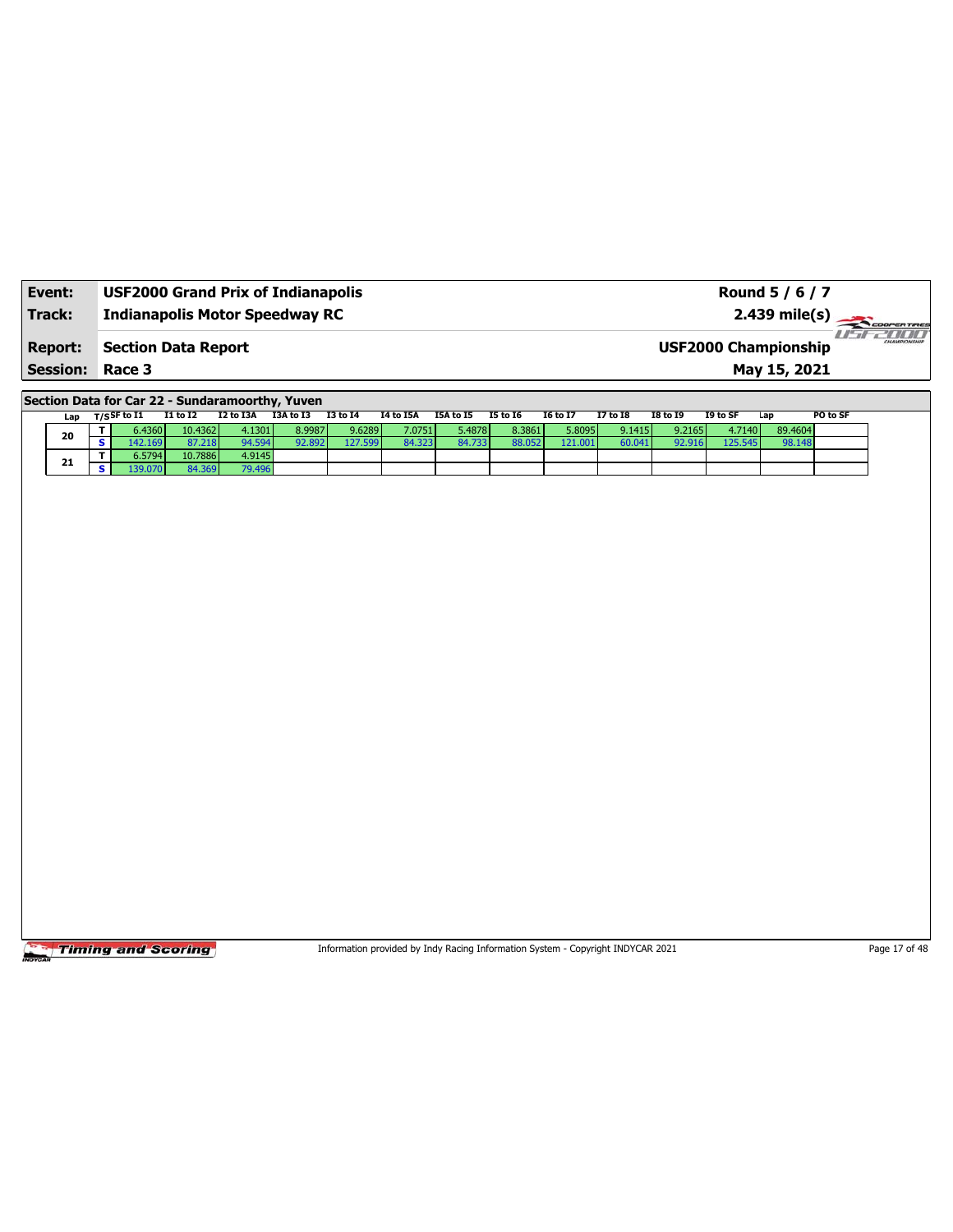| Event:                 | <b>USF2000 Grand Prix of Indianapolis</b> | Round 5 / 6 / 7                             |         |
|------------------------|-------------------------------------------|---------------------------------------------|---------|
| Track:                 | <b>Indianapolis Motor Speedway RC</b>     | $2.439 \text{ mile(s)}$                     |         |
| <b>Report:</b>         | Section Data Report                       | CHAMPIONSHIP<br><b>USF2000 Championship</b> | 7711717 |
| <b>Session: Race 3</b> |                                           | May 15, 2021                                |         |

**Section Data for Car 22 - Sundaramoorthy, Yuven**

| Lap |  | $_{\rm T/S}$ SF to I1 | <b>I1 to I2</b> | I2 to I3A   | I3A to I3 | <b>I3 to 14</b> | <b>I4 to I5A</b> | I5A to I5 | <b>I5 to 16</b> | <b>I6 to I7</b> | 17 to 18 | <b>I8 to I9</b> | I9 to SF | Lap     | PO to SF |
|-----|--|-----------------------|-----------------|-------------|-----------|-----------------|------------------|-----------|-----------------|-----------------|----------|-----------------|----------|---------|----------|
| 20  |  | 6.4360V               | 10.4362         | 4.1301      | 8.9987    | 9.6289          | 7.0751           | 5.4878 l  | 8.3861          | 5.8095          | 9.1415   | 9.2165          | 4.7140   | 89.4604 |          |
|     |  | 142.1691              | 37.218          | $0A$ 50 $A$ | 2.892     | 127.599         | 84.323           | 84.7331   | 88.052          | 121.001         | 60.041   | 92.916          | 125.545  | 98.148  |          |
| 21  |  | 6.5794 l              | 10.7886         | 4.9145      |           |                 |                  |           |                 |                 |          |                 |          |         |          |
|     |  |                       | 14.369          | 79.496      |           |                 |                  |           |                 |                 |          |                 |          |         |          |

Timing and Scoring

Information provided by Indy Racing Information System - Copyright INDYCAR 2021 Page 17 of 48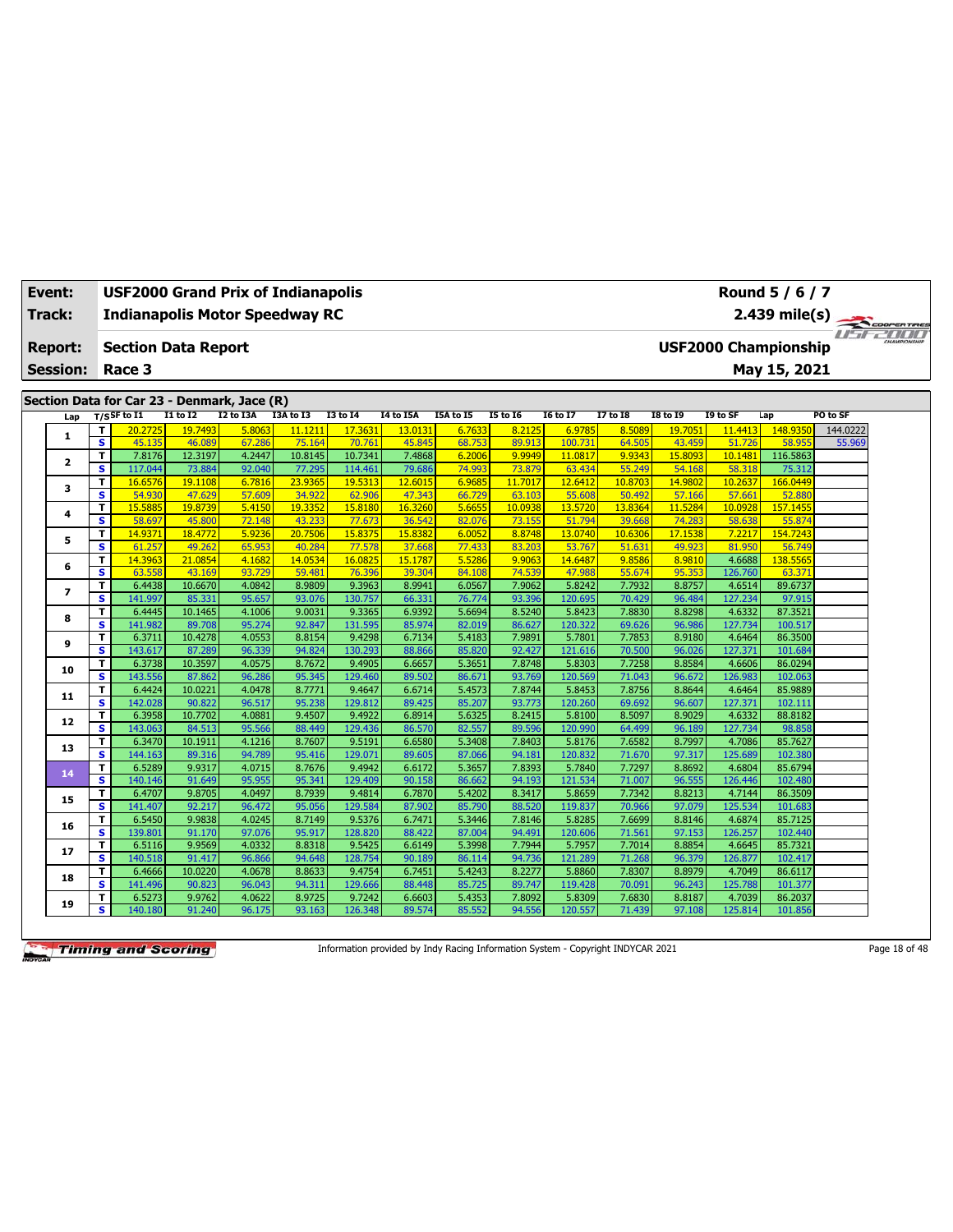| Event:          |                                                                     | USF2000 Grand Prix of Indianapolis          |                      |                  |                   |                   |                   |                  |                   |                   |                   |                   |                   | Round 5 / 6 / 7             |                                    |  |
|-----------------|---------------------------------------------------------------------|---------------------------------------------|----------------------|------------------|-------------------|-------------------|-------------------|------------------|-------------------|-------------------|-------------------|-------------------|-------------------|-----------------------------|------------------------------------|--|
| Track:          | <b>Indianapolis Motor Speedway RC</b><br><b>Section Data Report</b> |                                             |                      |                  |                   |                   |                   |                  |                   |                   |                   |                   |                   | $2.439$ mile(s)             | COOPERTIRES                        |  |
| <b>Report:</b>  |                                                                     |                                             |                      |                  |                   |                   |                   |                  |                   |                   |                   |                   |                   | <b>USF2000 Championship</b> | <i>I'n a community of the USUA</i> |  |
|                 |                                                                     |                                             |                      |                  |                   |                   |                   |                  |                   |                   |                   |                   |                   |                             |                                    |  |
| <b>Session:</b> |                                                                     | Race 3                                      |                      |                  |                   |                   |                   |                  |                   |                   |                   |                   |                   | May 15, 2021                |                                    |  |
|                 |                                                                     | Section Data for Car 23 - Denmark, Jace (R) |                      |                  |                   |                   |                   |                  |                   |                   |                   |                   |                   |                             |                                    |  |
| Lap             |                                                                     | $T/S$ SF to I1                              | <b>I1 to I2</b>      | I2 to I3A        | I3A to I3         | <b>I3 to 14</b>   | I4 to I5A         | I5A to I5        | <b>I5 to 16</b>   | <b>16 to 17</b>   | $17$ to $18$      | <b>I8 to 19</b>   | I9 to SF          | Lap                         | PO to SF                           |  |
|                 |                                                                     | T<br>20.2725                                | <mark>19.7493</mark> | 5.8063           | 11.1211           | 17.3631           | 13.0131           | 6.7633           | 8.2125            | 6.9785            | 8.5089            | 19.7051           | 11.4413           | 148.935                     | 144.0222                           |  |
| 1               |                                                                     | $\overline{\mathbf{s}}$<br>45.135           | 46.089               | 67.286           | 75.164            | 70.761            | 45.845            | 68.753           | 89.913            | 100.731           | 64.505            | 43.459            | 51.726            | 58.95                       | 55.969                             |  |
| 2               |                                                                     | 7.8176<br>т                                 | 12.3197              | 4.2447           | 10.8145           | 10.7341           | 7.4868            | 6.2006           | 9.9949            | 11.0817           | 9.9343            | 15.8093           | 10.1481           | 116.5863                    |                                    |  |
|                 |                                                                     | s<br>117.044                                | 73.884               | 92.040           | 77.295            | 114.461           | 79.686            | 74.993           | 73.879            | 63.434            | 55.249            | 54.168            | 58.318            | 75.312                      |                                    |  |
| 3               |                                                                     | T<br>16.6576                                | 19.1108              | 6.7816           | 23,9365           | 19.5313           | 12.6015           | 6.9685           | 11.7017           | 12.6412           | 10.8703           | 14.9802           | 10.2637           | 166.0449                    |                                    |  |
|                 |                                                                     | s<br>54.930<br>15.5885                      | 47.629<br>19,8739    | 57.609<br>5.4150 | 34.922<br>19.3352 | 62,906<br>15.8180 | 47.343<br>16.3260 | 66.729<br>5.6655 | 63.103<br>10.0938 | 55.608<br>13,5720 | 50.492<br>13.8364 | 57.166<br>11.5284 | 57.661<br>10.0928 | 52.880<br>157.1455          |                                    |  |
| 4               |                                                                     | T<br>s<br>58.697                            | 45,800               | 72.148           | 43.233            | 77.673            | 36.542            | 82.076           | 73.155            | 51.794            | 39.668            | 74.283            | 58.638            | 55.874                      |                                    |  |
|                 |                                                                     | 14.9371<br>T                                | 18.4772              | 5.9236           | 20.7506           | 15.8375           | 15.8382           | 6.0052           | 8.8748            | 13.0740           | 10.6306           | 17.1538           | 7.2217            | 154.7243                    |                                    |  |
| 5               |                                                                     | $\overline{\mathbf{s}}$<br>61.257           | 49.262               | 65.953           | 40.284            | 77.578            | 37.668            | 77,433           | 83.203            | 53.767            | 51.631            | 49.923            | 81.950            | 56.749                      |                                    |  |
|                 |                                                                     | T<br>14.3963                                | 21.0854              | 4.1682           | 14.0534           | 16.0825           | 15.1787           | 5.5286           | 9.9063            | 14.6487           | 9.8586            | 8.9810            | 4.6688            | 138.5565                    |                                    |  |
| 6               |                                                                     | s<br>63.558                                 | 43.169               | 93.729           | 59.481            | 76.396            | 39.304            | 84.108           | 74.539            | 47.988            | 55.674            | 95.353            | 126.760           | 63.371                      |                                    |  |
|                 |                                                                     | T<br>6.4438                                 | 10.6670              | 4.0842           | 8.9809            | 9.3963            | 8.9941            | 6.0567           | 7.9062            | 5.8242            | 7.7932            | 8.8757            | 4.6514            | 89.6737                     |                                    |  |
| $\overline{ }$  |                                                                     | s<br>141.997                                | 85.331               | 95.657           | 93.076            | 130.757           | 66.331            | 76.774           | 93.396            | 120.695           | 70.429            | 96.484            | 127.234           | 97.915                      |                                    |  |
|                 |                                                                     | T<br>6.4445                                 | 10.1465              | 4.1006           | 9.0031            | 9.3365            | 6.9392            | 5.6694           | 8.5240            | 5.8423            | 7.8830            | 8.8298            | 4.6332            | 87.3521                     |                                    |  |
| 8               |                                                                     | s<br>141.982                                | 89.708               | 95.274           | 92.847            | 131.595           | 85.974            | 82.019           | 86.627            | 120.322           | 69.626            | 96.986            | 127.734           | 100.517                     |                                    |  |
|                 |                                                                     | T<br>6.3711                                 | 10.4278              | 4.0553           | 8.8154            | 9.4298            | 6.7134            | 5.4183           | 7.9891            | 5.7801            | 7.7853            | 8.9180            | 4.6464            | 86.3500                     |                                    |  |
| 9               |                                                                     | s<br>143.617                                | 87.289               | 96.339           | 94.824            | 130.293           | 88.866            | 85.820           | 92.427            | 121.616           | 70.500            | 96.026            | 127.371           | 101.684                     |                                    |  |
| 10              |                                                                     | T<br>6.3738                                 | 10.3597              | 4.0575           | 8.7672            | 9.4905            | 6.6657            | 5.3651           | 7.8748            | 5.8303            | 7.7258            | 8.8584            | 4.6606            | 86.0294                     |                                    |  |
|                 |                                                                     | s<br>143.556                                | 87.862               | 96.286           | 95.345            | 129.460           | 89.502            | 86.671           | 93.769            | 120.569           | 71.043            | 96.672            | 126.983           | 102.063                     |                                    |  |
| 11              |                                                                     | T<br>6.4424                                 | 10.0221              | 4.0478           | 8.7771            | 9.4647            | 6.6714            | 5.4573           | 7.8744            | 5.8453            | 7.8756            | 8.8644            | 4.6464            | 85.9889                     |                                    |  |
|                 |                                                                     | s<br>142.028                                | 90.822               | 96.517           | 95.238            | 129.812           | 89.425            | 85.207           | 93.773            | 120.260           | 69.692            | 96.607            | 127.371           | 102.111                     |                                    |  |
| 12              |                                                                     | 6.3958<br>T                                 | 10.7702              | 4.0881           | 9.4507            | 9.4922            | 6.8914            | 5.6325           | 8.2415            | 5.8100            | 8.5097            | 8.9029            | 4.6332            | 88.8182                     |                                    |  |
|                 |                                                                     | s<br>143.063                                | 84.513               | 95.566           | 88.449            | 129.436           | 86.570            | 82.557           | 89.596            | 120.990           | 64.499            | 96.189            | 127.734           | 98.858                      |                                    |  |
| 13              |                                                                     | T<br>6.3470                                 | 10.1911              | 4.1216           | 8.7607            | 9.5191            | 6.6580            | 5.3408           | 7.8403            | 5.8176            | 7.6582            | 8.7997            | 4.7086            | 85.7627                     |                                    |  |
|                 |                                                                     | s<br>144.163                                | 89.316               | 94.789           | 95.416            | 129.071           | 89.605            | 87.066           | 94.181            | 120.832           | 71.670            | 97.317            | 125.689           | 102.380                     |                                    |  |
| 14              |                                                                     | 6.5289<br>T<br>s<br>140.146                 | 9.9317<br>91.649     | 4.0715<br>95.955 | 8.7676<br>95.341  | 9.4942<br>129.409 | 6.6172<br>90.158  | 5.3657<br>86.662 | 7.8393<br>94.193  | 5.7840<br>121.534 | 7.7297<br>71.007  | 8.8692<br>96.555  | 4.6804<br>126.446 | 85.6794<br>102.480          |                                    |  |
|                 |                                                                     | 6.4707<br>T                                 | 9.8705               | 4.0497           | 8.7939            | 9.4814            | 6.7870            | 5.4202           | 8.3417            | 5.8659            | 7.7342            | 8.8213            | 4.7144            | 86.3509                     |                                    |  |
| 15              |                                                                     | $\overline{\mathbf{s}}$<br>141.407          | 92.217               | 96.472           | 95.056            | 129.584           | 87,902            | 85.790           | 88.520            | 119.837           | 70.966            | 97.079            | 125.534           | 101.683                     |                                    |  |
|                 |                                                                     | T<br>6.5450                                 | 9.9838               | 4.0245           | 8.7149            | 9.5376            | 6.7471            | 5.3446           | 7.8146            | 5.8285            | 7.6699            | 8.8146            | 4.6874            | 85.7125                     |                                    |  |
| 16              |                                                                     | s<br>139.801                                | 91.170               | 97.076           | 95.917            | 128.820           | 88.422            | 87.004           | 94.491            | 120.606           | 71.561            | 97.153            | 126.257           | 102.440                     |                                    |  |
|                 |                                                                     | 6.5116<br>T                                 | 9.9569               | 4.0332           | 8.8318            | 9.5425            | 6.6149            | 5.3998           | 7.7944            | 5.7957            | 7.7014            | 8.8854            | 4.6645            | 85.7321                     |                                    |  |
| 17              |                                                                     | $\overline{\mathbf{s}}$<br>140.518          | 91.417               | 96.866           | 94.648            | 128.754           | 90.189            | 86.114           | 94.736            | 121.289           | 71.268            | 96.379            | 126.877           | 102.417                     |                                    |  |
|                 |                                                                     | 6.4666<br>т                                 | 10.0220              | 4.0678           | 8.8633            | 9.4754            | 6.7451            | 5.4243           | 8.2277            | 5.8860            | 7.8307            | 8.8979            | 4.7049            | 86.6117                     |                                    |  |
| 18              |                                                                     | s<br>141.496                                | 90.823               | 96.043           | 94.311            | 129.666           | 88.448            | 85.725           | 89.747            | 119.428           | 70.091            | 96.243            | 125.788           | 101.377                     |                                    |  |
|                 |                                                                     | 6.5273<br>T                                 | 9.9762               | 4.0622           | 8.9725            | 9.7242            | 6.6603            | 5.4353           | 7.8092            | 5.8309            | 7.6830            | 8.8187            | 4.7039            | 86.2037                     |                                    |  |
| 19              |                                                                     | s<br>140.180                                | 91.240               | 96.175           | 93.163            | 126.348           | 89.574            | 85.552           | 94.556            | 120.557           | 71.439            | 97.108            | 125.814           | 101.856                     |                                    |  |

Information provided by Indy Racing Information System - Copyright INDYCAR 2021 Page 18 of 48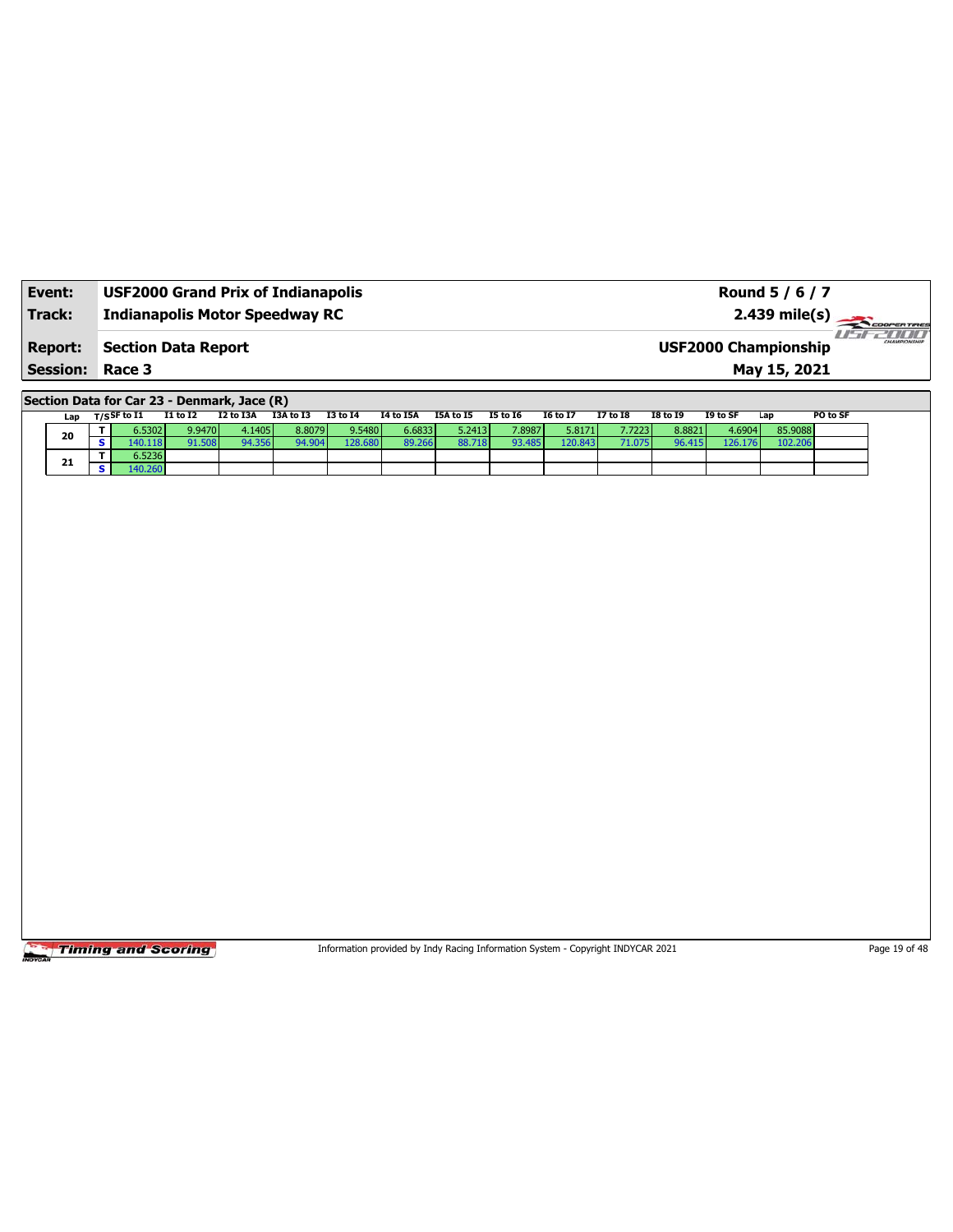| Event:                 | <b>USF2000 Grand Prix of Indianapolis</b> | Round 5 / 6 / 7                                        |
|------------------------|-------------------------------------------|--------------------------------------------------------|
| Track:                 | <b>Indianapolis Motor Speedway RC</b>     |                                                        |
| <b>Report:</b>         | <b>Section Data Report</b>                | -171717<br>CHAMPIONSHIP<br><b>USF2000 Championship</b> |
| <b>Session: Race 3</b> |                                           | May 15, 2021                                           |

**Section Data for Car 23 - Denmark, Jace (R)**

| Lap | T/S <sup>SF to I1</sup> | <b>I1 to I2</b> | I2 to I3A     | I3A to I3 | <b>I3 to I4</b> | I4 to I5A | I5A to I5 | <b>I5 to I6</b> | <b>16 to 17</b> | <b>I7 to I8</b> | <b>I8 to I9</b> | I9 to SF | Lap     | PO to SF |
|-----|-------------------------|-----------------|---------------|-----------|-----------------|-----------|-----------|-----------------|-----------------|-----------------|-----------------|----------|---------|----------|
| 20  | 6.5302                  | 9.9470          | 4.1405        | 8.8079 l  | 9.5480          | 6.6833    | 5.2413    | 7.8987          | 5.8171          | 7.7223          | 8.8821          | 4.6904   | 85.9088 |          |
|     | 140.1181                | 91.508          | <b>Q4 356</b> | 94.904    | 128.680         | 89.26     |           | 93.485          | 120.843         | אדר             | 96.415          | 126.176  | 102.20  |          |
| 21  | 6.5236                  |                 |               |           |                 |           |           |                 |                 |                 |                 |          |         |          |
|     | 140.260                 |                 |               |           |                 |           |           |                 |                 |                 |                 |          |         |          |

Timing and Scoring

Information provided by Indy Racing Information System - Copyright INDYCAR 2021 Page 19 of 48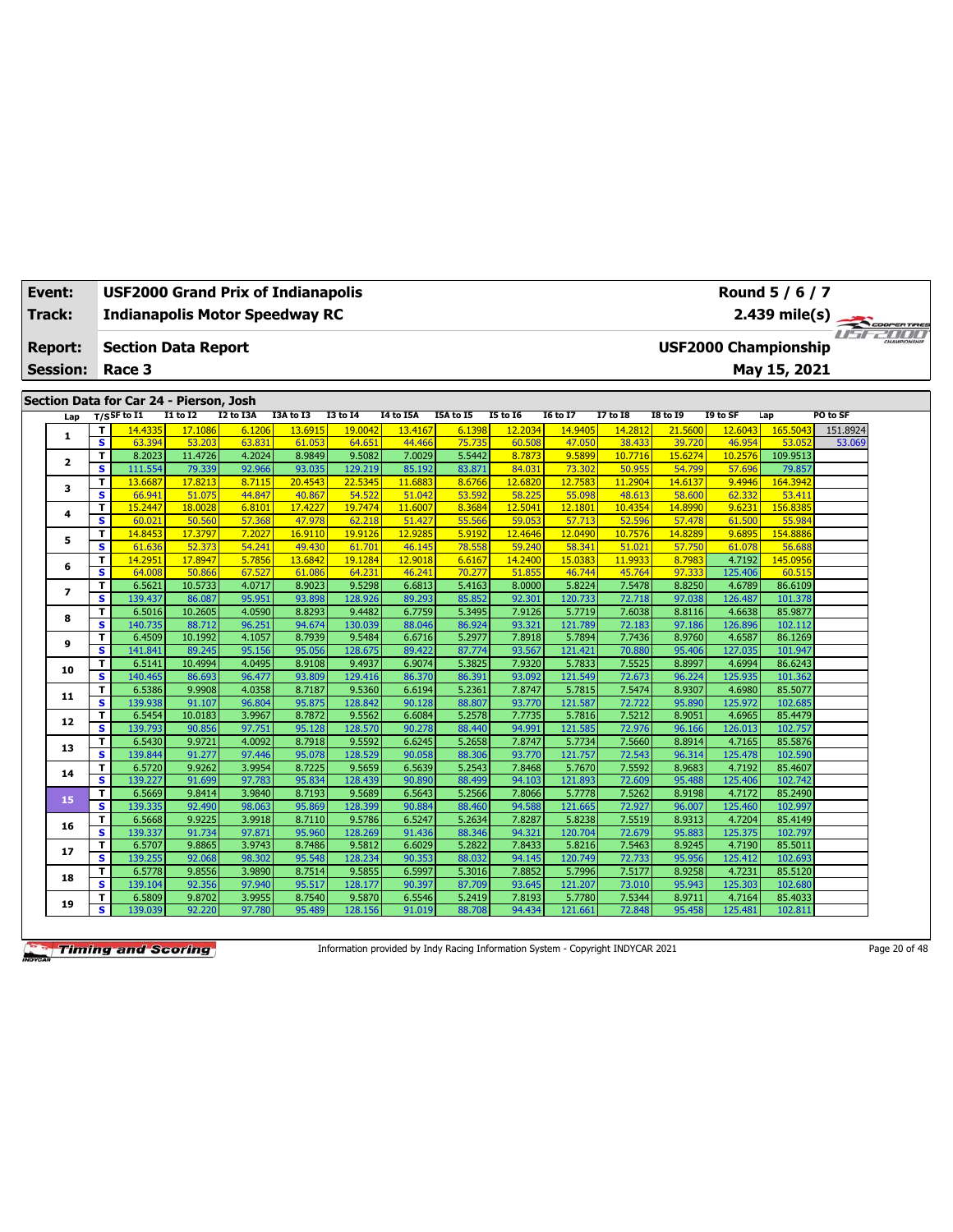| Event:<br>Track:        |                              |                   | <b>USF2000 Grand Prix of Indianapolis</b><br><b>Indianapolis Motor Speedway RC</b> |                  |                   |                   |                   |                  |                   |                   |                   |                   |                             | Round 5 / 6 / 7<br>2.439 mile(s) |                          |  |
|-------------------------|------------------------------|-------------------|------------------------------------------------------------------------------------|------------------|-------------------|-------------------|-------------------|------------------|-------------------|-------------------|-------------------|-------------------|-----------------------------|----------------------------------|--------------------------|--|
| <b>Report:</b>          |                              | Race 3            | <b>Section Data Report</b>                                                         |                  |                   |                   |                   |                  |                   |                   |                   |                   | <b>USF2000 Championship</b> | May 15, 2021                     | <b>TENTE COOPERTIRES</b> |  |
| <b>Session:</b>         |                              |                   |                                                                                    |                  |                   |                   |                   |                  |                   |                   |                   |                   |                             |                                  |                          |  |
|                         |                              |                   | Section Data for Car 24 - Pierson, Josh                                            |                  |                   |                   |                   |                  |                   |                   |                   |                   |                             |                                  |                          |  |
| Lap                     |                              | $T/S$ SF to I1    | I1 to I2                                                                           | I2 to I3A        | I3A to I3         | <b>I3 to 14</b>   | <b>I4 to I5A</b>  | <b>I5A</b> to 15 | <b>I5 to 16</b>   | <b>I6 to I7</b>   | <b>I7 to I8</b>   | <b>I8 to 19</b>   | I9 to SF                    | Lap                              | PO to SF                 |  |
| 1                       | T.                           | 14.4335           | 17.1086                                                                            | 6.1206           | 13.6915           | 19.0042           | 13,4167           | 6.1398           | 12.2034           | 14.9405           | 14.2812           | 21.5600           | 12.6043                     | 165.5043                         | 151.8924                 |  |
|                         | s                            | 63.394            | 53.203                                                                             | 63.831           | 61.053            | 64.651            | 44.466            | 75.735           | 60.508            | 47.050            | 38.433            | 39.720            | 46.954                      | 53.052                           | 53.069                   |  |
| $\overline{\mathbf{2}}$ | T.                           | 8.2023            | 11.4726                                                                            | 4.2024           | 8.9849            | 9.5082            | 7.0029            | 5.5442           | 8.7873            | 9.5899            | 10.7716           | 15.6274           | 10.2576                     | 109.9513                         |                          |  |
|                         | s                            | 111.554           | 79.339                                                                             | 92.966           | 93.035            | 129.219           | 85.192            | 83.871           | 84.031            | 73.302            | 50.955            | 54.799            | 57.696                      | 79.857                           |                          |  |
| 3                       | т                            | 13,6687           | 17.8213                                                                            | 8.7115           | 20.4543           | 22.5345           | 11.6883           | 8.6766           | 12.6820           | 12.7583           | 11.2904           | 14.6137           | 9.4946                      | 164.3942                         |                          |  |
|                         | s                            | 66.941            | 51.075                                                                             | 44.847           | 40.867            | 54.522            | 51.042            | 53.592           | 58,225            | 55.098            | 48.613            | 58.600            | 62.332                      | 53.411                           |                          |  |
| 4                       | T<br>$\overline{\mathbf{s}}$ | 15.2447<br>60.021 | 18.0028<br>50.560                                                                  | 6.8101<br>57.368 | 17.4227<br>47.978 | 19.7474<br>62.218 | 11.6007<br>51.427 | 8.3684<br>55.566 | 12.5041<br>59.053 | 12.1801<br>57.713 | 10.4354<br>52.596 | 14.8990<br>57.478 | 9.6231<br>61.500            | 156.8385<br>55.984               |                          |  |
|                         | T                            | 14.8453           | 17.3797                                                                            | 7.2027           | 16.9110           | 19.9126           | 12.9285           | 5.9192           | 12.4646           | 12.0490           | 10.7576           | 14.8289           | 9.6895                      | 154.8886                         |                          |  |
| 5                       | $\overline{\mathbf{s}}$      | 61.636            | 52,373                                                                             | 54.241           | 49.430            | 61.701            | 46.145            | 78.558           | 59.240            | 58.341            | 51.021            | 57.750            | 61.078                      | 56.688                           |                          |  |
|                         | T                            | 14.2951           | 17.8947                                                                            | 5.7856           | 13.6842           | 19.1284           | 12.9018           | 6.6167           | 14.2400           | 15.0383           | 11.9933           | 8.7983            | 4.7192                      | 145.0956                         |                          |  |
| 6                       | $\overline{\mathbf{s}}$      | 64.008            | 50.866                                                                             | 67.527           | 61.086            | 64.231            | 46.241            | 70.277           | 51.855            | 46.744            | 45.764            | 97.333            | 125.406                     | 60.51                            |                          |  |
|                         | T                            | 6.5621            | 10.5733                                                                            | 4.0717           | 8.9023            | 9.5298            | 6.6813            | 5.4163           | 8.0000            | 5.8224            | 7.5478            | 8.8250            | 4.6789                      | 86.6109                          |                          |  |
| 7                       | s                            | 139.437           | 86.087                                                                             | 95.951           | 93.898            | 128.926           | 89.293            | 85.852           | 92.301            | 120.733           | 72.718            | 97.038            | 126.487                     | 101.378                          |                          |  |
|                         | T.                           | 6.5016            | 10.2605                                                                            | 4.0590           | 8.8293            | 9.4482            | 6.7759            | 5.3495           | 7.9126            | 5.7719            | 7.6038            | 8.8116            | 4.6638                      | 85.9877                          |                          |  |
| 8                       | s.                           | 140.735           | 88.712                                                                             | 96.251           | 94.674            | 130.03            | 88.046            | 86.924           | 93.321            | 121.789           | 72.183            | 97.186            | 126.896                     | 102.112                          |                          |  |
|                         | T.                           | 6.4509            | 10.1992                                                                            | 4.1057           | 8.7939            | 9.5484            | 6.6716            | 5.2977           | 7.8918            | 5.7894            | 7.7436            | 8.9760            | 4.6587                      | 86.1269                          |                          |  |
| 9                       | s.                           | 141.841           | 89.245                                                                             | 95.156           | 95.056            | 128.675           | 89.422            | 87.774           | 93.567            | 121.421           | 70.880            | 95.406            | 127.035                     | 101.947                          |                          |  |
|                         | T.                           | 6.5141            | 10.4994                                                                            | 4.0495           | 8.9108            | 9.4937            | 6.9074            | 5.3825           | 7.9320            | 5.7833            | 7.5525            | 8.8997            | 4.6994                      | 86.6243                          |                          |  |
| 10                      | s.                           | 140.465           | 86.693                                                                             | 96.477           | 93.809            | 129.416           | 86.370            | 86.391           | 93.092            | 121.549           | 72.673            | 96.224            | 125.935                     | 101.362                          |                          |  |
|                         | T.                           | 6.5386            | 9.9908                                                                             | 4.0358           | 8.7187            | 9.5360            | 6.6194            | 5.2361           | 7.8747            | 5.7815            | 7.5474            | 8.9307            | 4.6980                      | 85.5077                          |                          |  |
| 11                      | $\overline{\mathbf{s}}$      | 139.938           | 91.107                                                                             | 96.804           | 95.875            | 128.842           | 90.128            | 88.807           | 93.770            | 121.587           | 72.722            | 95.890            | 125.972                     | 102.685                          |                          |  |
|                         | T.                           | 6.5454            | 10.0183                                                                            | 3.9967           | 8.7872            | 9.5562            | 6.6084            | 5.2578           | 7.7735            | 5.7816            | 7.5212            | 8.9051            | 4.6965                      | 85.4479                          |                          |  |
| 12                      | s                            | 139.793           | 90.856                                                                             | 97.751           | 95.128            | 128.570           | 90.278            | 88.440           | 94.991            | 121.585           | 72.976            | 96.166            | 126.013                     | 102.757                          |                          |  |
| 13                      | T.                           | 6.5430            | 9.9721                                                                             | 4.0092           | 8.7918            | 9.5592            | 6.6245            | 5.2658           | 7.8747            | 5.7734            | 7.5660            | 8.8914            | 4.7165                      | 85.5876                          |                          |  |
|                         | s                            | 139.844           | 91.277                                                                             | 97.446           | 95.078            | 128.529           | 90.058            | 88.306           | 93.770            | 121.757           | 72.543            | 96.314            | 125.478                     | 102.590                          |                          |  |
| 14                      | T.                           | 6.5720            | 9.9262                                                                             | 3.9954           | 8.7225            | 9.5659            | 6.5639            | 5.2543           | 7.8468            | 5.7670            | 7.5592            | 8.9683            | 4.7192                      | 85.4607                          |                          |  |
|                         | s                            | 139.227           | 91.699                                                                             | 97.783           | 95.834            | 128.439           | 90.890            | 88.499           | 94.103            | 121.893           | 72.609            | 95.488            | 125.406                     | 102.742                          |                          |  |
| 15                      | T.                           | 6.5669            | 9.8414                                                                             | 3.9840           | 8.7193            | 9.5689            | 6.5643            | 5.2566           | 7.8066            | 5.7778            | 7.5262            | 8.9198            | 4.7172                      | 85.2490                          |                          |  |
|                         | s                            | 139.335           | 92.490                                                                             | 98.063           | 95.869            | 128.399           | 90.884            | 88.460           | 94.588            | 121.665           | 72.927            | 96.007            | 125.460                     | 102.997                          |                          |  |
| 16                      | T.                           | 6.5668            | 9.9225                                                                             | 3.9918           | 8.7110            | 9.5786            | 6.5247            | 5.2634           | 7.8287            | 5.8238            | 7.5519            | 8.9313            | 4.7204                      | 85.4149                          |                          |  |
|                         | s                            | 139.337           | 91.734                                                                             | 97.871           | 95.960            | 128.269           | 91.436            | 88.346           | 94.321            | 120.704           | 72.679            | 95.883            | 125.375                     | 102.797                          |                          |  |
| 17                      | T.                           | 6.5707            | 9.8865                                                                             | 3.9743           | 8.7486            | 9.5812            | 6.6029            | 5.2822           | 7.8433            | 5.8216            | 7.5463            | 8.9245            | 4.7190                      | 85.5011                          |                          |  |
|                         | s.                           | 139.255           | 92.068                                                                             | 98.302           | 95.548            | 128.234           | 90.353            | 88.032           | 94.145            | 120.749           | 72.733            | 95.956            | 125.412                     | 102.693                          |                          |  |
| 18                      | T.<br>s.                     | 6.5778<br>139.104 | 9.8556<br>92.356                                                                   | 3.9890<br>97.940 | 8.7514<br>95.517  | 9.5855<br>128.177 | 6.5997<br>90.397  | 5.3016<br>87.709 | 7.8852<br>93.645  | 5.7996<br>121.207 | 7.5177<br>73.010  | 8.9258<br>95.943  | 4.7231<br>125.303           | 85.5120<br>102.680               |                          |  |
|                         | T.                           | 6.5809            | 9.8702                                                                             | 3.9955           | 8.7540            | 9.5870            | 6.5546            | 5.2419           | 7.8193            | 5.7780            | 7.5344            | 8.9711            | 4.7164                      | 85.4033                          |                          |  |
| 19                      | $\overline{\mathbf{s}}$      | 139.039           | 92.220                                                                             | 97.780           | 95.489            | 128.156           | 91.019            | 88.708           | 94.434            | 121.661           | 72.848            | 95.458            | 125.481                     | 102.811                          |                          |  |
|                         |                              |                   |                                                                                    |                  |                   |                   |                   |                  |                   |                   |                   |                   |                             |                                  |                          |  |

Information provided by Indy Racing Information System - Copyright INDYCAR 2021 Page 20 of 48

٦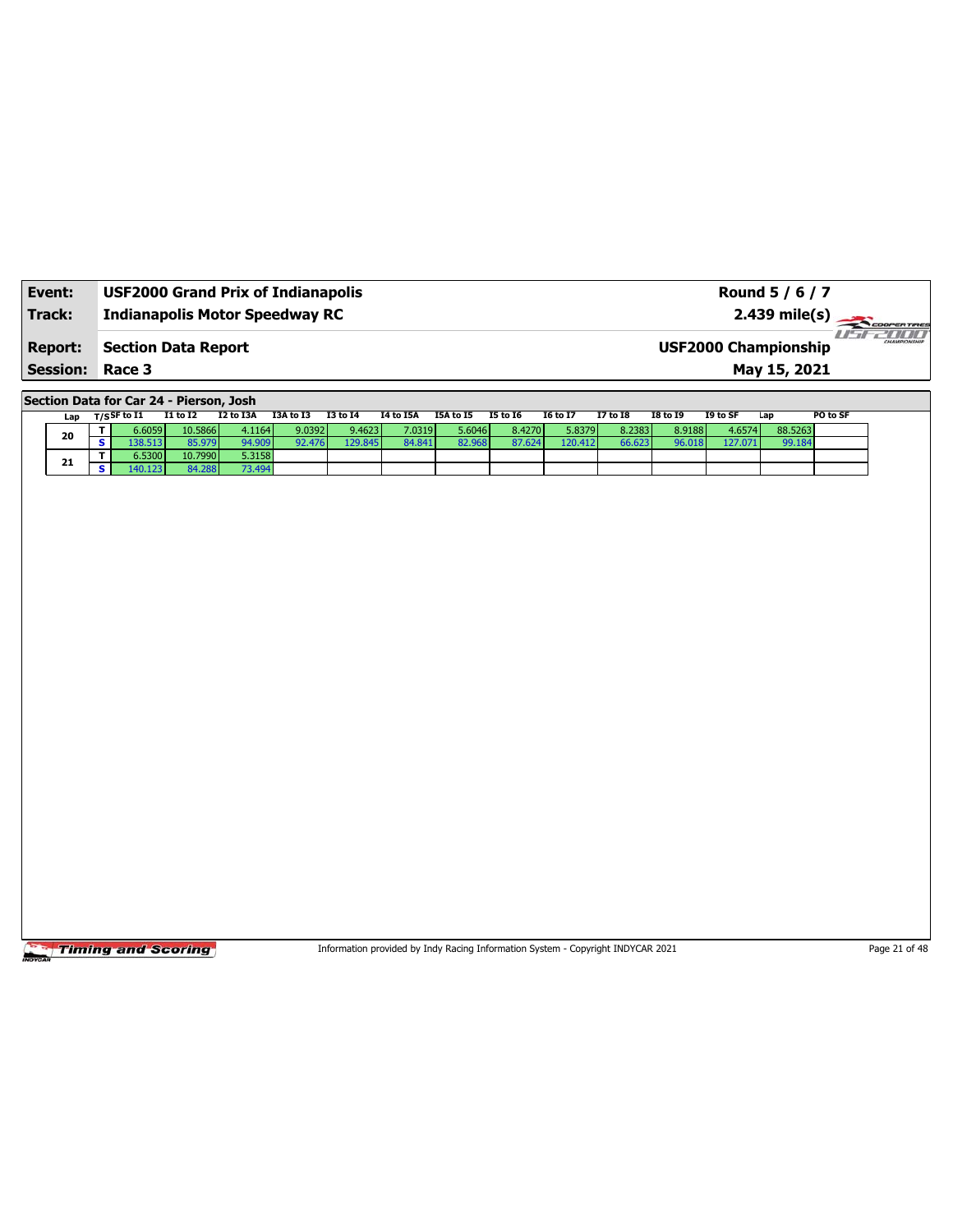| Event:<br>Track: | <b>USF2000 Grand Prix of Indianapolis</b><br><b>Indianapolis Motor Speedway RC</b> | Round 5 / 6 / 7<br>$2.439 \text{ mile(s)}$  |                |
|------------------|------------------------------------------------------------------------------------|---------------------------------------------|----------------|
| <b>Report:</b>   | Section Data Report                                                                | CHAMPIONSHIP<br><b>USF2000 Championship</b> | <b>HI HI H</b> |
| <b>Session:</b>  | Race 3                                                                             | May 15, 2021                                |                |

**Section Data for Car 24 - Pierson, Josh**

| Lap |  | ד/sSF to I1 | <b>I1 to I2</b> | I2 to I3A | I3A to I3 | I3 to I4 | I4 to I5A | I5A to I5 | I5 to I6 | <b>16 to 17</b> | <b>I7 to I8</b> | <b>I8 to I9</b> | I9 to SF | Lap     | PO to SF |
|-----|--|-------------|-----------------|-----------|-----------|----------|-----------|-----------|----------|-----------------|-----------------|-----------------|----------|---------|----------|
| 20  |  | 6.6059 l    | 10.5866         | 4.1164    | 9.0392    | 9.4623   | 7.0319    | 5.6046 l  | 8.4270   | 5.8379          | 8.2383          | 8.9188          | 4.6574   | 88.5263 |          |
|     |  |             | 85.979          | 94.909    | 92.476    | 129.845  | 84.841    |           | 87.624   | 120.412         | 66.6231         | 96.018          | 127.071  | 99.184  |          |
| 21  |  | 5.5300      | 10.7990         | 5.3158    |           |          |           |           |          |                 |                 |                 |          |         |          |
|     |  | 40.123      | 84.288          | 73.494    |           |          |           |           |          |                 |                 |                 |          |         |          |

**Timing and Scoring** 

Information provided by Indy Racing Information System - Copyright INDYCAR 2021 Page 21 of 48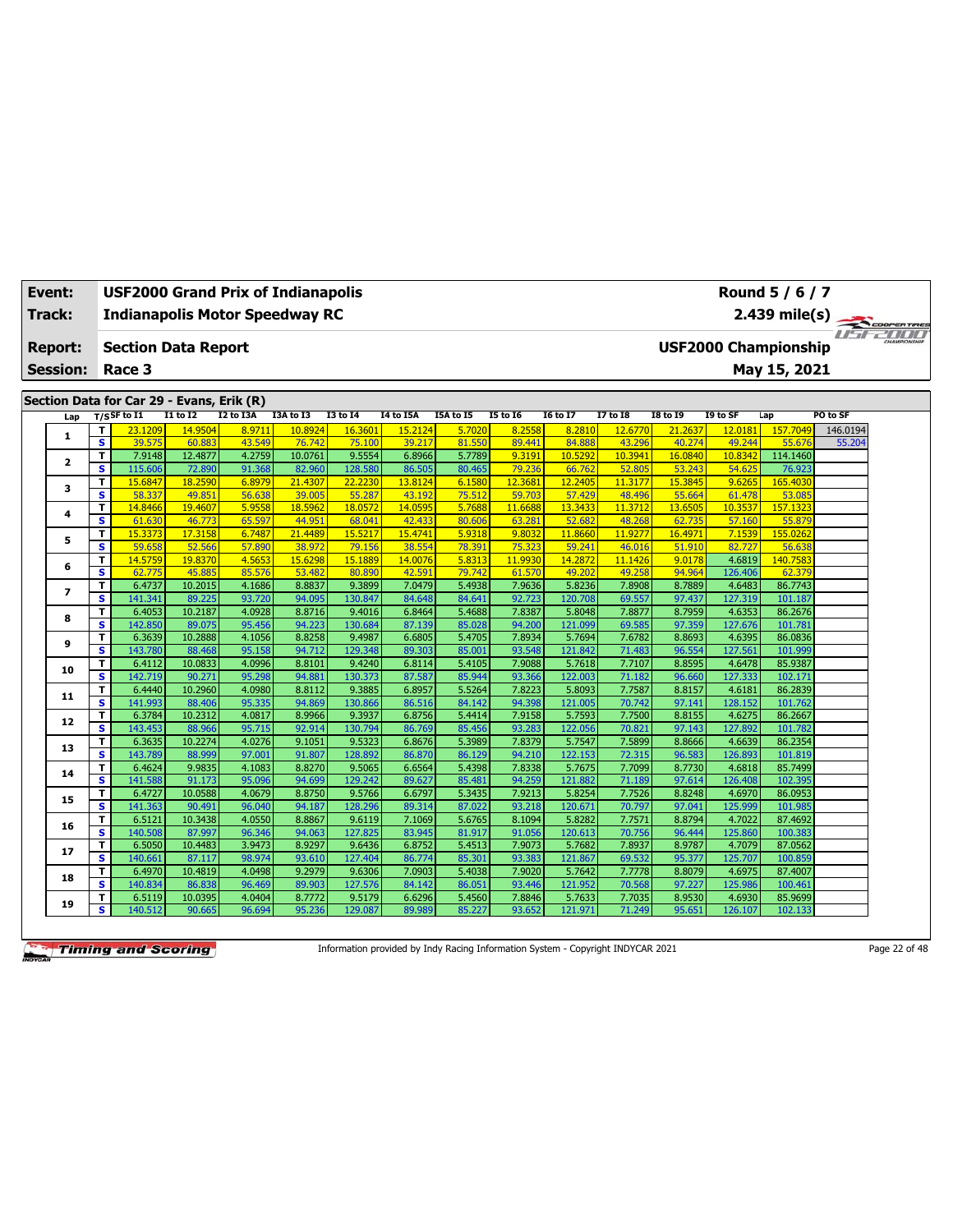| Event: |                 |                         | USF2000 Grand Prix of Indianapolis        |                   |                  |                   |                   |                   |                  |                   |                   |                   |                   |                   | Round 5 / 6 / 7             |             |  |
|--------|-----------------|-------------------------|-------------------------------------------|-------------------|------------------|-------------------|-------------------|-------------------|------------------|-------------------|-------------------|-------------------|-------------------|-------------------|-----------------------------|-------------|--|
| Track: |                 |                         | <b>Indianapolis Motor Speedway RC</b>     |                   |                  |                   |                   |                   |                  |                   |                   |                   |                   |                   | $2.439$ mile(s)             | COOPERTIRES |  |
|        |                 |                         |                                           |                   |                  |                   |                   |                   |                  |                   |                   |                   |                   |                   |                             |             |  |
|        | <b>Report:</b>  |                         | <b>Section Data Report</b>                |                   |                  |                   |                   |                   |                  |                   |                   |                   |                   |                   | <b>USF2000 Championship</b> |             |  |
|        | <b>Session:</b> |                         | Race 3                                    |                   |                  |                   |                   |                   |                  |                   |                   |                   |                   |                   | May 15, 2021                |             |  |
|        |                 |                         |                                           |                   |                  |                   |                   |                   |                  |                   |                   |                   |                   |                   |                             |             |  |
|        |                 |                         | Section Data for Car 29 - Evans, Erik (R) |                   |                  |                   |                   |                   |                  |                   |                   |                   |                   |                   |                             |             |  |
|        | Lap             |                         | $T/S$ SF to I1                            | $I1$ to $I2$      | I2 to I3A        | I3A to I3         | <b>I3 to 14</b>   | <b>I4 to I5A</b>  | I5A to I5        | <b>I5 to 16</b>   | <b>I6 to I7</b>   | <b>I7 to 18</b>   | <b>I8 to 19</b>   | I9 to SF          | Lap                         | PO to SF    |  |
|        | 1               | т                       | 23.1209                                   | 14.9504           | 8.971            | 10.8924           | 16.3601           | 15.2124           | 5.7020           | 8.2558            | 8.2810            | 12.6770           | 21.2637           | 12.0181           | 157.7049                    | 146.0194    |  |
|        |                 | $\overline{\mathbf{s}}$ | 39.575                                    | 60.883            | 43.549           | 76.742            | 75.100            | 39.217            | 81.550           | 89.441            | 84.888            | 43.296            | 40.274            | 49.244            | 55.676                      | 55.204      |  |
|        | 2               | T.                      | 7.9148                                    | 12.4877           | 4.2759           | 10.0761           | 9.5554            | 6.8966            | 5.7789           | 9.3191            | 10.5292           | 10.3941           | 16.0840           | 10.8342           | 114.1460                    |             |  |
|        |                 | s                       | 115.606                                   | 72.890            | 91.368           | 82.960            | 128.580           | 86.505            | 80.465           | 79.236            | 66.762            | 52.805            | 53.243            | 54.625            | 76.923                      |             |  |
|        | 3               | T<br>s.                 | 15.6847                                   | 18.2590           | 6.8979           | 21.4307           | 22.2230           | 13.8124           | 6.1580           | 12.3681           | 12.2405<br>57.429 | 11.3177           | 15,3845           | 9.6265            | 165.4030                    |             |  |
|        |                 | T                       | 58.337<br>14.8466                         | 49.851<br>19.4607 | 56.638<br>5.9558 | 39.005<br>18.5962 | 55.287<br>18.057  | 43.192<br>14.0595 | 75.512<br>5.7688 | 59.703<br>11.6688 | 13.3433           | 48.496<br>11.3712 | 55.664<br>13.6505 | 61.478<br>10.3537 | 53.085<br>157.1323          |             |  |
|        | 4               | $\overline{\mathbf{s}}$ | 61.630                                    | 46.773            | 65.597           | 44.951            | 68.041            | 42.433            | 80.606           | 63.281            | 52.682            | 48.268            | 62.735            | 57.160            | 55.879                      |             |  |
|        |                 | T                       | 15.3373                                   | 17.3158           | 6.7487           | 21.4489           | 15.5217           | 15.4741           | 5.9318           | 9.8032            | 11,8660           | 11,9277           | 16.4971           | 7.1539            | 155.0262                    |             |  |
|        | 5               | s                       | 59.658                                    | 52.566            | 57,890           | 38.972            | 79.156            | 38.554            | 78.391           | 75.323            | 59.241            | 46.016            | 51.910            | 82.727            | 56.638                      |             |  |
|        |                 | T.                      | 14.5759                                   | 19.8370           | 4.5653           | 15,6298           | 15.1889           | 14.0076           | 5.8313           | 11.9930           | 14.2872           | 11.1426           | 9.0178            | 4.6819            | 140.7583                    |             |  |
|        | 6               | S                       | 62.775                                    | 45.885            | 85.576           | 53.482            | 80.890            | 42.591            | 79.742           | 61.570            | 49.202            | 49.258            | 94.964            | 126.406           | 62.379                      |             |  |
|        |                 | T.                      | 6.4737                                    | 10.2015           | 4.1686           | 8.8837            | 9.3899            | 7.0479            | 5.4938           | 7.9636            | 5.8236            | 7.8908            | 8.7889            | 4.6483            | 86.7743                     |             |  |
|        | $\overline{ }$  | s                       | 141.341                                   | 89.225            | 93.720           | 94.095            | 130.847           | 84.648            | 84.641           | 92.723            | 120.708           | 69.557            | 97.437            | 127.319           | 101.187                     |             |  |
|        |                 | T.                      | 6.4053                                    | 10.2187           | 4.0928           | 8.8716            | 9.4016            | 6.8464            | 5.4688           | 7.8387            | 5.8048            | 7.8877            | 8.7959            | 4.6353            | 86.2676                     |             |  |
|        | 8               | s                       | 142.850                                   | 89.075            | 95.456           | 94.223            | 130.684           | 87.139            | 85.028           | 94.200            | 121.099           | 69.585            | 97.359            | 127.676           | 101.781                     |             |  |
|        | 9               | T                       | 6.3639                                    | 10.2888           | 4.1056           | 8.8258            | 9.4987            | 6.6805            | 5.4705           | 7.8934            | 5.7694            | 7.6782            | 8.8693            | 4.6395            | 86.0836                     |             |  |
|        |                 | $\overline{\mathbf{s}}$ | 143.780                                   | 88.468            | 95.158           | 94.712            | 129.348           | 89.303            | 85.001           | 93.548            | 121.842           | 71.483            | 96.554            | 127.561           | 101.999                     |             |  |
|        | 10              | T.                      | 6.4112                                    | 10.0833           | 4.0996           | 8.8101            | 9.4240            | 6.8114            | 5.4105           | 7.9088            | 5.7618            | 7.7107            | 8.8595            | 4.6478            | 85.9387                     |             |  |
|        |                 | s.                      | 142.719                                   | 90.271            | 95.298           | 94.881            | 130.373           | 87.587            | 85.944           | 93.366            | 122.003           | 71.182            | 96.660            | 127.333           | 102.171                     |             |  |
|        | 11              | T.                      | 6.4440                                    | 10.2960           | 4.0980           | 8.8112            | 9.3885            | 6.8957            | 5.5264           | 7.8223            | 5.8093            | 7.7587            | 8.8157            | 4.6181            | 86.2839                     |             |  |
|        |                 | $\overline{\mathbf{s}}$ | 141.993                                   | 88.406            | 95.335           | 94.869            | 130.866           | 86.516            | 84.142           | 94.398            | 121.005           | 70.742            | 97.141            | 128.152           | 101.762                     |             |  |
|        | 12              | T.                      | 6.3784                                    | 10.2312           | 4.0817           | 8.9966            | 9.3937            | 6.8756            | 5.4414           | 7.9158            | 5.7593            | 7.7500            | 8.8155            | 4.6275            | 86.2667                     |             |  |
|        |                 | s                       | 143.453                                   | 88.966            | 95.715           | 92.914            | 130.794           | 86.769            | 85.456           | 93.283            | 122.056           | 70.821            | 97.143            | 127.892           | 101.782                     |             |  |
|        | 13              | т                       | 6.3635                                    | 10.2274           | 4.0276           | 9.1051            | 9.5323            | 6.8676            | 5.3989           | 7.8379            | 5.7547            | 7.5899            | 8.8666            | 4.6639            | 86.2354                     |             |  |
|        |                 | s                       | 143.789                                   | 88.999            | 97.001           | 91.807            | 128.892           | 86.870            | 86.129           | 94.210<br>7.8338  | 122.153           | 72.315            | 96.583            | 126.893           | 101.819                     |             |  |
|        | 14              | T<br>s                  | 6.4624<br>141.588                         | 9.9835            | 4.1083<br>95.096 | 8.8270<br>94.699  | 9.5065<br>129.242 | 6.6564            | 5.4398<br>85.481 | 94.259            | 5.7675<br>121.882 | 7.7099            | 8.7730<br>97.614  | 4.6818<br>126.408 | 85.7499<br>102.395          |             |  |
|        |                 | T                       | 6.4727                                    | 91.173<br>10.0588 | 4.0679           | 8.8750            | 9.5766            | 89.627<br>6.6797  | 5.3435           | 7.9213            | 5.8254            | 71.189<br>7.7526  | 8.8248            | 4.6970            | 86.0953                     |             |  |
|        | 15              | s.                      | 141.363                                   | 90.491            | 96.040           | 94.187            | 128.296           | 89.314            | 87.022           | 93.218            | 120.671           | 70.797            | 97.041            | 125.999           | 101.985                     |             |  |
|        |                 | T                       | 6.5121                                    | 10.3438           | 4.0550           | 8.8867            | 9.6119            | 7.1069            | 5.6765           | 8.1094            | 5.8282            | 7.7571            | 8.8794            | 4.7022            | 87.4692                     |             |  |
|        | 16              | $\overline{\mathbf{s}}$ | 140.508                                   | 87.997            | 96.346           | 94.063            | 127.825           | 83.945            | 81.917           | 91.056            | 120.613           | 70.756            | 96.444            | 125.860           | 100.383                     |             |  |
|        |                 | T.                      | 6.5050                                    | 10.4483           | 3.9473           | 8.9297            | 9.6436            | 6.8752            | 5.4513           | 7.9073            | 5.7682            | 7.8937            | 8.9787            | 4.7079            | 87.0562                     |             |  |
|        | 17              | $\overline{\mathbf{s}}$ | 140.661                                   | 87.117            | 98.974           | 93.610            | 127.404           | 86.774            | 85.301           | 93.383            | 121.867           | 69.532            | 95.377            | 125.707           | 100.859                     |             |  |
|        |                 | T                       | 6.4970                                    | 10.4819           | 4.0498           | 9.2979            | 9.6306            | 7.0903            | 5.4038           | 7.9020            | 5.7642            | 7.7778            | 8.8079            | 4.6975            | 87.4007                     |             |  |
|        | 18              | s                       | 140.834                                   | 86.838            | 96.469           | 89.903            | 127.576           | 84.142            | 86.05            | 93.446            | 121.952           | 70.568            | 97.227            | 125.986           | 100.461                     |             |  |
|        |                 | т                       | 6.5119                                    | 10.0395           | 4.0404           | 8.7772            | 9.5179            | 6.6296            | 5.4560           | 7.8846            | 5.7633            | 7.7035            | 8.9530            | 4.6930            | 85.9699                     |             |  |
|        | 19              | s                       | 140.512                                   | 90.665            | 96.694           | 95.236            | 129.087           | 89.989            | 85.227           | 93.652            | 121.971           | 71.249            | 95.651            | 126.107           | 102.133                     |             |  |
|        |                 |                         |                                           |                   |                  |                   |                   |                   |                  |                   |                   |                   |                   |                   |                             |             |  |

Information provided by Indy Racing Information System - Copyright INDYCAR 2021 Page 22 of 48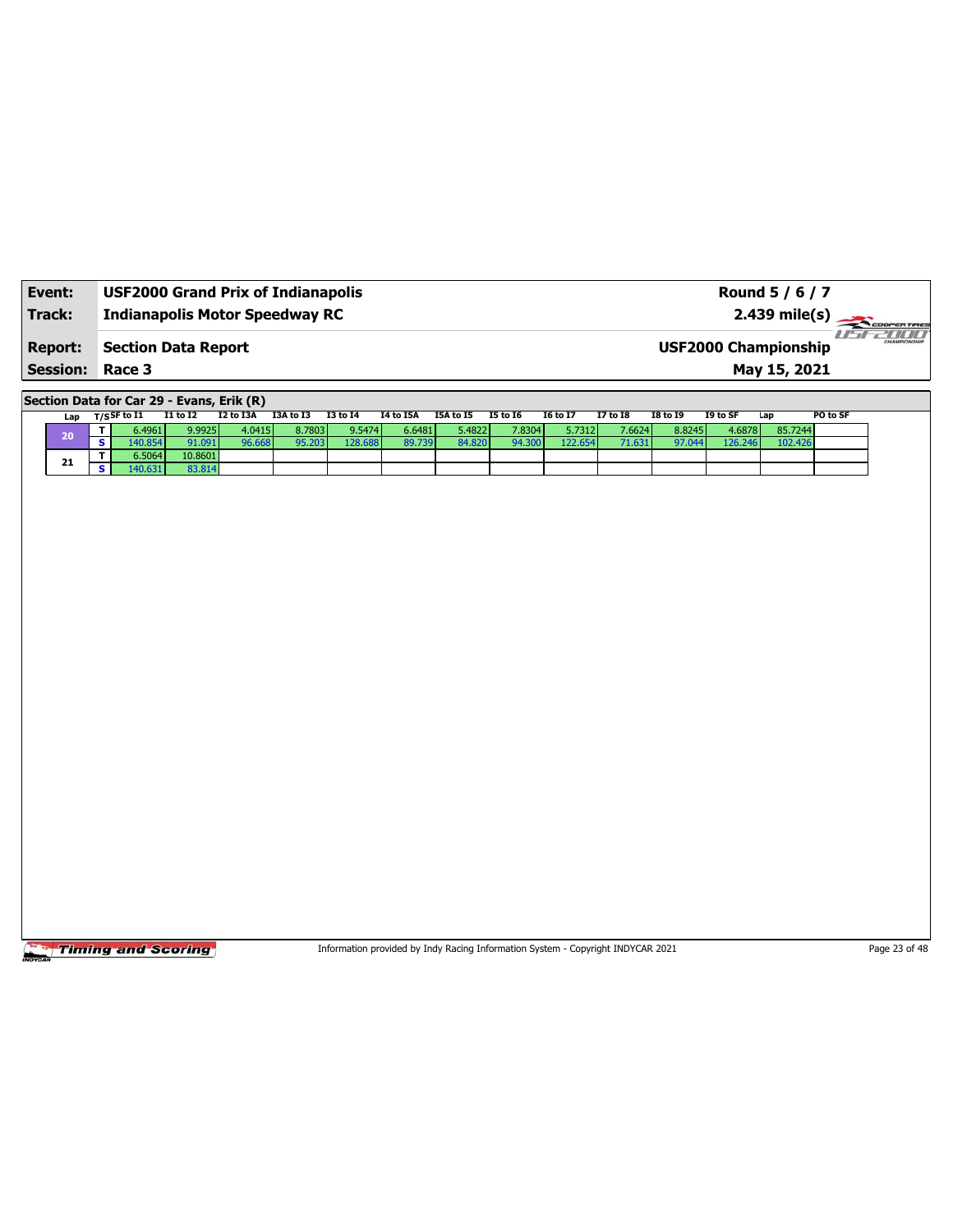| Event:                 | <b>USF2000 Grand Prix of Indianapolis</b> | Round 5 / 6 / 7                                        |
|------------------------|-------------------------------------------|--------------------------------------------------------|
| Track:                 | <b>Indianapolis Motor Speedway RC</b>     |                                                        |
| <b>Report:</b>         | <b>Section Data Report</b>                | -171717<br>CHAMPIONSHIP<br><b>USF2000 Championship</b> |
| <b>Session: Race 3</b> |                                           | May 15, 2021                                           |

**Section Data for Car 29 - Evans, Erik (R)**

| Lap | T/S <sup>SF to I1</sup> | I1 to I2 | I2 to I3A | I3A to I3 | I3 to I4 | I4 to I5A | I5A to I5 | <b>I5 to 16</b> | <b>I6 to I7</b> | <b>I7 to I8</b> | <b>I8 to I9</b> | I9 to SF | Lap     | PO to SF |
|-----|-------------------------|----------|-----------|-----------|----------|-----------|-----------|-----------------|-----------------|-----------------|-----------------|----------|---------|----------|
| 20  | 6.4961                  | 9.9925   | 4.0415    | 8.7803    | 9.5474   | 6.6481    | 5.4822    | 7.8304          | 5.7312          | 7.6624          | 8.8245          | 4.6878   | 85.7244 |          |
|     | $.0.854$ <sup>r</sup>   | 1.091    | 96.668    | 95.203    | 128.688  | 89.739    | 84.820    | 94.300          | 122.654         |                 | 97.044          | 126.246  | 102.426 |          |
| 21  | 6.5064                  | 10.8601  |           |           |          |           |           |                 |                 |                 |                 |          |         |          |
|     | $+0.631$                | 83.814   |           |           |          |           |           |                 |                 |                 |                 |          |         |          |

**Timing and Scoring** 

Information provided by Indy Racing Information System - Copyright INDYCAR 2021 Page 23 of 48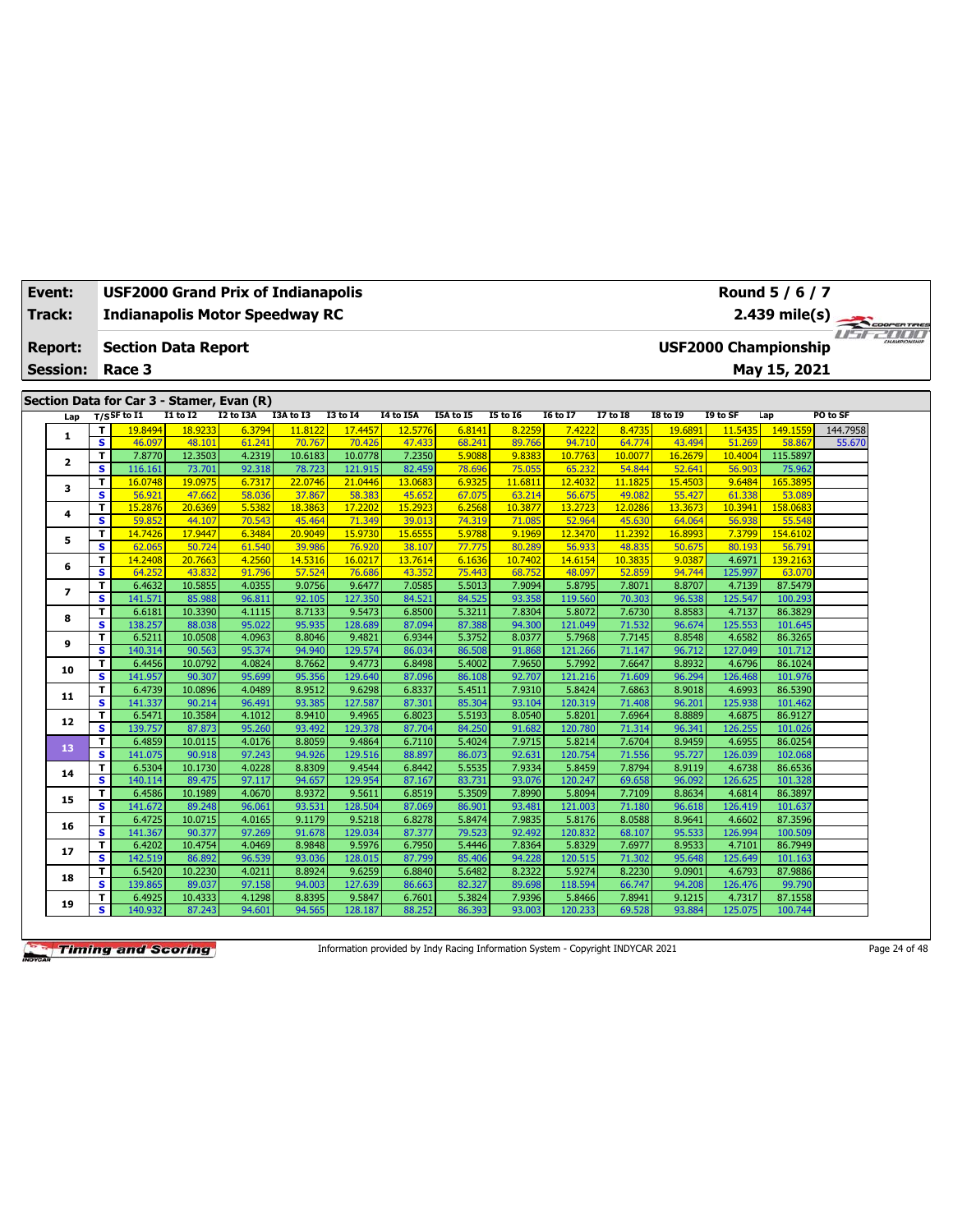| Event:<br>Track: |                 |                              |                    |                                           |                  | <b>USF2000 Grand Prix of Indianapolis</b><br><b>Indianapolis Motor Speedway RC</b> |                    |                   |                  |                   |                   |                  |                   |                             | Round 5 / 6 / 7<br>2.439 mile(s) |          | COOPERTIRES           |
|------------------|-----------------|------------------------------|--------------------|-------------------------------------------|------------------|------------------------------------------------------------------------------------|--------------------|-------------------|------------------|-------------------|-------------------|------------------|-------------------|-----------------------------|----------------------------------|----------|-----------------------|
| <b>Report:</b>   |                 |                              |                    | <b>Section Data Report</b>                |                  |                                                                                    |                    |                   |                  |                   |                   |                  |                   | <b>USF2000 Championship</b> |                                  |          | <b>Fiftee All III</b> |
|                  | <b>Session:</b> |                              | Race 3             |                                           |                  |                                                                                    |                    |                   |                  |                   |                   |                  |                   |                             | May 15, 2021                     |          |                       |
|                  |                 |                              |                    |                                           |                  |                                                                                    |                    |                   |                  |                   |                   |                  |                   |                             |                                  |          |                       |
|                  |                 |                              |                    | Section Data for Car 3 - Stamer, Evan (R) |                  |                                                                                    |                    |                   |                  |                   |                   |                  |                   |                             |                                  |          |                       |
|                  | Lap             | $T/S$ SF to I1               |                    | $I1$ to $I2$                              | <b>I2 to I3A</b> | I3A to I3                                                                          | $I3$ to $I4$       | <b>I4 to I5A</b>  | I5A to I5        | <b>I5 to 16</b>   | <b>I6 to I7</b>   | <b>I7 to 18</b>  | <b>I8 to 19</b>   | I9 to SF                    | Lap                              | PO to SF |                       |
|                  | $\mathbf{1}$    | T.                           | 19.8494            | 18.9233                                   | 6.3794           | 11,8122                                                                            | 17.4457            | 12.5776           | 6.8141           | 8.2259            | 7.4222            | 8.473            | 19,6891           | 11.5435                     | 149.1559                         | 144.7958 |                       |
|                  |                 | $\overline{\mathbf{s}}$      | 46.097             | 48.101                                    | 61.241           | 70.767                                                                             | 70.426             | 47.433            | 68.241           | 89.766            | 94.710            | 64.774           | 43.494            | 51.269                      | 58.867                           | 55.670   |                       |
|                  | $\mathbf{z}$    | T<br>$\overline{\mathbf{s}}$ | 7.8770             | 12.3503                                   | 4.2319<br>92.318 | 10.6183                                                                            | 10.0778<br>121.915 | 7.2350            | 5.9088           | 9.8383            | 10.7763<br>65.232 | 10.007<br>54.844 | 16.2679           | 10.4004                     | 115.5897                         |          |                       |
|                  |                 | т                            | 116.161<br>16.0748 | 73.701<br>19.0975                         | 6.7317           | 78.723<br>22.0746                                                                  | 21.0446            | 82.459<br>13.0683 | 78.696<br>6.9325 | 75.055<br>11.6811 | 12.4032           | 11.182           | 52.641<br>15.4503 | 56.903<br>9.6484            | 75.962<br>165.389                |          |                       |
|                  | 3               | $\overline{\mathbf{s}}$      | 56.921             | 47.662                                    | 58.036           | 37.867                                                                             | 58.383             | 45.652            | 67.075           | 63.214            | 56.675            | 49.082           | 55.427            | 61.338                      | 53.089                           |          |                       |
|                  |                 | T.                           | 15.2876            | 20.6369                                   | 5.5382           | 18.3863                                                                            | 17.2202            | 15.2923           | 6.2568           | 10.3877           | 13.2723           | 12.028           | 13.3673           | 10.3941                     | 158.0683                         |          |                       |
|                  | 4               | S                            | 59.852             | 44.107                                    | 70.543           | 45.464                                                                             | 71.349             | 39.013            | 74.319           | 71.085            | 52.964            | 45.630           | 64.064            | 56.938                      | 55.548                           |          |                       |
|                  |                 | т                            | 14.7426            | 17.9447                                   | 6.3484           | 20.9049                                                                            | 15.9730            | 15.6555           | 5.9788           | 9.1969            | 12.3470           | 11.2392          | 16.8993           | 7.3799                      | 154.6102                         |          |                       |
|                  | 5               | $\overline{\mathbf{s}}$      | 62.065             | 50.724                                    | 61.540           | 39.986                                                                             | 76.920             | 38.107            | 77.775           | 80.289            | 56.933            | 48.835           | 50.675            | 80.193                      | 56.791                           |          |                       |
|                  | 6               | T                            | 14.2408            | 20.7663                                   | 4.2560           | 14.5316                                                                            | 16.0217            | 13.7614           | 6.1636           | 10.7402           | 14.6154           | 10.3835          | 9.0387            | 4.6971                      | 139.2163                         |          |                       |
|                  |                 | S                            | 64.252             | 43.832                                    | 91.796           | 57.524                                                                             | 76.686             | 43.352            | 75.443           | 68.752            | 48.097            | 52.859           | 94.744            | 125.997                     | 63.070                           |          |                       |
|                  | 7               | T                            | 6.4632             | 10.5855                                   | 4.0355           | 9.0756                                                                             | 9.6477             | 7.0585            | 5.5013           | 7.9094            | 5.8795            | 7.8071           | 8.8707            | 4.7139                      | 87.5479                          |          |                       |
|                  |                 | $\overline{\mathbf{s}}$      | 141.571            | 85.988                                    | 96.811           | 92.105                                                                             | 127,350            | 84.521            | 84.525           | 93.358            | 119.560           | 70.303           | 96.538            | 125.547                     | 100.293                          |          |                       |
|                  | 8               | т                            | 6.6181             | 10.3390                                   | 4.1115           | 8.7133                                                                             | 9.5473             | 6.8500            | 5.3211           | 7.8304            | 5.8072            | 7.6730           | 8.8583            | 4.7137                      | 86.3829                          |          |                       |
|                  |                 | $\overline{\mathbf{s}}$      | 138.257            | 88.038                                    | 95.022           | 95.935                                                                             | 128.689            | 87.094            | 87.388           | 94.300            | 121.049           | 71.532           | 96.674            | 125.553                     | 101.645                          |          |                       |
|                  | 9               | T.                           | 6.5211             | 10.0508                                   | 4.0963           | 8.8046                                                                             | 9.4821             | 6.9344            | 5.3752           | 8.0377            | 5.7968            | 7.7145           | 8.8548            | 4.6582                      | 86.3265                          |          |                       |
|                  |                 | s                            | 140.314            | 90.563                                    | 95.374           | 94.940                                                                             | 129.574            | 86.034            | 86.508           | 91.868            | 121.266           | 71.147           | 96.712            | 127.049                     | 101.712                          |          |                       |
|                  | 10              | т<br>s                       | 6.4456<br>141.957  | 10.0792<br>90.307                         | 4.0824<br>95.699 | 8.7662<br>95.356                                                                   | 9.4773<br>129.640  | 6.8498<br>87.096  | 5.4002<br>86.108 | 7.9650<br>92.707  | 5.7992<br>121.216 | 7.6647<br>71.609 | 8.8932<br>96.294  | 4.6796<br>126.468           | 86.1024<br>101.976               |          |                       |
|                  |                 | T                            | 6.4739             | 10.0896                                   | 4.0489           | 8.9512                                                                             | 9.6298             | 6.8337            | 5.4511           | 7.9310            | 5.8424            | 7.6863           | 8.9018            | 4.6993                      | 86.5390                          |          |                       |
|                  | 11              | s                            | 141.337            | 90.214                                    | 96.491           | 93.385                                                                             | 127.587            | 87.301            | 85.304           | 93.104            | 120.319           | 71.408           | 96.201            | 125.938                     | 101.462                          |          |                       |
|                  |                 | т                            | 6.5471             | 10.3584                                   | 4.1012           | 8.9410                                                                             | 9.4965             | 6.8023            | 5.5193           | 8.0540            | 5.8201            | 7.6964           | 8.8889            | 4.6875                      | 86.9127                          |          |                       |
|                  | 12              | $\overline{\mathbf{s}}$      | 139.757            | 87,873                                    | 95.260           | 93.492                                                                             | 129.378            | 87.704            | 84.250           | 91.682            | 120.780           | 71.314           | 96.341            | 126.255                     | 101.026                          |          |                       |
|                  |                 | T.                           | 6.4859             | 10.0115                                   | 4.0176           | 8.8059                                                                             | 9.4864             | 6.7110            | 5.4024           | 7.9715            | 5.8214            | 7.6704           | 8.9459            | 4.6955                      | 86.0254                          |          |                       |
|                  | 13              | s                            | 141.075            | 90.918                                    | 97.243           | 94.926                                                                             | 129,516            | 88.897            | 86.073           | 92.631            | 120.754           | 71.556           | 95.727            | 126.039                     | 102.068                          |          |                       |
|                  | 14              | T.                           | 6.5304             | 10.1730                                   | 4.0228           | 8.8309                                                                             | 9.4544             | 6.8442            | 5.5535           | 7.9334            | 5.8459            | 7.8794           | 8.9119            | 4.6738                      | 86.6536                          |          |                       |
|                  |                 | s.                           | 140.114            | 89.475                                    | 97.117           | 94.657                                                                             | 129.954            | 87.167            | 83.731           | 93.076            | 120.247           | 69.658           | 96.092            | 126.625                     | 101.328                          |          |                       |
|                  | 15              | T                            | 6.4586             | 10.1989                                   | 4.0670           | 8.9372                                                                             | 9.5611             | 6.8519            | 5.3509           | 7.8990            | 5.8094            | 7.7109           | 8.8634            | 4.6814                      | 86.3897                          |          |                       |
|                  |                 | s.                           | 141.672            | 89.248                                    | 96.061           | 93.531                                                                             | 128.504            | 87.069            | 86.901           | 93.481            | 121.003           | 71.180           | 96.618            | 126.419                     | 101.637                          |          |                       |
|                  | 16              | T.                           | 6.4725             | 10.0715                                   | 4.0165           | 9.1179                                                                             | 9.5218             | 6.8278            | 5.8474           | 7.9835            | 5.8176            | 8.0588           | 8.9641            | 4.6602                      | 87.3596                          |          |                       |
|                  |                 | s                            | 141.367            | 90.377                                    | 97.269           | 91.678                                                                             | 129.034            | 87.377            | 79.523           | 92.492            | 120.832           | 68.107           | 95.533            | 126.994                     | 100.509                          |          |                       |
|                  | 17              | T<br>S.                      | 6.4202<br>142.519  | 10.4754<br>86.892                         | 4.0469<br>96.539 | 8.9848<br>93.036                                                                   | 9.5976<br>128.015  | 6.7950<br>87.799  | 5.4446<br>85.406 | 7.8364<br>94.228  | 5.8329<br>120.515 | 7.6977<br>71.302 | 8.9533<br>95.648  | 4.7101<br>125.649           | 86.7949<br>101.163               |          |                       |
|                  |                 | T                            | 6.5420             | 10.2230                                   | 4.0211           | 8.8924                                                                             | 9.6259             | 6.8840            | 5.6482           | 8.2322            | 5.9274            | 8.2230           | 9.0901            | 4.6793                      | 87.9886                          |          |                       |
|                  | 18              | s                            | 139.865            | 89.037                                    | 97.158           | 94.003                                                                             | 127.639            | 86.663            | 82.327           | 89.698            | 118.594           | 66.747           | 94.208            | 126.476                     | 99.790                           |          |                       |
|                  |                 | T                            | 6.4925             | 10.4333                                   | 4.1298           | 8.8395                                                                             | 9.5847             | 6.7601            | 5.3824           | 7.9396            | 5.8466            | 7.8941           | 9.1215            | 4.7317                      | 87.1558                          |          |                       |
|                  | 19              | S.                           | 140.932            | 87.243                                    | 94.601           | 94.565                                                                             | 128.187            | 88.252            | 86.393           | 93.003            | 120.233           | 69.528           | 93.884            | 125.075                     | 100.744                          |          |                       |

Information provided by Indy Racing Information System - Copyright INDYCAR 2021 Page 24 of 48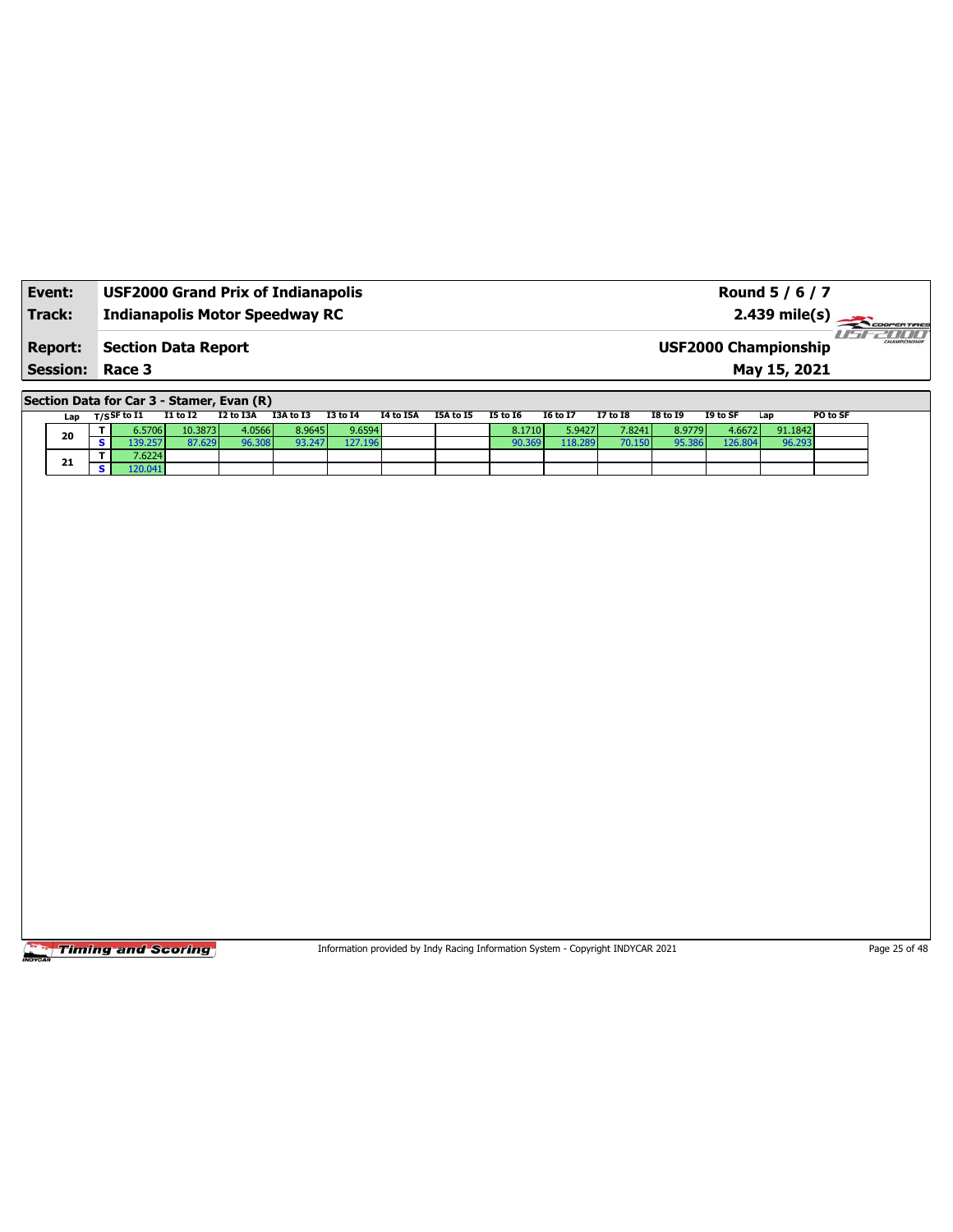| Event:          | <b>USF2000 Grand Prix of Indianapolis</b> | Round 5 / 6 / 7                                               |
|-----------------|-------------------------------------------|---------------------------------------------------------------|
| Track:          | <b>Indianapolis Motor Speedway RC</b>     | $2.439 \text{ mile(s)}$                                       |
| <b>Report:</b>  | Section Data Report                       | <i>USE2000</i><br>CHAMPIONSHIP<br><b>USF2000 Championship</b> |
| <b>Session:</b> | Race 3                                    | May 15, 2021                                                  |

**Section Data for Car 3 - Stamer, Evan (R)**

|  | Lap | $_{\rm T/S}$ SF to I1 | I1 to I2 | I2 to I3A | I3A to I3 | <b>I3 to 14</b> | I4 to I5A | I5A to I5 | <b>I5 to 16</b> | <b>I6 to I7</b> | 17 to 18 | <b>I8 to 19</b> | I9 to SF | Lap     | PO to SF |
|--|-----|-----------------------|----------|-----------|-----------|-----------------|-----------|-----------|-----------------|-----------------|----------|-----------------|----------|---------|----------|
|  | 20  | 6.5706 l              | 10.3873  | 4.0566    | 8.9645    | 9.6594          |           |           | 8.1710          | 5.9427          | 7.8241   | 8.9779          | 4.6672   | 91.1842 |          |
|  |     |                       |          | 96.30c    | 93.247    | 127.196         |           |           | 90.369          | 118.289         | 70.150   | <b>15.386</b>   | 126.804  |         |          |
|  | 21  | 7.6224                |          |           |           |                 |           |           |                 |                 |          |                 |          |         |          |
|  |     | 20.041                |          |           |           |                 |           |           |                 |                 |          |                 |          |         |          |

**Timing and Scoring** 

Information provided by Indy Racing Information System - Copyright INDYCAR 2021 Page 25 of 48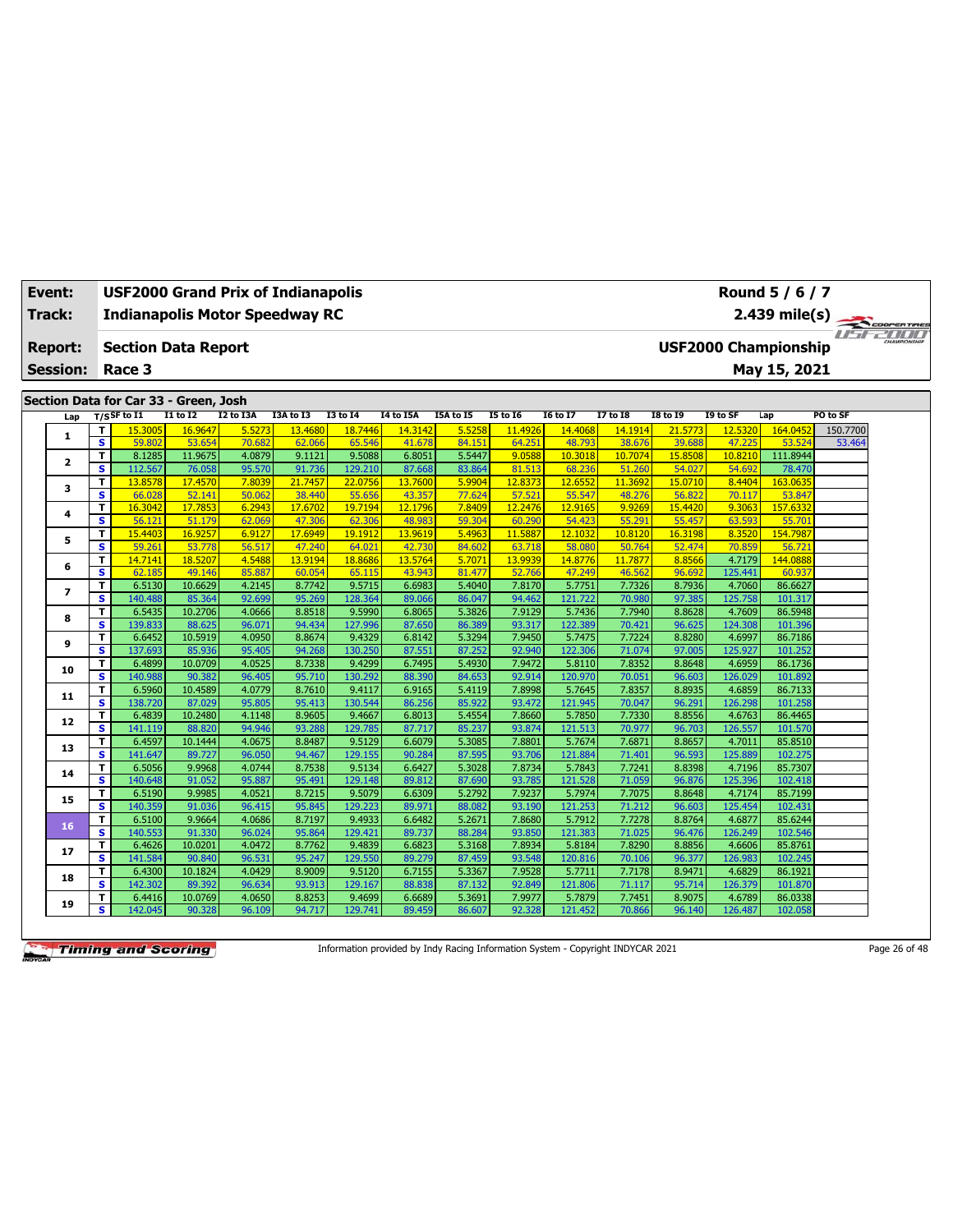| Event:<br><b>USF2000 Grand Prix of Indianapolis</b><br>Track:<br><b>Indianapolis Motor Speedway RC</b> |                              |                                       |                   |                  |                   |                   |                   |                  |                   |                   |                   |                   |                                                                                                                                                                                                                                                                                                                                                                                                                                                                                                                                                                                           |             |                    |
|--------------------------------------------------------------------------------------------------------|------------------------------|---------------------------------------|-------------------|------------------|-------------------|-------------------|-------------------|------------------|-------------------|-------------------|-------------------|-------------------|-------------------------------------------------------------------------------------------------------------------------------------------------------------------------------------------------------------------------------------------------------------------------------------------------------------------------------------------------------------------------------------------------------------------------------------------------------------------------------------------------------------------------------------------------------------------------------------------|-------------|--------------------|
|                                                                                                        |                              |                                       |                   |                  |                   |                   |                   |                  |                   |                   |                   |                   | Round 5 / 6 / 7<br>$2.439$ mile(s)<br><b>USF2000 Championship</b><br>May 15, 2021<br>I9 to SF<br>Lap<br>12.5320<br>164.045<br>47.225<br>53.524<br>10.8210<br>111.8944<br>54.692<br>78.470<br>8.4404<br>163.0635<br>70.117<br>53.847<br>9.3063<br>157.6332<br>63.593<br>55.701<br>8.3520<br>154.7987<br>70.859<br>56.721<br>4.7179<br>144.0888<br>125.441<br>60.937<br>4.7060<br>86.6627<br>125.758<br>101.317<br>86.5948<br>4.7609<br>124.308<br>101.396<br>4.6997<br>86.7186<br>125.927<br>101.252<br>4.6959<br>86.1736<br>126.029<br>101.892<br>4.6859<br>86.7133<br>126.298<br>101.258 | COOPERTIRES |                    |
|                                                                                                        |                              |                                       |                   |                  |                   |                   |                   |                  |                   |                   |                   |                   |                                                                                                                                                                                                                                                                                                                                                                                                                                                                                                                                                                                           |             | use zoo            |
| <b>Report:</b>                                                                                         |                              | <b>Section Data Report</b>            |                   |                  |                   |                   |                   |                  |                   |                   |                   |                   |                                                                                                                                                                                                                                                                                                                                                                                                                                                                                                                                                                                           |             |                    |
| <b>Session:</b>                                                                                        |                              | Race 3                                |                   |                  |                   |                   |                   |                  |                   |                   |                   |                   |                                                                                                                                                                                                                                                                                                                                                                                                                                                                                                                                                                                           |             |                    |
|                                                                                                        |                              |                                       |                   |                  |                   |                   |                   |                  |                   |                   |                   |                   |                                                                                                                                                                                                                                                                                                                                                                                                                                                                                                                                                                                           |             |                    |
|                                                                                                        |                              | Section Data for Car 33 - Green, Josh |                   |                  |                   |                   |                   |                  |                   |                   |                   |                   |                                                                                                                                                                                                                                                                                                                                                                                                                                                                                                                                                                                           |             |                    |
| Lap                                                                                                    |                              | $T/S$ SF to I1                        | <b>I1 to I2</b>   | I2 to I3A        | I3A to I3         | <b>I3 to 14</b>   | <b>I4 to I5A</b>  | I5A to I5        | <b>I5 to 16</b>   | <b>I6 to I7</b>   | <b>I7 to 18</b>   | <b>I8 to 19</b>   |                                                                                                                                                                                                                                                                                                                                                                                                                                                                                                                                                                                           |             | PO to SF           |
| 1                                                                                                      | T<br>$\overline{\mathbf{s}}$ | 15.3005<br>59.802                     | 16.9647<br>53.654 | 5.5273<br>70.682 | 13.4680<br>62.066 | 18.7446<br>65.546 | 14.3142<br>41.678 | 5.5258<br>84.151 | 11.4926<br>64.251 | 14.4068<br>48.793 | 14.1914<br>38.676 | 21.5773<br>39.688 |                                                                                                                                                                                                                                                                                                                                                                                                                                                                                                                                                                                           |             | 150.7700<br>53.464 |
|                                                                                                        | $\overline{\mathsf{r}}$      | 8.1285                                | 11.9675           | 4.0879           | 9.1121            | 9.5088            | 6.8051            | 5.5447           | 9.0588            | 10.3018           | 10.7074           | 15.8508           |                                                                                                                                                                                                                                                                                                                                                                                                                                                                                                                                                                                           |             |                    |
| $\mathbf{z}$                                                                                           | s                            | 112.567                               | 76.058            | 95.570           | 91.736            | 129.210           | 87.668            | 83.864           | 81.513            | 68.236            | 51.260            | 54.027            |                                                                                                                                                                                                                                                                                                                                                                                                                                                                                                                                                                                           |             |                    |
|                                                                                                        | $\mathbf T$                  | 13.8578                               | 17.4570           | 7.8039           | 21.7457           | 22.0756           | 13.7600           | 5.9904           | 12.8373           | 12.6552           | 11.3692           | 15,0710           |                                                                                                                                                                                                                                                                                                                                                                                                                                                                                                                                                                                           |             |                    |
| з                                                                                                      | s                            | 66.028                                | 52.141            | 50.062           | 38,440            | 55.656            | 43.357            | 77.624           | 57.521            | 55.547            | 48.276            | 56.822            |                                                                                                                                                                                                                                                                                                                                                                                                                                                                                                                                                                                           |             |                    |
|                                                                                                        | $\mathbf T$                  | 16.3042                               | 17.7853           | 6.2943           | 17.6702           | 19.7194           | 12.1796           | 7.8409           | 12.2476           | 12.9165           | 9.9269            | 15.4420           |                                                                                                                                                                                                                                                                                                                                                                                                                                                                                                                                                                                           |             |                    |
| 4                                                                                                      | $\overline{\mathbf{s}}$      | 56.121                                | 51.179            | 62.069           | 47,306            | 62.306            | 48.983            | 59.304           | 60.290            | 54.423            | 55.291            | 55.457            |                                                                                                                                                                                                                                                                                                                                                                                                                                                                                                                                                                                           |             |                    |
| 5                                                                                                      | $\mathbf T$                  | 15.4403                               | 16.9257           | 6.9127           | 17.6949           | 19.1912           | 13.9619           | 5.4963           | 11.5887           | 12.1032           | 10.8120           | 16.3198           |                                                                                                                                                                                                                                                                                                                                                                                                                                                                                                                                                                                           |             |                    |
|                                                                                                        | $\overline{\mathbf{s}}$      | 59.261                                | 53.778            | 56.517           | 47.240            | 64.02             | 42.730            | 84.602           | 63.718            | 58.080            | 50.764            | 52.474            |                                                                                                                                                                                                                                                                                                                                                                                                                                                                                                                                                                                           |             |                    |
| 6                                                                                                      | T.                           | 14.7141                               | 18.5207           | 4.5488           | 13.9194           | 18.868            | 13.5764           | 5.7071           | 13.9939           | 14.8776           | 11.7877           | 8.8566            |                                                                                                                                                                                                                                                                                                                                                                                                                                                                                                                                                                                           |             |                    |
|                                                                                                        | S                            | 62.185                                | 49.146            | 85.887           | 60.054            | 65.115            | 43.943            | 81.477           | 52.766            | 47.249            | 46.562            | 96.692            |                                                                                                                                                                                                                                                                                                                                                                                                                                                                                                                                                                                           |             |                    |
| 7                                                                                                      | T                            | 6.5130                                | 10.6629           | 4.2145           | 8.7742            | 9.5715            | 6.6983            | 5.4040           | 7.8170            | 5.7751            | 7.7326            | 8.7936            |                                                                                                                                                                                                                                                                                                                                                                                                                                                                                                                                                                                           |             |                    |
|                                                                                                        | s                            | 140.488                               | 85.364            | 92.699           | 95.269            | 128.364           | 89.066            | 86.047           | 94.462            | 121.722           | 70.980            | 97.385            |                                                                                                                                                                                                                                                                                                                                                                                                                                                                                                                                                                                           |             |                    |
| 8                                                                                                      | T                            | 6.5435                                | 10.2706           | 4.0666           | 8.8518            | 9.5990            | 6.8065            | 5.3826           | 7.9129            | 5.7436            | 7.7940            | 8.8628            |                                                                                                                                                                                                                                                                                                                                                                                                                                                                                                                                                                                           |             |                    |
|                                                                                                        | s                            | 139.833                               | 88.625            | 96.071           | 94.434            | 127.996           | 87.650            | 86.389           | 93.317            | 122.389           | 70.421            | 96.625            |                                                                                                                                                                                                                                                                                                                                                                                                                                                                                                                                                                                           |             |                    |
| 9                                                                                                      | T                            | 6.6452                                | 10.5919           | 4.0950           | 8.8674            | 9.4329            | 6.8142            | 5.3294           | 7.9450            | 5.7475            | 7.7224            | 8.8280            |                                                                                                                                                                                                                                                                                                                                                                                                                                                                                                                                                                                           |             |                    |
|                                                                                                        | <b>S</b><br>T                | 137.693<br>6.4899                     | 85.936<br>10.0709 | 95.405<br>4.0525 | 94.268<br>8.7338  | 130.250<br>9.4299 | 87.551<br>6.7495  | 87.252           | 92.940<br>7.9472  | 122.306<br>5.8110 | 71.074            | 97.005<br>8.8648  |                                                                                                                                                                                                                                                                                                                                                                                                                                                                                                                                                                                           |             |                    |
| 10                                                                                                     | $\overline{\mathbf{s}}$      | 140.988                               | 90.382            | 96.405           | 95.710            | 130.292           | 88.390            | 5.4930<br>84.653 | 92.914            | 120.970           | 7.8352<br>70.051  | 96.603            |                                                                                                                                                                                                                                                                                                                                                                                                                                                                                                                                                                                           |             |                    |
|                                                                                                        | T.                           | 6.5960                                | 10.4589           | 4.0779           | 8.7610            | 9.4117            | 6.9165            | 5.4119           | 7.8998            | 5.7645            | 7.8357            | 8.8935            |                                                                                                                                                                                                                                                                                                                                                                                                                                                                                                                                                                                           |             |                    |
| 11                                                                                                     | $\overline{\mathbf{s}}$      | 138.720                               | 87.029            | 95.805           | 95.413            | 130.544           | 86.256            | 85.922           | 93.472            | 121.945           | 70.047            | 96.291            |                                                                                                                                                                                                                                                                                                                                                                                                                                                                                                                                                                                           |             |                    |
|                                                                                                        | T                            | 6.4839                                | 10.2480           | 4.1148           | 8.9605            | 9.4667            | 6.8013            | 5.4554           | 7.8660            | 5.7850            | 7.7330            | 8.8556            | 4.6763                                                                                                                                                                                                                                                                                                                                                                                                                                                                                                                                                                                    | 86.4465     |                    |
| 12                                                                                                     | s                            | 141.119                               | 88.820            | 94.946           | 93.288            | 129.785           | 87.717            | 85.237           | 93.874            | 121.513           | 70.977            | 96.703            | 126.557                                                                                                                                                                                                                                                                                                                                                                                                                                                                                                                                                                                   | 101.570     |                    |
|                                                                                                        | T                            | 6.4597                                | 10.1444           | 4.0675           | 8.8487            | 9.5129            | 6.6079            | 5.3085           | 7.8801            | 5.7674            | 7.6871            | 8.8657            | 4.7011                                                                                                                                                                                                                                                                                                                                                                                                                                                                                                                                                                                    | 85.8510     |                    |
| 13                                                                                                     | s                            | 141.647                               | 89.727            | 96.050           | 94.467            | 129.155           | 90.284            | 87.595           | 93.706            | 121.884           | 71.401            | 96.593            | 125.889                                                                                                                                                                                                                                                                                                                                                                                                                                                                                                                                                                                   | 102.275     |                    |
|                                                                                                        | T                            | 6.5056                                | 9.9968            | 4.0744           | 8.7538            | 9.5134            | 6.6427            | 5.3028           | 7.8734            | 5.7843            | 7.7241            | 8.8398            | 4.7196                                                                                                                                                                                                                                                                                                                                                                                                                                                                                                                                                                                    | 85.7307     |                    |
| 14                                                                                                     | $\overline{\mathbf{s}}$      | 140.648                               | 91.052            | 95.887           | 95.491            | 129.148           | 89.812            | 87.690           | 93.785            | 121.528           | 71.059            | 96.876            | 125.396                                                                                                                                                                                                                                                                                                                                                                                                                                                                                                                                                                                   | 102.418     |                    |
| 15                                                                                                     | $\mathbf T$                  | 6.5190                                | 9.9985            | 4.0521           | 8.7215            | 9.5079            | 6.6309            | 5.2792           | 7.9237            | 5.7974            | 7.7075            | 8.8648            | 4.7174                                                                                                                                                                                                                                                                                                                                                                                                                                                                                                                                                                                    | 85.7199     |                    |
|                                                                                                        | s                            | 140.359                               | 91.036            | 96.415           | 95.845            | 129.223           | 89.971            | 88.082           | 93.190            | 121.253           | 71.212            | 96.603            | 125.454                                                                                                                                                                                                                                                                                                                                                                                                                                                                                                                                                                                   | 102.431     |                    |
| 16                                                                                                     | T                            | 6.5100                                | 9.9664            | 4.0686           | 8.7197            | 9.4933            | 6.6482            | 5.2671           | 7.8680            | 5.7912            | 7.7278            | 8.8764            | 4.6877                                                                                                                                                                                                                                                                                                                                                                                                                                                                                                                                                                                    | 85.6244     |                    |
|                                                                                                        | $\overline{\mathbf{s}}$      | 140.553                               | 91.330            | 96.024           | 95.864            | 129.421           | 89.737            | 88.284           | 93.850            | 121.383           | 71.025            | 96.476            | 126.249                                                                                                                                                                                                                                                                                                                                                                                                                                                                                                                                                                                   | 102.546     |                    |
| 17                                                                                                     | $\mathbf{T}$                 | 6.4626                                | 10.0201           | 4.0472           | 8.7762            | 9.4839            | 6.6823            | 5.3168           | 7.8934            | 5.8184            | 7.8290            | 8.8856            | 4.6606                                                                                                                                                                                                                                                                                                                                                                                                                                                                                                                                                                                    | 85.8761     |                    |
|                                                                                                        | $\overline{\mathbf{s}}$      | 141.584                               | 90.840            | 96.531           | 95.247            | 129.550           | 89.279            | 87.459           | 93.548            | 120.816           | 70.106            | 96.377            | 126.983                                                                                                                                                                                                                                                                                                                                                                                                                                                                                                                                                                                   | 102.245     |                    |
| 18                                                                                                     | T.                           | 6.4300                                | 10.1824           | 4.0429           | 8.9009            | 9.5120            | 6.7155            | 5.3367           | 7.9528            | 5.7711            | 7.7178            | 8.9471            | 4.6829                                                                                                                                                                                                                                                                                                                                                                                                                                                                                                                                                                                    | 86.1921     |                    |
|                                                                                                        | s                            | 142.302                               | 89.392            | 96.634           | 93.913            | 129.167           | 88.838            | 87.132           | 92.849            | 121.806           | 71.117            | 95.714            | 126.379                                                                                                                                                                                                                                                                                                                                                                                                                                                                                                                                                                                   | 101.870     |                    |
| 19                                                                                                     | т                            | 6.4416                                | 10.0769           | 4.0650           | 8.8253            | 9.4699            | 6.6689            | 5.3691           | 7.9977            | 5.7879            | 7.7451            | 8.9075            | 4.6789                                                                                                                                                                                                                                                                                                                                                                                                                                                                                                                                                                                    | 86.0338     |                    |
|                                                                                                        | s                            | 142.045                               | 90.328            | 96.109           | 94.717            | 129.741           | 89.459            | 86.607           | 92.328            | 121.452           | 70.866            | 96.140            | 126.487                                                                                                                                                                                                                                                                                                                                                                                                                                                                                                                                                                                   | 102.058     |                    |

Information provided by Indy Racing Information System - Copyright INDYCAR 2021 Page 26 of 48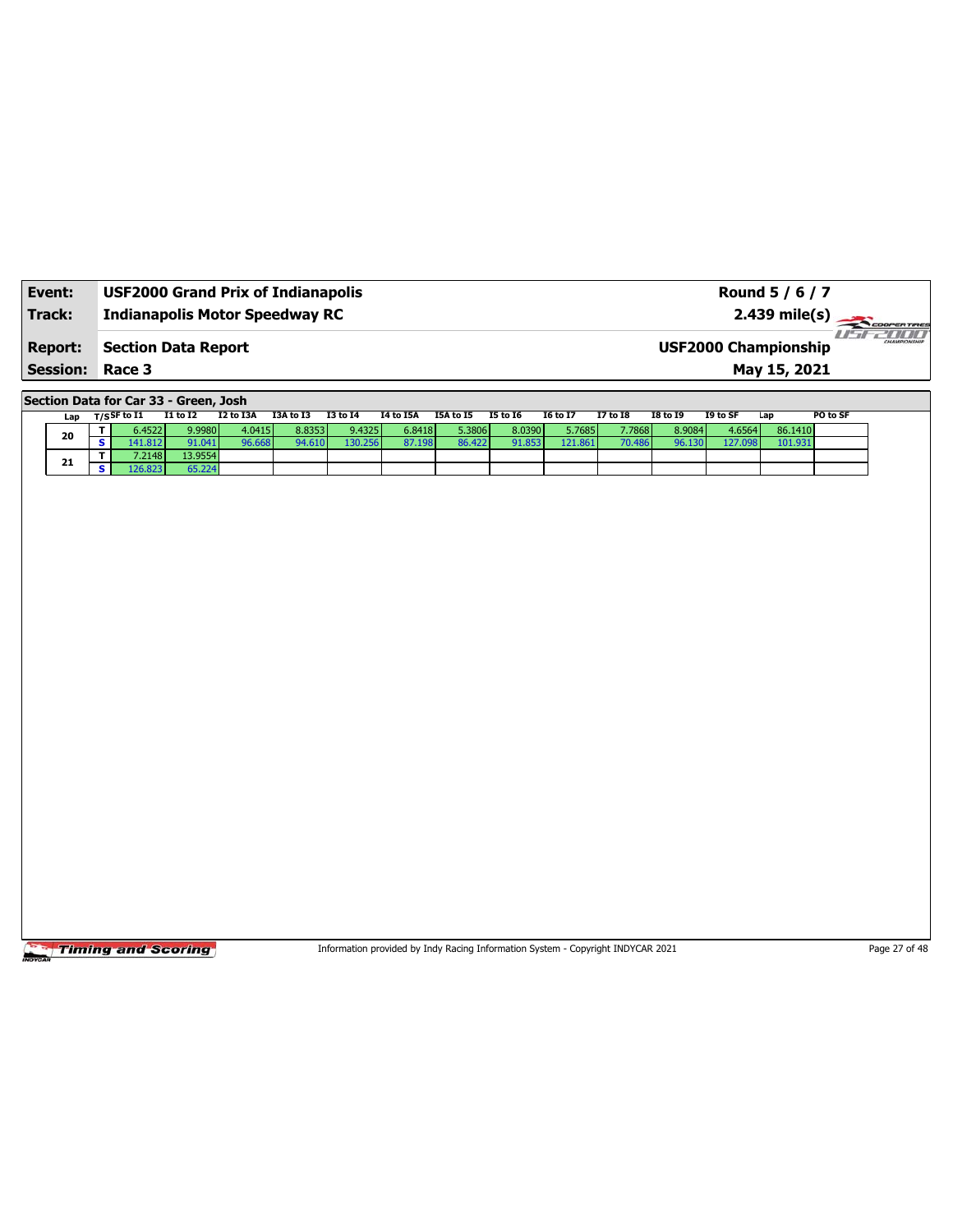| Event:                                   | <b>USF2000 Grand Prix of Indianapolis</b> | Round 5 / 6 / 7                                                        |
|------------------------------------------|-------------------------------------------|------------------------------------------------------------------------|
| Track:                                   | <b>Indianapolis Motor Speedway RC</b>     |                                                                        |
| <b>Report:</b><br><b>Session: Race 3</b> | <b>Section Data Report</b>                | 76 BI B<br>CHAMPIONSHIP<br><b>USF2000 Championship</b><br>May 15, 2021 |

**Section Data for Car 33 - Green, Josh**

|  | Lap | $T/S$ SF to I1 | <b>I1 to I2</b> | I2 to I3A | I3A to I3 | <b>I3 to I4</b> | I4 to I5A | I5A to I5 | <b>I5 to 16</b> | <b>16 to 17</b> | <b>I7 to I8</b> | <b>I8 to 19</b> | I9 to SF | Lap     | PO to SF |
|--|-----|----------------|-----------------|-----------|-----------|-----------------|-----------|-----------|-----------------|-----------------|-----------------|-----------------|----------|---------|----------|
|  | 20  | 6.4522         | 9.9980          | 4.0415    | 8.8353    | 9.4325          | 6.8418    | 5.3806 l  | 8.0390          | 5.7685          | 7.7868          | 8.9084          | 4.6564   | 86.1410 |          |
|  |     | 41.812         | 91.041          |           | 94.610    | 130.256         | 87.198    | 86.422    | 91.853          | 121.861         |                 | 96.130          | 127.09   | 101.931 |          |
|  | 21  | 7.2148         | 13.9554         |           |           |                 |           |           |                 |                 |                 |                 |          |         |          |
|  |     | 26.823         | 55.224          |           |           |                 |           |           |                 |                 |                 |                 |          |         |          |

Timing and Scoring

Information provided by Indy Racing Information System - Copyright INDYCAR 2021 Page 27 of 48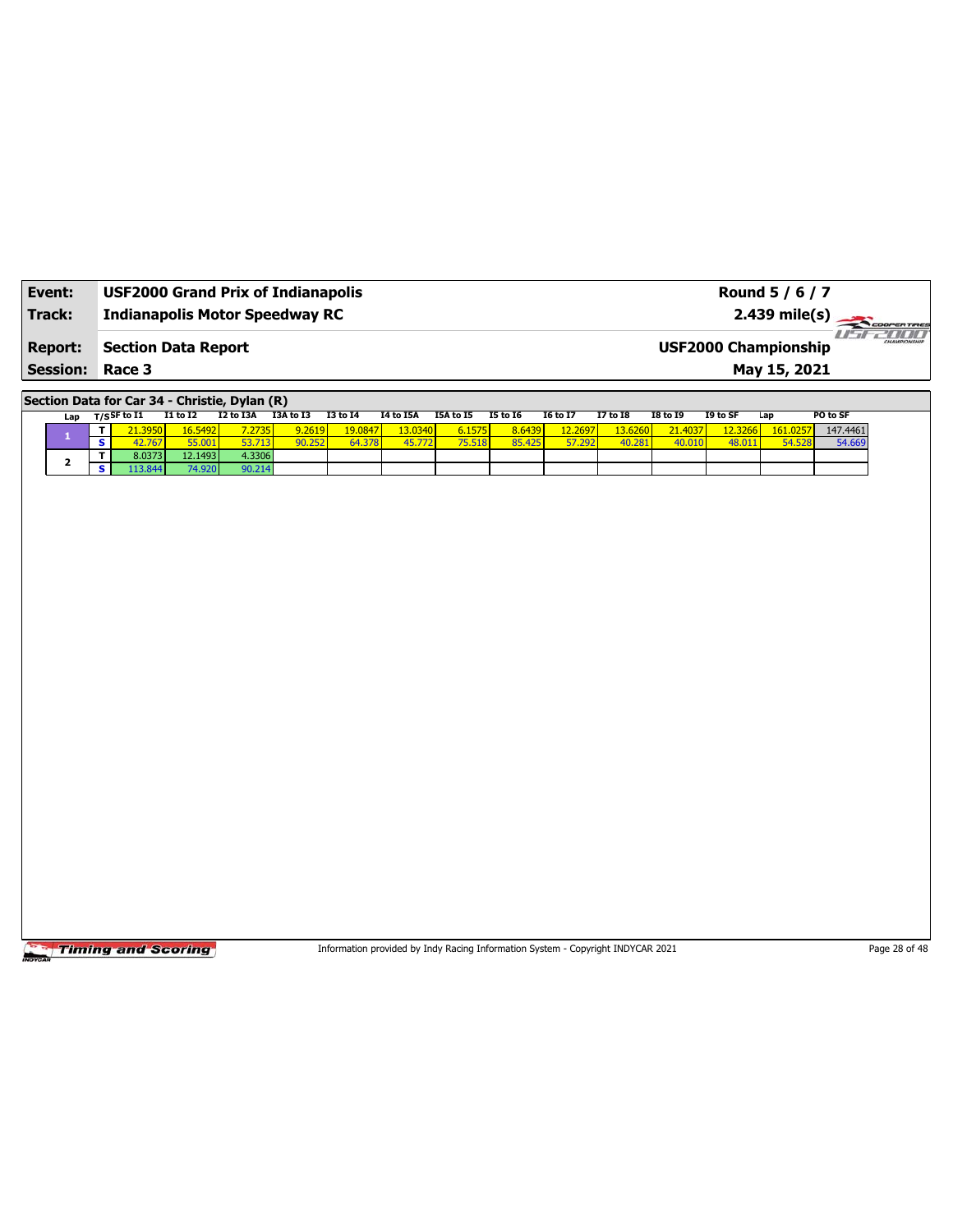| Event:                 | <b>USF2000 Grand Prix of Indianapolis</b> | Round 5 / 6 / 7                                            |
|------------------------|-------------------------------------------|------------------------------------------------------------|
| Track:                 | <b>Indianapolis Motor Speedway RC</b>     | $2.439 \text{ mile(s)}$                                    |
| <b>Report:</b>         | <b>Section Data Report</b>                | <b>HIMI</b><br>CHAMPIONSHIP<br><b>USF2000 Championship</b> |
| <b>Session: Race 3</b> |                                           | May 15, 2021                                               |

**Section Data for Car 34 - Christie, Dylan (R)**

| Lap | ד/sSF to I1     | <b>I1 to I2</b> | I2 to I3A | I3A to I3 | <b>I3 to 14</b> | I4 to I5A | I5A to I5 | <b>I5 to 16</b> | <b>I6 to I7</b> | <b>I7 to I8</b> | <b>I8 to I9</b> | I9 to SF | Lap      | PO to SF |
|-----|-----------------|-----------------|-----------|-----------|-----------------|-----------|-----------|-----------------|-----------------|-----------------|-----------------|----------|----------|----------|
|     | 1.3950 <b>1</b> | 16.5492         | 7.2735h   | 9.2619    | 19.0847         | 13.0340   | 6.1575    | 8.6439          | 12.2697         | 3.6260          | 21.4037         | 2.3266   | 161.0257 | 147.4461 |
|     | 42 767          | 55.001          |           | 90.252    | 64.378          | 45.77.    | 75.518    | 85.425          | 57.292          | 40.281          | 40.01           | 48.01.   | 54.528   | 54.669   |
|     | 8.0373          | 12.1493         | 4.3306    |           |                 |           |           |                 |                 |                 |                 |          |          |          |
|     | .13.844         | 74.920          | 90.214    |           |                 |           |           |                 |                 |                 |                 |          |          |          |

**Timing and Scoring** 

Information provided by Indy Racing Information System - Copyright INDYCAR 2021 Page 28 of 48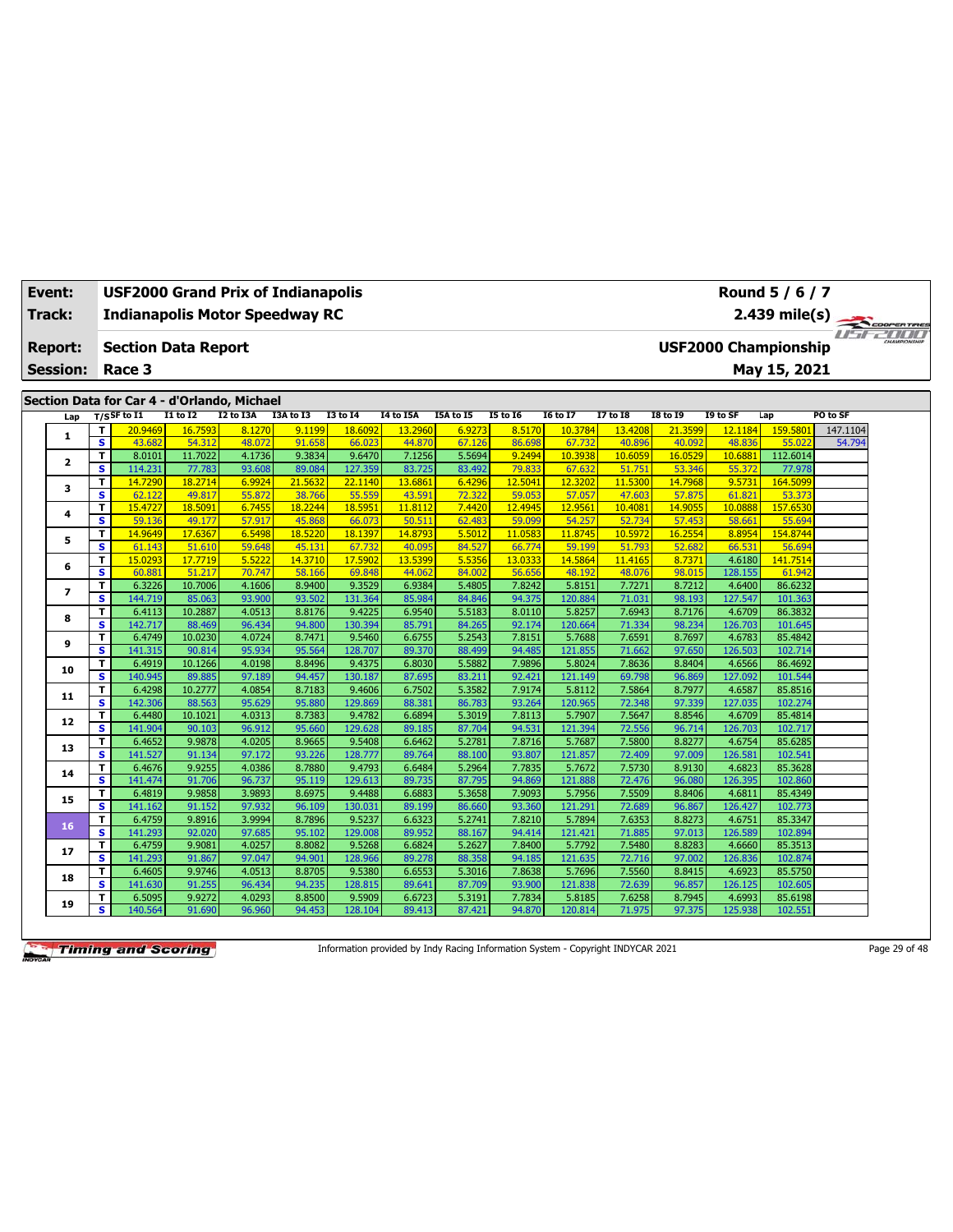| Event:<br>Track: |                 |                              | <b>USF2000 Grand Prix of Indianapolis</b><br><b>Indianapolis Motor Speedway RC</b> |                   |                  |                  |                   |                   |                  |                                                                                                                                                                                                                                                                                                                                                                                                                                                                                                                                                                                                                                                                                                                                                                                                                                                                                                                                                                                                                                                                                                                                                                                                                                                                                                                                                                                                                                                                                                                                    |         |        |        |                                                                                                                                                                                                                                                                                                                                                                                                                                                                                                                                                                                                                                                                                                                                                                                             |         |  |  |
|------------------|-----------------|------------------------------|------------------------------------------------------------------------------------|-------------------|------------------|------------------|-------------------|-------------------|------------------|------------------------------------------------------------------------------------------------------------------------------------------------------------------------------------------------------------------------------------------------------------------------------------------------------------------------------------------------------------------------------------------------------------------------------------------------------------------------------------------------------------------------------------------------------------------------------------------------------------------------------------------------------------------------------------------------------------------------------------------------------------------------------------------------------------------------------------------------------------------------------------------------------------------------------------------------------------------------------------------------------------------------------------------------------------------------------------------------------------------------------------------------------------------------------------------------------------------------------------------------------------------------------------------------------------------------------------------------------------------------------------------------------------------------------------------------------------------------------------------------------------------------------------|---------|--------|--------|---------------------------------------------------------------------------------------------------------------------------------------------------------------------------------------------------------------------------------------------------------------------------------------------------------------------------------------------------------------------------------------------------------------------------------------------------------------------------------------------------------------------------------------------------------------------------------------------------------------------------------------------------------------------------------------------------------------------------------------------------------------------------------------------|---------|--|--|
|                  | <b>Report:</b>  |                              | <b>Section Data Report</b>                                                         |                   |                  |                  |                   |                   |                  |                                                                                                                                                                                                                                                                                                                                                                                                                                                                                                                                                                                                                                                                                                                                                                                                                                                                                                                                                                                                                                                                                                                                                                                                                                                                                                                                                                                                                                                                                                                                    |         |        |        |                                                                                                                                                                                                                                                                                                                                                                                                                                                                                                                                                                                                                                                                                                                                                                                             |         |  |  |
|                  | <b>Session:</b> |                              | Race 3                                                                             |                   |                  |                  |                   |                   |                  |                                                                                                                                                                                                                                                                                                                                                                                                                                                                                                                                                                                                                                                                                                                                                                                                                                                                                                                                                                                                                                                                                                                                                                                                                                                                                                                                                                                                                                                                                                                                    |         |        |        | Round 5 / 6 / 7<br>2.439 mile(s)<br>May 15, 2021<br>I9 to SF<br>PO to SF<br>Lap<br>12.1184<br>159.5801<br>147.1104<br>54.794<br>48.836<br>55.022<br>112.6014<br>10.688<br>55.372<br>77,978<br>9.5731<br>164.5099<br>61.821<br>53.373<br>10.0888<br>157.6530<br>55.694<br>58.661<br>8.8954<br>154.8744<br>66.531<br>56.694<br>4.6180<br>141.7514<br>128.155<br>61.942<br>4.6400<br>86.6232<br>127.547<br>101.363<br>4.6709<br>86.3832<br>126.703<br>101.645<br>4.6783<br>85.4842<br>126.503<br>102.714<br>4.6566<br>86.4692<br>127.092<br>101.544<br>4.6587<br>85.8516<br>127.035<br>102.274<br>4.6709<br>85.4814<br>126.703<br>102.717<br>4.6754<br>85.6285<br>126.58<br>102.541<br>4.6823<br>85.3628<br>126.395<br>102.860<br>85.4349<br>4.6811<br>126,427<br>102.773<br>85.3347<br>4.6751 |         |  |  |
|                  |                 |                              |                                                                                    |                   |                  |                  |                   |                   |                  | COOPERTIRES<br><b>Fiftee All All</b><br><b>USF2000 Championship</b><br><b>I5 to 16</b><br><b>I6 to I7</b><br><b>17 to 18</b><br><b>I8 to 19</b><br>8.5170<br>10.3784<br>13,4208<br>21.3599<br>86.698<br>67.732<br>40.896<br>40.092<br>9.2494<br>10.3938<br>10.605<br>16.0529<br>79.833<br>67.632<br>51.751<br>53.346<br>12,3202<br>12.5041<br>11,5300<br>14.7968<br>59.053<br>57.057<br>47.603<br>57.875<br>12.9561<br>12.4945<br>10.408<br>14.9055<br>59.099<br>54.257<br>52.734<br>57.453<br>11.0583<br>11.8745<br>10.5972<br>16.2554<br>66,774<br>59.199<br>51.793<br>52.682<br>13.0333<br>14.5864<br>11.4165<br>8.7371<br>56.656<br>48.192<br>48.076<br>98.015<br>7.8242<br>5.8151<br>7.7271<br>8.7212<br>94.375<br>120.884<br>71.031<br>98.193<br>7.6943<br>8.0110<br>5.8257<br>8.7176<br>92.174<br>120.664<br>71.334<br>98.234<br>7.8151<br>7.6591<br>5.7688<br>8.7697<br>94.485<br>121.855<br>71.662<br>97.650<br>7.9896<br>5.8024<br>7.8636<br>8.8404<br>92.421<br>69.798<br>121.149<br>96.869<br>7.9174<br>5.8112<br>7.5864<br>8.7977<br>93.264<br>120.965<br>72.348<br>97.339<br>7.8113<br>5.7907<br>7.5647<br>8.8546<br>94.531<br>121.394<br>72.556<br>96.714<br>7.8716<br>5.7687<br>7.5800<br>8.8277<br>93.807<br>121.857<br>72.409<br>97.009<br>7.7835<br>5.7672<br>7.5730<br>8.9130<br>94.869<br>121.888<br>96.080<br>72.476<br>7.9093<br>5.7956<br>7.5509<br>8.8406<br>93.360<br>121.291<br>72.689<br>96.867<br>7.8210<br>5.7894<br>7.6353<br>8.8273<br>94.414<br>121.421<br>102.894<br>71.885<br>97.013<br>126.589 |         |        |        |                                                                                                                                                                                                                                                                                                                                                                                                                                                                                                                                                                                                                                                                                                                                                                                             |         |  |  |
|                  |                 |                              | Section Data for Car 4 - d'Orlando, Michael                                        |                   |                  |                  |                   |                   |                  |                                                                                                                                                                                                                                                                                                                                                                                                                                                                                                                                                                                                                                                                                                                                                                                                                                                                                                                                                                                                                                                                                                                                                                                                                                                                                                                                                                                                                                                                                                                                    |         |        |        |                                                                                                                                                                                                                                                                                                                                                                                                                                                                                                                                                                                                                                                                                                                                                                                             |         |  |  |
|                  | Lap             |                              | $T/S$ SF to I1                                                                     | $I1$ to $I2$      | I2 to I3A        | I3A to I3        | <b>I3 to 14</b>   | <b>I4 to I5A</b>  | I5A to I5        |                                                                                                                                                                                                                                                                                                                                                                                                                                                                                                                                                                                                                                                                                                                                                                                                                                                                                                                                                                                                                                                                                                                                                                                                                                                                                                                                                                                                                                                                                                                                    |         |        |        |                                                                                                                                                                                                                                                                                                                                                                                                                                                                                                                                                                                                                                                                                                                                                                                             |         |  |  |
|                  | $\mathbf{1}$    | T<br>$\overline{\mathbf{s}}$ | 20.9469<br>43.682                                                                  | 16.7593<br>54.312 | 8.1270<br>48.072 | 9.1199<br>91.658 | 18.6092<br>66.023 | 13,2960<br>44.870 | 6.9273<br>67.126 |                                                                                                                                                                                                                                                                                                                                                                                                                                                                                                                                                                                                                                                                                                                                                                                                                                                                                                                                                                                                                                                                                                                                                                                                                                                                                                                                                                                                                                                                                                                                    |         |        |        |                                                                                                                                                                                                                                                                                                                                                                                                                                                                                                                                                                                                                                                                                                                                                                                             |         |  |  |
|                  |                 | T                            | 8.0101                                                                             | 11.7022           | 4.1736           | 9.3834           | 9.6470            | 7.1256            | 5.5694           |                                                                                                                                                                                                                                                                                                                                                                                                                                                                                                                                                                                                                                                                                                                                                                                                                                                                                                                                                                                                                                                                                                                                                                                                                                                                                                                                                                                                                                                                                                                                    |         |        |        |                                                                                                                                                                                                                                                                                                                                                                                                                                                                                                                                                                                                                                                                                                                                                                                             |         |  |  |
|                  | $\mathbf{z}$    | s.                           | 114.231                                                                            | 77.783            | 93.608           | 89.084           | 127.359           | 83.725            | 83.492           |                                                                                                                                                                                                                                                                                                                                                                                                                                                                                                                                                                                                                                                                                                                                                                                                                                                                                                                                                                                                                                                                                                                                                                                                                                                                                                                                                                                                                                                                                                                                    |         |        |        |                                                                                                                                                                                                                                                                                                                                                                                                                                                                                                                                                                                                                                                                                                                                                                                             |         |  |  |
|                  |                 | T                            | 14,7290                                                                            | 18.2714           | 6.9924           | 21,5632          | 22.1140           | 13.6861           | 6.4296           |                                                                                                                                                                                                                                                                                                                                                                                                                                                                                                                                                                                                                                                                                                                                                                                                                                                                                                                                                                                                                                                                                                                                                                                                                                                                                                                                                                                                                                                                                                                                    |         |        |        |                                                                                                                                                                                                                                                                                                                                                                                                                                                                                                                                                                                                                                                                                                                                                                                             |         |  |  |
|                  | 3               | s                            | 62.122                                                                             | 49.817            | 55.872           | 38.766           | 55.559            | 43.591            | 72.322           |                                                                                                                                                                                                                                                                                                                                                                                                                                                                                                                                                                                                                                                                                                                                                                                                                                                                                                                                                                                                                                                                                                                                                                                                                                                                                                                                                                                                                                                                                                                                    |         |        |        |                                                                                                                                                                                                                                                                                                                                                                                                                                                                                                                                                                                                                                                                                                                                                                                             |         |  |  |
|                  |                 | т                            | 15,4727                                                                            | 18.509            | 6.7455           | 18.2244          | 18.595            | 11.8112           | 7.4420           |                                                                                                                                                                                                                                                                                                                                                                                                                                                                                                                                                                                                                                                                                                                                                                                                                                                                                                                                                                                                                                                                                                                                                                                                                                                                                                                                                                                                                                                                                                                                    |         |        |        |                                                                                                                                                                                                                                                                                                                                                                                                                                                                                                                                                                                                                                                                                                                                                                                             |         |  |  |
|                  | 4               | s                            | 59.136                                                                             | 49.177            | 57.917           | 45.868           | 66.073            | 50.511            | 62.483           |                                                                                                                                                                                                                                                                                                                                                                                                                                                                                                                                                                                                                                                                                                                                                                                                                                                                                                                                                                                                                                                                                                                                                                                                                                                                                                                                                                                                                                                                                                                                    |         |        |        |                                                                                                                                                                                                                                                                                                                                                                                                                                                                                                                                                                                                                                                                                                                                                                                             |         |  |  |
|                  |                 | T                            | 14.9649                                                                            | 17.6367           | 6.5498           | 18,5220          | 18.1397           | 14.8793           | 5.5012           |                                                                                                                                                                                                                                                                                                                                                                                                                                                                                                                                                                                                                                                                                                                                                                                                                                                                                                                                                                                                                                                                                                                                                                                                                                                                                                                                                                                                                                                                                                                                    |         |        |        |                                                                                                                                                                                                                                                                                                                                                                                                                                                                                                                                                                                                                                                                                                                                                                                             |         |  |  |
|                  | 5               | $\overline{\mathbf{s}}$      | 61.143                                                                             | 51.610            | 59.648           | 45.131           | 67.732            | 40.095            | 84.527           |                                                                                                                                                                                                                                                                                                                                                                                                                                                                                                                                                                                                                                                                                                                                                                                                                                                                                                                                                                                                                                                                                                                                                                                                                                                                                                                                                                                                                                                                                                                                    |         |        |        |                                                                                                                                                                                                                                                                                                                                                                                                                                                                                                                                                                                                                                                                                                                                                                                             |         |  |  |
|                  | 6               | T                            | 15.0293                                                                            | 17.7719           | 5.5222           | 14.3710          | 17.5902           | 13.5399           | 5.5356           |                                                                                                                                                                                                                                                                                                                                                                                                                                                                                                                                                                                                                                                                                                                                                                                                                                                                                                                                                                                                                                                                                                                                                                                                                                                                                                                                                                                                                                                                                                                                    |         |        |        |                                                                                                                                                                                                                                                                                                                                                                                                                                                                                                                                                                                                                                                                                                                                                                                             |         |  |  |
|                  |                 | $\overline{\mathbf{s}}$      | 60.881                                                                             | 51.217            | 70.747           | 58.166           | 69.848            | 44.062            | 84.002           |                                                                                                                                                                                                                                                                                                                                                                                                                                                                                                                                                                                                                                                                                                                                                                                                                                                                                                                                                                                                                                                                                                                                                                                                                                                                                                                                                                                                                                                                                                                                    |         |        |        |                                                                                                                                                                                                                                                                                                                                                                                                                                                                                                                                                                                                                                                                                                                                                                                             |         |  |  |
|                  | $\overline{ }$  | T                            | 6.3226                                                                             | 10.7006           | 4.1606           | 8.9400           | 9.3529            | 6.9384            | 5.4805           |                                                                                                                                                                                                                                                                                                                                                                                                                                                                                                                                                                                                                                                                                                                                                                                                                                                                                                                                                                                                                                                                                                                                                                                                                                                                                                                                                                                                                                                                                                                                    |         |        |        |                                                                                                                                                                                                                                                                                                                                                                                                                                                                                                                                                                                                                                                                                                                                                                                             |         |  |  |
|                  |                 | s                            | 144.719                                                                            | 85.063            | 93.900           | 93.502           | 131.364           | 85.984            | 84.846           |                                                                                                                                                                                                                                                                                                                                                                                                                                                                                                                                                                                                                                                                                                                                                                                                                                                                                                                                                                                                                                                                                                                                                                                                                                                                                                                                                                                                                                                                                                                                    |         |        |        |                                                                                                                                                                                                                                                                                                                                                                                                                                                                                                                                                                                                                                                                                                                                                                                             |         |  |  |
|                  | 8               | T                            | 6.4113                                                                             | 10.2887           | 4.0513           | 8.8176           | 9.4225            | 6.9540            | 5.5183           |                                                                                                                                                                                                                                                                                                                                                                                                                                                                                                                                                                                                                                                                                                                                                                                                                                                                                                                                                                                                                                                                                                                                                                                                                                                                                                                                                                                                                                                                                                                                    |         |        |        |                                                                                                                                                                                                                                                                                                                                                                                                                                                                                                                                                                                                                                                                                                                                                                                             |         |  |  |
|                  |                 | s                            | 142.717                                                                            | 88.469            | 96.434           | 94.800           | 130.394           | 85.791            | 84.265           |                                                                                                                                                                                                                                                                                                                                                                                                                                                                                                                                                                                                                                                                                                                                                                                                                                                                                                                                                                                                                                                                                                                                                                                                                                                                                                                                                                                                                                                                                                                                    |         |        |        |                                                                                                                                                                                                                                                                                                                                                                                                                                                                                                                                                                                                                                                                                                                                                                                             |         |  |  |
|                  | 9               | T                            | 6.4749                                                                             | 10.0230           | 4.0724           | 8.7471           | 9.5460            | 6.6755            | 5.2543           |                                                                                                                                                                                                                                                                                                                                                                                                                                                                                                                                                                                                                                                                                                                                                                                                                                                                                                                                                                                                                                                                                                                                                                                                                                                                                                                                                                                                                                                                                                                                    |         |        |        |                                                                                                                                                                                                                                                                                                                                                                                                                                                                                                                                                                                                                                                                                                                                                                                             |         |  |  |
|                  |                 | s.                           | 141.315                                                                            | 90.814            | 95.934           | 95.564           | 128,707           | 89.370            | 88.499           |                                                                                                                                                                                                                                                                                                                                                                                                                                                                                                                                                                                                                                                                                                                                                                                                                                                                                                                                                                                                                                                                                                                                                                                                                                                                                                                                                                                                                                                                                                                                    |         |        |        |                                                                                                                                                                                                                                                                                                                                                                                                                                                                                                                                                                                                                                                                                                                                                                                             |         |  |  |
|                  | 10              | T                            | 6.4919                                                                             | 10.1266           | 4.0198           | 8.8496           | 9.4375            | 6.8030            | 5.5882           |                                                                                                                                                                                                                                                                                                                                                                                                                                                                                                                                                                                                                                                                                                                                                                                                                                                                                                                                                                                                                                                                                                                                                                                                                                                                                                                                                                                                                                                                                                                                    |         |        |        |                                                                                                                                                                                                                                                                                                                                                                                                                                                                                                                                                                                                                                                                                                                                                                                             |         |  |  |
|                  |                 | s.                           | 140.945                                                                            | 89.885            | 97.189           | 94.457           | 130.187           | 87.695            | 83.211           |                                                                                                                                                                                                                                                                                                                                                                                                                                                                                                                                                                                                                                                                                                                                                                                                                                                                                                                                                                                                                                                                                                                                                                                                                                                                                                                                                                                                                                                                                                                                    |         |        |        |                                                                                                                                                                                                                                                                                                                                                                                                                                                                                                                                                                                                                                                                                                                                                                                             |         |  |  |
|                  | 11              | T                            | 6.4298                                                                             | 10.2777           | 4.0854           | 8.7183           | 9.4606            | 6.7502            | 5.3582           |                                                                                                                                                                                                                                                                                                                                                                                                                                                                                                                                                                                                                                                                                                                                                                                                                                                                                                                                                                                                                                                                                                                                                                                                                                                                                                                                                                                                                                                                                                                                    |         |        |        |                                                                                                                                                                                                                                                                                                                                                                                                                                                                                                                                                                                                                                                                                                                                                                                             |         |  |  |
|                  |                 | s.                           | 142.306                                                                            | 88.563            | 95.629           | 95.880           | 129.869           | 88.381            | 86.783           |                                                                                                                                                                                                                                                                                                                                                                                                                                                                                                                                                                                                                                                                                                                                                                                                                                                                                                                                                                                                                                                                                                                                                                                                                                                                                                                                                                                                                                                                                                                                    |         |        |        |                                                                                                                                                                                                                                                                                                                                                                                                                                                                                                                                                                                                                                                                                                                                                                                             |         |  |  |
|                  | 12              | T<br>s                       | 6.4480                                                                             | 10.1021           | 4.0313<br>96.912 | 8.7383<br>95.660 | 9.4782            | 6.6894            | 5.3019           |                                                                                                                                                                                                                                                                                                                                                                                                                                                                                                                                                                                                                                                                                                                                                                                                                                                                                                                                                                                                                                                                                                                                                                                                                                                                                                                                                                                                                                                                                                                                    |         |        |        |                                                                                                                                                                                                                                                                                                                                                                                                                                                                                                                                                                                                                                                                                                                                                                                             |         |  |  |
|                  |                 |                              | 141.904<br>6.4652                                                                  | 90.103            | 4.0205           | 8.9665           | 129.628<br>9.5408 | 89.185<br>6.6462  | 87.704<br>5.2781 |                                                                                                                                                                                                                                                                                                                                                                                                                                                                                                                                                                                                                                                                                                                                                                                                                                                                                                                                                                                                                                                                                                                                                                                                                                                                                                                                                                                                                                                                                                                                    |         |        |        |                                                                                                                                                                                                                                                                                                                                                                                                                                                                                                                                                                                                                                                                                                                                                                                             |         |  |  |
|                  | 13              | T<br>s.                      | 141.527                                                                            | 9.9878<br>91.134  | 97.172           | 93.226           | 128,777           | 89.764            | 88.100           |                                                                                                                                                                                                                                                                                                                                                                                                                                                                                                                                                                                                                                                                                                                                                                                                                                                                                                                                                                                                                                                                                                                                                                                                                                                                                                                                                                                                                                                                                                                                    |         |        |        |                                                                                                                                                                                                                                                                                                                                                                                                                                                                                                                                                                                                                                                                                                                                                                                             |         |  |  |
|                  |                 | T                            | 6.4676                                                                             | 9.9255            | 4.0386           | 8.7880           | 9.4793            | 6.6484            | 5.2964           |                                                                                                                                                                                                                                                                                                                                                                                                                                                                                                                                                                                                                                                                                                                                                                                                                                                                                                                                                                                                                                                                                                                                                                                                                                                                                                                                                                                                                                                                                                                                    |         |        |        |                                                                                                                                                                                                                                                                                                                                                                                                                                                                                                                                                                                                                                                                                                                                                                                             |         |  |  |
|                  | 14              | s.                           | 141.474                                                                            | 91.706            | 96.737           | 95.119           | 129.613           | 89.735            | 87.795           |                                                                                                                                                                                                                                                                                                                                                                                                                                                                                                                                                                                                                                                                                                                                                                                                                                                                                                                                                                                                                                                                                                                                                                                                                                                                                                                                                                                                                                                                                                                                    |         |        |        |                                                                                                                                                                                                                                                                                                                                                                                                                                                                                                                                                                                                                                                                                                                                                                                             |         |  |  |
|                  |                 | T                            | 6.4819                                                                             | 9.9858            | 3.9893           | 8.6975           | 9.4488            | 6.6883            | 5.3658           |                                                                                                                                                                                                                                                                                                                                                                                                                                                                                                                                                                                                                                                                                                                                                                                                                                                                                                                                                                                                                                                                                                                                                                                                                                                                                                                                                                                                                                                                                                                                    |         |        |        |                                                                                                                                                                                                                                                                                                                                                                                                                                                                                                                                                                                                                                                                                                                                                                                             |         |  |  |
|                  | 15              | s.                           | 141.162                                                                            | 91.152            | 97.932           | 96.109           | 130.031           | 89.199            | 86.660           |                                                                                                                                                                                                                                                                                                                                                                                                                                                                                                                                                                                                                                                                                                                                                                                                                                                                                                                                                                                                                                                                                                                                                                                                                                                                                                                                                                                                                                                                                                                                    |         |        |        |                                                                                                                                                                                                                                                                                                                                                                                                                                                                                                                                                                                                                                                                                                                                                                                             |         |  |  |
|                  |                 | T.                           | 6.4759                                                                             | 9.8916            | 3.9994           | 8.7896           | 9.5237            | 6.6323            | 5.2741           |                                                                                                                                                                                                                                                                                                                                                                                                                                                                                                                                                                                                                                                                                                                                                                                                                                                                                                                                                                                                                                                                                                                                                                                                                                                                                                                                                                                                                                                                                                                                    |         |        |        |                                                                                                                                                                                                                                                                                                                                                                                                                                                                                                                                                                                                                                                                                                                                                                                             |         |  |  |
|                  | 16              | s.                           | 141.293                                                                            | 92.020            | 97.685           | 95.102           | 129,008           | 89.952            | 88.167           |                                                                                                                                                                                                                                                                                                                                                                                                                                                                                                                                                                                                                                                                                                                                                                                                                                                                                                                                                                                                                                                                                                                                                                                                                                                                                                                                                                                                                                                                                                                                    |         |        |        |                                                                                                                                                                                                                                                                                                                                                                                                                                                                                                                                                                                                                                                                                                                                                                                             |         |  |  |
|                  |                 | T.                           | 6.4759                                                                             | 9.9081            | 4.0257           | 8.8082           | 9.5268            | 6.6824            | 5.2627           | 7.8400                                                                                                                                                                                                                                                                                                                                                                                                                                                                                                                                                                                                                                                                                                                                                                                                                                                                                                                                                                                                                                                                                                                                                                                                                                                                                                                                                                                                                                                                                                                             | 5.7792  | 7.5480 | 8.8283 | 4.6660                                                                                                                                                                                                                                                                                                                                                                                                                                                                                                                                                                                                                                                                                                                                                                                      | 85.3513 |  |  |
|                  | 17              | s.                           | 141.293                                                                            | 91.867            | 97.047           | 94.901           | 128.966           | 89.278            | 88.358           | 94.185                                                                                                                                                                                                                                                                                                                                                                                                                                                                                                                                                                                                                                                                                                                                                                                                                                                                                                                                                                                                                                                                                                                                                                                                                                                                                                                                                                                                                                                                                                                             | 121.635 | 72.716 | 97.002 | 126.836                                                                                                                                                                                                                                                                                                                                                                                                                                                                                                                                                                                                                                                                                                                                                                                     | 102.874 |  |  |
|                  |                 | T.                           | 6.4605                                                                             | 9.9746            | 4.0513           | 8.8705           | 9.5380            | 6.6553            | 5.3016           | 7.8638                                                                                                                                                                                                                                                                                                                                                                                                                                                                                                                                                                                                                                                                                                                                                                                                                                                                                                                                                                                                                                                                                                                                                                                                                                                                                                                                                                                                                                                                                                                             | 5.7696  | 7.5560 | 8.8415 | 4.6923                                                                                                                                                                                                                                                                                                                                                                                                                                                                                                                                                                                                                                                                                                                                                                                      | 85.5750 |  |  |
|                  | 18              | s.                           | 141.630                                                                            | 91.255            | 96.434           | 94.235           | 128.815           | 89.641            | 87.709           | 93.900                                                                                                                                                                                                                                                                                                                                                                                                                                                                                                                                                                                                                                                                                                                                                                                                                                                                                                                                                                                                                                                                                                                                                                                                                                                                                                                                                                                                                                                                                                                             | 121.838 | 72.639 | 96.857 | 126.125                                                                                                                                                                                                                                                                                                                                                                                                                                                                                                                                                                                                                                                                                                                                                                                     | 102.605 |  |  |
|                  | 19              | T.                           | 6.5095                                                                             | 9.9272            | 4.0293           | 8.8500           | 9.5909            | 6.6723            | 5.3191           | 7.7834                                                                                                                                                                                                                                                                                                                                                                                                                                                                                                                                                                                                                                                                                                                                                                                                                                                                                                                                                                                                                                                                                                                                                                                                                                                                                                                                                                                                                                                                                                                             | 5.8185  | 7.6258 | 8.7945 | 4.6993                                                                                                                                                                                                                                                                                                                                                                                                                                                                                                                                                                                                                                                                                                                                                                                      | 85.6198 |  |  |
|                  |                 | S.                           | 140.564                                                                            | 91.690            | 96.960           | 94.453           | 128.104           | 89.413            | 87.421           | 94.870                                                                                                                                                                                                                                                                                                                                                                                                                                                                                                                                                                                                                                                                                                                                                                                                                                                                                                                                                                                                                                                                                                                                                                                                                                                                                                                                                                                                                                                                                                                             | 120.814 | 71.975 | 97.375 | 125.938                                                                                                                                                                                                                                                                                                                                                                                                                                                                                                                                                                                                                                                                                                                                                                                     | 102.551 |  |  |

Information provided by Indy Racing Information System - Copyright INDYCAR 2021 Page 29 of 48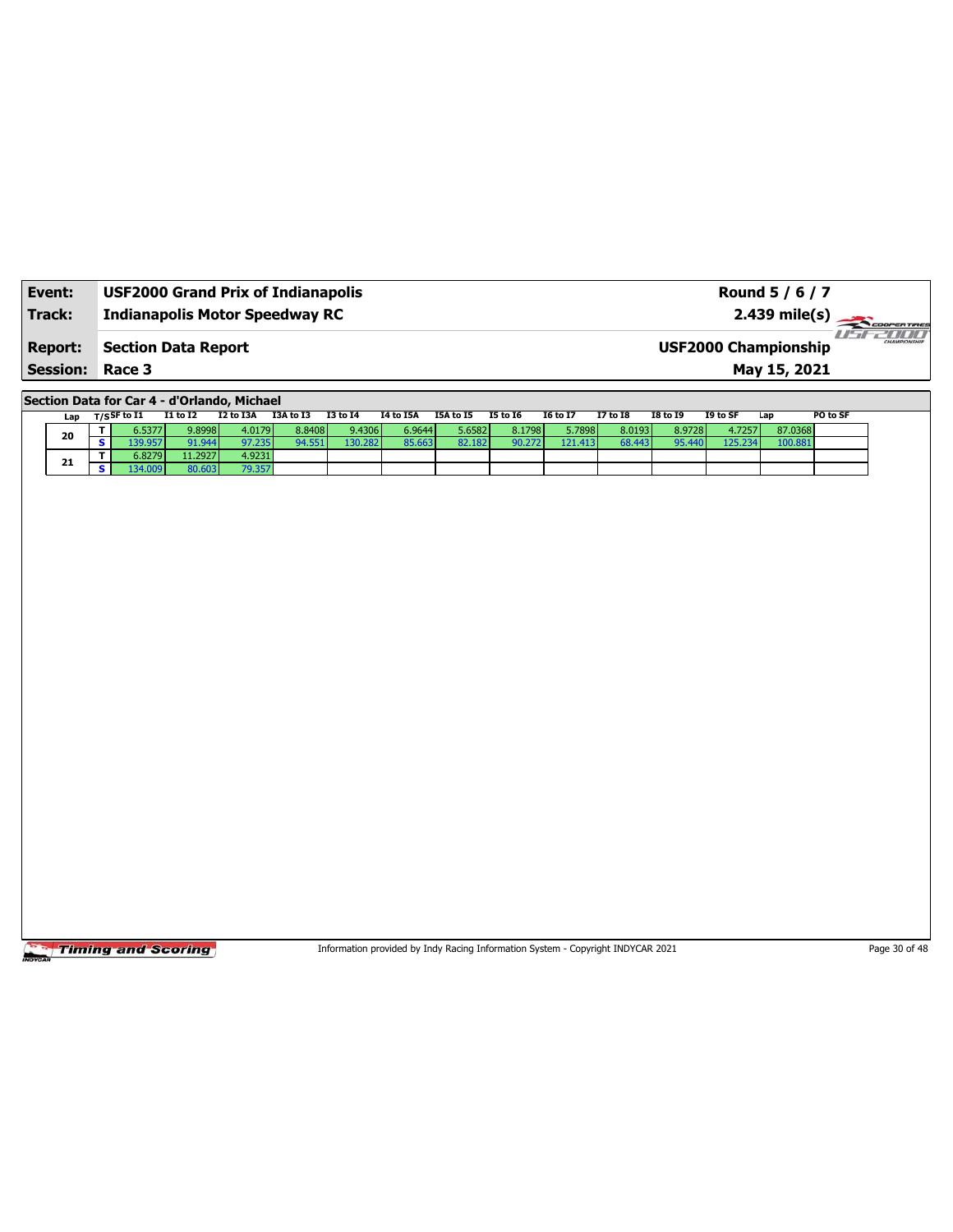| Event:                                   | <b>USF2000 Grand Prix of Indianapolis</b> | Round 5 / 6 / 7                             |                        |
|------------------------------------------|-------------------------------------------|---------------------------------------------|------------------------|
| Track:                                   | <b>Indianapolis Motor Speedway RC</b>     | $2.439 \text{ mile(s)}$                     | 711111<br>CHAMPIONSHIP |
| <b>Report:</b><br><b>Session: Race 3</b> | <b>Section Data Report</b>                | <b>USF2000 Championship</b><br>May 15, 2021 |                        |

**Section Data for Car 4 - d'Orlando, Michael**

|  | Lap |            | T/S <sup>SF to I1</sup> | I1 to I2 | I2 to I3A | I3A to I3 | <b>I3 to 14</b> | <b>I4 to I5A</b> | I5A to I5 | <b>I5 to I6</b> | <b>I6 to I7</b> | <b>I7 to I8</b> | <b>I8 to 19</b> | I9 to SF | Lap     | PO to SF |
|--|-----|------------|-------------------------|----------|-----------|-----------|-----------------|------------------|-----------|-----------------|-----------------|-----------------|-----------------|----------|---------|----------|
|  | 20  |            | 6.5377                  | 9.8998   | 4.0179    | 8.8408    | 9.4306          | 6.9644 l         | ،65821.   | 8.1798          | 5.7898          | 8.0193          | 8.9728          | 4.7257   | 87.0368 |          |
|  |     | $\epsilon$ | 39.957                  | 91.944   | 97.235    | 94.551 I  | 130.282         | 85.663           | 82.182    | 90.272          | 121.413         | 68.443          | 95.440          | 125.234  | 100.881 |          |
|  | 21  |            | 6.8279                  | 11.2927  | 4.9231    |           |                 |                  |           |                 |                 |                 |                 |          |         |          |
|  |     | e          |                         | 80.603   | 79.357    |           |                 |                  |           |                 |                 |                 |                 |          |         |          |

**Timing and Scoring** 

Information provided by Indy Racing Information System - Copyright INDYCAR 2021 Page 30 of 48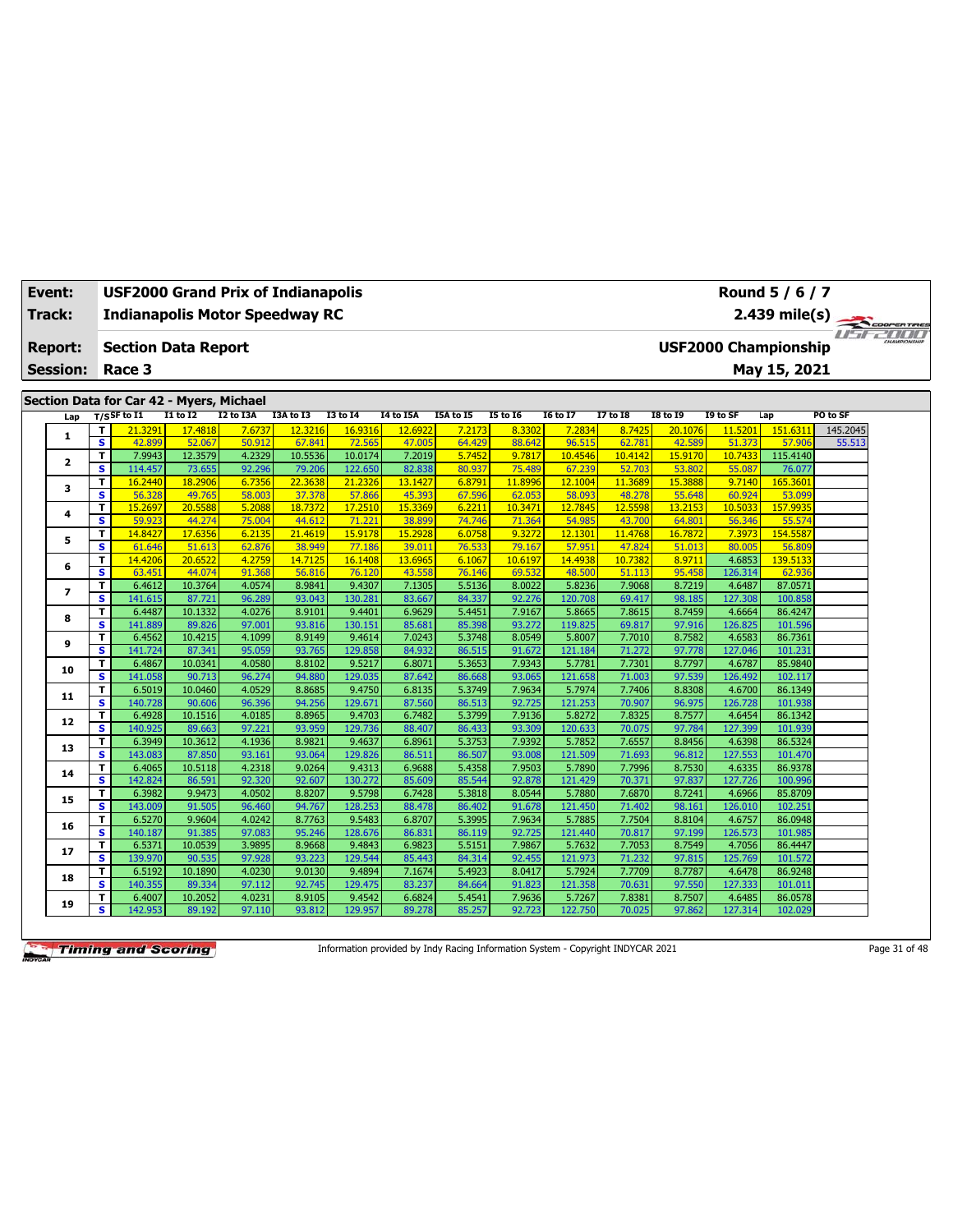| Event:<br><b>Track:</b>                                                                                                                                                                                                                                                                                                                                                                                  | <b>USF2000 Grand Prix of Indianapolis</b> |                            |                   |                  |                   |                    |                   |                  |                   |                   |                   |                   | Round 5 / 6 / 7   |                             |          |
|----------------------------------------------------------------------------------------------------------------------------------------------------------------------------------------------------------------------------------------------------------------------------------------------------------------------------------------------------------------------------------------------------------|-------------------------------------------|----------------------------|-------------------|------------------|-------------------|--------------------|-------------------|------------------|-------------------|-------------------|-------------------|-------------------|-------------------|-----------------------------|----------|
| <b>Report:</b><br><b>Session:</b><br>Section Data for Car 42 - Myers, Michael<br>Lap<br>T<br>1<br>$\overline{\mathbf{s}}$<br>$\mathbf T$<br>$\mathbf{z}$<br>s<br>$\mathbf T$<br>з<br>$\overline{\mathbf{s}}$<br>$\mathbf T$<br>4<br>$\overline{\mathbf{s}}$<br>T<br>5<br>s<br>T<br>6<br>S<br>T<br>$\overline{ }$<br>s<br>T<br>8<br><b>S</b><br>T<br>9<br>$\overline{\mathbf{s}}$<br>T.<br>10<br><b>S</b> | <b>Indianapolis Motor Speedway RC</b>     |                            |                   |                  |                   |                    |                   |                  |                   |                   |                   |                   | $2.439$ mile(s)   | COOPERTIRES                 |          |
|                                                                                                                                                                                                                                                                                                                                                                                                          |                                           |                            |                   |                  |                   |                    |                   |                  |                   |                   |                   |                   |                   |                             |          |
|                                                                                                                                                                                                                                                                                                                                                                                                          |                                           | <b>Section Data Report</b> |                   |                  |                   |                    |                   |                  |                   |                   |                   |                   |                   | <b>USF2000 Championship</b> |          |
|                                                                                                                                                                                                                                                                                                                                                                                                          |                                           | Race 3                     |                   |                  |                   |                    |                   |                  |                   |                   |                   |                   |                   | May 15, 2021                |          |
|                                                                                                                                                                                                                                                                                                                                                                                                          |                                           |                            |                   |                  |                   |                    |                   |                  |                   |                   |                   |                   |                   |                             |          |
|                                                                                                                                                                                                                                                                                                                                                                                                          |                                           |                            |                   |                  |                   |                    |                   |                  |                   |                   |                   |                   |                   |                             |          |
|                                                                                                                                                                                                                                                                                                                                                                                                          |                                           | $T/S$ SF to I1             | I1 to I2          | I2 to I3A        | I3A to I3         | <b>I3 to 14</b>    | <b>I4 to I5A</b>  | I5A to I5        | <b>I5 to 16</b>   | <b>I6 to I7</b>   | <b>I7 to 18</b>   | <b>I8 to 19</b>   | I9 to SF          | Lap                         | PO to SF |
|                                                                                                                                                                                                                                                                                                                                                                                                          |                                           | 21.3291                    | 17.4818           | 7.6737           | 12.3216           | 16.9316            | 12,6922           | 7.2173           | 8.3302            | 7.2834            | 8.7425            | 20.1076           | 11.5201           | 151.6311                    | 145.2045 |
|                                                                                                                                                                                                                                                                                                                                                                                                          |                                           | 42.899                     | 52.067            | 50.912           | 67.841            | 72.565             | 47,005            | 64.429           | 88.642            | 96.515            | 62.781            | 42.589            | 51,373            | 57,906                      | 55.513   |
|                                                                                                                                                                                                                                                                                                                                                                                                          |                                           | 7.9943                     | 12.3579           | 4.2329<br>92.296 | 10.5536           | 10.0174            | 7.2019            | 5.7452           | 9.7817            | 10.4546           | 10.4142           | 15.9170           | 10.7433           | 115.4140                    |          |
|                                                                                                                                                                                                                                                                                                                                                                                                          |                                           | 114.457<br>16.2440         | 73.655            | 6.7356           | 79.206<br>22.3638 | 122.650<br>21.2326 | 82.838            | 80.937<br>6.8791 | 75.489<br>11.8996 | 67.239<br>12.1004 | 52.703<br>11.3689 | 53.802<br>15.3888 | 55.087<br>9.7140  | 76.077<br>165.3601          |          |
|                                                                                                                                                                                                                                                                                                                                                                                                          |                                           | 56.328                     | 18.2906<br>49.765 | 58.003           | 37,378            | 57.866             | 13.1427<br>45.393 | 67.596           | 62.053            | 58.093            | 48.278            | 55.648            | 60.924            | 53.099                      |          |
|                                                                                                                                                                                                                                                                                                                                                                                                          |                                           | 15.2697                    | 20.5588           | 5.2088           | 18,7372           | 17,2510            | 15.3369           | 6.2211           | 10.3471           | 12.7845           | 12.5598           | 13.2153           | 10.5033           | 157.9935                    |          |
|                                                                                                                                                                                                                                                                                                                                                                                                          |                                           | 59.923                     | 44.274            | 75.004           | 44.612            | 71.22:             | 38.899            | 74.746           | 71.364            | 54.985            | 43.700            | 64.801            | 56.346            | 55.574                      |          |
|                                                                                                                                                                                                                                                                                                                                                                                                          |                                           | 14.8427                    | 17.6356           | 6.2135           | 21.4619           | 15.9178            | 15,2928           | 6.0758           | 9.3272            | 12.1301           | 11.4768           | 16.7872           | 7.3973            | 154.5587                    |          |
|                                                                                                                                                                                                                                                                                                                                                                                                          |                                           | 61.646                     | 51.613            | 62.876           | 38.949            | 77.186             | 39.011            | 76.533           | 79.167            | 57.951            | 47.824            | 51.013            | 80.005            | 56.809                      |          |
|                                                                                                                                                                                                                                                                                                                                                                                                          |                                           | 14.4206                    | 20.6522           | 4.2759           | 14.7125           | 16.1408            | 13.6965           | 6.1067           | 10.6197           | 14.4938           | 10.7382           | 8.9711            | 4.6853            | 139.5133                    |          |
|                                                                                                                                                                                                                                                                                                                                                                                                          |                                           | 63.451                     | 44.074            | 91.368           | 56.816            | 76.120             | 43.558            | 76.146           | 69.532            | 48.500            | 51.113            | 95.458            | 126.314           | 62.936                      |          |
|                                                                                                                                                                                                                                                                                                                                                                                                          |                                           | 6.4612                     | 10.3764           | 4.0574           | 8.9841            | 9.4307             | 7.1305            | 5.5136           | 8.0022            | 5.8236            | 7.9068            | 8.7219            | 4.6487            | 87.0571                     |          |
|                                                                                                                                                                                                                                                                                                                                                                                                          |                                           | 141.615                    | 87.721            | 96.289           | 93.043            | 130.281            | 83.667            | 84.337           | 92.276            | 120.708           | 69.417            | 98.185            | 127.308           | 100.858                     |          |
|                                                                                                                                                                                                                                                                                                                                                                                                          |                                           | 6.4487                     | 10.1332           | 4.0276           | 8.9101            | 9.4401             | 6.9629            | 5.4451           | 7.9167            | 5.8665            | 7.8615            | 8.7459            | 4.6664            | 86.4247                     |          |
|                                                                                                                                                                                                                                                                                                                                                                                                          |                                           | 141.889                    | 89.826            | 97.001           | 93.816            | 130.151            | 85.681            | 85.398           | 93.272            | 119.825           | 69.817            | 97.916            | 126.825           | 101.596                     |          |
|                                                                                                                                                                                                                                                                                                                                                                                                          |                                           | 6.4562                     | 10.4215           | 4.1099           | 8.9149            | 9.4614             | 7.0243            | 5.3748           | 8.0549            | 5.8007            | 7.7010            | 8.7582            | 4.6583            | 86.7361                     |          |
|                                                                                                                                                                                                                                                                                                                                                                                                          |                                           | 141.724                    | 87.341            | 95.059           | 93.765            | 129.858            | 84.932            | 86.515           | 91.672            | 121.184           | 71.272            | 97.778            | 127.046           | 101.231                     |          |
|                                                                                                                                                                                                                                                                                                                                                                                                          |                                           | 6.4867                     | 10.0341           | 4.0580           | 8.8102            | 9.5217             | 6.8071            | 5.3653           | 7.9343            | 5.7781            | 7.7301            | 8.7797            | 4.6787            | 85.9840                     |          |
|                                                                                                                                                                                                                                                                                                                                                                                                          |                                           | 141.058                    | 90.713            | 96.274           | 94.880            | 129.035            | 87.642            | 86.668           | 93.065            | 121.658           | 71.003            | 97.539            | 126.492           | 102.117                     |          |
| 11                                                                                                                                                                                                                                                                                                                                                                                                       | T                                         | 6.5019                     | 10.0460           | 4.0529           | 8.8685            | 9.4750             | 6.8135            | 5.3749           | 7.9634            | 5.7974            | 7.7406            | 8.8308            | 4.6700            | 86.1349                     |          |
|                                                                                                                                                                                                                                                                                                                                                                                                          | s                                         | 140.728                    | 90.606            | 96.396           | 94.256            | 129.671            | 87.560            | 86.513           | 92.725            | 121.253           | 70.907            | 96.975            | 126.728           | 101.938                     |          |
| 12                                                                                                                                                                                                                                                                                                                                                                                                       | T                                         | 6.4928                     | 10.1516           | 4.0185           | 8.8965            | 9.4703             | 6.7482            | 5.3799           | 7.9136            | 5.8272            | 7.8325            | 8.7577            | 4.6454            | 86.1342                     |          |
|                                                                                                                                                                                                                                                                                                                                                                                                          | s                                         | 140.925                    | 89.663            | 97.221           | 93.959            | 129.736            | 88.407            | 86.433           | 93.309<br>7.9392  | 120.633           | 70.075            | 97.784            | 127.399           | 101.939                     |          |
| 13                                                                                                                                                                                                                                                                                                                                                                                                       | T<br>$\overline{\mathbf{s}}$              | 6.3949<br>143.083          | 10.3612<br>87.850 | 4.1936<br>93.161 | 8.9821<br>93.064  | 9.4637<br>129.826  | 6.8961<br>86.511  | 5.3753<br>86.507 | 93.008            | 5.7852<br>121.509 | 7.6557<br>71.693  | 8.8456<br>96.812  | 4.6398<br>127.553 | 86.5324<br>101.470          |          |
|                                                                                                                                                                                                                                                                                                                                                                                                          | T                                         | 6.4065                     | 10.5118           | 4.2318           | 9.0264            | 9.4313             | 6.9688            | 5.4358           | 7.9503            | 5.7890            | 7.7996            | 8.7530            | 4.6335            | 86.9378                     |          |
| 14                                                                                                                                                                                                                                                                                                                                                                                                       | s.                                        | 142.824                    | 86.591            | 92.320           | 92.607            | 130.272            | 85.609            | 85.544           | 92.878            | 121.429           | 70.371            | 97.837            | 127.726           | 100.996                     |          |
|                                                                                                                                                                                                                                                                                                                                                                                                          | T                                         | 6.3982                     | 9.9473            | 4.0502           | 8.8207            | 9.5798             | 6.7428            | 5.3818           | 8.0544            | 5.7880            | 7.6870            | 8.7241            | 4.6966            | 85.8709                     |          |
| 15                                                                                                                                                                                                                                                                                                                                                                                                       | $\overline{\mathbf{s}}$                   | 143.009                    | 91.505            | 96.460           | 94.767            | 128.253            | 88.478            | 86.402           | 91.678            | 121.450           | 71,402            | 98.161            | 126.010           | 102.251                     |          |
|                                                                                                                                                                                                                                                                                                                                                                                                          | T                                         | 6.5270                     | 9.9604            | 4.0242           | 8.7763            | 9.5483             | 6.8707            | 5.3995           | 7.9634            | 5.7885            | 7.7504            | 8.8104            | 4.6757            | 86.0948                     |          |
| 16                                                                                                                                                                                                                                                                                                                                                                                                       | $\overline{\mathbf{s}}$                   | 140.187                    | 91.385            | 97.083           | 95.246            | 128.676            | 86.831            | 86.119           | 92.725            | 121.440           | 70.817            | 97.199            | 126.573           | 101.985                     |          |
|                                                                                                                                                                                                                                                                                                                                                                                                          | T.                                        | 6.5371                     | 10.0539           | 3.9895           | 8.9668            | 9.4843             | 6.9823            | 5.5151           | 7.9867            | 5.7632            | 7.7053            | 8.7549            | 4.7056            | 86.4447                     |          |
| 17                                                                                                                                                                                                                                                                                                                                                                                                       | $\overline{\mathbf{s}}$                   | 139.970                    | 90.535            | 97.928           | 93.223            | 129.544            | 85.443            | 84.314           | 92.455            | 121.973           | 71.232            | 97.815            | 125.769           | 101.572                     |          |
|                                                                                                                                                                                                                                                                                                                                                                                                          | T                                         | 6.5192                     | 10.1890           | 4.0230           | 9.0130            | 9.4894             | 7.1674            | 5.4923           | 8.0417            | 5.7924            | 7.7709            | 8.7787            | 4.6478            | 86.9248                     |          |
| 18                                                                                                                                                                                                                                                                                                                                                                                                       | s                                         | 140.355                    | 89.334            | 97.112           | 92.745            | 129.475            | 83.237            | 84.664           | 91.823            | 121.358           | 70.631            | 97.550            | 127.333           | 101.011                     |          |
| 19                                                                                                                                                                                                                                                                                                                                                                                                       | T                                         | 6.4007                     | 10.2052           | 4.0231           | 8.9105            | 9.4542             | 6.6824            | 5.4541           | 7.9636            | 5.7267            | 7.8381            | 8.7507            | 4.6485            | 86.0578                     |          |
|                                                                                                                                                                                                                                                                                                                                                                                                          | s.                                        | 142.953                    | 89.192            | 97.110           | 93.812            | 129.957            | 89.278            | 85.257           | 92.723            | 122.750           | 70.025            | 97.862            | 127.314           | 102.029                     |          |

Information provided by Indy Racing Information System - Copyright INDYCAR 2021 Page 31 of 48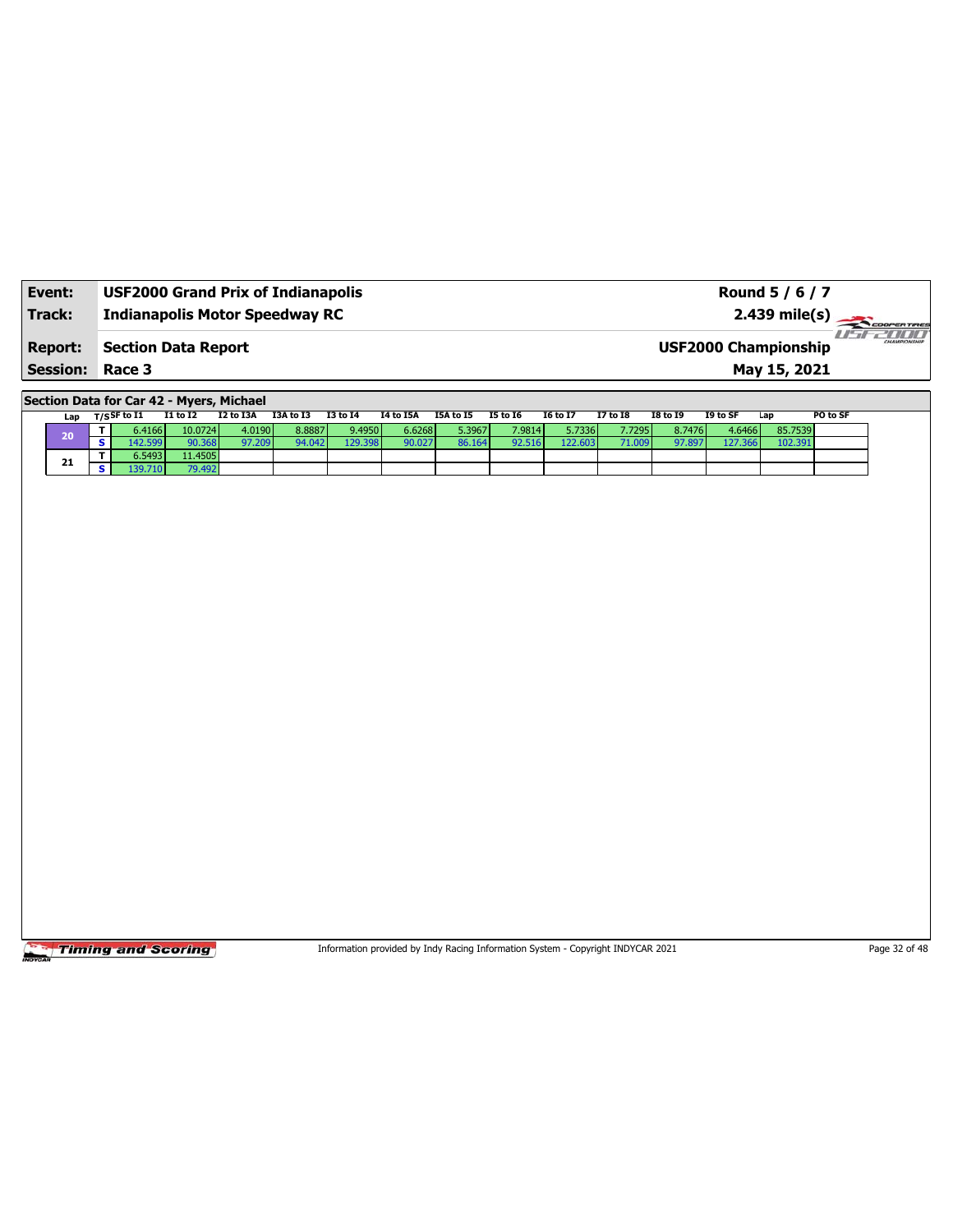| Event:                                   | <b>USF2000 Grand Prix of Indianapolis</b> | Round 5 / 6 / 7                                                            |
|------------------------------------------|-------------------------------------------|----------------------------------------------------------------------------|
| Track:                                   | <b>Indianapolis Motor Speedway RC</b>     |                                                                            |
| <b>Report:</b><br><b>Session: Race 3</b> | <b>Section Data Report</b>                | <b>HIHH</b><br>CHAMPIONSHIP<br><b>USF2000 Championship</b><br>May 15, 2021 |

**Section Data for Car 42 - Myers, Michael**

|  | Lap | $T/S$ SF to I1 | <b>I1 to I2</b> | I2 to I3A | I3A to I3 | <b>I3 to 14</b> | <b>I4 to I5A</b> | I5A to I5 | <b>I5 to I6</b> | <b>16 to 17</b> | <b>I7 to I8</b> | <b>I8 to 19</b> | I9 to SF | Lap     | PO to SF |
|--|-----|----------------|-----------------|-----------|-----------|-----------------|------------------|-----------|-----------------|-----------------|-----------------|-----------------|----------|---------|----------|
|  | 20  | 6.4166         | 10.0724         | 4.0190    | 8.8887    | 9.4950          | 6.6268           | 5.3967    | 7.9814          | 5.7336          | 7.72951         | 8.7476          | 4.6466   | 85.7539 |          |
|  |     |                | 90.368          | 97.209    | 94.042    | 129.398         | 90.027           |           | 92.516          | 122.603         |                 | 97.897          | 127.366  | 102.391 |          |
|  | 21  | 6.5493         | 11.4505         |           |           |                 |                  |           |                 |                 |                 |                 |          |         |          |
|  |     | 39.710 l       | 79.492          |           |           |                 |                  |           |                 |                 |                 |                 |          |         |          |

Timing and Scoring

Information provided by Indy Racing Information System - Copyright INDYCAR 2021 Page 32 of 48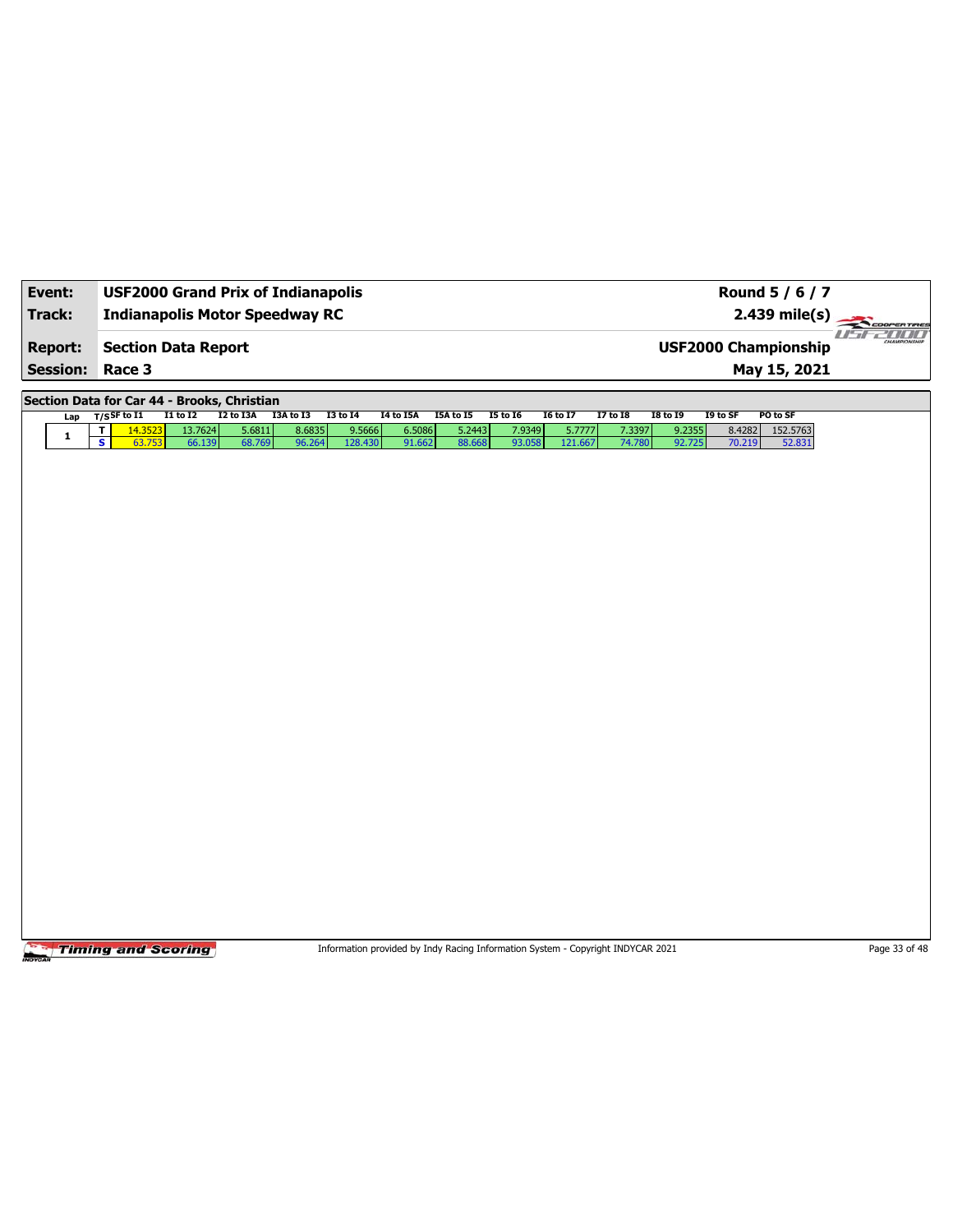| Event:          | <b>USF2000 Grand Prix of Indianapolis</b>                                                   |                                                                                 |                                      |                                                       | Round 5 / 6 / 7                                            |               |
|-----------------|---------------------------------------------------------------------------------------------|---------------------------------------------------------------------------------|--------------------------------------|-------------------------------------------------------|------------------------------------------------------------|---------------|
| <b>Track:</b>   | <b>Indianapolis Motor Speedway RC</b>                                                       |                                                                                 |                                      |                                                       | 2.439 mile(s)                                              | COOPER TIRES  |
| <b>Report:</b>  | <b>Section Data Report</b>                                                                  |                                                                                 |                                      |                                                       | <b>USF2000 Championship</b>                                | 2000          |
| <b>Session:</b> | Race 3                                                                                      |                                                                                 |                                      |                                                       | May 15, 2021                                               |               |
|                 | Section Data for Car 44 - Brooks, Christian                                                 |                                                                                 |                                      |                                                       |                                                            |               |
| Lap             | $T/S$ SF to $I1$<br><b>I1 to I2</b><br>I2 to I3A                                            | I3A to I3<br><b>I3 to 14</b><br><b>I4 to I5A</b>                                | I5A to I5<br><b>I5 to 16</b>         | <b>I6 to I7</b><br><b>I7 to 18</b><br><b>I8 to 19</b> | PO to SF<br>I9 to SF                                       |               |
| $\mathbf{1}$    | 14.3523<br>13.7624<br>5.6811<br>T.<br>$\overline{\mathbf{s}}$<br>63.753<br>66.139<br>68.769 | 8.6835<br>9.5666<br>6.5086<br>96.264<br>128.430<br>91.662                       | 5.2443<br>7.9349<br>88.668<br>93.058 | 5.7777<br>7.3397<br>121.667<br>74.780                 | 152.5763<br>9.2355<br>8.4282<br>92.725<br>70.219<br>52.831 |               |
|                 |                                                                                             |                                                                                 |                                      |                                                       |                                                            |               |
|                 |                                                                                             |                                                                                 |                                      |                                                       |                                                            |               |
|                 |                                                                                             |                                                                                 |                                      |                                                       |                                                            |               |
|                 |                                                                                             |                                                                                 |                                      |                                                       |                                                            |               |
|                 |                                                                                             |                                                                                 |                                      |                                                       |                                                            |               |
|                 |                                                                                             |                                                                                 |                                      |                                                       |                                                            |               |
|                 |                                                                                             |                                                                                 |                                      |                                                       |                                                            |               |
|                 |                                                                                             |                                                                                 |                                      |                                                       |                                                            |               |
|                 |                                                                                             |                                                                                 |                                      |                                                       |                                                            |               |
|                 |                                                                                             |                                                                                 |                                      |                                                       |                                                            |               |
|                 |                                                                                             |                                                                                 |                                      |                                                       |                                                            |               |
|                 |                                                                                             |                                                                                 |                                      |                                                       |                                                            |               |
|                 |                                                                                             |                                                                                 |                                      |                                                       |                                                            |               |
|                 |                                                                                             |                                                                                 |                                      |                                                       |                                                            |               |
|                 |                                                                                             |                                                                                 |                                      |                                                       |                                                            |               |
|                 |                                                                                             |                                                                                 |                                      |                                                       |                                                            |               |
|                 |                                                                                             |                                                                                 |                                      |                                                       |                                                            |               |
|                 | <b>Timing and Scoring</b>                                                                   | Information provided by Indy Racing Information System - Copyright INDYCAR 2021 |                                      |                                                       |                                                            | Page 33 of 48 |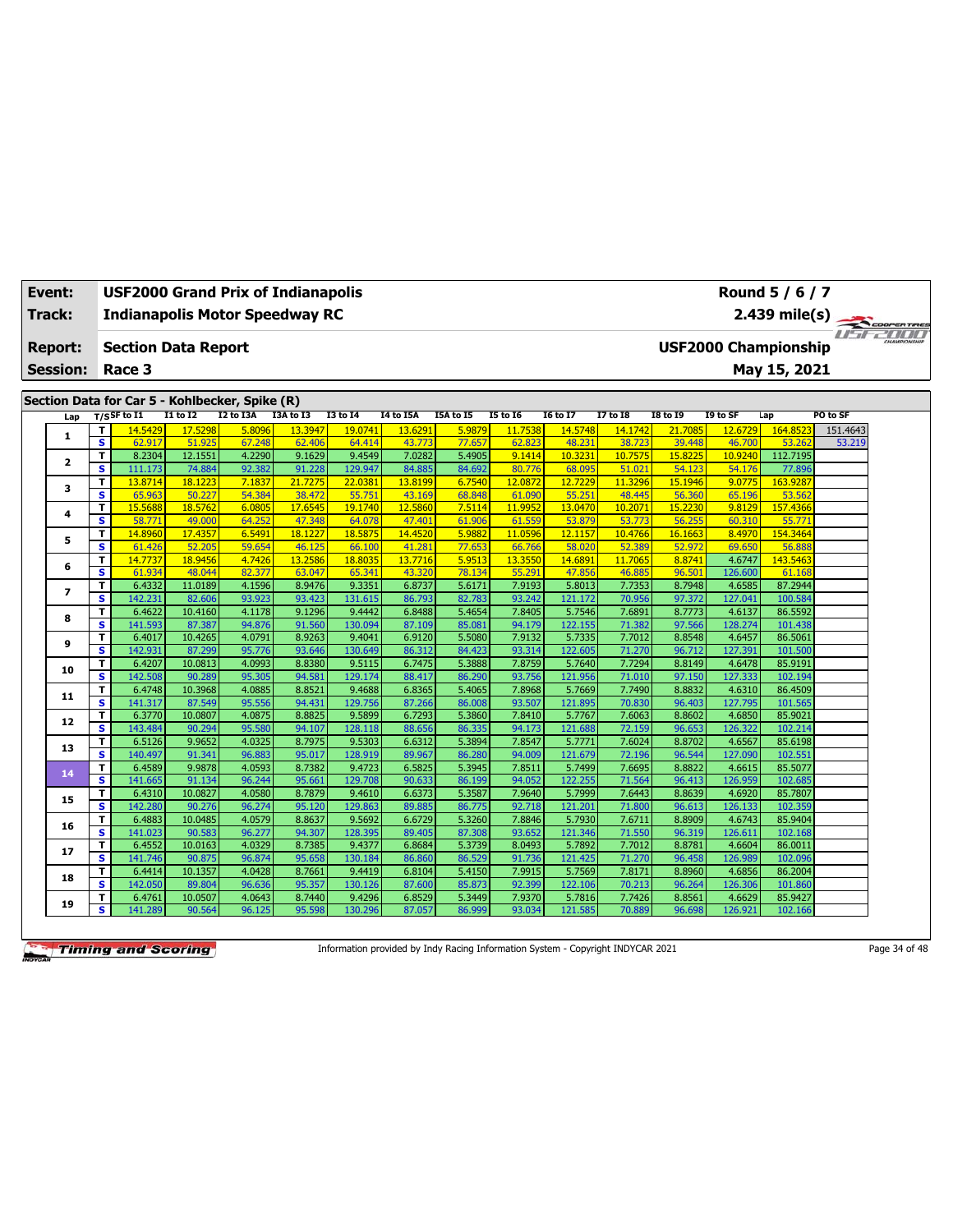| Event:          |                              | <b>USF2000 Grand Prix of Indianapolis</b>      |                   |                  |                   |                   |                   |                  |                   |                   |                   |                   |                   | Round 5 / 6 / 7             |             |
|-----------------|------------------------------|------------------------------------------------|-------------------|------------------|-------------------|-------------------|-------------------|------------------|-------------------|-------------------|-------------------|-------------------|-------------------|-----------------------------|-------------|
| Track:          |                              | <b>Indianapolis Motor Speedway RC</b>          |                   |                  |                   |                   |                   |                  |                   |                   |                   |                   |                   | $2.439$ mile(s)             | COOPERTIRES |
| <b>Report:</b>  |                              | <b>Section Data Report</b>                     |                   |                  |                   |                   |                   |                  |                   |                   |                   |                   |                   | <b>USF2000 Championship</b> |             |
|                 |                              |                                                |                   |                  |                   |                   |                   |                  |                   |                   |                   |                   |                   |                             |             |
| <b>Session:</b> |                              | Race 3                                         |                   |                  |                   |                   |                   |                  |                   |                   |                   |                   |                   | May 15, 2021                |             |
|                 |                              | Section Data for Car 5 - Kohlbecker, Spike (R) |                   |                  |                   |                   |                   |                  |                   |                   |                   |                   |                   |                             |             |
| Lap             |                              | $T/S$ SF to I1                                 | $I1$ to $I2$      | I2 to I3A        | I3A to I3         | $I3$ to $I4$      | <b>I4 to I5A</b>  | <b>I5A to 15</b> | <b>I5 to 16</b>   | I6 to I7          | <b>I7 to I8</b>   | <b>I8 to 19</b>   | I9 to SF          | Lap                         | PO to SF    |
|                 | т                            | 14.5429                                        | 17.5298           | 5.8096           | 13.3947           | 19.0741           | 13.6291           | 5.9879           | 11.7538           | 14.5748           | 14.1742           | 21.7085           | 12.6729           | 164.8523                    | 151.4643    |
| 1               | $\overline{\mathbf{s}}$      | 62.917                                         | 51,925            | 67.248           | 62.406            | 64.414            | 43.773            | 77.657           | 62.823            | 48.231            | 38.723            | 39.448            | 46.700            | 53.262                      | 53.219      |
| 2               | T                            | 8.2304                                         | 12.1551           | 4.2290           | 9.1629            | 9.4549            | 7.0282            | 5.4905           | 9.1414            | 10.3231           | 10.7575           | 15.8225           | 10.9240           | 112.7195                    |             |
|                 | s                            | 111.173                                        | 74.884            | 92.382           | 91.228            | 129.947           | 84.885            | 84.692           | 80.776            | 68.095            | 51.021            | 54.123            | 54.176            | 77,896                      |             |
| з               | T                            | 13.8714                                        | 18.1223           | 7.1837           | 21.7275           | 22.0381           | 13.8199           | 6.7540           | 12.0872           | 12.7229           | 11.3296           | 15.1946           | 9.0775            | 163.9287                    |             |
|                 | s<br>T                       | 65.963<br>15.5688                              | 50.227<br>18.5762 | 54.384<br>6.0805 | 38.472<br>17.6545 | 55,751<br>19.1740 | 43.169<br>12.5860 | 68.848<br>7.5114 | 61.090<br>11.9952 | 55.251<br>13.0470 | 48,445<br>10.2071 | 56.360<br>15.2230 | 65.196<br>9.8129  | 53.562<br>157.4366          |             |
| 4               | $\overline{\mathbf{s}}$      | 58.771                                         | 49.000            | 64.252           | 47.348            | 64.078            | 47.401            | 61.906           | 61.559            | 53.879            | 53.773            | 56.255            | 60.310            | 55.771                      |             |
|                 | T                            | 14.8960                                        | 17.4357           | 6.5491           | 18.1227           | 18.5875           | 14.4520           | 5.9882           | 11.0596           | 12.1157           | 10.4766           | 16.1663           | 8.4970            | 154.3464                    |             |
| 5               | s                            | 61.426                                         | 52.205            | 59.654           | 46.125            | 66.100            | 41.281            | 77.653           | 66.766            | 58.020            | 52.389            | 52.972            | 69.650            | 56.888                      |             |
|                 | T                            | 14.7737                                        | 18.9456           | 4.7426           | 13.2586           | 18,8035           | 13.7716           | 5.9513           | 13.3550           | 14.6891           | 11.7065           | 8.8741            | 4.6747            | 143.546                     |             |
| 6               | s                            | 61.934                                         | 48.044            | 82.377           | 63.047            | 65.341            | 43.320            | 78.134           | 55.291            | 47.856            | 46.885            | 96.50             | 126.600           | 61.168                      |             |
|                 | T                            | 6.4332                                         | 11.0189           | 4.1596           | 8.9476            | 9.3351            | 6.8737            | 5.6171           | 7.9193            | 5.8013            | 7.7353            | 8.7948            | 4.6585            | 87.2944                     |             |
| $\overline{ }$  | s                            | 142.231                                        | 82.606            | 93.923           | 93.423            | 131.615           | 86.793            | 82.783           | 93.242            | 121.172           | 70.956            | 97.372            | 127.041           | 100.584                     |             |
|                 | T                            | 6.4622                                         | 10.4160           | 4.1178           | 9.1296            | 9.4442            | 6.8488            | 5.4654           | 7.8405            | 5.7546            | 7.6891            | 8.7773            | 4.6137            | 86.5592                     |             |
| 8               | s                            | 141.593                                        | 87.387            | 94.876           | 91.560            | 130.094           | 87.109            | 85.081           | 94.179            | 122.155           | 71.382            | 97.566            | 128.274           | 101.438                     |             |
| 9               | T                            | 6.4017                                         | 10.4265           | 4.0791           | 8.9263            | 9.4041            | 6.9120            | 5.5080           | 7.9132            | 5.7335            | 7.7012            | 8.8548            | 4.6457            | 86.5061                     |             |
|                 | $\overline{\mathbf{s}}$      | 142.931                                        | 87.299            | 95.776           | 93.646            | 130.649           | 86.312            | 84.423           | 93.314            | 122.605           | 71.270            | 96.712            | 127.391           | 101.500                     |             |
| 10              | т                            | 6.4207                                         | 10.0813           | 4.0993           | 8.8380            | 9.5115            | 6.7475            | 5.3888           | 7.8759            | 5.7640            | 7.7294            | 8.8149            | 4.6478            | 85.9191                     |             |
|                 | s                            | 142.508                                        | 90.289            | 95.305           | 94.581            | 129.174           | 88.417            | 86.290           | 93.756            | 121.956           | 71.010            | 97.150            | 127.333           | 102.194                     |             |
| 11              | T                            | 6.4748                                         | 10.3968           | 4.0885           | 8.8521            | 9.4688            | 6.8365            | 5.4065           | 7.8968            | 5.7669            | 7.7490            | 8.8832            | 4.6310            | 86.4509                     |             |
|                 | s                            | 141.317                                        | 87.549            | 95.556           | 94.431            | 129.756           | 87.266            | 86.008           | 93.507            | 121.895           | 70.830            | 96.403            | 127.795           | 101.565                     |             |
| 12              | T                            | 6.3770                                         | 10.0807           | 4.0875           | 8.8825            | 9.5899            | 6.7293            | 5.3860           | 7.8410            | 5.7767            | 7.6063            | 8.8602            | 4.6850            | 85.9021                     |             |
|                 | s                            | 143.484                                        | 90.294            | 95.580           | 94.107            | 128.118           | 88.656            | 86.335           | 94.173            | 121.688           | 72.159            | 96.653            | 126.322           | 102.214                     |             |
| 13              | T<br>$\overline{\mathbf{s}}$ | 6.5126<br>140.497                              | 9.9652<br>91.341  | 4.0325<br>96.883 | 8.7975<br>95.017  | 9.5303<br>128.919 | 6.6312<br>89.967  | 5.3894<br>86.280 | 7.8547<br>94.009  | 5.7771<br>121.679 | 7.6024<br>72.196  | 8.8702<br>96.544  | 4.6567<br>127.090 | 85.6198<br>102.551          |             |
|                 | T                            | 6.4589                                         | 9.9878            | 4.0593           | 8.7382            | 9.4723            | 6.5825            | 5.3945           | 7.8511            | 5.7499            | 7.6695            | 8.8822            | 4.6615            | 85.5077                     |             |
| 14              | s                            | 141.665                                        | 91.134            | 96.244           | 95.661            | 129.708           | 90.633            | 86.199           | 94.052            | 122.255           | 71.564            | 96.413            | 126.959           | 102.685                     |             |
|                 | T                            | 6.4310                                         | 10.0827           | 4.0580           | 8.7879            | 9.4610            | 6.6373            | 5.3587           | 7.9640            | 5.7999            | 7.6443            | 8.8639            | 4.6920            | 85.7807                     |             |
| 15              | s                            | 142.280                                        | 90.276            | 96.274           | 95.120            | 129.863           | 89.885            | 86.775           | 92.718            | 121.201           | 71.800            | 96.613            | 126.133           | 102.359                     |             |
|                 | T                            | 6.4883                                         | 10.0485           | 4.0579           | 8.8637            | 9.5692            | 6.6729            | 5.3260           | 7.8846            | 5.7930            | 7.6711            | 8.8909            | 4.6743            | 85.9404                     |             |
| 16              | s                            | 141.023                                        | 90.583            | 96.277           | 94.307            | 128.395           | 89.405            | 87,308           | 93.652            | 121.346           | 71.550            | 96.319            | 126.611           | 102.168                     |             |
|                 | T                            | 6.4552                                         | 10.0163           | 4.0329           | 8.7385            | 9.4377            | 6.8684            | 5.3739           | 8.0493            | 5.7892            | 7.7012            | 8.8781            | 4.6604            | 86.0011                     |             |
| 17              | s                            | 141.746                                        | 90.875            | 96.874           | 95.658            | 130.184           | 86.860            | 86.529           | 91.736            | 121.425           | 71.270            | 96.458            | 126.989           | 102.096                     |             |
|                 | T                            | 6.4414                                         | 10.1357           | 4.0428           | 8.7661            | 9.4419            | 6.8104            | 5.4150           | 7.9915            | 5.7569            | 7.8171            | 8.8960            | 4.6856            | 86.2004                     |             |
| 18              | s                            | 142.050                                        | 89.804            | 96.636           | 95.357            | 130.126           | 87.600            | 85.873           | 92.399            | 122.106           | 70.213            | 96.264            | 126.306           | 101.860                     |             |
|                 | т                            | 6.4761                                         | 10.0507           | 4.0643           | 8.7440            | 9.4296            | 6.8529            | 5.3449           | 7.9370            | 5.7816            | 7.7426            | 8.8561            | 4.6629            | 85.9427                     |             |
| 19              | s                            | 141.289                                        | 90.564            | 96.125           | 95.598            | 130.296           | 87.057            | 86.999           | 93.034            | 121.585           | 70.889            | 96.698            | 126.921           | 102.166                     |             |

Information provided by Indy Racing Information System - Copyright INDYCAR 2021 Page 34 of 48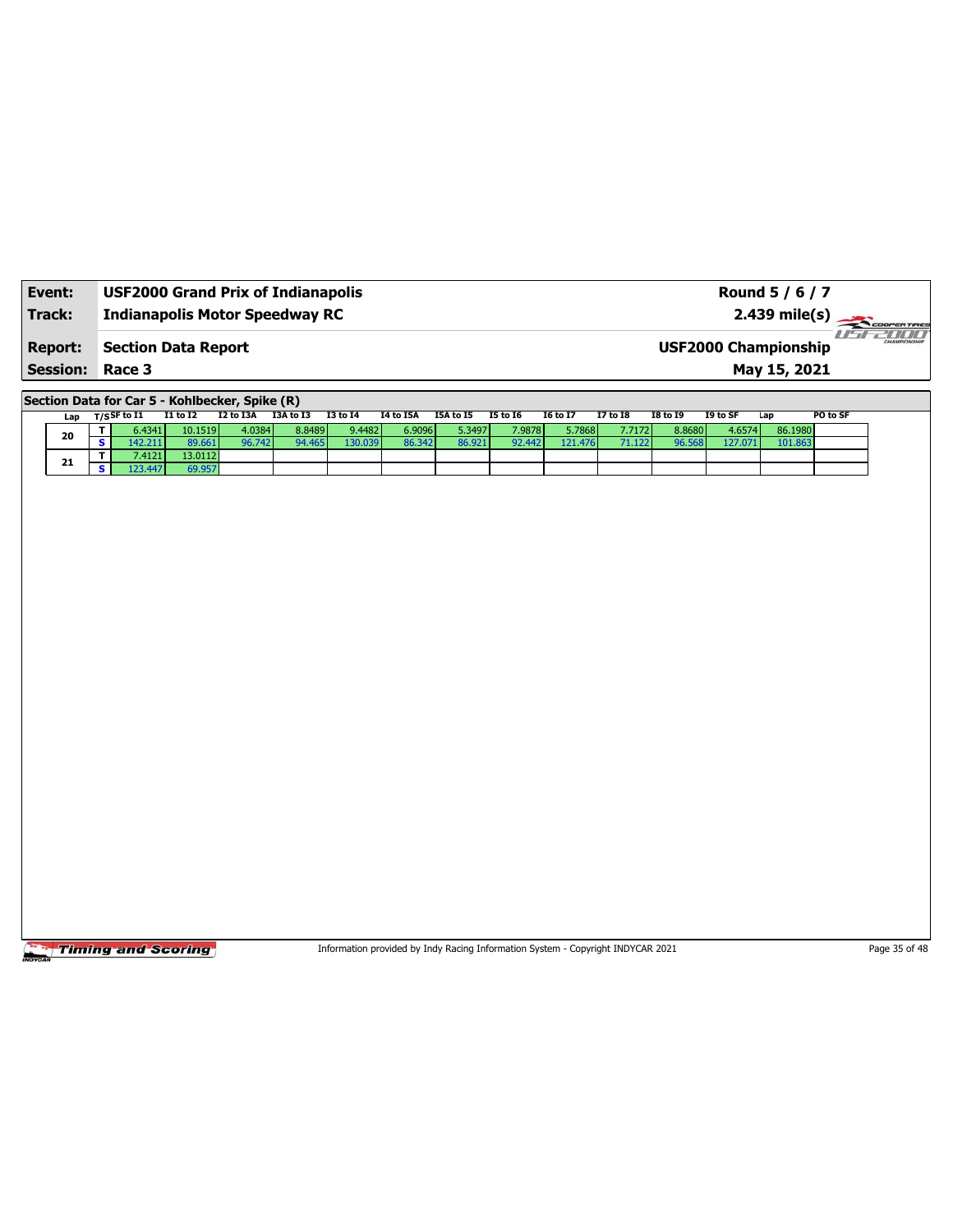| Event:                 | <b>USF2000 Grand Prix of Indianapolis</b> | Round 5 / 6 / 7                                        |
|------------------------|-------------------------------------------|--------------------------------------------------------|
| Track:                 | <b>Indianapolis Motor Speedway RC</b>     | $2.439 \text{ mile(s)}$                                |
| <b>Report:</b>         | Section Data Report                       | 78 BU B<br>CHAMPIONSHIP<br><b>USF2000 Championship</b> |
| <b>Session: Race 3</b> |                                           | May 15, 2021                                           |

**Section Data for Car 5 - Kohlbecker, Spike (R)**

| Lap | T/S <sup>SF to I1</sup> | I1 to I2 | I2 to I3A | I3A to I3 | <b>I3 to 14</b> | I4 to I5A | I5A to I5 | <b>I5 to 16</b> | <b>16 to 17</b> | 17 to 18 | <b>I8 to 19</b> | I9 to SF | Lap     | PO to SF |
|-----|-------------------------|----------|-----------|-----------|-----------------|-----------|-----------|-----------------|-----------------|----------|-----------------|----------|---------|----------|
| 20  | 6.4341                  | 10.1519  | 4.0384    | 8.8489    | 9.4482          | 6.9096    | 5.3497    | 7.9878          | 5.7868          | 7.7172   | 8.8680          | 4.6574   | 86.1980 |          |
|     | 42.211                  | 89.661   | 96.742    | 94.465    | 130.039         | 86.342    | 86.921    | 92.442          | 121.476         | 71.122 l | 96.568          | 127.071  | 101.863 |          |
| 21  | 7.4121                  | 13.0112  |           |           |                 |           |           |                 |                 |          |                 |          |         |          |
|     | 23.447                  | 69.957   |           |           |                 |           |           |                 |                 |          |                 |          |         |          |

**Timing and Scoring** 

Information provided by Indy Racing Information System - Copyright INDYCAR 2021 Page 35 of 48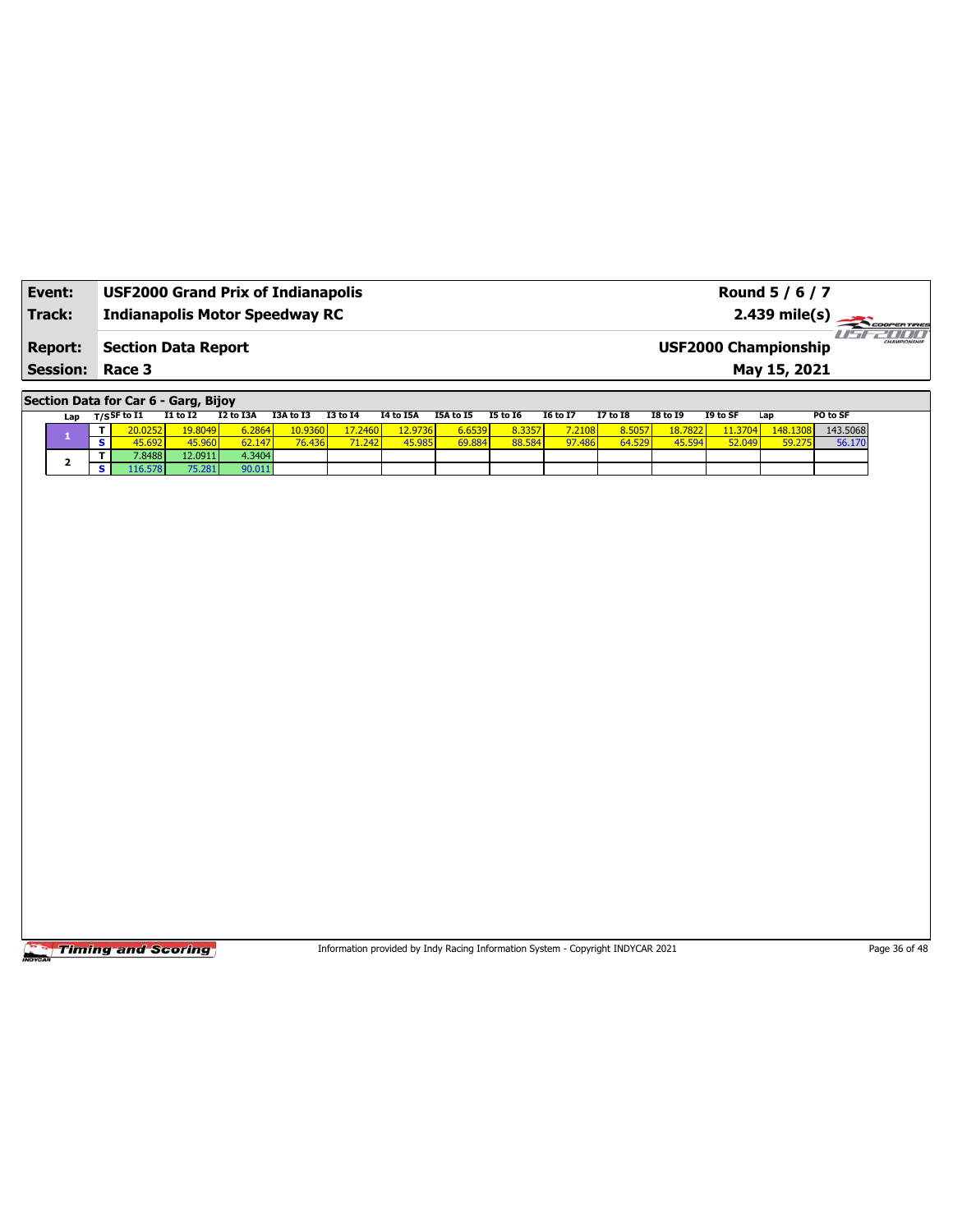| Event:          | <b>USF2000 Grand Prix of Indianapolis</b> | Round 5 / 6 / 7                                            |
|-----------------|-------------------------------------------|------------------------------------------------------------|
| Track:          | <b>Indianapolis Motor Speedway RC</b>     | $2.439 \text{ mile(s)}$                                    |
| <b>Report:</b>  | Section Data Report                       | <b>HIMI</b><br>CHAMPIONSHIP<br><b>USF2000 Championship</b> |
| <b>Session:</b> | Race 3                                    | May 15, 2021                                               |

**Section Data for Car 6 - Garg, Bijoy**

|     |  |             |                 | ___          |           |                 |           |           |                 |                 |                 |                 |          |          |          |
|-----|--|-------------|-----------------|--------------|-----------|-----------------|-----------|-----------|-----------------|-----------------|-----------------|-----------------|----------|----------|----------|
| Lap |  | T/SSF to I1 | <b>I1 to I2</b> | I2 to I3A    | I3A to I3 | <b>I3 to 14</b> | I4 to I5A | I5A to I5 | <b>I5 to 16</b> | <b>I6 to I7</b> | <b>I7 to I8</b> | <b>I8 to I9</b> | I9 to SF | Lap      | PO to SF |
|     |  | 20.0252     | 19.8049         | 6.2864       | 10.9360   | 17.2460         | 12.9736 l | 6.6539    | 8.3357          | 7.2108          | 8.5057          | 18,7822         | 11.3704  | 148.1308 | 143.5068 |
|     |  | 45.692      | 45.960          | 147'<br>62.1 | 76.436    | 71.242          | 45.985    | 69.884    | 88.584          | 97.486          | 64.529          | 45.594          | 52.049   | 59.275   | 56.170   |
|     |  | 7.8488      | 12.0911         | 4.3404       |           |                 |           |           |                 |                 |                 |                 |          |          |          |
|     |  | 16.578      | 75.281          | 90.011       |           |                 |           |           |                 |                 |                 |                 |          |          |          |

**Timing and Scoring** 

Information provided by Indy Racing Information System - Copyright INDYCAR 2021 Page 36 of 48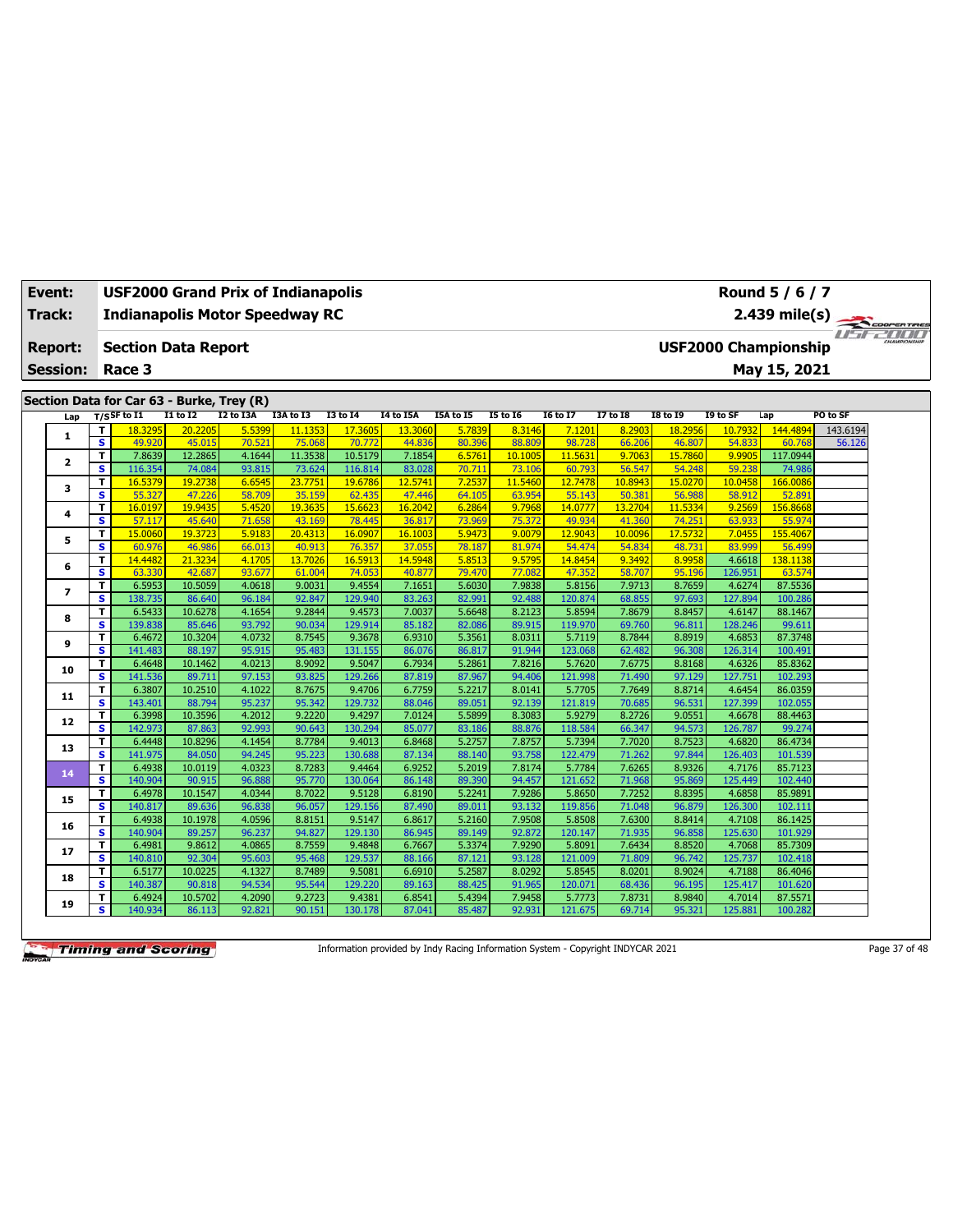| Event:<br>Track:         |                               | <b>USF2000 Grand Prix of Indianapolis</b><br><b>Indianapolis Motor Speedway RC</b> |                   |                  |                   |                   |                  |                  |                   |                   |                  |                   |                             | Round 5 / 6 / 7<br>2.439 mile(s) | COOPERTIRES           |  |
|--------------------------|-------------------------------|------------------------------------------------------------------------------------|-------------------|------------------|-------------------|-------------------|------------------|------------------|-------------------|-------------------|------------------|-------------------|-----------------------------|----------------------------------|-----------------------|--|
| <b>Report:</b>           |                               | <b>Section Data Report</b>                                                         |                   |                  |                   |                   |                  |                  |                   |                   |                  |                   | <b>USF2000 Championship</b> |                                  | <b>Fiftee All III</b> |  |
| <b>Session:</b>          |                               | Race 3                                                                             |                   |                  |                   |                   |                  |                  |                   |                   |                  |                   |                             | May 15, 2021                     |                       |  |
|                          |                               |                                                                                    |                   |                  |                   |                   |                  |                  |                   |                   |                  |                   |                             |                                  |                       |  |
|                          |                               | Section Data for Car 63 - Burke, Trey (R)                                          |                   |                  |                   |                   |                  |                  |                   |                   |                  |                   |                             |                                  |                       |  |
| Lap                      |                               | $T/S$ SF to I1                                                                     | I1 to I2          | I2 to I3A        | I3A to I3         | <b>I3 to 14</b>   | <b>I4 to I5A</b> | I5A to I5        | <b>I5 to 16</b>   | <b>I6 to I7</b>   | <b>17 to 18</b>  | <b>I8 to 19</b>   | I9 to SF                    | Lap                              | PO to SF              |  |
| 1                        | T<br>$\overline{\mathbf{s}}$  | 18.3295                                                                            | 20,2205           | 5.5399           | 11.1353           | 17,3605           | 13.3060          | 5.7839           | 8.3146            | 7.1201            | 8.2903           | 18.2956           | 10.7932                     | 144.4894                         | 143.6194              |  |
|                          | T                             | 49.920<br>7.8639                                                                   | 45.015<br>12.2865 | 70.521<br>4.1644 | 75.068<br>11.3538 | 70.772<br>10.5179 | 44.836<br>7.1854 | 80.396<br>6.5761 | 88.809<br>10.1005 | 98.728<br>11.5631 | 66.206<br>9.7063 | 46.807<br>15.7860 | 54.833<br>9.9905            | 60.768<br>117.0944               | 56.126                |  |
| $\overline{2}$           | $\overline{\mathbf{s}}$       | 116.354                                                                            | 74.084            | 93.815           | 73.624            | 116.814           | 83.028           | 70.711           | 73.106            | 60.793            | 56.547           | 54.248            | 59.238                      | 74.986                           |                       |  |
|                          | т                             | 16.5379                                                                            | 19.2738           | 6.6545           | 23.7751           | 19.6786           | 12.5741          | 7.2537           | 11.5460           | 12,7478           | 10.8943          | 15.0270           | 10.0458                     | 166.0086                         |                       |  |
| з                        | $\overline{\mathbf{s}}$       | 55.327                                                                             | 47.226            | 58.709           | 35.159            | 62.435            | 47,446           | 64.105           | 63.954            | 55.143            | 50.381           | 56.988            | 58.912                      | 52.891                           |                       |  |
|                          | т                             | 16.0197                                                                            | 19.9435           | 5.4520           | 19.3635           | 15.662            | 16.2042          | 6.2864           | 9.7968            | 14.0777           | 13.2704          | 11.5334           | 9.2569                      | 156.8668                         |                       |  |
| 4                        | S                             | 57.117                                                                             | 45.640            | 71.658           | 43.169            | 78.445            | 36.817           | 73.969           | 75.372            | 49.934            | 41.360           | 74.251            | 63.933                      | 55.974                           |                       |  |
|                          | T                             | 15.0060                                                                            | 19.3723           | 5.9183           | 20.4313           | 16.0907           | 16.1003          | 5.9473           | 9.0079            | 12.9043           | 10.0096          | 17.5732           | 7.0455                      | 155.4067                         |                       |  |
| 5                        | $\overline{\mathbf{s}}$       | 60.976                                                                             | 46.986            | 66.013           | 40.913            | 76.357            | 37.055           | 78.187           | 81.974            | 54.474            | 54.834           | 48.731            | 83.999                      | 56.499                           |                       |  |
| 6                        | T                             | 14.4482                                                                            | 21.3234           | 4.1705           | 13.7026           | 16.5913           | 14.5948          | 5.8513           | 9.5795            | 14.8454           | 9.3492           | 8.9958            | 4.6618                      | 138.1138                         |                       |  |
|                          | $\overline{\mathbf{s}}$       | 63.330                                                                             | 42.687            | 93.677           | 61.004            | 74.053            | 40.877           | 79.470           | 77.082            | 47.352            | 58.707           | 95.196            | 126.951                     | 63.574                           |                       |  |
| $\overline{\phantom{a}}$ | T                             | 6.5953                                                                             | 10.5059           | 4.0618           | 9.0031            | 9.4554            | 7.1651           | 5.6030           | 7.9838            | 5.8156            | 7.9713           | 8.7659            | 4.6274                      | 87.5536                          |                       |  |
|                          | s                             | 138.735                                                                            | 86.640            | 96.184           | 92.847            | 129.940           | 83.263           | 82.991           | 92.488            | 120.874           | 68.855           | 97.693            | 127.894                     | 100.286                          |                       |  |
| 8                        | T                             | 6.5433                                                                             | 10.6278           | 4.1654           | 9.2844            | 9.4573            | 7.0037           | 5.6648           | 8.2123            | 5.8594            | 7.8679           | 8.8457            | 4.6147                      | 88.1467                          |                       |  |
|                          | s                             | 139.838                                                                            | 85.646            | 93.792           | 90.034            | 129.914           | 85.182           | 82.086           | 89.915            | 119.970           | 69.760           | 96.811            | 128.246                     | 99.611                           |                       |  |
| 9                        | T                             | 6.4672                                                                             | 10.3204           | 4.0732           | 8.7545            | 9.3678            | 6.9310           | 5.3561           | 8.0311            | 5.7119            | 8.7844           | 8.8919            | 4.6853                      | 87.3748                          |                       |  |
|                          | s                             | 141.483                                                                            | 88.197            | 95.915           | 95.483            | 131.155           | 86.076           | 86.817           | 91.944            | 123.068           | 62.482           | 96.308            | 126.314                     | 100.491                          |                       |  |
| 10                       | T                             | 6.4648                                                                             | 10.1462           | 4.0213           | 8.9092            | 9.5047            | 6.7934           | 5.2861           | 7.8216            | 5.7620            | 7.6775           | 8.8168            | 4.6326                      | 85.8362                          |                       |  |
|                          | s                             | 141.536                                                                            | 89.711            | 97.153           | 93.825            | 129.266           | 87.819           | 87.967           | 94.406            | 121.998           | 71.490           | 97.129            | 127.751                     | 102.293                          |                       |  |
| 11                       | T.<br>s                       | 6.3807                                                                             | 10.2510<br>88.794 | 4.1022<br>95.237 | 8.7675<br>95.342  | 9.4706<br>129.732 | 6.7759<br>88.046 | 5.2217<br>89.051 | 8.0141<br>92.139  | 5.7705<br>121.819 | 7.7649<br>70.685 | 8.8714<br>96.531  | 4.6454<br>127.399           | 86.0359<br>102.055               |                       |  |
|                          |                               | 143.401<br>6.3998                                                                  | 10.3596           | 4.2012           | 9.2220            | 9.4297            | 7.0124           | 5.5899           | 8.3083            | 5.9279            | 8.2726           | 9.0551            | 4.6678                      | 88.4463                          |                       |  |
| 12                       | T.<br>$\overline{\mathbf{s}}$ | 142.973                                                                            | 87.863            | 92.993           | 90.643            | 130.294           | 85.077           | 83.186           | 88.876            | 118.584           | 66.347           | 94.573            | 126.787                     | 99.274                           |                       |  |
|                          | T.                            | 6.4448                                                                             | 10.8296           | 4.1454           | 8.7784            | 9.4013            | 6.8468           | 5.2757           | 7.8757            | 5.7394            | 7.7020           | 8.7523            | 4.6820                      | 86.4734                          |                       |  |
| 13                       | s.                            | 141.975                                                                            | 84.050            | 94.245           | 95.223            | 130.688           | 87.134           | 88.140           | 93.758            | 122.479           | 71.262           | 97.844            | 126.403                     | 101.539                          |                       |  |
|                          | T.                            | 6.4938                                                                             | 10.0119           | 4.0323           | 8.7283            | 9.4464            | 6.9252           | 5.2019           | 7.8174            | 5.7784            | 7.6265           | 8.9326            | 4.7176                      | 85.7123                          |                       |  |
| 14                       | s.                            | 140.904                                                                            | 90.915            | 96.88            | 95.770            | 130.064           | 86.148           | 89.390           | 94.457            | 121.652           | 71.968           | 95.869            | 125.449                     | 102.440                          |                       |  |
|                          | T                             | 6.4978                                                                             | 10.1547           | 4.0344           | 8.7022            | 9.5128            | 6.8190           | 5.2241           | 7.9286            | 5.8650            | 7.7252           | 8.8395            | 4.6858                      | 85.9891                          |                       |  |
| 15                       | s.                            | 140.817                                                                            | 89.636            | 96.838           | 96.057            | 129.156           | 87.490           | 89.011           | 93.132            | 119.856           | 71.048           | 96.879            | 126.300                     | 102.111                          |                       |  |
|                          | T                             | 6.4938                                                                             | 10.1978           | 4.0596           | 8.8151            | 9.5147            | 6.8617           | 5.2160           | 7.9508            | 5.8508            | 7.6300           | 8.8414            | 4.7108                      | 86.1425                          |                       |  |
| 16                       | s.                            | 140.904                                                                            | 89.257            | 96.237           | 94.827            | 129.130           | 86.945           | 89.149           | 92.872            | 120.147           | 71.935           | 96.858            | 125.630                     | 101.929                          |                       |  |
|                          | T.                            | 6.4981                                                                             | 9.8612            | 4.0865           | 8.7559            | 9.4848            | 6.7667           | 5.3374           | 7.9290            | 5.8091            | 7.6434           | 8.8520            | 4.7068                      | 85.7309                          |                       |  |
| 17                       | s                             | 140.810                                                                            | 92.304            | 95.603           | 95.468            | 129.537           | 88.166           | 87.121           | 93.128            | 121.009           | 71.809           | 96.742            | 125.737                     | 102.418                          |                       |  |
| 18                       | T                             | 6.5177                                                                             | 10.0225           | 4.1327           | 8.7489            | 9.5081            | 6.6910           | 5.2587           | 8.0292            | 5.8545            | 8.0201           | 8.9024            | 4.7188                      | 86.4046                          |                       |  |
|                          | s                             | 140.387                                                                            | 90.818            | 94.534           | 95.544            | 129.220           | 89.163           | 88.425           | 91.965            | 120.07            | 68.436           | 96.195            | 125.417                     | 101.620                          |                       |  |
| 19                       | T                             | 6.4924                                                                             | 10.5702           | 4.2090           | 9.2723            | 9.4381            | 6.8541           | 5.4394           | 7.9458            | 5.7773            | 7.8731           | 8.9840            | 4.7014                      | 87.5571                          |                       |  |
|                          | s                             | 140.934                                                                            | 86.113            | 92.821           | 90.151            | 130.178           | 87.041           | 85.487           | 92.931            | 121.675           | 69.714           | 95.321            | 125.881                     | 100.282                          |                       |  |

Information provided by Indy Racing Information System - Copyright INDYCAR 2021 Page 37 of 48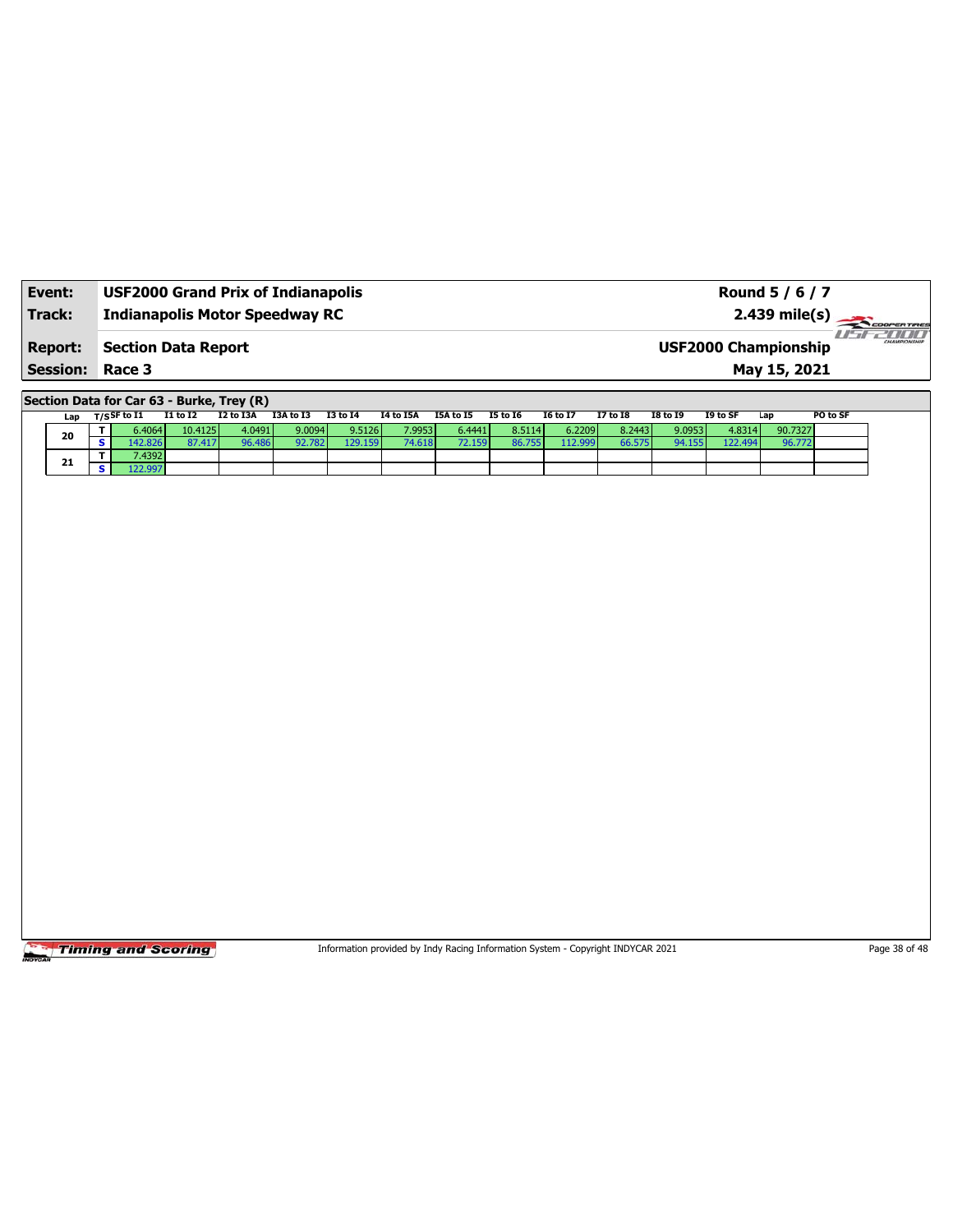| Event:          | <b>USF2000 Grand Prix of Indianapolis</b> | Round 5 / 6 / 7                                    |
|-----------------|-------------------------------------------|----------------------------------------------------|
| Track:          | <b>Indianapolis Motor Speedway RC</b>     | $2.439 \text{ mile(s)}$                            |
| <b>Report:</b>  | <b>Section Data Report</b>                | <b>CHAMPIONSHIP</b><br><b>USF2000 Championship</b> |
| <b>Session:</b> | Race 3                                    | May 15, 2021                                       |

**Section Data for Car 63 - Burke, Trey (R)**

| Lap | $_{\rm T/S}$ SF to I1 | I1 to I2 | I2 to I3A | I3A to I3 | I3 to I4 | I4 to I5A | I5A to I5 | 15 to 16 | <b>16 to 17</b> | <b>I7 to I8</b> | <b>I8 to I9</b> | I9 to SF | Lap     | PO to SF |
|-----|-----------------------|----------|-----------|-----------|----------|-----------|-----------|----------|-----------------|-----------------|-----------------|----------|---------|----------|
| 20  | 6.4064                | 10.4125  | 4.0491    | 9.0094    | 9.5126   | 7.9953    | 6.4441    | 8.5114   | 6.2209          | 8.2443          | 9.0953          | 4.8314   | 90.7327 |          |
|     | 42.826                | 87.417   | 96.486    | 92.782    | 129.159  | 74.618    | 2.159     | 86.755   | 112.999         | 66.575          | 94.155          | 122.494. | 96.77   |          |
| 21  | 7.4392                |          |           |           |          |           |           |          |                 |                 |                 |          |         |          |
|     |                       |          |           |           |          |           |           |          |                 |                 |                 |          |         |          |

**Timing and Scoring** 

Information provided by Indy Racing Information System - Copyright INDYCAR 2021 Page 38 of 48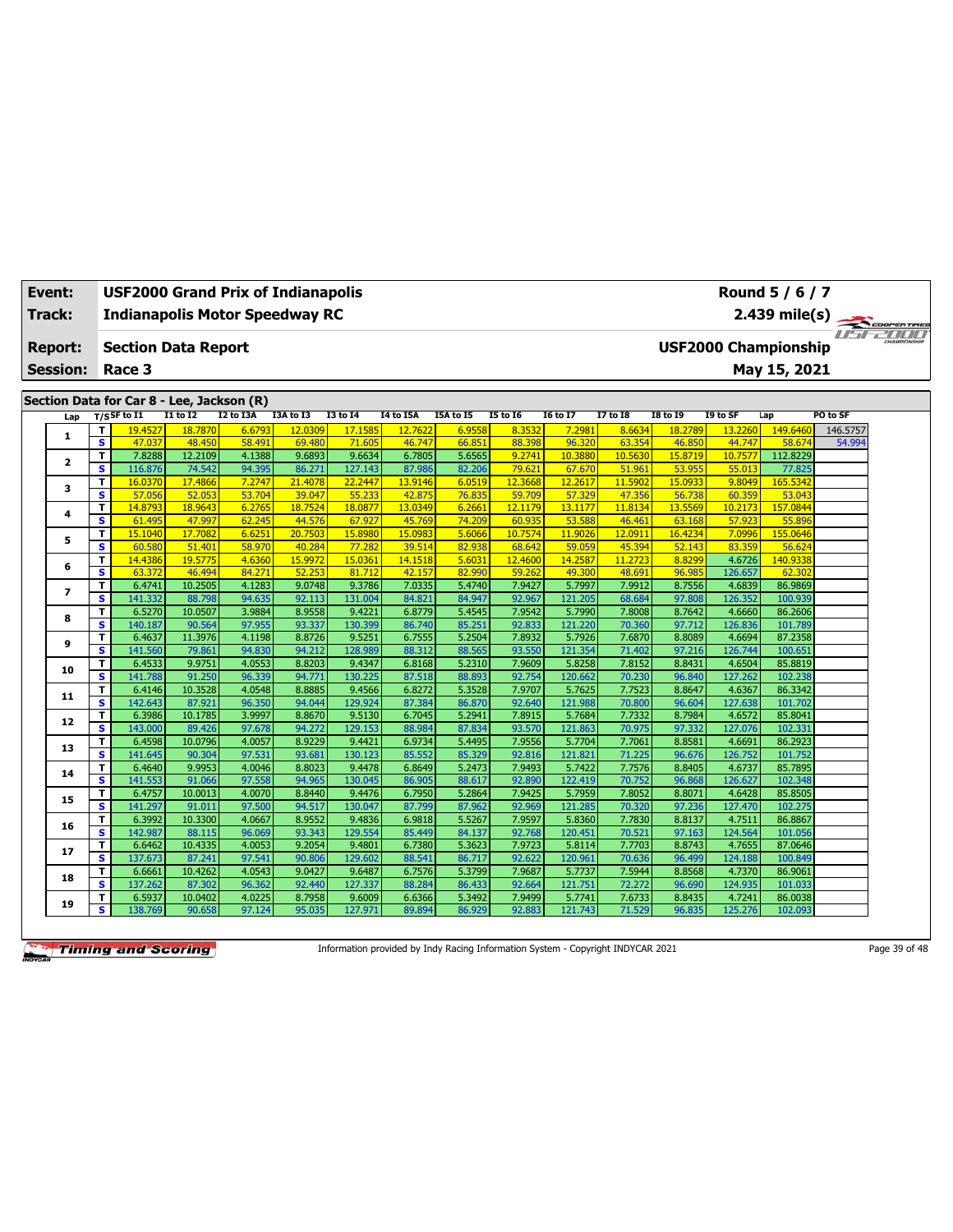| Event:<br>Track: |                          |                               | <b>USF2000 Grand Prix of Indianapolis</b><br><b>Indianapolis Motor Speedway RC</b> |                   |                  |                  |                   |                  |                  |                  |                   |                  |                   |                             | Round 5 / 6 / 7<br>2.439 mile(s) |          | COOPERTIRES           |
|------------------|--------------------------|-------------------------------|------------------------------------------------------------------------------------|-------------------|------------------|------------------|-------------------|------------------|------------------|------------------|-------------------|------------------|-------------------|-----------------------------|----------------------------------|----------|-----------------------|
|                  | <b>Report:</b>           |                               | <b>Section Data Report</b>                                                         |                   |                  |                  |                   |                  |                  |                  |                   |                  |                   | <b>USF2000 Championship</b> |                                  |          | <b>Fiftee All III</b> |
|                  | <b>Session:</b>          |                               | Race 3                                                                             |                   |                  |                  |                   |                  |                  |                  |                   |                  |                   |                             | May 15, 2021                     |          |                       |
|                  |                          |                               |                                                                                    |                   |                  |                  |                   |                  |                  |                  |                   |                  |                   |                             |                                  |          |                       |
|                  |                          |                               | Section Data for Car 8 - Lee, Jackson (R)                                          |                   |                  |                  |                   |                  |                  |                  |                   |                  |                   |                             |                                  |          |                       |
|                  | Lap                      |                               | $T/S$ SF to I1                                                                     | $I1$ to $I2$      | I2 to I3A        | I3A to I3        | <b>I3 to 14</b>   | <b>I4 to I5A</b> | I5A to I5        | <b>I5 to 16</b>  | <b>I6 to I7</b>   | <b>17 to 18</b>  | <b>I8 to 19</b>   | I9 to SF                    | Lap                              | PO to SF |                       |
|                  | 1                        | T                             | 19.4527                                                                            | 18.7870           | 6.6793           | 12.0309          | 17.1585           | 12.7622          | 6.9558           | 8.3532           | 7.2981            | 8.6634           | 18.2789           | 13.2260                     | 149.6460                         | 146.5757 |                       |
|                  |                          | $\overline{\mathbf{s}}$<br>T  | 47.037<br>7.8288                                                                   | 48.450<br>12.2109 | 58.491<br>4.1388 | 69.480<br>9.6893 | 71.605<br>9.6634  | 46.747<br>6.7805 | 66.851<br>5.6565 | 88.398<br>9.2741 | 96.320<br>10.3880 | 63.354<br>10.563 | 46.850<br>15.8719 | 44.747<br>10.7577           | 58.674<br>112.8229               | 54.994   |                       |
|                  | $\overline{2}$           | $\overline{\mathbf{s}}$       | 116.876                                                                            | 74.542            | 94.395           | 86.271           | 127.143           | 87.986           | 82.206           | 79.621           | 67.670            | 51.961           | 53.955            | 55.013                      | 77.825                           |          |                       |
|                  |                          | т                             | 16.0370                                                                            | 17.4866           | 7.2747           | 21,4078          | 22.2447           | 13.9146          | 6.0519           | 12.3668          | 12.2617           | 11.590           | 15.0933           | 9.8049                      | 165.5342                         |          |                       |
|                  | з                        | $\overline{\mathbf{s}}$       | 57.056                                                                             | 52.053            | 53.704           | 39.047           | 55.233            | 42.875           | 76.835           | 59.709           | 57.329            | 47.356           | 56.738            | 60.359                      | 53.043                           |          |                       |
|                  |                          | т                             | 14.8793                                                                            | 18.9643           | 6.2765           | 18.7524          | 18.0877           | 13.0349          | 6.2661           | 12.1179          | 13.1177           | 11.8134          | 13.5569           | 10.2173                     | 157.0844                         |          |                       |
|                  | 4                        | S                             | 61.495                                                                             | 47.997            | 62.245           | 44.576           | 67.927            | 45.769           | 74.209           | 60.935           | 53.588            | 46.461           | 63.168            | 57.923                      | 55.896                           |          |                       |
|                  |                          | T                             | 15.1040                                                                            | 17.7082           | 6.6251           | 20.7503          | 15.8980           | 15.0983          | 5.6066           | 10.7574          | 11.9026           | 12.0911          | 16.4234           | 7.0996                      | 155.0646                         |          |                       |
|                  | 5                        | $\overline{\mathbf{s}}$       | 60.580                                                                             | 51.401            | 58.970           | 40.284           | 77.282            | 39.514           | 82.938           | 68.642           | 59.059            | 45.394           | 52.143            | 83.359                      | 56.624                           |          |                       |
|                  | 6                        | T                             | 14.4386                                                                            | 19.5775           | 4.6360           | 15.9972          | 15.0361           | 14.1518          | 5.6031           | 12.4600          | 14.2587           | 11.2723          | 8.8299            | 4.6726                      | 140.9338                         |          |                       |
|                  |                          | $\overline{\mathbf{s}}$       | 63.372                                                                             | 46.494            | 84.271           | 52.253           | 81.712            | 42.157           | 82.990           | 59.262           | 49.300            | 48.691           | 96.985            | 126.657                     | 62.302                           |          |                       |
|                  | $\overline{\phantom{a}}$ | T                             | 6.4741                                                                             | 10.2505           | 4.1283           | 9.0748           | 9.3786            | 7.0335           | 5.4740           | 7.9427           | 5.7997            | 7.9912           | 8.7556            | 4.6839                      | 86.9869                          |          |                       |
|                  |                          | s                             | 141.332                                                                            | 88.798            | 94.635           | 92.113           | 131.004           | 84.821           | 84.947           | 92.967           | 121.205           | 68.684           | 97.808            | 126.352                     | 100.939                          |          |                       |
|                  | 8                        | T                             | 6.5270                                                                             | 10.0507           | 3.9884           | 8.9558           | 9.4221            | 6.8779           | 5.4545           | 7.9542           | 5.7990            | 7.8008           | 8.7642            | 4.6660                      | 86.2606                          |          |                       |
|                  |                          | s                             | 140.187                                                                            | 90.564            | 97.955           | 93.337           | 130.399           | 86.740           | 85.251           | 92.833           | 121.220           | 70.360           | 97.712            | 126.836                     | 101.789                          |          |                       |
|                  | 9                        | T                             | 6.4637                                                                             | 11.3976           | 4.1198           | 8.8726           | 9.5251            | 6.7555           | 5.2504           | 7.8932           | 5.7926            | 7.6870           | 8.8089            | 4.6694                      | 87.2358                          |          |                       |
|                  |                          | s                             | 141.560                                                                            | 79.861            | 94.830           | 94.212           | 128.989           | 88.312           | 88.565           | 93.550           | 121.354           | 71.402           | 97.216            | 126.744                     | 100.651                          |          |                       |
|                  | 10                       | T                             | 6.4533                                                                             | 9.9751            | 4.0553           | 8.8203           | 9.4347            | 6.8168           | 5.2310           | 7.9609           | 5.8258            | 7.8152           | 8.8431            | 4.6504                      | 85.8819                          |          |                       |
|                  |                          | s                             | 141.788                                                                            | 91.250            | 96.339           | 94.771           | 130.225           | 87.518           | 88.893           | 92.754           | 120.662           | 70.230           | 96.840            | 127.262                     | 102.238                          |          |                       |
|                  | 11                       | T.                            | 6.4146                                                                             | 10.3528           | 4.0548           | 8.8885           | 9.4566            | 6.8272           | 5.3528           | 7.9707           | 5.7625            | 7.7523           | 8.8647            | 4.6367                      | 86.3342                          |          |                       |
|                  |                          | s                             | 142.643<br>6.3986                                                                  | 87.921            | 96.350<br>3.9997 | 94.044<br>8.8670 | 129.924<br>9.5130 | 87.384           | 86.870<br>5.2941 | 92.640<br>7.8915 | 121.988<br>5.7684 | 70,800<br>7.7332 | 96.604            | 127.638<br>4.6572           | 101.702<br>85.8041               |          |                       |
|                  | 12                       | T.<br>$\overline{\mathbf{s}}$ | 143.000                                                                            | 10.1785<br>89.426 | 97.678           | 94.272           | 129.153           | 6.7045<br>88.984 | 87.834           | 93.570           | 121.863           | 70.975           | 8.7984<br>97.332  | 127.076                     | 102.331                          |          |                       |
|                  |                          | T.                            | 6.4598                                                                             | 10.0796           | 4.0057           | 8.9229           | 9.4421            | 6.9734           | 5.4495           | 7.9556           | 5.7704            | 7.7061           | 8.8581            | 4.6691                      | 86.2923                          |          |                       |
|                  | 13                       | $\overline{\mathbf{s}}$       | 141.645                                                                            | 90.304            | 97.531           | 93.681           | 130.123           | 85.552           | 85.329           | 92.816           | 121.821           | 71.225           | 96.676            | 126.752                     | 101.752                          |          |                       |
|                  |                          | T.                            | 6.4640                                                                             | 9.9953            | 4.0046           | 8.8023           | 9.4478            | 6.8649           | 5.2473           | 7.9493           | 5.7422            | 7.7576           | 8.8405            | 4.6737                      | 85.7895                          |          |                       |
|                  | 14                       | s.                            | 141.553                                                                            | 91.066            | 97.558           | 94.965           | 130.045           | 86.905           | 88.617           | 92.890           | 122.419           | 70.752           | 96.868            | 126.627                     | 102.348                          |          |                       |
|                  |                          | T                             | 6.4757                                                                             | 10.0013           | 4.0070           | 8.8440           | 9.4476            | 6.7950           | 5.2864           | 7.9425           | 5.7959            | 7.8052           | 8.8071            | 4.6428                      | 85.8505                          |          |                       |
|                  | 15                       | s.                            | 141.297                                                                            | 91.011            | 97.500           | 94.517           | 130.047           | 87.799           | 87.962           | 92.969           | 121.285           | 70.320           | 97.236            | 127.470                     | 102.275                          |          |                       |
|                  |                          | T                             | 6.3992                                                                             | 10.3300           | 4.0667           | 8.9552           | 9.4836            | 6.9818           | 5.5267           | 7.9597           | 5.8360            | 7.7830           | 8.8137            | 4.7511                      | 86.8867                          |          |                       |
|                  | 16                       | s.                            | 142.987                                                                            | 88.115            | 96.069           | 93.343           | 129.554           | 85.449           | 84.137           | 92.768           | 120.451           | 70.521           | 97.163            | 124.564                     | 101.056                          |          |                       |
|                  |                          | T.                            | 6.6462                                                                             | 10.4335           | 4.0053           | 9.2054           | 9.4801            | 6.7380           | 5.3623           | 7.9723           | 5.8114            | 7.7703           | 8.8743            | 4.7655                      | 87.0646                          |          |                       |
|                  | 17                       | s                             | 137.673                                                                            | 87.241            | 97.541           | 90.806           | 129.602           | 88.541           | 86.717           | 92.622           | 120.961           | 70.636           | 96.499            | 124.188                     | 100.849                          |          |                       |
|                  | 18                       | T                             | 6.6661                                                                             | 10.4262           | 4.0543           | 9.0427           | 9.6487            | 6.7576           | 5.3799           | 7.9687           | 5.7737            | 7.5944           | 8.8568            | 4.7370                      | 86.9061                          |          |                       |
|                  |                          | s                             | 137.262                                                                            | 87.302            | 96.362           | 92.440           | 127.337           | 88.284           | 86.433           | 92.664           | 121.751           | 72.272           | 96.690            | 124.935                     | 101.033                          |          |                       |
|                  | 19                       | T                             | 6.5937                                                                             | 10.0402           | 4.0225           | 8.7958           | 9.6009            | 6.6366           | 5.3492           | 7.9499           | 5.7741            | 7.6733           | 8.8435            | 4.7241                      | 86.0038                          |          |                       |
|                  |                          | s                             | 138.769                                                                            | 90.658            | 97.124           | 95.035           | 127.971           | 89.894           | 86.929           | 92.883           | 121.743           | 71.529           | 96.835            | 125.276                     | 102.093                          |          |                       |

Timing and Scoring

Information provided by Indy Racing Information System - Copyright INDYCAR 2021 Page 39 of 48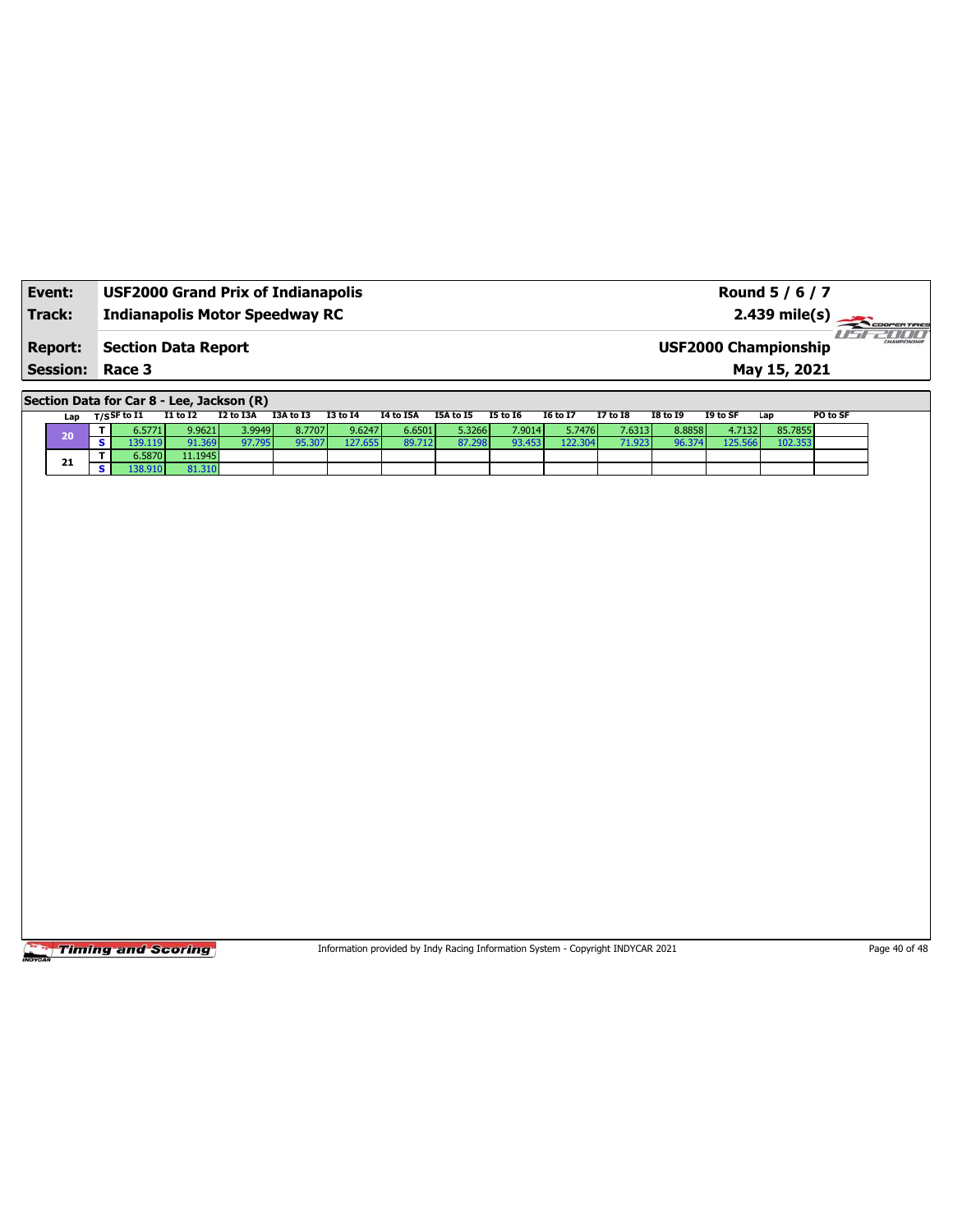| Event:          | <b>USF2000 Grand Prix of Indianapolis</b> | Round 5 / 6 / 7                                         |
|-----------------|-------------------------------------------|---------------------------------------------------------|
| Track:          | Indianapolis Motor Speedway RC            | $2.439 \text{ mile(s)}$                                 |
| <b>Report:</b>  | Section Data Report                       | 7 10 10 1<br>HAMPSONSHIP<br><b>USF2000 Championship</b> |
| <b>Session:</b> | Race 3                                    | May 15, 2021                                            |

**Section Data for Car 8 - Lee, Jackson (R)**

| Lap | $T/S$ SF to I1 | <b>I1 to I2</b> | I2 to I3A   | I3A to I3 | <b>I3 to 14</b> | <b>I4 to I5A</b> | I5A to I5 | I5 to 16 | <b>I6 to I7</b> | <b>I7 to I8</b> | <b>I8 to I9</b> | I9 to SF | Lap     | PO to SF |
|-----|----------------|-----------------|-------------|-----------|-----------------|------------------|-----------|----------|-----------------|-----------------|-----------------|----------|---------|----------|
| 20  | 6.5771         | 9.9621          | 3.9949      | 8.77071   | 9.6247          | 6.6501           | 5.3266 l  | 7.9014   | 5.7476          | 7.6313          | 8.8858          | 4.7132   | 85.7855 |          |
|     |                | .369            | 07.<br>795. | 95 307    | 127.655         | 89.712           | 87.298    | 93.453   | 122.304         |                 | 96.374          | 125.566  |         |          |
| 21  | 6.5870         | 11.1945         |             |           |                 |                  |           |          |                 |                 |                 |          |         |          |
|     | 38.9101        | 31.310          |             |           |                 |                  |           |          |                 |                 |                 |          |         |          |

**Timing and Scoring** 

Information provided by Indy Racing Information System - Copyright INDYCAR 2021 Page 40 of 48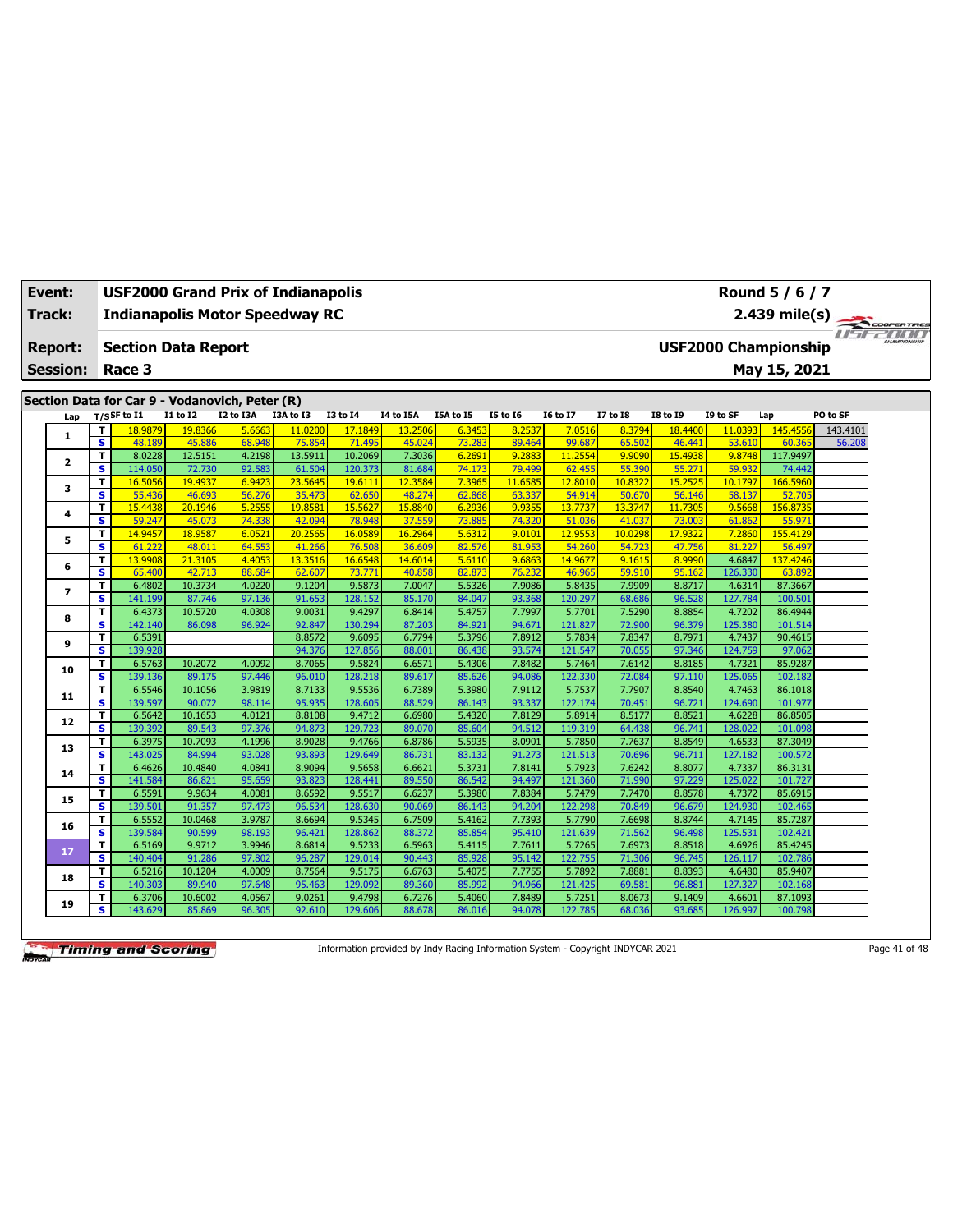| Event:<br>Track:                               | <b>USF2000 Grand Prix of Indianapolis</b><br><b>Indianapolis Motor Speedway RC</b> |                   |                  |                   |                    |                  |                  |                  |                   |                  |                   |                             | Round 5 / 6 / 7<br>$2.439$ mile(s) | COOPERTIRES     |  |
|------------------------------------------------|------------------------------------------------------------------------------------|-------------------|------------------|-------------------|--------------------|------------------|------------------|------------------|-------------------|------------------|-------------------|-----------------------------|------------------------------------|-----------------|--|
| <b>Report:</b>                                 | <b>Section Data Report</b>                                                         |                   |                  |                   |                    |                  |                  |                  |                   |                  |                   | <b>USF2000 Championship</b> |                                    | <b>IF PILIT</b> |  |
| <b>Session:</b>                                | Race 3                                                                             |                   |                  |                   |                    |                  |                  |                  |                   |                  |                   |                             | May 15, 2021                       |                 |  |
|                                                |                                                                                    |                   |                  |                   |                    |                  |                  |                  |                   |                  |                   |                             |                                    |                 |  |
| Section Data for Car 9 - Vodanovich, Peter (R) |                                                                                    |                   |                  |                   |                    |                  |                  |                  |                   |                  |                   |                             |                                    |                 |  |
| Lap                                            | T/SSF to I1                                                                        | $I1$ to $I2$      | I2 to I3A        | I3A to I3         | <b>I3 to 14</b>    | <b>I4 to I5A</b> | I5A to I5        | <b>I5 to 16</b>  | <b>I6 to I7</b>   | <b>I7 to I8</b>  | <b>I8 to I9</b>   | I9 to SF                    | Lap                                | PO to SF        |  |
| $\mathbf{1}$                                   | T<br>18.9879                                                                       | 19.8366           | 5.6663           | 11.0200           | 17.1849            | 13.2506          | 6.3453           | 8.2537           | 7.0516            | 8.3794           | 18,4400           | 11.0393                     | 145.4556                           | 143.4101        |  |
|                                                | $\overline{\mathbf{s}}$<br>48.189                                                  | 45.886            | 68.948           | 75.854            | 71.495             | 45.024           | 73.283           | 89.464           | 99.687            | 65.502           | 46,441            | 53.610                      | 60.365                             | 56.208          |  |
| $\mathbf{z}$                                   | T.<br>8.0228<br>S.<br>114.050                                                      | 12.5151           | 4.2198<br>92.583 | 13.5911<br>61.504 | 10.2069<br>120.373 | 7.3036<br>81.684 | 6.2691           | 9.2883<br>79.499 | 11.2554           | 9.9090           | 15,4938           | 9.8748<br>59.932            | 117.9497                           |                 |  |
|                                                | T<br>16.5056                                                                       | 72.730<br>19,4937 | 6.9423           | 23.5645           | 19.6111            | 12.3584          | 74.173<br>7.3965 | 11.6585          | 62.455<br>12,8010 | 55.390<br>10.832 | 55.271<br>15,2525 | 10.1797                     | 74.442<br>166.5960                 |                 |  |
| з                                              | $\overline{\mathbf{s}}$<br>55.436                                                  | 46.693            | 56.276           | 35.473            | 62.650             | 48.274           | 62.868           | 63.337           | 54.914            | 50.670           | 56.146            | 58.137                      | 52.705                             |                 |  |
|                                                | T<br>15.4438                                                                       | 20.1946           | 5.2555           | 19.8581           | 15.5627            | 15.8840          | 6.2936           | 9.9355           | 13.7737           | 13.3747          | 11.7305           | 9.5668                      | 156.873                            |                 |  |
| 4                                              | s<br>59.247                                                                        | 45.073            | 74.338           | 42.094            | 78.948             | 37.559           | 73.885           | 74.320           | 51.036            | 41.037           | 73.003            | 61.862                      | 55.971                             |                 |  |
|                                                | т<br>14.9457                                                                       | 18.9587           | 6.0521           | 20.2565           | 16.0589            | 16.2964          | 5.6312           | 9.0101           | 12.9553           | 10.029           | 17.9322           | 7.2860                      | 155.4129                           |                 |  |
| 5                                              | $\overline{\mathbf{s}}$<br>61.222                                                  | 48.011            | 64.553           | 41.266            | 76.508             | 36.609           | 82.576           | 81.953           | 54.260            | 54.723           | 47.756            | 81.227                      | 56.497                             |                 |  |
|                                                | т<br>13.9908                                                                       | 21.3105           | 4.4053           | 13.3516           | 16.6548            | 14.6014          | 5.6110           | 9.6863           | 14.9677           | 9.1615           | 8.9990            | 4.6847                      | 137.4246                           |                 |  |
| 6                                              | S<br>65.400                                                                        | 42.713            | 88.684           | 62.607            | 73.77              | 40.858           | 82.873           | 76.232           | 46.965            | 59.910           | 95.162            | 126.330                     | 63.892                             |                 |  |
| 7                                              | т<br>6.4802                                                                        | 10.3734           | 4.0220           | 9.1204            | 9.5873             | 7.0047           | 5.5326           | 7.9086           | 5.8435            | 7.9909           | 8.8717            | 4.6314                      | 87.3667                            |                 |  |
|                                                | $\overline{\mathbf{s}}$<br>141.199                                                 | 87.746            | 97.136           | 91.653            | 128.152            | 85.170           | 84.047           | 93.368           | 120.297           | 68.686           | 96.528            | 127.784                     | 100.501                            |                 |  |
| 8                                              | 6.4373<br>т                                                                        | 10.5720           | 4.0308           | 9.0031            | 9.4297             | 6.8414           | 5.4757           | 7.7997           | 5.7701            | 7.5290           | 8.8854            | 4.7202                      | 86.4944                            |                 |  |
|                                                | $\overline{\mathbf{s}}$<br>142.140                                                 | 86.098            | 96.924           | 92.847            | 130.294            | 87.203           | 84.921           | 94.671           | 121.827           | 72.900           | 96.379            | 125.380                     | 101.514                            |                 |  |
| 9                                              | т<br>6.5391                                                                        |                   |                  | 8.8572            | 9.6095             | 6.7794           | 5.3796           | 7.8912           | 5.7834            | 7.8347           | 8.7971            | 4.7437                      | 90.4615                            |                 |  |
|                                                | $\overline{\mathbf{s}}$<br>139.928                                                 |                   |                  | 94.376            | 127.856            | 88.001           | 86.438           | 93.574           | 121.547           | 70.055           | 97.346            | 124.759                     | 97.062                             |                 |  |
| 10                                             | т<br>6.5763                                                                        | 10.2072           | 4.0092           | 8.7065            | 9.5824             | 6.6571           | 5.4306           | 7.8482           | 5.7464            | 7.6142           | 8.8185            | 4.7321                      | 85.9287                            |                 |  |
|                                                | $\overline{\mathbf{s}}$<br>139.136                                                 | 89.175            | 97.446           | 96.010            | 128,218            | 89.617           | 85.626           | 94.086           | 122.330           | 72.084           | 97.110            | 125.065                     | 102.182                            |                 |  |
| 11                                             | т<br>6.5546                                                                        | 10.1056           | 3.9819           | 8.7133            | 9.5536             | 6.7389           | 5.3980           | 7.9112           | 5.7537            | 7.7907           | 8.8540            | 4.7463                      | 86.1018                            |                 |  |
|                                                | $\overline{\mathbf{s}}$<br>139.597                                                 | 90.072            | 98.114           | 95.935            | 128.605            | 88.529           | 86.143           | 93.337           | 122.174           | 70.451           | 96.721            | 124.690                     | 101.977                            |                 |  |
| 12                                             | т<br>6.5642<br>s<br>139.392                                                        | 10.1653<br>89.543 | 4.0121<br>97.376 | 8.8108<br>94.873  | 9.4712<br>129.723  | 6.6980<br>89.070 | 5.4320<br>85.604 | 7.8129<br>94.512 | 5.8914<br>119.319 | 8.5177<br>64.438 | 8.8521<br>96.741  | 4.6228<br>128.022           | 86.8505<br>101.098                 |                 |  |
|                                                | T<br>6.3975                                                                        | 10.7093           | 4.1996           | 8.9028            | 9.4766             | 6.8786           | 5.5935           | 8.0901           | 5.7850            | 7.7637           | 8.8549            | 4.6533                      | 87.3049                            |                 |  |
| 13                                             | $\overline{\mathbf{s}}$<br>143.025                                                 | 84.994            | 93.028           | 93.893            | 129.649            | 86.731           | 83.132           | 91.273           | 121.513           | 70.696           | 96.711            | 127.182                     | 100.572                            |                 |  |
|                                                | 6.4626<br>т                                                                        | 10.4840           | 4.0841           | 8.9094            | 9.5658             | 6.6621           | 5.3731           | 7.8141           | 5.7923            | 7.6242           | 8.8077            | 4.7337                      | 86.3131                            |                 |  |
| 14                                             | $\overline{\mathbf{s}}$<br>141.584                                                 | 86.821            | 95.659           | 93.823            | 128.441            | 89.550           | 86.542           | 94.497           | 121.360           | 71.990           | 97.229            | 125.022                     | 101.727                            |                 |  |
|                                                | 6.5591<br>T                                                                        | 9.9634            | 4.0081           | 8.6592            | 9.5517             | 6.6237           | 5.3980           | 7.8384           | 5.7479            | 7.7470           | 8.8578            | 4.7372                      | 85.6915                            |                 |  |
| 15                                             | $\overline{\mathbf{s}}$<br>139.501                                                 | 91.357            | 97.473           | 96.534            | 128,630            | 90.069           | 86.143           | 94.204           | 122.298           | 70.849           | 96.679            | 124.930                     | 102.465                            |                 |  |
|                                                | 6.5552<br>T                                                                        | 10.0468           | 3.9787           | 8.6694            | 9.5345             | 6.7509           | 5.4162           | 7.7393           | 5.7790            | 7.6698           | 8.8744            | 4.7145                      | 85.7287                            |                 |  |
| 16                                             | s.<br>139.584                                                                      | 90.599            | 98.193           | 96.421            | 128.862            | 88.372           | 85.854           | 95.410           | 121.639           | 71.562           | 96.498            | 125.531                     | 102.421                            |                 |  |
|                                                | T.<br>6.5169                                                                       | 9.9712            | 3.9946           | 8.6814            | 9.5233             | 6.5963           | 5.4115           | 7.7611           | 5.7265            | 7.6973           | 8.8518            | 4.6926                      | 85.4245                            |                 |  |
| 17                                             | s<br>140.404                                                                       | 91.286            | 97.802           | 96.287            | 129.014            | 90.443           | 85.928           | 95.142           | 122.755           | 71.306           | 96.745            | 126.117                     | 102.786                            |                 |  |
| 18                                             | T<br>6.5216                                                                        | 10.1204           | 4.0009           | 8.7564            | 9.5175             | 6.6763           | 5.4075           | 7.7755           | 5.7892            | 7.8881           | 8.8393            | 4.6480                      | 85.9407                            |                 |  |
|                                                | s<br>140.303                                                                       | 89.940            | 97.648           | 95.463            | 129.092            | 89.360           | 85.992           | 94.966           | 121.425           | 69.581           | 96.881            | 127.327                     | 102.168                            |                 |  |
| 19                                             | T<br>6.3706                                                                        | 10.6002           | 4.0567           | 9.0261            | 9.4798             | 6.7276           | 5.4060           | 7.8489           | 5.7251            | 8.0673           | 9.1409            | 4.6601                      | 87.1093                            |                 |  |
|                                                | s<br>143.629                                                                       | 85.869            | 96.305           | 92.610            | 129.606            | 88.678           | 86.016           | 94.078           | 122.785           | 68.036           | 93.685            | 126.997                     | 100.798                            |                 |  |

Information provided by Indy Racing Information System - Copyright INDYCAR 2021 Page 41 of 48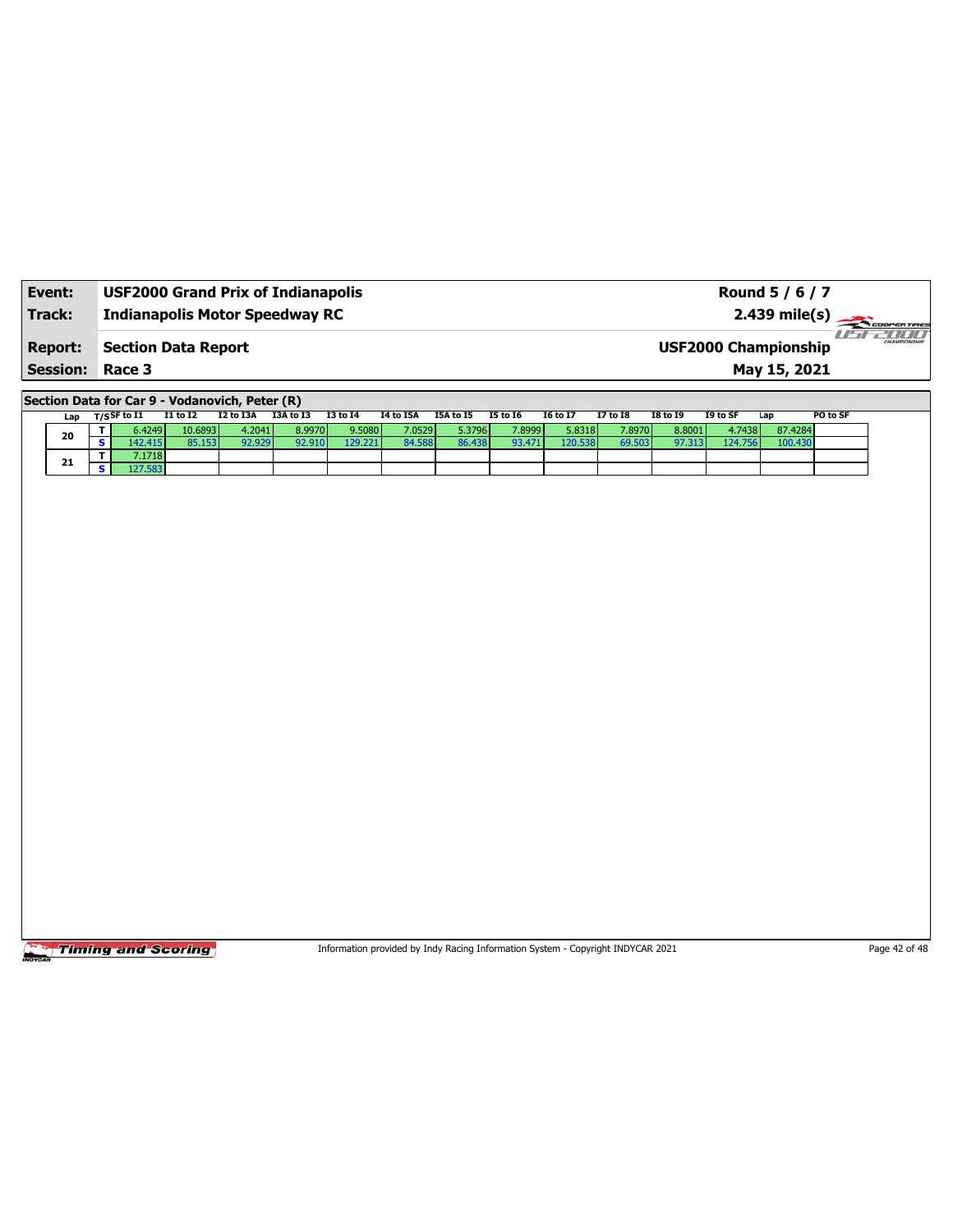| Event:          | <b>USF2000 Grand Prix of Indianapolis</b> | Round 5 / 6 / 7                                        |
|-----------------|-------------------------------------------|--------------------------------------------------------|
| Track:          | <b>Indianapolis Motor Speedway RC</b>     | $2.439$ mile(s) $\frac{1}{2.200$ resorting             |
| <b>Report:</b>  | Section Data Report                       | 78 88 8<br>CHAMPIONSHIP<br><b>USF2000 Championship</b> |
| <b>Session:</b> | Race 3                                    | May 15, 2021                                           |

**Section Data for Car 9 - Vodanovich, Peter (R)**

| Lap | $T/S$ SF to I1 | <b>I1 to I2</b> | I2 to I3A | I3A to I3 | <b>I3 to I4</b> | I4 to I5A | I5A to I5 | I5 to 16 | <b>16 to 17</b> | <b>I7 to I8</b> | I8 to 19 | I9 to SF | Lap     | PO to SF |
|-----|----------------|-----------------|-----------|-----------|-----------------|-----------|-----------|----------|-----------------|-----------------|----------|----------|---------|----------|
| 20  | 6.4249         | 10.6893         | 4.2041    | 8.9970 l  | 9.5080          | 7.0529    | 5.3796 l  | 7.8999   | 5.8318          | 7.8970          | 8.8001   | 4.7438   | 87.4284 |          |
|     | 142.415        | 85.153          | 92.929    | 92.910    | 129.221         | 84.588    | 86.438    | 93.471   | 120.538         | 69.503          | 97.313   | 124.756  | 100.430 |          |
| 21  | 7.1718         |                 |           |           |                 |           |           |          |                 |                 |          |          |         |          |
|     |                |                 |           |           |                 |           |           |          |                 |                 |          |          |         |          |

**Timing and Scoring** 

Information provided by Indy Racing Information System - Copyright INDYCAR 2021 Page 42 of 48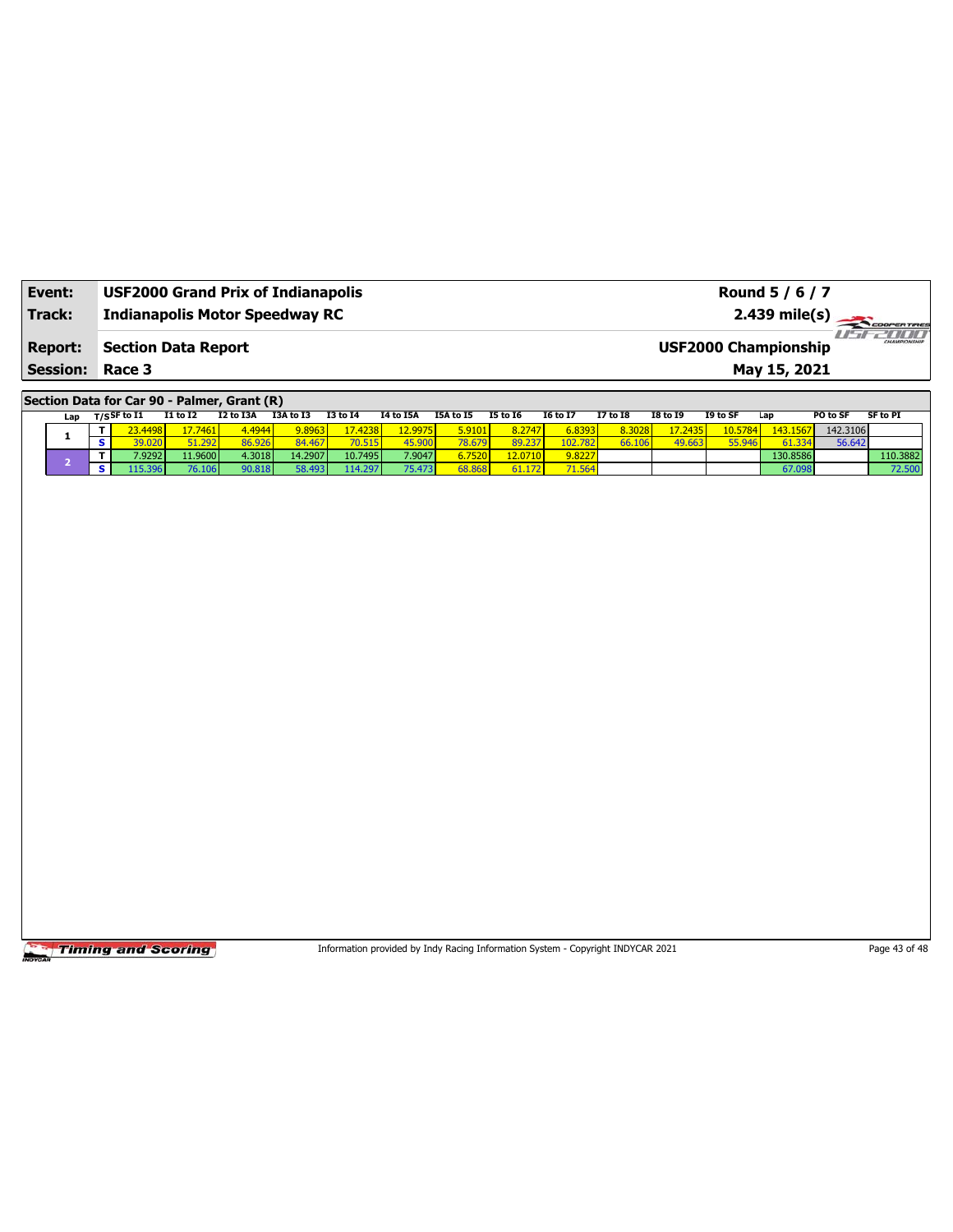| Event:                                   | <b>USF2000 Grand Prix of Indianapolis</b> | Round 5 / 6 / 7                                                       |
|------------------------------------------|-------------------------------------------|-----------------------------------------------------------------------|
| Track:                                   | <b>Indianapolis Motor Speedway RC</b>     | $2.439 \text{ mile(s)}$                                               |
| <b>Report:</b><br><b>Session: Race 3</b> | Section Data Report                       | 2000 M<br>CHAMPIONSHIP<br><b>USF2000 Championship</b><br>May 15, 2021 |

**Section Data for Car 90 - Palmer, Grant (R)**

| Lap | ד/sSF to I1           | <b>I1 to I2</b> | I2 to I3A | I3A to I3 | 13 to 14 | <b>I4 to I5A</b> | I5A to I5               | <b>15 to 16</b> | <b>16 to 17</b> | 17 to 18 | <b>I8 to I9</b> | I9 to SF | Lap      | PO to SF | <b>SF to PI</b> |
|-----|-----------------------|-----------------|-----------|-----------|----------|------------------|-------------------------|-----------------|-----------------|----------|-----------------|----------|----------|----------|-----------------|
|     | 3.4498                | 7.7461          | 4.4944    | 9.8963    | 7.4238   | 12.9975          | 5.9101                  | 8.2747          | 6.8393          | 8.3028   | 7.2435          | 10.5784  | 143.1567 | 142.3106 |                 |
|     | $\sqrt{20}$<br>39.020 | A.297           | 86.926    | 84.467    | 70.515   | 15.900           | 78.679                  | 89.237          | 102.782         | 66.10.   | 49.663          | 55 946   | 61.334   | 56.642   |                 |
|     | 7.92921               | 11.9600         | 4.3018    | 14.2907   | 10.7495  | 7.9047           | $5.7520$ $\blacksquare$ | 12.0710         | 9.8227          |          |                 |          | 130.8586 |          | 110.3882        |
|     | .15.396V              | 76.106          | 90.818    | 58.493    | 114.297  | 75.473           | 68.868                  | 4.172           | 71.564          |          |                 |          | 67.098   |          | 72.50(          |

Timing and Scoring

Information provided by Indy Racing Information System - Copyright INDYCAR 2021 Page 43 of 48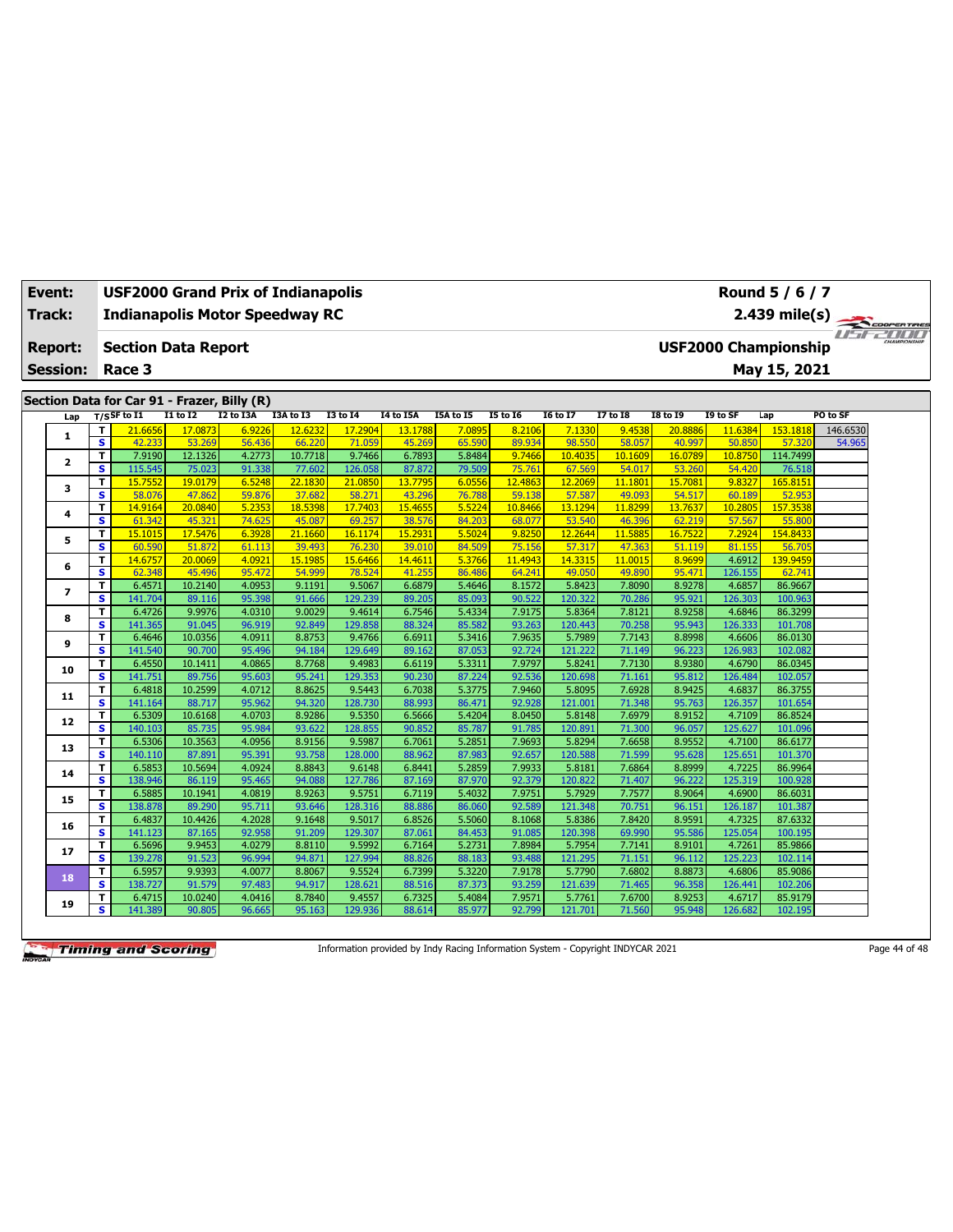| Event:<br>Track: |                 |                              |                   |                                             |                  | <b>USF2000 Grand Prix of Indianapolis</b><br><b>Indianapolis Motor Speedway RC</b> |                   |                  |                  |                  |                   |                   |                   |                             | Round 5 / 6 / 7<br>2.439 mile(s) |          |                                    |
|------------------|-----------------|------------------------------|-------------------|---------------------------------------------|------------------|------------------------------------------------------------------------------------|-------------------|------------------|------------------|------------------|-------------------|-------------------|-------------------|-----------------------------|----------------------------------|----------|------------------------------------|
|                  | <b>Report:</b>  |                              |                   | <b>Section Data Report</b>                  |                  |                                                                                    |                   |                  |                  |                  |                   |                   |                   | <b>USF2000 Championship</b> |                                  |          | COOPER TIRES<br><b>Fifte Color</b> |
|                  | <b>Session:</b> |                              | Race 3            |                                             |                  |                                                                                    |                   |                  |                  |                  |                   |                   |                   |                             | May 15, 2021                     |          |                                    |
|                  |                 |                              |                   |                                             |                  |                                                                                    |                   |                  |                  |                  |                   |                   |                   |                             |                                  |          |                                    |
|                  |                 |                              |                   | Section Data for Car 91 - Frazer, Billy (R) |                  |                                                                                    |                   |                  |                  |                  |                   |                   |                   |                             |                                  |          |                                    |
|                  | Lap             |                              | $T/S$ SF to I1    | I1 to I2                                    | I2 to I3A        | I3A to I3                                                                          | <b>I3 to 14</b>   | <b>I4 to I5A</b> | I5A to I5        | <b>I5 to 16</b>  | <b>I6 to I7</b>   | <b>I7 to 18</b>   | <b>I8 to 19</b>   | I9 to SF                    | Lap                              | PO to SF |                                    |
|                  | 1               | T                            | 21.6656           | 17.0873                                     | 6.9226           | 12.6232                                                                            | 17.2904           | 13.1788          | 7.0895           | 8.2106           | 7.1330            | 9.453             | 20.8886           | 11.6384                     | 153.1818                         | 146.6530 |                                    |
|                  |                 | $\overline{\mathbf{s}}$      | 42.233            | 53.269                                      | 56.436           | 66.220                                                                             | 71.059            | 45.269           | 65.590           | 89.934           | 98.550            | 58.057            | 40.997            | 50.850                      | 57.320                           | 54.965   |                                    |
|                  | $\mathbf{z}$    | T<br>s                       | 7.9190<br>115.545 | 12.1326<br>75.023                           | 4.2773<br>91.338 | 10.7718<br>77.602                                                                  | 9.7466<br>126.058 | 6.7893<br>87.872 | 5.8484<br>79.509 | 9.7466<br>75.761 | 10.4035<br>67.569 | 10.1609<br>54.017 | 16.0789<br>53.260 | 10.8750<br>54.420           | 114.7499<br>76.518               |          |                                    |
|                  |                 | T                            | 15,7552           | 19.0179                                     | 6.5248           | 22.1830                                                                            | 21,0850           | 13.7795          | 6.0556           | 12,4863          | 12,2069           | 11.180            | 15,7081           | 9.8327                      | 165,8151                         |          |                                    |
|                  | 3               | s                            | 58,076            | 47.862                                      | 59.876           | 37.682                                                                             | 58.27             | 43.296           | 76.788           | 59.138           | 57.587            | 49.093            | 54.517            | 60.189                      | 52.953                           |          |                                    |
|                  |                 | т                            | 14.9164           | 20.0840                                     | 5.2353           | 18.5398                                                                            | 17.7403           | 15.4655          | 5.5224           | 10.8466          | 13.1294           | 11,829            | 13,7637           | 10.2805                     | 157.3538                         |          |                                    |
|                  | 4               | $\overline{\mathbf{s}}$      | 61.342            | 45.321                                      | 74.625           | 45.087                                                                             | 69.257            | 38.576           | 84.203           | 68.077           | 53.540            | 46.396            | 62.219            | 57.567                      | 55.800                           |          |                                    |
|                  |                 | т                            | 15.1015           | 17.5476                                     | 6.3928           | 21.1660                                                                            | 16.1174           | 15,2931          | 5.5024           | 9.8250           | 12.2644           | 11.5885           | 16.7522           | 7.2924                      | 154.8433                         |          |                                    |
|                  | 5               | $\overline{\mathbf{s}}$      | 60.590            | 51.872                                      | 61.113           | 39.493                                                                             | 76.230            | 39.010           | 84.509           | 75.156           | 57.317            | 47.363            | 51.119            | 81.155                      | 56.705                           |          |                                    |
|                  | 6               | T                            | 14.6757           | 20.0069                                     | 4.0921           | 15.1985                                                                            | 15.6466           | 14.4611          | 5.3766           | 11.4943          | 14.3315           | 11.0015           | 8.9699            | 4.6912                      | 139.9459                         |          |                                    |
|                  |                 | $\overline{\mathbf{s}}$      | 62.348            | 45.496                                      | 95.472           | 54.999                                                                             | 78.524            | 41.255           | 86.486           | 64.241           | 49.050            | 49.890            | 95.471            | 126.155                     | 62.741                           |          |                                    |
|                  | 7               | T                            | 6.4571            | 10.2140                                     | 4.0953           | 9.1191                                                                             | 9.5067            | 6.6879           | 5.4646           | 8.1572           | 5.8423            | 7.8090            | 8.9278            | 4.6857                      | 86.9667                          |          |                                    |
|                  |                 | s.                           | 141.704           | 89.116                                      | 95.398           | 91.666                                                                             | 129,239           | 89.205           | 85.093           | 90.522           | 120.322           | 70.286            | 95.921            | 126.303                     | 100.963                          |          |                                    |
|                  | 8               | т                            | 6.4726            | 9.9976                                      | 4.0310           | 9.0029                                                                             | 9.4614            | 6.7546           | 5.4334           | 7.9175           | 5.8364            | 7.8121            | 8.9258            | 4.6846                      | 86.3299                          |          |                                    |
|                  |                 | s                            | 141.365           | 91.045                                      | 96.919           | 92.849                                                                             | 129.858           | 88.324           | 85.582           | 93.263           | 120.443           | 70.258            | 95.943            | 126.333                     | 101.708                          |          |                                    |
|                  | 9               | т<br>$\overline{\mathbf{s}}$ | 6.4646            | 10.0356                                     | 4.0911           | 8.8753                                                                             | 9.4766            | 6.6911           | 5.3416           | 7.9635           | 5.7989            | 7.7143            | 8.8998            | 4.6606                      | 86.0130                          |          |                                    |
|                  |                 | T                            | 141.540<br>6.4550 | 90.700<br>10.1411                           | 95.496<br>4.0865 | 94.184<br>8.7768                                                                   | 129.649<br>9.4983 | 89.162<br>6.6119 | 87.053<br>5.3311 | 92.724<br>7.9797 | 121.222<br>5.8241 | 71.149<br>7.7130  | 96.223<br>8.9380  | 126.983<br>4.6790           | 102.082<br>86.0345               |          |                                    |
|                  | 10              | $\overline{\mathbf{s}}$      | 141.751           | 89.756                                      | 95.603           | 95.241                                                                             | 129.353           | 90.230           | 87.224           | 92.536           | 120.698           | 71.161            | 95.812            | 126.484                     | 102.057                          |          |                                    |
|                  |                 | т                            | 6.4818            | 10.2599                                     | 4.0712           | 8.8625                                                                             | 9.5443            | 6.7038           | 5.3775           | 7.9460           | 5.8095            | 7.6928            | 8.9425            | 4.6837                      | 86.3755                          |          |                                    |
|                  | 11              | $\overline{\mathbf{s}}$      | 141.164           | 88.717                                      | 95.962           | 94.320                                                                             | 128.730           | 88.993           | 86.471           | 92.928           | 121.001           | 71.348            | 95.763            | 126.357                     | 101.654                          |          |                                    |
|                  |                 | T.                           | 6.5309            | 10.6168                                     | 4.0703           | 8.9286                                                                             | 9.5350            | 6.5666           | 5.4204           | 8.0450           | 5.8148            | 7.6979            | 8.9152            | 4.7109                      | 86.8524                          |          |                                    |
|                  | 12              | $\overline{\mathbf{s}}$      | 140.103           | 85.735                                      | 95.984           | 93.622                                                                             | 128.855           | 90.852           | 85.787           | 91.785           | 120.891           | 71.300            | 96.057            | 125.627                     | 101.096                          |          |                                    |
|                  | 13              | T                            | 6.5306            | 10.3563                                     | 4.0956           | 8.9156                                                                             | 9.5987            | 6.7061           | 5.2851           | 7.9693           | 5.8294            | 7.6658            | 8.9552            | 4.7100                      | 86.6177                          |          |                                    |
|                  |                 | s                            | 140.110           | 87.891                                      | 95.391           | 93.758                                                                             | 128,000           | 88.962           | 87.983           | 92.657           | 120.588           | 71.599            | 95.628            | 125.651                     | 101.370                          |          |                                    |
|                  | 14              | T.                           | 6.5853            | 10.5694                                     | 4.0924           | 8.8843                                                                             | 9.6148            | 6.8441           | 5.2859           | 7.9933           | 5.8181            | 7.6864            | 8.8999            | 4.7225                      | 86.9964                          |          |                                    |
|                  |                 | s                            | 138.946           | 86.119                                      | 95.465           | 94.088                                                                             | 127,786           | 87.169           | 87.970           | 92.379           | 120.822           | 71.407            | 96.222            | 125.319                     | 100.928                          |          |                                    |
|                  | 15              | T                            | 6.5885            | 10.1941                                     | 4.0819           | 8.9263                                                                             | 9.5751            | 6.7119           | 5.4032           | 7.9751           | 5.7929            | 7.7577            | 8.9064            | 4.6900                      | 86.6031                          |          |                                    |
|                  |                 | S.                           | 138.878           | 89.290                                      | 95.711           | 93.646                                                                             | 128,316           | 88.886           | 86.060           | 92.589           | 121.348           | 70.751            | 96.151            | 126.187                     | 101.387                          |          |                                    |
|                  | 16              | T<br>s                       | 6.4837<br>141.123 | 10.4426<br>87.165                           | 4.2028<br>92.958 | 9.1648<br>91.209                                                                   | 9.5017<br>129.307 | 6.8526<br>87.061 | 5.5060<br>84.453 | 8.1068<br>91.085 | 5.8386<br>120.398 | 7.8420<br>69.990  | 8.9591<br>95.586  | 4.7325<br>125.054           | 87.6332<br>100.195               |          |                                    |
|                  |                 | T                            | 6.5696            | 9.9453                                      | 4.0279           | 8.8110                                                                             | 9.5992            | 6.7164           | 5.2731           | 7.8984           | 5.7954            | 7.7141            | 8.9101            | 4.7261                      | 85.9866                          |          |                                    |
|                  | 17              | s                            | 139.278           | 91.523                                      | 96.994           | 94.871                                                                             | 127.994           | 88.826           | 88.183           | 93.488           | 121.295           | 71.151            | 96.112            | 125.223                     | 102.114                          |          |                                    |
|                  |                 | T                            | 6.5957            | 9.9393                                      | 4.0077           | 8.8067                                                                             | 9.5524            | 6.7399           | 5.3220           | 7.9178           | 5.7790            | 7.6802            | 8.8873            | 4.6806                      | 85.9086                          |          |                                    |
|                  | 18              | s.                           | 138.727           | 91.579                                      | 97.483           | 94.917                                                                             | 128.621           | 88.516           | 87.373           | 93.259           | 121.639           | 71.465            | 96.358            | 126.441                     | 102.206                          |          |                                    |
|                  |                 | T                            | 6.4715            | 10.0240                                     | 4.0416           | 8.7840                                                                             | 9.4557            | 6.7325           | 5.4084           | 7.9571           | 5.7761            | 7.6700            | 8.9253            | 4.6717                      | 85.9179                          |          |                                    |
|                  | 19              | s.                           | 141.389           | 90.805                                      | 96.665           | 95.163                                                                             | 129.936           | 88.614           | 85.977           | 92.799           | 121.701           | 71.560            | 95.948            | 126.682                     | 102.195                          |          |                                    |

Information provided by Indy Racing Information System - Copyright INDYCAR 2021 Page 44 of 48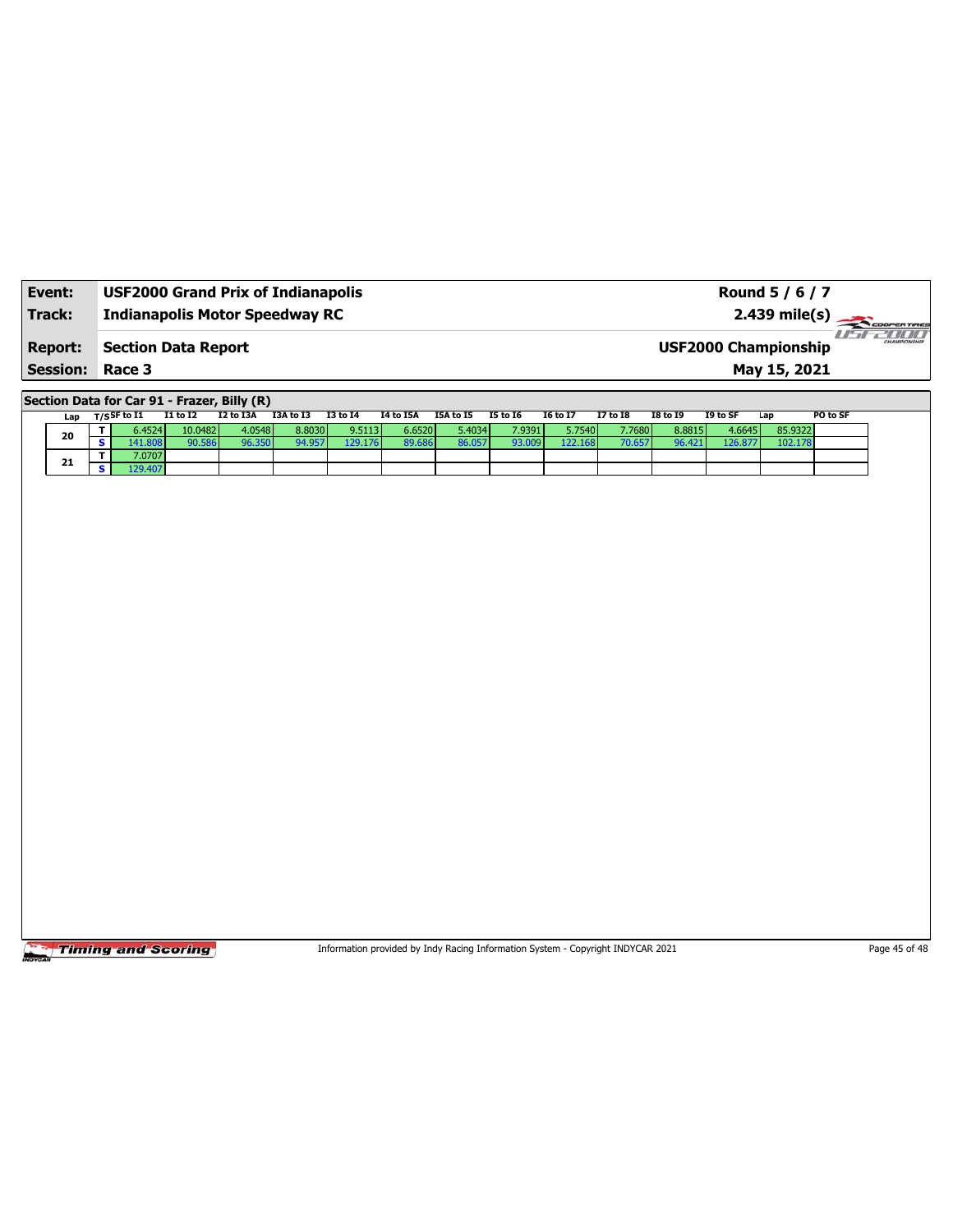| Event:                 | <b>USF2000 Grand Prix of Indianapolis</b> | Round 5 / 6 / 7                                        |
|------------------------|-------------------------------------------|--------------------------------------------------------|
| Track:                 | <b>Indianapolis Motor Speedway RC</b>     |                                                        |
| <b>Report:</b>         | <b>Section Data Report</b>                | -171717<br>CHAMPIONSHIP<br><b>USF2000 Championship</b> |
| <b>Session: Race 3</b> |                                           | May 15, 2021                                           |

**Section Data for Car 91 - Frazer, Billy (R)**

| Lap | T/SSF to I1 | <b>I1 to I2</b> | I2 to I3A | I3A to I3 | I3 to I4 | I4 to I5A | I5A to I5       | I5 to 16 | I6 to I7 | <b>I7 to I8</b> | <b>I8 to 19</b> | I9 to SF | Lap     | PO to SF |
|-----|-------------|-----------------|-----------|-----------|----------|-----------|-----------------|----------|----------|-----------------|-----------------|----------|---------|----------|
| 20  | 6.4524      | 10.0482         | 4.0548    | 8.8030    | 9.5113   | 6.6520    | 5.4034 <b>1</b> | 7.9391   | 5.7540   | 7.7680 N        | 8.8815          | 4.6645   | 85.9322 |          |
|     | 41.808      | 90.586          |           | 94.957    | 129.176  | 89.686    | 36.057          | 93.009   | 122.168  | 70.65           | 96.421          | 126.877  | 102.178 |          |
| 21  | 7.0707      |                 |           |           |          |           |                 |          |          |                 |                 |          |         |          |
|     | .29.407     |                 |           |           |          |           |                 |          |          |                 |                 |          |         |          |

**Timing and Scoring** 

Information provided by Indy Racing Information System - Copyright INDYCAR 2021 Page 45 of 48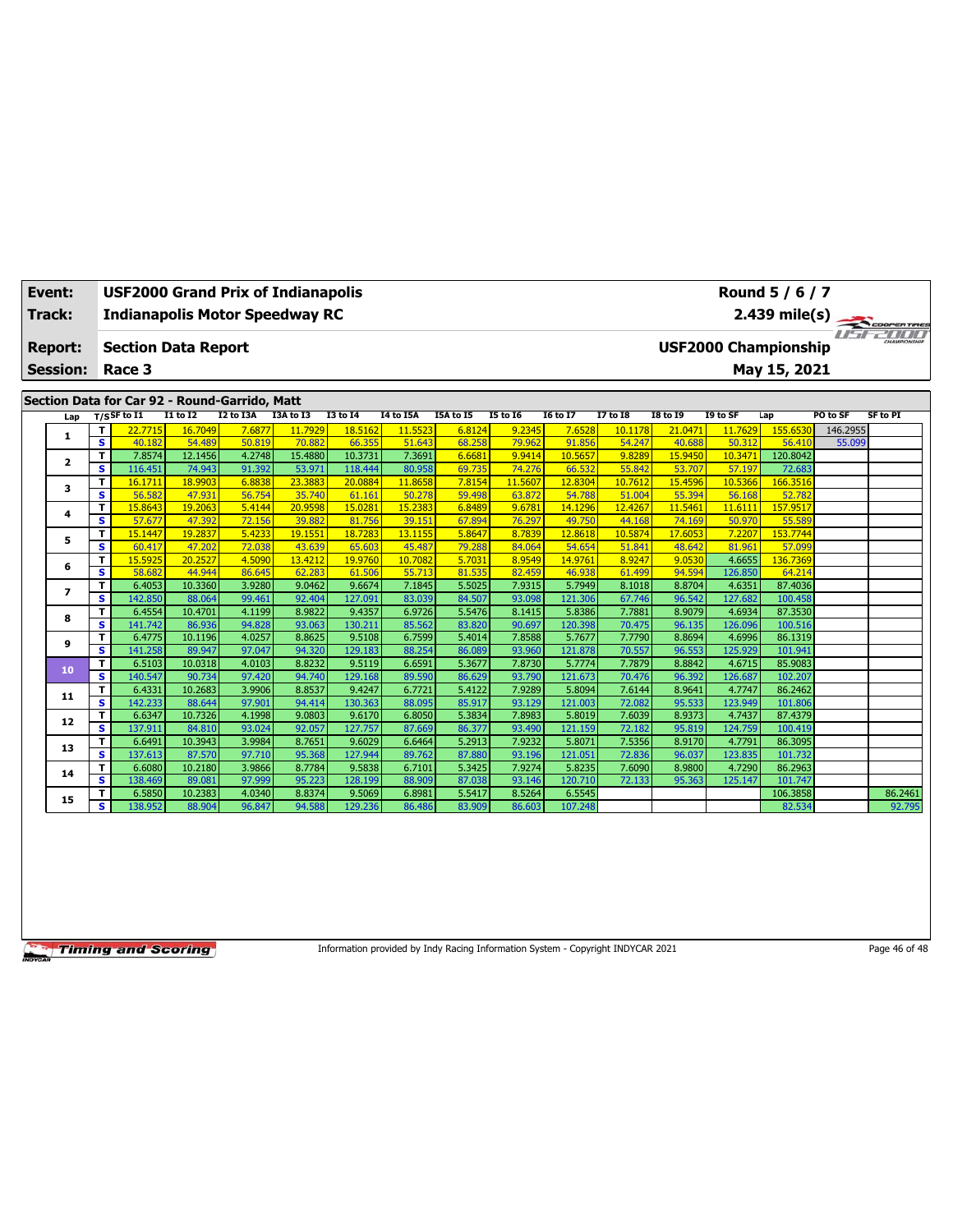| Event:          |                         | USF2000 Grand Prix of Indianapolis            |                   |                  |                   |                    |                   |                  |                   |                   |                   |                   |                   | Round 5 / 6 / 7             |          |                 |
|-----------------|-------------------------|-----------------------------------------------|-------------------|------------------|-------------------|--------------------|-------------------|------------------|-------------------|-------------------|-------------------|-------------------|-------------------|-----------------------------|----------|-----------------|
| Track:          |                         | <b>Indianapolis Motor Speedway RC</b>         |                   |                  |                   |                    |                   |                  |                   |                   |                   |                   |                   | $2.439$ mile(s)             |          | COOPERTIRES     |
| <b>Report:</b>  |                         | <b>Section Data Report</b>                    |                   |                  |                   |                    |                   |                  |                   |                   |                   |                   |                   | <b>USF2000 Championship</b> |          | CHAMPIONSHIP    |
| <b>Session:</b> |                         | Race 3                                        |                   |                  |                   |                    |                   |                  |                   |                   |                   |                   |                   | May 15, 2021                |          |                 |
|                 |                         | Section Data for Car 92 - Round-Garrido, Matt |                   |                  |                   |                    |                   |                  |                   |                   |                   |                   |                   |                             |          |                 |
| Lap             |                         | $T/S$ SF to $I1$                              | <b>I1 to I2</b>   | <b>I2 to I3A</b> | I3A to I3         | <b>I3 to 14</b>    | I4 to I5A         | I5A to I5        | <b>15 to 16</b>   | <b>16 to 17</b>   | <b>I7 to I8</b>   | <b>I8 to 19</b>   | I9 to SF          | Lap                         | PO to SF | <b>SF to PI</b> |
| 1               | т                       | 22.7715                                       | 16.7049           | 7.6877           | 11.7929           | 18.5162            | 11.5523           | 6.8124           | 9.2345            | 7.6528            | 10.1178           | 21.0471           | 11.7629           | 155.6530                    | 146.2955 |                 |
|                 | $\overline{\mathbf{s}}$ | 40.182                                        | 54.489            | 50.819           | 70.882            | 66.355             | 51.643            | 68.258           | 79.962            | 91.856            | 54.247            | 40.688            | 50.312            | 56,410                      | 55.099   |                 |
| $\mathbf{z}$    | Т                       | 7.8574                                        | 12.1456           | 4.2748           | 15.4880           | 10.3731            | 7.3691            | 6.6681           | 9.9414            | 10.5657           | 9.8289            | 15.9450           | 10.3471           | 120.8042                    |          |                 |
|                 | s<br>T                  | 116.451<br>16.1711                            | 74.943            | 91.392<br>6.8838 | 53.971<br>23.3883 | 118.444<br>20.0884 | 80.958<br>11.8658 | 69.735<br>7.8154 | 74.276<br>11,5607 | 66.532<br>12,8304 | 55.842<br>10.7612 | 53.707<br>15,4596 | 57.197<br>10.5366 | 72.683<br>166.3516          |          |                 |
| 3               | $\overline{\mathbf{s}}$ | 56.582                                        | 18.9903<br>47.931 | 56.754           | 35.740            | 61.161             | 50.278            | 59.498           | 63.872            | 54,788            | 51.004            | 55.394            | 56.168            | 52.782                      |          |                 |
|                 | T                       | 15.8643                                       | 19.2063           | 5.4144           | 20.9598           | 15,0281            | 15.2383           | 6.8489           | 9.6781            | 14.1296           | 12.4267           | 11.5461           | 11.6111           | 157.9517                    |          |                 |
| 4               | s                       | 57.677                                        | 47.392            | 72.156           | 39.882            | 81.756             | 39.151            | 67.894           | 76.297            | 49.750            | 44.168            | 74.169            | 50.970            | 55.589                      |          |                 |
|                 | Т                       | 15.1447                                       | 19.2837           | 5.4233           | 19.1551           | 18.7283            | 13.1155           | 5.8647           | 8.7839            | 12.8618           | 10.5874           | 17.6053           | 7.2207            | 153.7744                    |          |                 |
| 5               | s                       | 60.417                                        | 47.202            | 72.038           | 43.639            | 65.603             | 45.487            | 79.288           | 84.064            | 54.654            | 51.841            | 48.642            | 81.961            | 57.099                      |          |                 |
| 6               | т                       | 15.5925                                       | 20.2527           | 4.5090           | 13.4212           | 19.9760            | 10.7082           | 5.7031           | 8.9549            | 14.9761           | 8.9247            | 9.0530            | 4.6655            | 136.7369                    |          |                 |
|                 | s                       | 58.682                                        | 44.944            | 86.645           | 62.283            | 61.506             | 55.713            | 81.535           | 82.459            | 46.938            | 61.499            | 94.594            | 126.850           | 64.214                      |          |                 |
| 7               | т                       | 6.4053                                        | 10.3360           | 3.9280           | 9.0462            | 9.6674             | 7.1845            | 5.5025           | 7.9315            | 5.7949            | 8.1018            | 8.8704            | 4.6351            | 87,4036                     |          |                 |
|                 | s                       | 142.850                                       | 88.064            | 99.461           | 92.404            | 127.091            | 83.039            | 84.507           | 93.098            | 121.306           | 67.746            | 96.542            | 127.682           | 100.458                     |          |                 |
| 8               | Т                       | 6.4554                                        | 10.4701           | 4.1199           | 8.9822            | 9.4357             | 6.9726            | 5.5476           | 8.1415            | 5.8386            | 7.7881            | 8.9079            | 4.6934            | 87.3530                     |          |                 |
|                 | s                       | 141.742                                       | 86.936            | 94.828           | 93.063            | 130.211            | 85.562            | 83.820           | 90.697            | 120.398           | 70.475            | 96.135            | 126.096           | 100.516                     |          |                 |
| 9               | T                       | 6.4775                                        | 10.1196           | 4.0257           | 8.8625            | 9.5108             | 6.7599            | 5.4014           | 7.8588            | 5.7677            | 7.7790            | 8.8694            | 4.6996            | 86.1319                     |          |                 |
|                 | s<br>T                  | 141.258                                       | 89.947            | 97.047<br>4.0103 | 94.320<br>8.8232  | 129.183            | 88.254            | 86.089           | 93.960<br>7.8730  | 121.878<br>5.7774 | 70.557            | 96.553            | 125.929<br>4.6715 | 101.941<br>85.9083          |          |                 |
| 10              | s                       | 6.5103<br>140.547                             | 10.0318<br>90.734 | 97.420           | 94.740            | 9.5119<br>129.168  | 6.6591<br>89.590  | 5.3677<br>86.629 | 93.790            | 121.673           | 7.7879<br>70.476  | 8.8842<br>96.392  | 126.687           | 102.207                     |          |                 |
|                 | т                       | 6.4331                                        | 10.2683           | 3.9906           | 8.8537            | 9.4247             | 6.7721            | 5.4122           | 7.9289            | 5.8094            | 7.6144            | 8.9641            | 4.7747            | 86.2462                     |          |                 |
| 11              | s                       | 142.233                                       | 88.644            | 97.901           | 94.414            | 130.363            | 88.095            | 85.917           | 93.129            | 121.003           | 72.082            | 95.533            | 123.949           | 101.806                     |          |                 |
|                 | т                       | 6.6347                                        | 10.7326           | 4.1998           | 9.0803            | 9.6170             | 6.8050            | 5.3834           | 7.8983            | 5.8019            | 7.6039            | 8.9373            | 4.7437            | 87.4379                     |          |                 |
| 12              | s                       | 137.911                                       | 84.810            | 93.024           | 92.057            | 127.757            | 87.669            | 86.377           | 93.490            | 121.159           | 72.182            | 95.819            | 124.759           | 100.419                     |          |                 |
|                 | T                       | 6.6491                                        | 10.3943           | 3.9984           | 8.7651            | 9.6029             | 6.6464            | 5.2913           | 7.9232            | 5.8071            | 7.5356            | 8.9170            | 4.7791            | 86.3095                     |          |                 |
| 13              | s                       | 137.613                                       | 87,570            | 97.710           | 95.368            | 127.944            | 89.762            | 87.880           | 93.196            | 121.051           | 72.836            | 96.037            | 123.835           | 101.732                     |          |                 |
|                 | т                       | 6.6080                                        | 10.2180           | 3.9866           | 8.7784            | 9.5838             | 6.7101            | 5.3425           | 7.9274            | 5.8235            | 7.6090            | 8.9800            | 4.7290            | 86.2963                     |          |                 |
| 14              | s                       | 138.469                                       | 89.081            | 97.999           | 95.223            | 128.199            | 88.909            | 87.038           | 93.146            | 120.710           | 72.133            | 95.363            | 125.147           | 101.747                     |          |                 |
| 15              | т                       | 6.5850                                        | 10.2383           | 4.0340           | 8.8374            | 9.5069             | 6.8981            | 5.5417           | 8.5264            | 6.5545            |                   |                   |                   | 106.3858                    |          | 86.2461         |
|                 | s                       | 138.952                                       | 88.904            | 96.847           | 94.588            | 129.236            | 86.486            | 83.909           | 86.603            | 107.248           |                   |                   |                   | 82.534                      |          | 92.795          |

Information provided by Indy Racing Information System - Copyright INDYCAR 2021 Page 46 of 48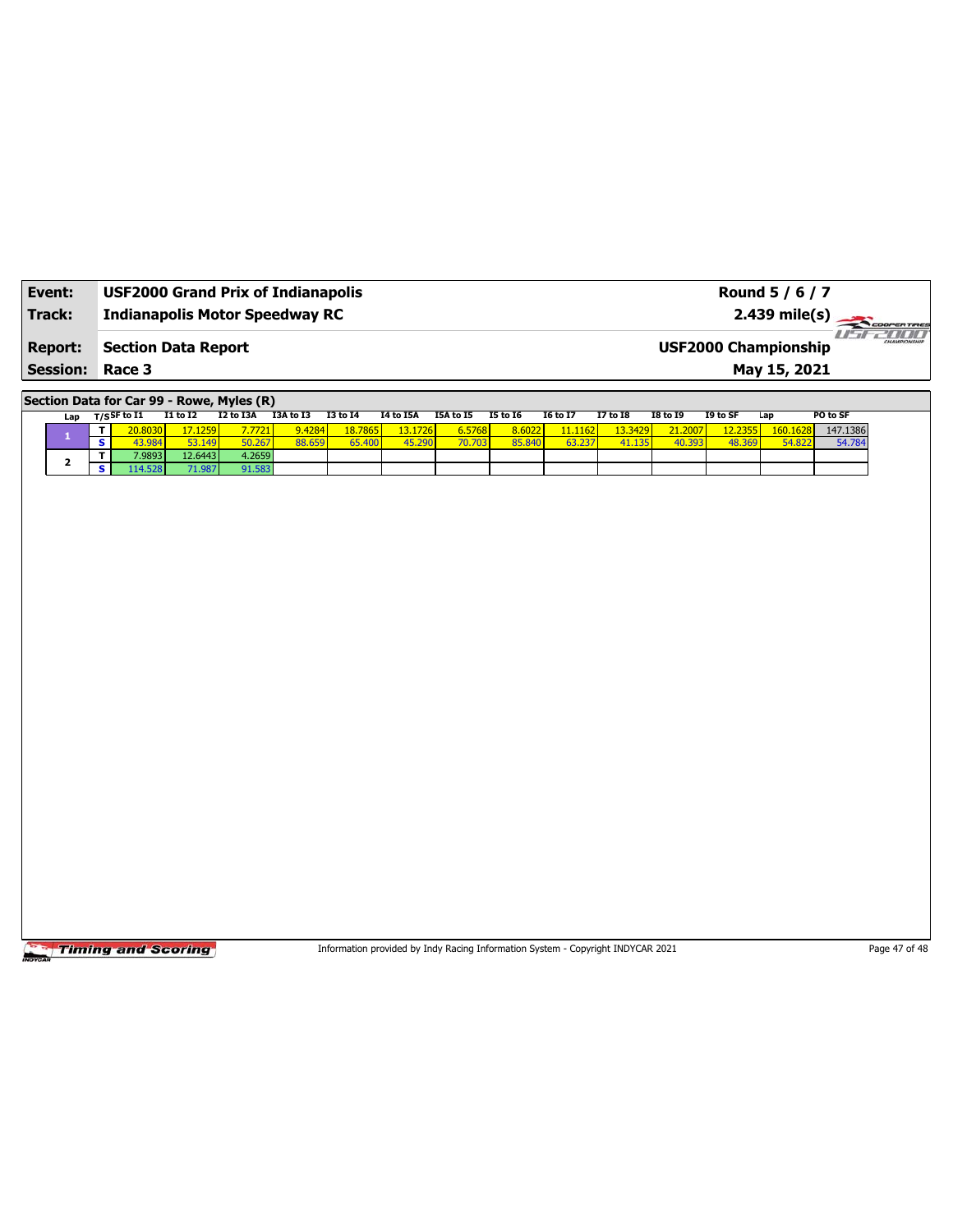| Event:                 | <b>USF2000 Grand Prix of Indianapolis</b> | Round 5 / 6 / 7                                      |
|------------------------|-------------------------------------------|------------------------------------------------------|
| Track:                 | <b>Indianapolis Motor Speedway RC</b>     | $2.439 \text{ mile(s)}$                              |
| <b>Report:</b>         | <b>Section Data Report</b>                | 70000<br>CHAMPIONSHIP<br><b>USF2000 Championship</b> |
| <b>Session: Race 3</b> |                                           | May 15, 2021                                         |

**Section Data for Car 99 - Rowe, Myles (R)**

| Lap |   | $T/S$ SF to I1 | <b>I1 to I2</b> | I2 to I3A | I3A to I3 | <b>I3 to 14</b>    | I4 to I5A      | I5A to I5 | <b>I5 to 16</b> | <b>16 to 17</b> | <b>I7 to I8</b> | <b>I8 to 19</b> | I9 to SF       | Lap      | PO to SF |
|-----|---|----------------|-----------------|-----------|-----------|--------------------|----------------|-----------|-----------------|-----------------|-----------------|-----------------|----------------|----------|----------|
|     |   | 20.8030        | 17.1259         | 7.7721    | 9.4284    | 18.7865            | <b>13.1726</b> | 6.5768    | 8.6022          | 11.1162         | 13.3429         | 21.2007         |                | 160.1628 | 147.1386 |
|     | s | 43.984         | 53.149          | 50.267    | 88.659    | 65.40 <sup>c</sup> | 45.290         | 70.703    | 85.840          |                 | 41.135          | 40.393          | 48.369<br>3691 | 54.822   | 54.784   |
|     |   | 7.98931        | 12.6443         | 4.2659    |           |                    |                |           |                 |                 |                 |                 |                |          |          |
|     | s | 114.528        | 71.987          | 91.583    |           |                    |                |           |                 |                 |                 |                 |                |          |          |

**Timing and Scoring** 

Information provided by Indy Racing Information System - Copyright INDYCAR 2021 Page 47 of 48